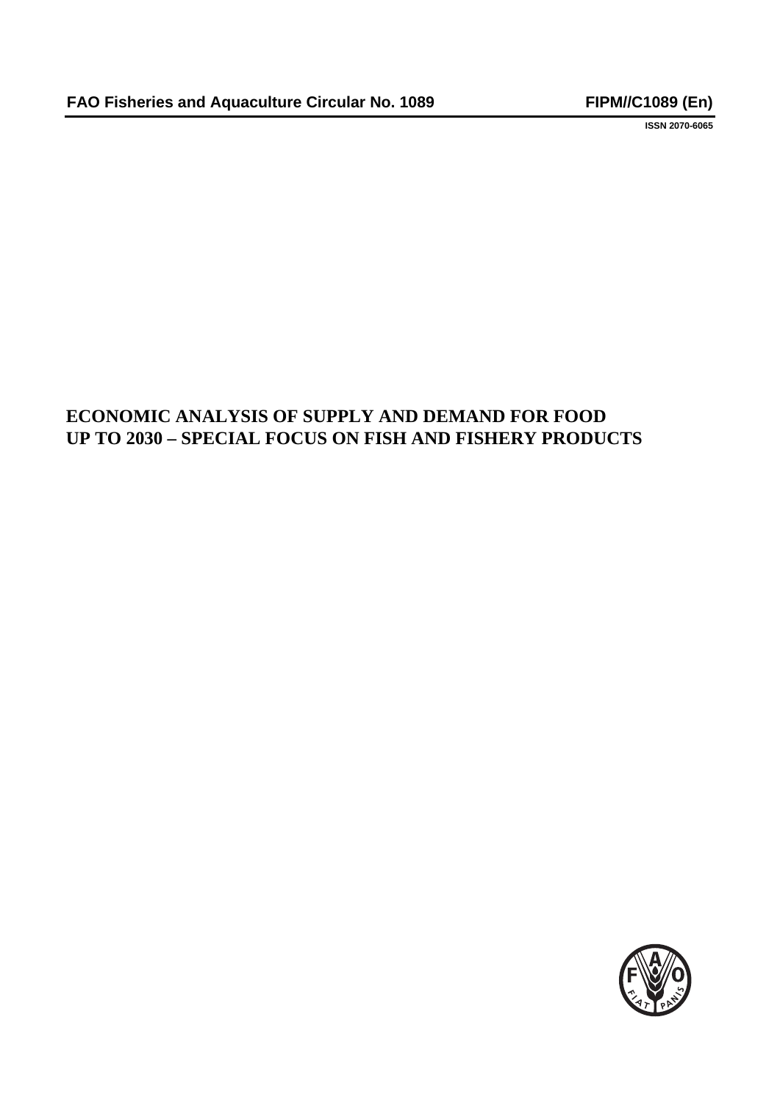**ISSN 2070-6065**

# **ECONOMIC ANALYSIS OF SUPPLY AND DEMAND FOR FOOD UP TO 2030 – SPECIAL FOCUS ON FISH AND FISHERY PRODUCTS**

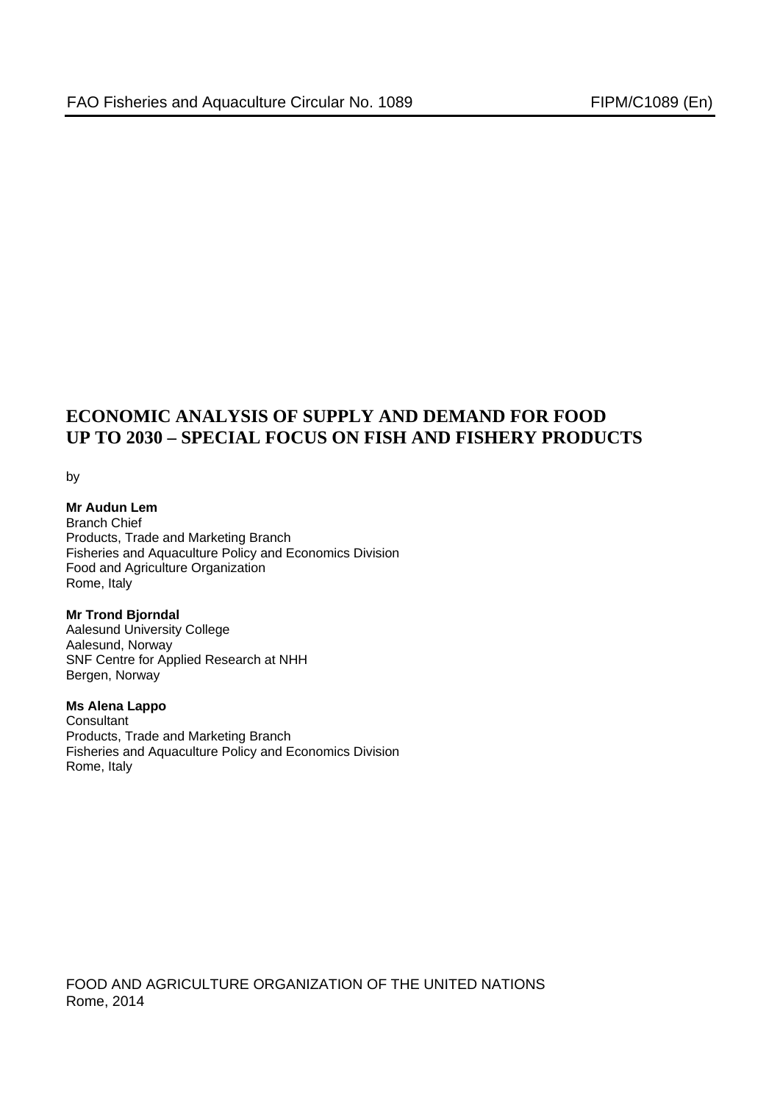# **ECONOMIC ANALYSIS OF SUPPLY AND DEMAND FOR FOOD UP TO 2030 – SPECIAL FOCUS ON FISH AND FISHERY PRODUCTS**

by

#### **Mr Audun Lem**  Branch Chief Products, Trade and Marketing Branch Fisheries and Aquaculture Policy and Economics Division Food and Agriculture Organization Rome, Italy

**Mr Trond Bjorndal**  Aalesund University College Aalesund, Norway SNF Centre for Applied Research at NHH Bergen, Norway

# **Ms Alena Lappo**

**Consultant** Products, Trade and Marketing Branch Fisheries and Aquaculture Policy and Economics Division Rome, Italy

FOOD AND AGRICULTURE ORGANIZATION OF THE UNITED NATIONS Rome, 2014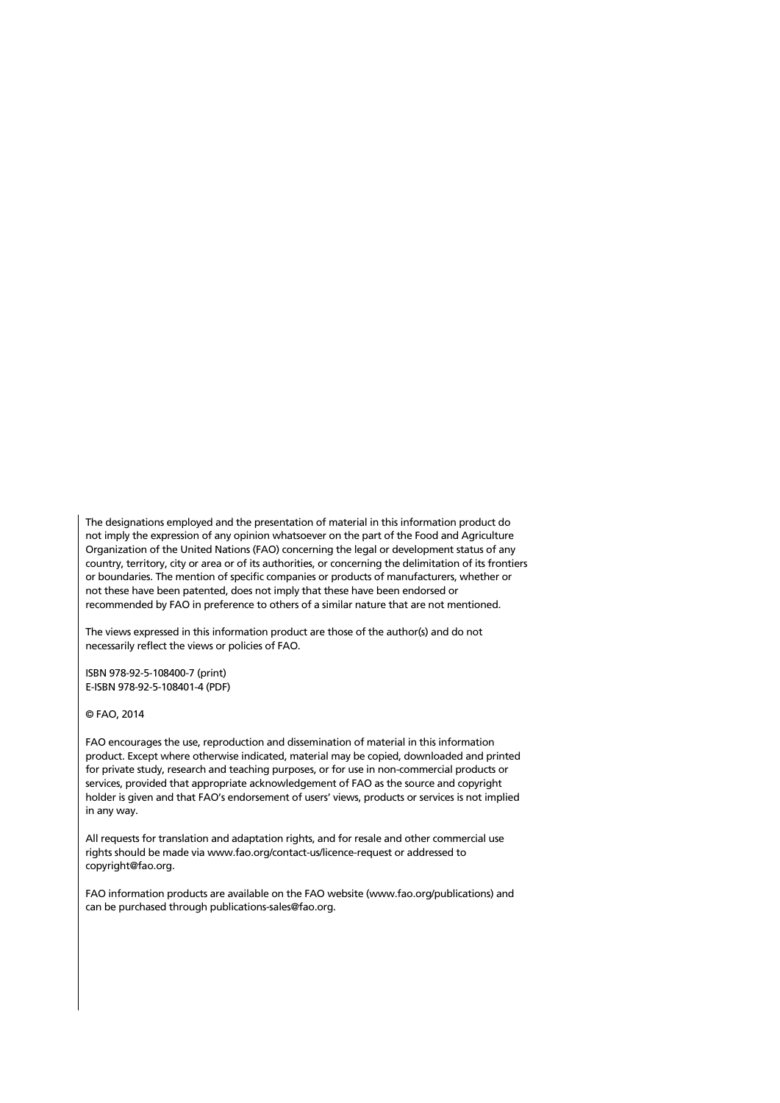The designations employed and the presentation of material in this information product do not imply the expression of any opinion whatsoever on the part of the Food and Agriculture Organization of the United Nations (FAO) concerning the legal or development status of any country, territory, city or area or of its authorities, or concerning the delimitation of its frontiers or boundaries. The mention of specific companies or products of manufacturers, whether or not these have been patented, does not imply that these have been endorsed or recommended by FAO in preference to others of a similar nature that are not mentioned.

The views expressed in this information product are those of the author(s) and do not necessarily reflect the views or policies of FAO.

ISBN 978-92-5-108400-7 (print) E-ISBN 978-92-5-108401-4 (PDF)

© FAO, 2014

FAO encourages the use, reproduction and dissemination of material in this information product. Except where otherwise indicated, material may be copied, downloaded and printed for private study, research and teaching purposes, or for use in non-commercial products or services, provided that appropriate acknowledgement of FAO as the source and copyright holder is given and that FAO's endorsement of users' views, products or services is not implied in any way.

All requests for translation and adaptation rights, and for resale and other commercial use rights should be made via www.fao.org/contact-us/licence-request or addressed to copyright@fao.org.

FAO information products are available on the FAO website (www.fao.org/publications) and can be purchased through publications-sales@fao.org.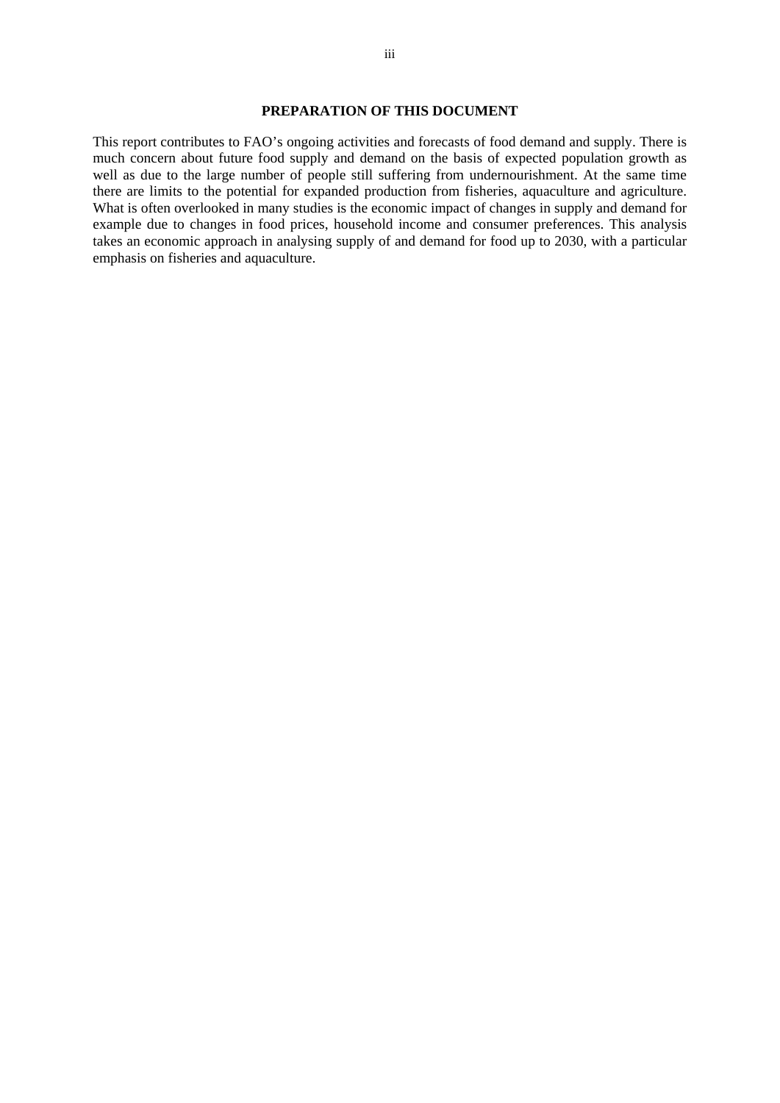# **PREPARATION OF THIS DOCUMENT**

This report contributes to FAO's ongoing activities and forecasts of food demand and supply. There is much concern about future food supply and demand on the basis of expected population growth as well as due to the large number of people still suffering from undernourishment. At the same time there are limits to the potential for expanded production from fisheries, aquaculture and agriculture. What is often overlooked in many studies is the economic impact of changes in supply and demand for example due to changes in food prices, household income and consumer preferences. This analysis takes an economic approach in analysing supply of and demand for food up to 2030, with a particular emphasis on fisheries and aquaculture.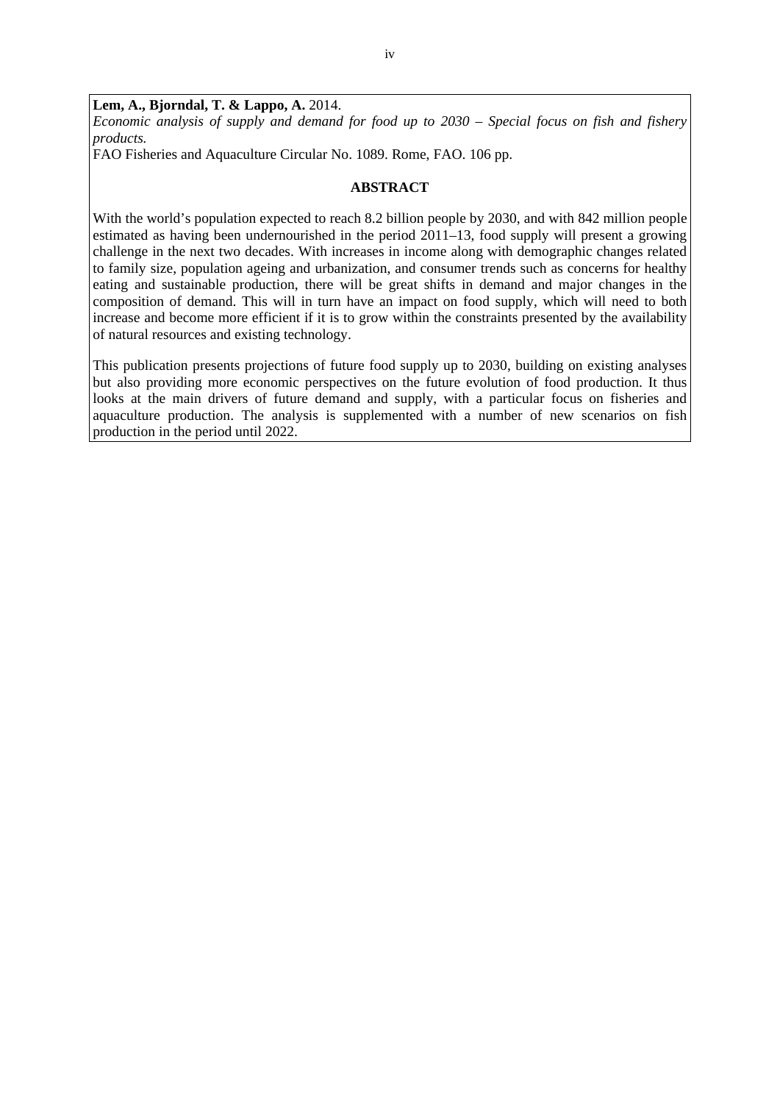**Lem, A., Bjorndal, T. & Lappo, A.** 2014. *Economic analysis of supply and demand for food up to 2030 – Special focus on fish and fishery products.*

FAO Fisheries and Aquaculture Circular No. 1089. Rome, FAO. 106 pp.

### **ABSTRACT**

With the world's population expected to reach 8.2 billion people by 2030, and with 842 million people estimated as having been undernourished in the period 2011–13, food supply will present a growing challenge in the next two decades. With increases in income along with demographic changes related to family size, population ageing and urbanization, and consumer trends such as concerns for healthy eating and sustainable production, there will be great shifts in demand and major changes in the composition of demand. This will in turn have an impact on food supply, which will need to both increase and become more efficient if it is to grow within the constraints presented by the availability of natural resources and existing technology.

This publication presents projections of future food supply up to 2030, building on existing analyses but also providing more economic perspectives on the future evolution of food production. It thus looks at the main drivers of future demand and supply, with a particular focus on fisheries and aquaculture production. The analysis is supplemented with a number of new scenarios on fish production in the period until 2022.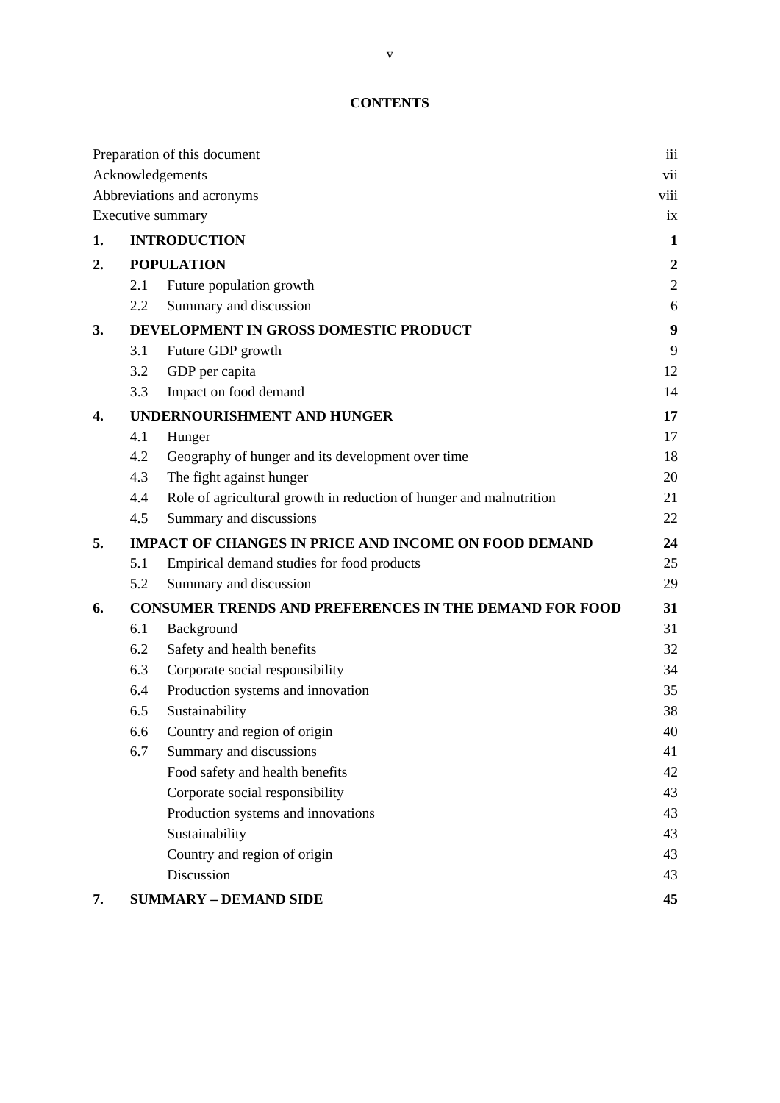# **CONTENTS**

|    |     | Preparation of this document                                        | iii              |
|----|-----|---------------------------------------------------------------------|------------------|
|    |     | Acknowledgements                                                    | vii              |
|    |     | Abbreviations and acronyms                                          | viii             |
|    |     | Executive summary                                                   | ix               |
| 1. |     | <b>INTRODUCTION</b>                                                 | $\mathbf{1}$     |
| 2. |     | <b>POPULATION</b>                                                   | $\boldsymbol{2}$ |
|    | 2.1 | Future population growth                                            | $\sqrt{2}$       |
|    | 2.2 | Summary and discussion                                              | 6                |
| 3. |     | DEVELOPMENT IN GROSS DOMESTIC PRODUCT                               | 9                |
|    | 3.1 | Future GDP growth                                                   | 9                |
|    | 3.2 | GDP per capita                                                      | 12               |
|    | 3.3 | Impact on food demand                                               | 14               |
| 4. |     | <b>UNDERNOURISHMENT AND HUNGER</b>                                  | 17               |
|    | 4.1 | Hunger                                                              | 17               |
|    | 4.2 | Geography of hunger and its development over time                   | 18               |
|    | 4.3 | The fight against hunger                                            | 20               |
|    | 4.4 | Role of agricultural growth in reduction of hunger and malnutrition | 21               |
|    | 4.5 | Summary and discussions                                             | 22               |
| 5. |     | <b>IMPACT OF CHANGES IN PRICE AND INCOME ON FOOD DEMAND</b>         | 24               |
|    | 5.1 | Empirical demand studies for food products                          | 25               |
|    | 5.2 | Summary and discussion                                              | 29               |
| 6. |     | <b>CONSUMER TRENDS AND PREFERENCES IN THE DEMAND FOR FOOD</b>       | 31               |
|    | 6.1 | Background                                                          | 31               |
|    | 6.2 | Safety and health benefits                                          | 32               |
|    | 6.3 | Corporate social responsibility                                     | 34               |
|    | 6.4 | Production systems and innovation                                   | 35               |
|    | 6.5 | Sustainability                                                      | 38               |
|    | 6.6 | Country and region of origin                                        | 40               |
|    | 6.7 | Summary and discussions                                             | 41               |
|    |     | Food safety and health benefits                                     | 42               |
|    |     | Corporate social responsibility                                     | 43               |
|    |     | Production systems and innovations                                  | 43               |
|    |     | Sustainability                                                      | 43               |
|    |     | Country and region of origin                                        | 43               |
|    |     | Discussion                                                          | 43               |
| 7. |     | <b>SUMMARY - DEMAND SIDE</b>                                        | 45               |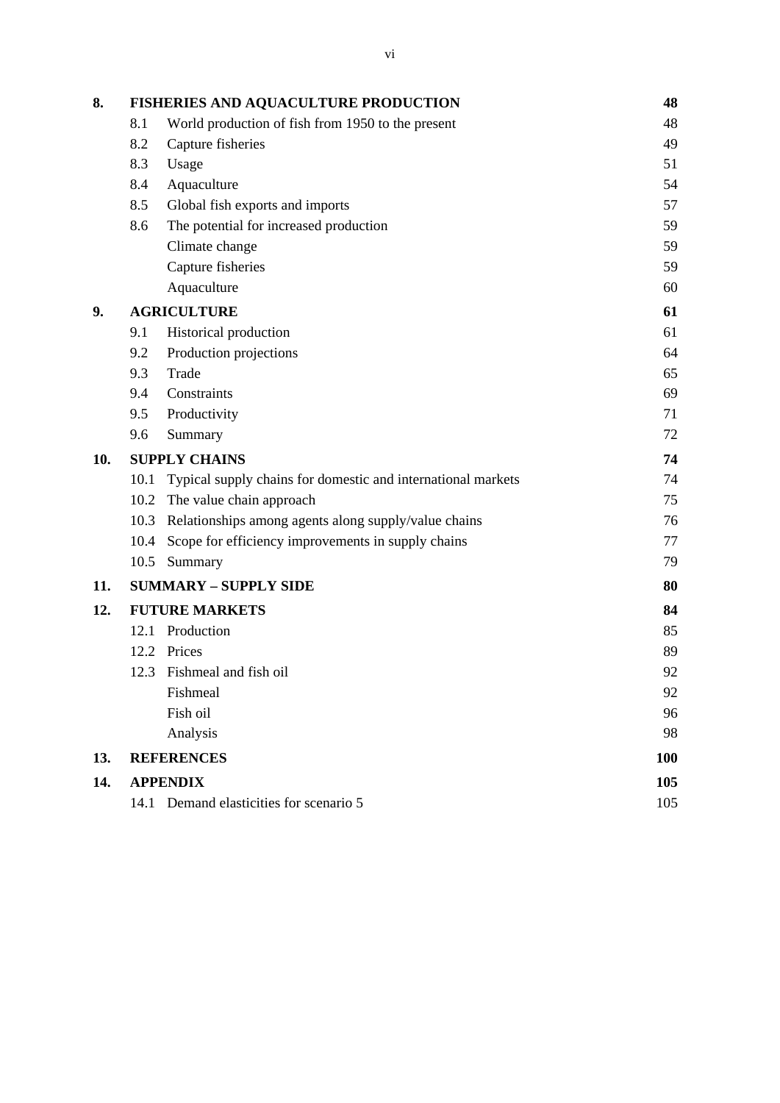| 8.  |      | <b>FISHERIES AND AQUACULTURE PRODUCTION</b>                  | 48  |
|-----|------|--------------------------------------------------------------|-----|
|     | 8.1  | World production of fish from 1950 to the present            | 48  |
|     | 8.2  | Capture fisheries                                            | 49  |
|     | 8.3  | Usage                                                        | 51  |
|     | 8.4  | Aquaculture                                                  | 54  |
|     | 8.5  | Global fish exports and imports                              | 57  |
|     | 8.6  | The potential for increased production                       | 59  |
|     |      | Climate change                                               | 59  |
|     |      | Capture fisheries                                            | 59  |
|     |      | Aquaculture                                                  | 60  |
| 9.  |      | <b>AGRICULTURE</b>                                           | 61  |
|     | 9.1  | Historical production                                        | 61  |
|     | 9.2  | Production projections                                       | 64  |
|     | 9.3  | Trade                                                        | 65  |
|     | 9.4  | Constraints                                                  | 69  |
|     | 9.5  | Productivity                                                 | 71  |
|     | 9.6  | Summary                                                      | 72  |
| 10. |      | <b>SUPPLY CHAINS</b>                                         | 74  |
|     | 10.1 | Typical supply chains for domestic and international markets | 74  |
|     |      | 10.2 The value chain approach                                | 75  |
|     |      | 10.3 Relationships among agents along supply/value chains    | 76  |
|     | 10.4 | Scope for efficiency improvements in supply chains           | 77  |
|     | 10.5 | Summary                                                      | 79  |
| 11. |      | <b>SUMMARY - SUPPLY SIDE</b>                                 | 80  |
| 12. |      | <b>FUTURE MARKETS</b>                                        | 84  |
|     |      | 12.1 Production                                              | 85  |
|     | 12.2 | Prices                                                       | 89  |
|     |      | 12.3 Fishmeal and fish oil                                   | 92  |
|     |      | Fishmeal                                                     | 92  |
|     |      | Fish oil                                                     | 96  |
|     |      | Analysis                                                     | 98  |
| 13. |      | <b>REFERENCES</b>                                            | 100 |
| 14. |      | <b>APPENDIX</b>                                              | 105 |
|     |      | 14.1 Demand elasticities for scenario 5                      | 105 |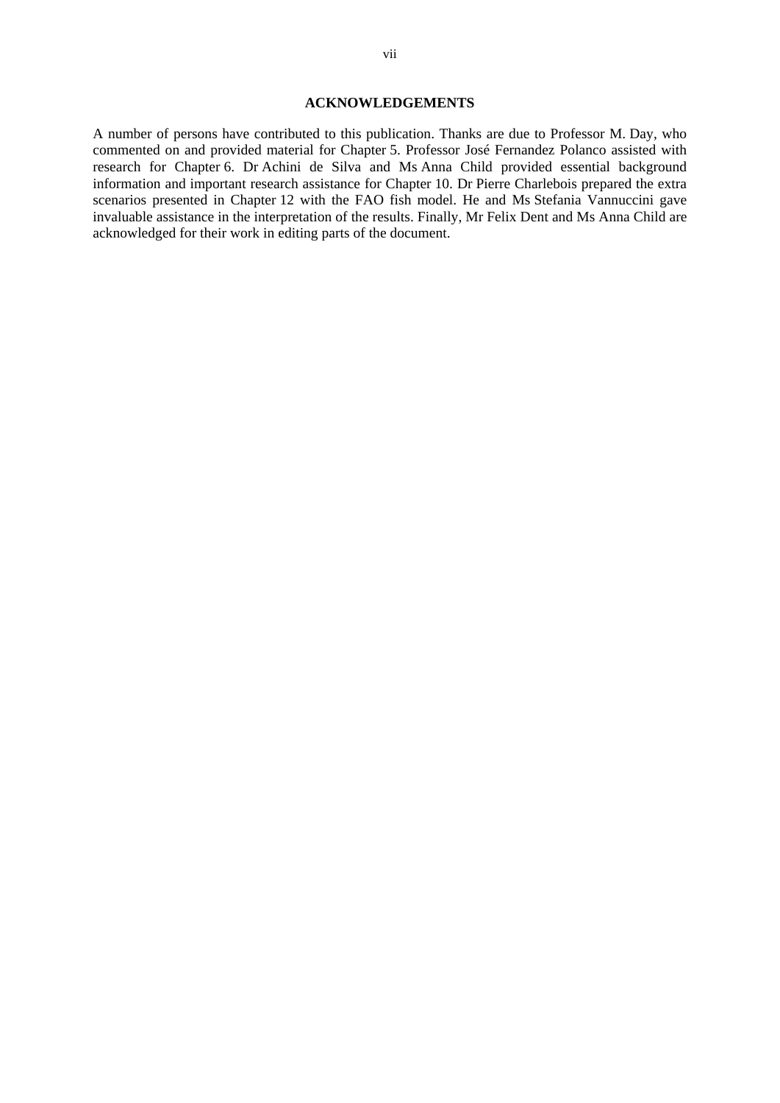#### **ACKNOWLEDGEMENTS**

A number of persons have contributed to this publication. Thanks are due to Professor M. Day, who commented on and provided material for Chapter 5. Professor José Fernandez Polanco assisted with research for Chapter 6. Dr Achini de Silva and Ms Anna Child provided essential background information and important research assistance for Chapter 10. Dr Pierre Charlebois prepared the extra scenarios presented in Chapter 12 with the FAO fish model. He and Ms Stefania Vannuccini gave invaluable assistance in the interpretation of the results. Finally, Mr Felix Dent and Ms Anna Child are acknowledged for their work in editing parts of the document.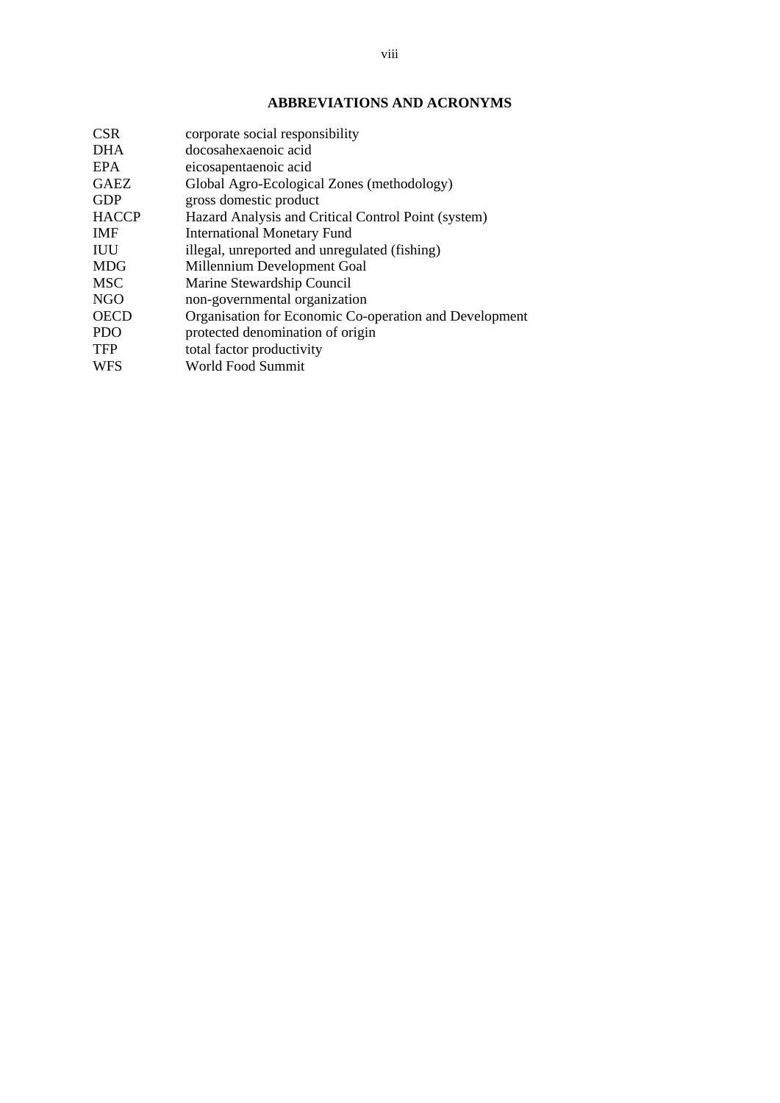# **ABBREVIATIONS AND ACRONYMS**

| <b>CSR</b>   | corporate social responsibility                        |
|--------------|--------------------------------------------------------|
| <b>DHA</b>   | docosahexaenoic acid                                   |
| EPA          | eicosapentaenoic acid                                  |
| <b>GAEZ</b>  | Global Agro-Ecological Zones (methodology)             |
| <b>GDP</b>   | gross domestic product                                 |
| <b>HACCP</b> | Hazard Analysis and Critical Control Point (system)    |
| <b>IMF</b>   | <b>International Monetary Fund</b>                     |
| IUU          | illegal, unreported and unregulated (fishing)          |
| <b>MDG</b>   | Millennium Development Goal                            |
| <b>MSC</b>   | Marine Stewardship Council                             |
| <b>NGO</b>   | non-governmental organization                          |
| <b>OECD</b>  | Organisation for Economic Co-operation and Development |
| <b>PDO</b>   | protected denomination of origin                       |
| <b>TFP</b>   | total factor productivity                              |
| <b>WFS</b>   | World Food Summit                                      |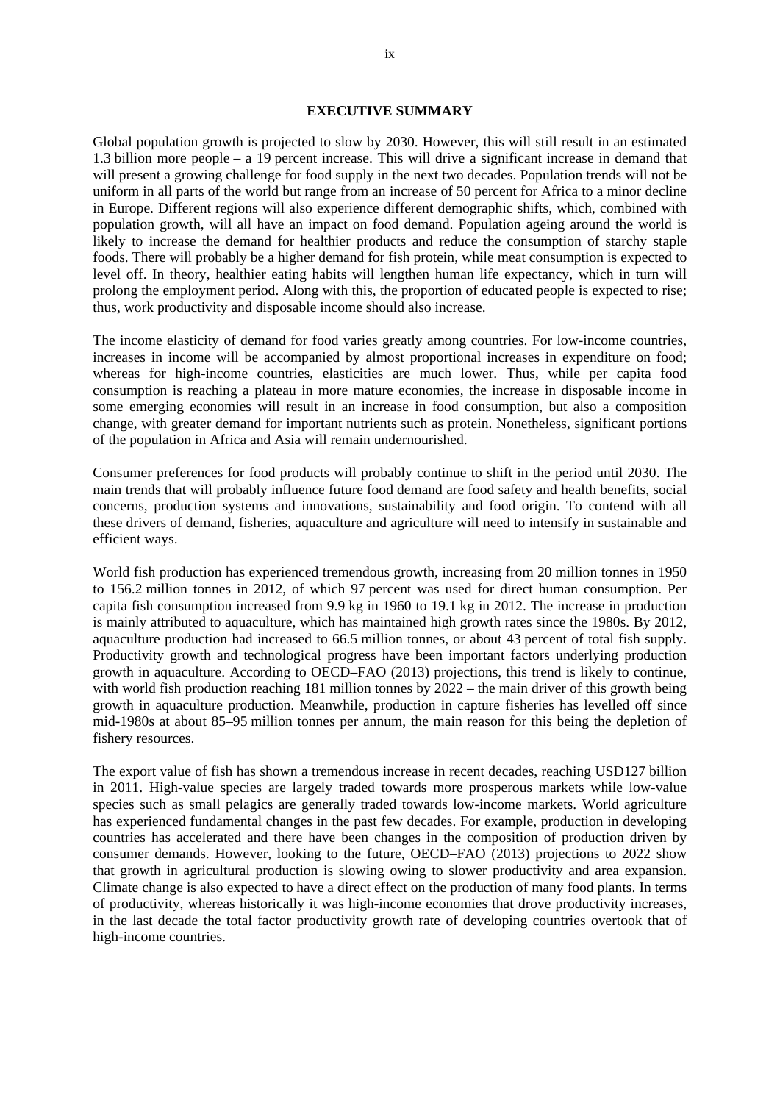### **EXECUTIVE SUMMARY**

Global population growth is projected to slow by 2030. However, this will still result in an estimated 1.3 billion more people – a 19 percent increase. This will drive a significant increase in demand that will present a growing challenge for food supply in the next two decades. Population trends will not be uniform in all parts of the world but range from an increase of 50 percent for Africa to a minor decline in Europe. Different regions will also experience different demographic shifts, which, combined with population growth, will all have an impact on food demand. Population ageing around the world is likely to increase the demand for healthier products and reduce the consumption of starchy staple foods. There will probably be a higher demand for fish protein, while meat consumption is expected to level off. In theory, healthier eating habits will lengthen human life expectancy, which in turn will prolong the employment period. Along with this, the proportion of educated people is expected to rise; thus, work productivity and disposable income should also increase.

The income elasticity of demand for food varies greatly among countries. For low-income countries, increases in income will be accompanied by almost proportional increases in expenditure on food; whereas for high-income countries, elasticities are much lower. Thus, while per capita food consumption is reaching a plateau in more mature economies, the increase in disposable income in some emerging economies will result in an increase in food consumption, but also a composition change, with greater demand for important nutrients such as protein. Nonetheless, significant portions of the population in Africa and Asia will remain undernourished.

Consumer preferences for food products will probably continue to shift in the period until 2030. The main trends that will probably influence future food demand are food safety and health benefits, social concerns, production systems and innovations, sustainability and food origin. To contend with all these drivers of demand, fisheries, aquaculture and agriculture will need to intensify in sustainable and efficient ways.

World fish production has experienced tremendous growth, increasing from 20 million tonnes in 1950 to 156.2 million tonnes in 2012, of which 97 percent was used for direct human consumption. Per capita fish consumption increased from 9.9 kg in 1960 to 19.1 kg in 2012. The increase in production is mainly attributed to aquaculture, which has maintained high growth rates since the 1980s. By 2012, aquaculture production had increased to 66.5 million tonnes, or about 43 percent of total fish supply. Productivity growth and technological progress have been important factors underlying production growth in aquaculture. According to OECD–FAO (2013) projections, this trend is likely to continue, with world fish production reaching 181 million tonnes by 2022 – the main driver of this growth being growth in aquaculture production. Meanwhile, production in capture fisheries has levelled off since mid-1980s at about 85–95 million tonnes per annum, the main reason for this being the depletion of fishery resources.

The export value of fish has shown a tremendous increase in recent decades, reaching USD127 billion in 2011. High-value species are largely traded towards more prosperous markets while low-value species such as small pelagics are generally traded towards low-income markets. World agriculture has experienced fundamental changes in the past few decades. For example, production in developing countries has accelerated and there have been changes in the composition of production driven by consumer demands. However, looking to the future, OECD–FAO (2013) projections to 2022 show that growth in agricultural production is slowing owing to slower productivity and area expansion. Climate change is also expected to have a direct effect on the production of many food plants. In terms of productivity, whereas historically it was high-income economies that drove productivity increases, in the last decade the total factor productivity growth rate of developing countries overtook that of high-income countries.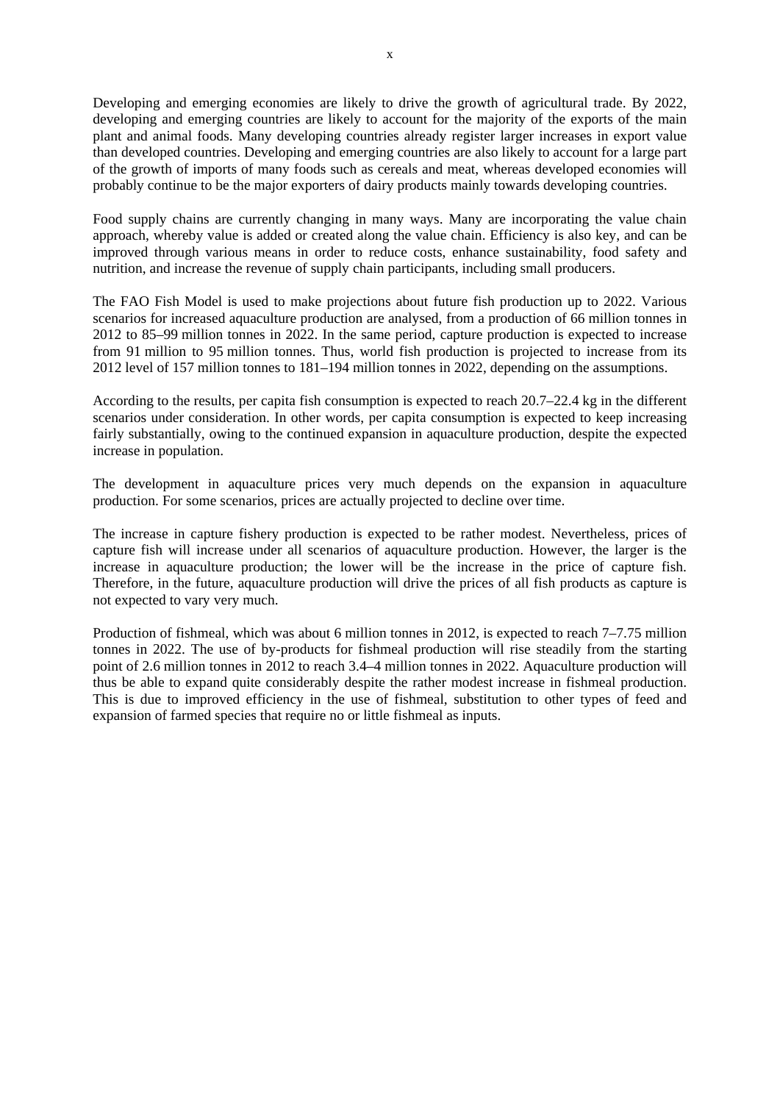Developing and emerging economies are likely to drive the growth of agricultural trade. By 2022, developing and emerging countries are likely to account for the majority of the exports of the main plant and animal foods. Many developing countries already register larger increases in export value than developed countries. Developing and emerging countries are also likely to account for a large part of the growth of imports of many foods such as cereals and meat, whereas developed economies will probably continue to be the major exporters of dairy products mainly towards developing countries.

Food supply chains are currently changing in many ways. Many are incorporating the value chain approach, whereby value is added or created along the value chain. Efficiency is also key, and can be improved through various means in order to reduce costs, enhance sustainability, food safety and nutrition, and increase the revenue of supply chain participants, including small producers.

The FAO Fish Model is used to make projections about future fish production up to 2022. Various scenarios for increased aquaculture production are analysed, from a production of 66 million tonnes in 2012 to 85–99 million tonnes in 2022. In the same period, capture production is expected to increase from 91 million to 95 million tonnes. Thus, world fish production is projected to increase from its 2012 level of 157 million tonnes to 181–194 million tonnes in 2022, depending on the assumptions.

According to the results, per capita fish consumption is expected to reach 20.7–22.4 kg in the different scenarios under consideration. In other words, per capita consumption is expected to keep increasing fairly substantially, owing to the continued expansion in aquaculture production, despite the expected increase in population.

The development in aquaculture prices very much depends on the expansion in aquaculture production. For some scenarios, prices are actually projected to decline over time.

The increase in capture fishery production is expected to be rather modest. Nevertheless, prices of capture fish will increase under all scenarios of aquaculture production. However, the larger is the increase in aquaculture production; the lower will be the increase in the price of capture fish. Therefore, in the future, aquaculture production will drive the prices of all fish products as capture is not expected to vary very much.

Production of fishmeal, which was about 6 million tonnes in 2012, is expected to reach 7–7.75 million tonnes in 2022. The use of by-products for fishmeal production will rise steadily from the starting point of 2.6 million tonnes in 2012 to reach 3.4–4 million tonnes in 2022. Aquaculture production will thus be able to expand quite considerably despite the rather modest increase in fishmeal production. This is due to improved efficiency in the use of fishmeal, substitution to other types of feed and expansion of farmed species that require no or little fishmeal as inputs.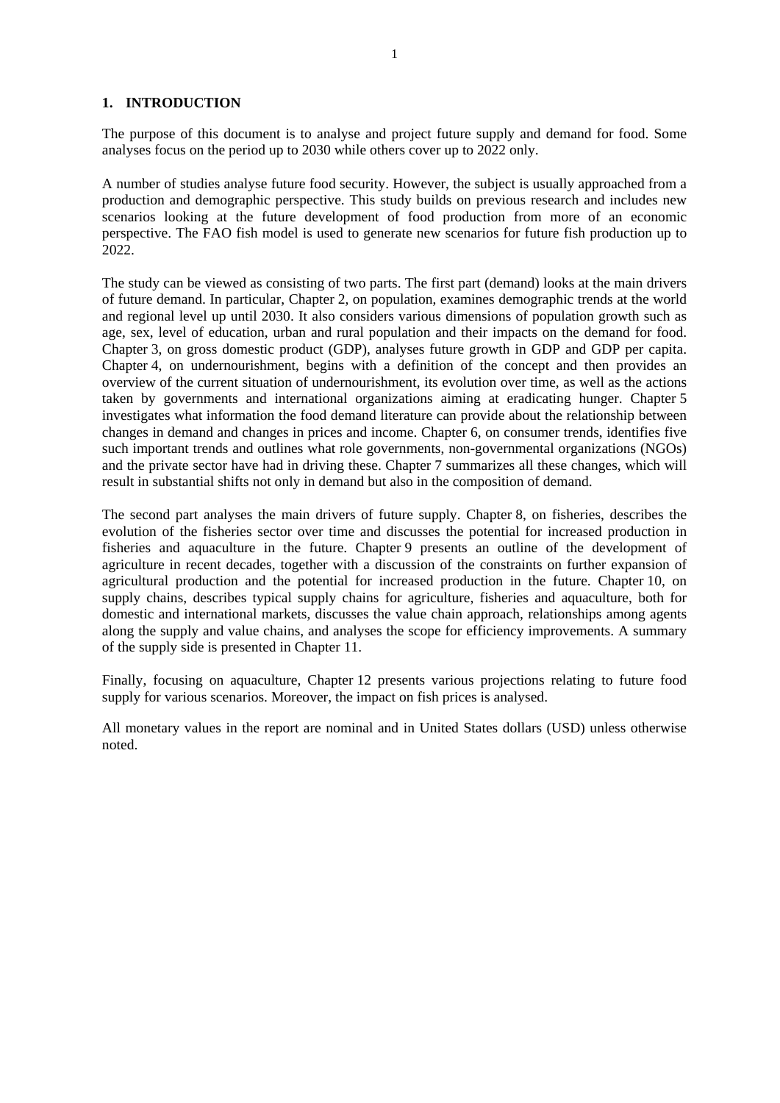### **1. INTRODUCTION**

The purpose of this document is to analyse and project future supply and demand for food. Some analyses focus on the period up to 2030 while others cover up to 2022 only.

A number of studies analyse future food security. However, the subject is usually approached from a production and demographic perspective. This study builds on previous research and includes new scenarios looking at the future development of food production from more of an economic perspective. The FAO fish model is used to generate new scenarios for future fish production up to 2022.

The study can be viewed as consisting of two parts. The first part (demand) looks at the main drivers of future demand. In particular, Chapter 2, on population, examines demographic trends at the world and regional level up until 2030. It also considers various dimensions of population growth such as age, sex, level of education, urban and rural population and their impacts on the demand for food. Chapter 3, on gross domestic product (GDP), analyses future growth in GDP and GDP per capita. Chapter 4, on undernourishment, begins with a definition of the concept and then provides an overview of the current situation of undernourishment, its evolution over time, as well as the actions taken by governments and international organizations aiming at eradicating hunger. Chapter 5 investigates what information the food demand literature can provide about the relationship between changes in demand and changes in prices and income. Chapter 6, on consumer trends, identifies five such important trends and outlines what role governments, non-governmental organizations (NGOs) and the private sector have had in driving these. Chapter 7 summarizes all these changes, which will result in substantial shifts not only in demand but also in the composition of demand.

The second part analyses the main drivers of future supply. Chapter 8, on fisheries, describes the evolution of the fisheries sector over time and discusses the potential for increased production in fisheries and aquaculture in the future. Chapter 9 presents an outline of the development of agriculture in recent decades, together with a discussion of the constraints on further expansion of agricultural production and the potential for increased production in the future. Chapter 10, on supply chains, describes typical supply chains for agriculture, fisheries and aquaculture, both for domestic and international markets, discusses the value chain approach, relationships among agents along the supply and value chains, and analyses the scope for efficiency improvements. A summary of the supply side is presented in Chapter 11.

Finally, focusing on aquaculture, Chapter 12 presents various projections relating to future food supply for various scenarios. Moreover, the impact on fish prices is analysed.

All monetary values in the report are nominal and in United States dollars (USD) unless otherwise noted.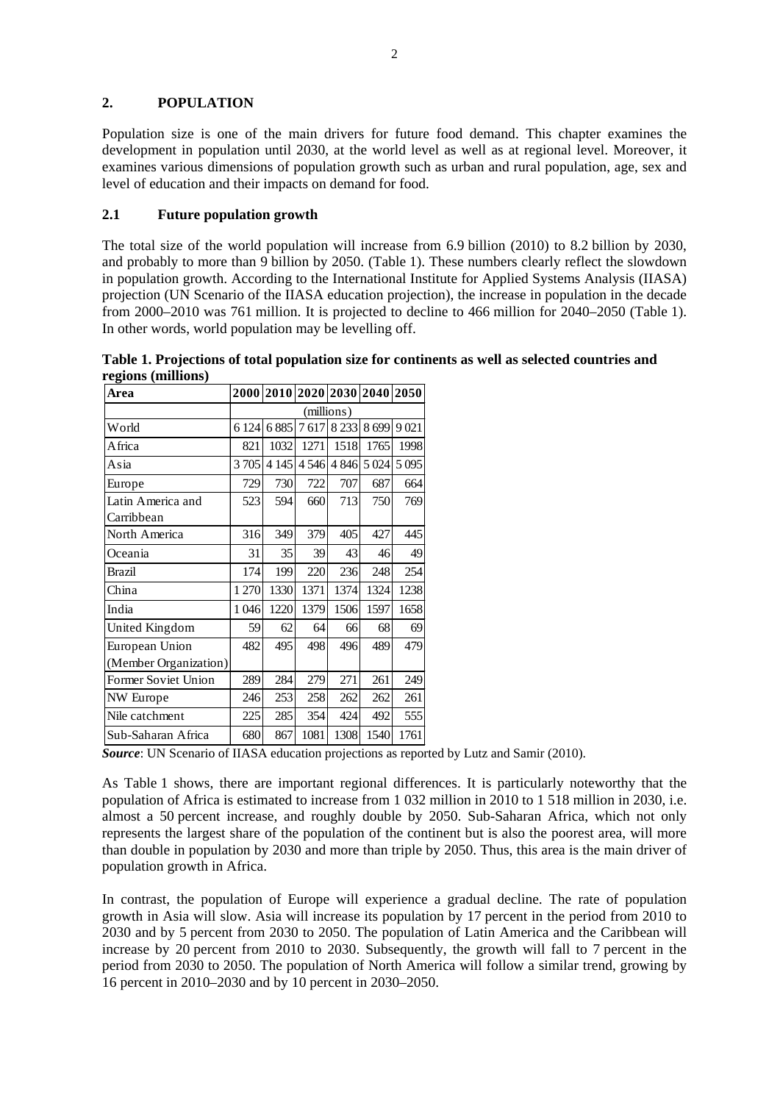# **2. POPULATION**

Population size is one of the main drivers for future food demand. This chapter examines the development in population until 2030, at the world level as well as at regional level. Moreover, it examines various dimensions of population growth such as urban and rural population, age, sex and level of education and their impacts on demand for food.

# **2.1 Future population growth**

The total size of the world population will increase from 6.9 billion (2010) to 8.2 billion by 2030, and probably to more than 9 billion by 2050. (Table 1). These numbers clearly reflect the slowdown in population growth. According to the International Institute for Applied Systems Analysis (IIASA) projection (UN Scenario of the IIASA education projection), the increase in population in the decade from 2000–2010 was 761 million. It is projected to decline to 466 million for 2040–2050 (Table 1). In other words, world population may be levelling off.

| Area                  |         |         | 2000 2010 2020 2030 2040 2050 |            |        |         |
|-----------------------|---------|---------|-------------------------------|------------|--------|---------|
|                       |         |         |                               | (millions) |        |         |
| World                 | 6 1 2 4 | 6885    | 7617                          | 8 2 3 3    | 8699   | 9021    |
| Africa                | 821     | 1032    | 1271                          | 1518       | 1765   | 1998    |
| Asia                  | 3705    | 4 1 4 5 | 4546                          | 4 8 4 6    | 5 0 24 | 5 0 9 5 |
| Europe                | 729     | 730     | 722                           | 707        | 687    | 664     |
| Latin America and     | 523     | 594     | 660                           | 713        | 750    | 769     |
| Carribbean            |         |         |                               |            |        |         |
| North America         | 316     | 349     | 379                           | 405        | 427    | 445     |
| Oceania               | 31      | 35      | 39                            | 43         | 46     | 49      |
| <b>Brazil</b>         | 174     | 199     | 220                           | 236        | 248    | 254     |
| China                 | 1 270   | 1330    | 1371                          | 1374       | 1324   | 1238    |
| India                 | 1046    | 1220    | 1379                          | 1506       | 1597   | 1658    |
| United Kingdom        | 59      | 62      | 64                            | 66         | 68     | 69      |
| European Union        | 482     | 495     | 498                           | 496        | 489    | 479     |
| (Member Organization) |         |         |                               |            |        |         |
| Former Soviet Union   | 289     | 284     | 279                           | 271        | 261    | 249     |
| NW Europe             | 246     | 253     | 258                           | 262        | 262    | 261     |
| Nile catchment        | 225     | 285     | 354                           | 424        | 492    | 555     |
| Sub-Saharan Africa    | 680     | 867     | 1081                          | 1308       | 1540   | 1761    |

**Table 1. Projections of total population size for continents as well as selected countries and regions (millions)** 

**Source**: UN Scenario of IIASA education projections as reported by Lutz and Samir (2010).

As Table 1 shows, there are important regional differences. It is particularly noteworthy that the population of Africa is estimated to increase from 1 032 million in 2010 to 1 518 million in 2030, i.e. almost a 50 percent increase, and roughly double by 2050. Sub-Saharan Africa, which not only represents the largest share of the population of the continent but is also the poorest area, will more than double in population by 2030 and more than triple by 2050. Thus, this area is the main driver of population growth in Africa.

In contrast, the population of Europe will experience a gradual decline. The rate of population growth in Asia will slow. Asia will increase its population by 17 percent in the period from 2010 to 2030 and by 5 percent from 2030 to 2050. The population of Latin America and the Caribbean will increase by 20 percent from 2010 to 2030. Subsequently, the growth will fall to 7 percent in the period from 2030 to 2050. The population of North America will follow a similar trend, growing by 16 percent in 2010–2030 and by 10 percent in 2030–2050.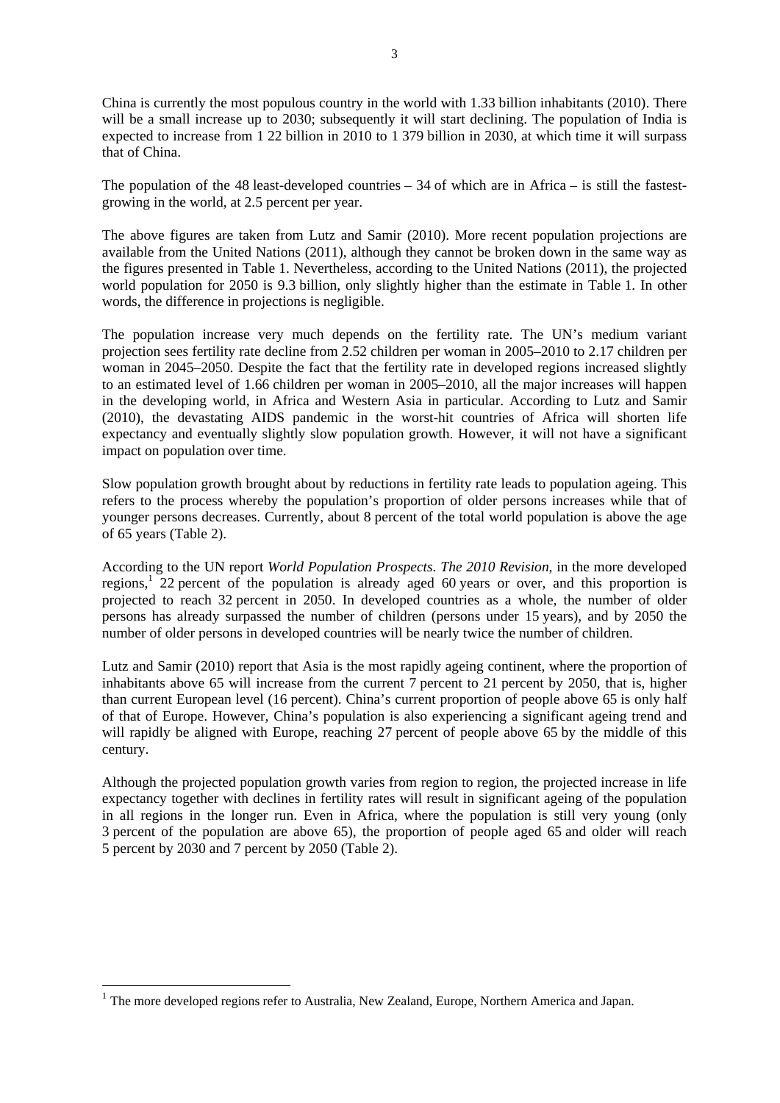China is currently the most populous country in the world with 1.33 billion inhabitants (2010). There will be a small increase up to 2030; subsequently it will start declining. The population of India is expected to increase from 1 22 billion in 2010 to 1 379 billion in 2030, at which time it will surpass that of China.

The population of the 48 least-developed countries – 34 of which are in Africa – is still the fastestgrowing in the world, at 2.5 percent per year.

The above figures are taken from Lutz and Samir (2010). More recent population projections are available from the United Nations (2011), although they cannot be broken down in the same way as the figures presented in Table 1. Nevertheless, according to the United Nations (2011), the projected world population for 2050 is 9.3 billion, only slightly higher than the estimate in Table 1. In other words, the difference in projections is negligible.

The population increase very much depends on the fertility rate. The UN's medium variant projection sees fertility rate decline from 2.52 children per woman in 2005–2010 to 2.17 children per woman in 2045–2050. Despite the fact that the fertility rate in developed regions increased slightly to an estimated level of 1.66 children per woman in 2005–2010, all the major increases will happen in the developing world, in Africa and Western Asia in particular. According to Lutz and Samir (2010), the devastating AIDS pandemic in the worst-hit countries of Africa will shorten life expectancy and eventually slightly slow population growth. However, it will not have a significant impact on population over time.

Slow population growth brought about by reductions in fertility rate leads to population ageing. This refers to the process whereby the population's proportion of older persons increases while that of younger persons decreases. Currently, about 8 percent of the total world population is above the age of 65 years (Table 2).

According to the UN report *World Population Prospects. The 2010 Revision*, in the more developed regions,<sup>1</sup> 22 percent of the population is already aged 60 years or over, and this proportion is projected to reach 32 percent in 2050. In developed countries as a whole, the number of older persons has already surpassed the number of children (persons under 15 years), and by 2050 the number of older persons in developed countries will be nearly twice the number of children.

Lutz and Samir (2010) report that Asia is the most rapidly ageing continent, where the proportion of inhabitants above 65 will increase from the current 7 percent to 21 percent by 2050, that is, higher than current European level (16 percent). China's current proportion of people above 65 is only half of that of Europe. However, China's population is also experiencing a significant ageing trend and will rapidly be aligned with Europe, reaching 27 percent of people above 65 by the middle of this century.

Although the projected population growth varies from region to region, the projected increase in life expectancy together with declines in fertility rates will result in significant ageing of the population in all regions in the longer run. Even in Africa, where the population is still very young (only 3 percent of the population are above 65), the proportion of people aged 65 and older will reach 5 percent by 2030 and 7 percent by 2050 (Table 2).

1

<sup>&</sup>lt;sup>1</sup> The more developed regions refer to Australia, New Zealand, Europe, Northern America and Japan.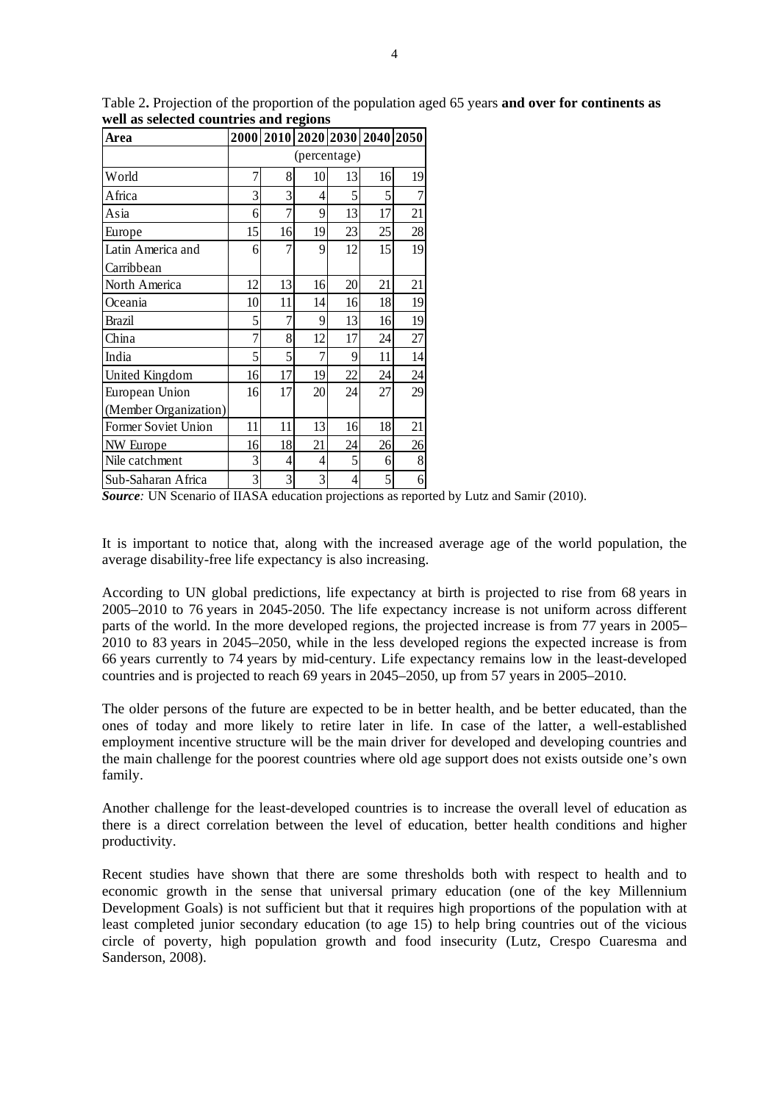| Area                  |                |    |              |    | 2000 2010 2020 2030 2040 2050 |                |
|-----------------------|----------------|----|--------------|----|-------------------------------|----------------|
|                       |                |    | (percentage) |    |                               |                |
| World                 | 7              | 8  | 10           | 13 | 16                            | 19             |
| Africa                | 3              | 3  | 4            | 5  | 5                             | $\overline{7}$ |
| Asia                  | 6              | 7  | 9            | 13 | 17                            | 21             |
| Europe                | 15             | 16 | 19           | 23 | 25                            | 28             |
| Latin America and     | 6              | 7  | 9            | 12 | 15                            | 19             |
| Carribbean            |                |    |              |    |                               |                |
| North America         | 12             | 13 | 16           | 20 | 21                            | 21             |
| Oceania               | 10             | 11 | 14           | 16 | 18                            | 19             |
| Brazil                | 5              | 7  | 9            | 13 | 16                            | 19             |
| China                 | $\overline{7}$ | 8  | 12           | 17 | 24                            | 27             |
| India                 | 5              | 5  | 7            | 9  | 11                            | 14             |
| United Kingdom        | 16             | 17 | 19           | 22 | 24                            | 24             |
| European Union        | 16             | 17 | 20           | 24 | 27                            | 29             |
| (Member Organization) |                |    |              |    |                               |                |
| Former Soviet Union   | 11             | 11 | 13           | 16 | 18                            | 21             |
| NW Europe             | 16             | 18 | 21           | 24 | 26                            | 26             |
| Nile catchment        | 3              | 4  | 4            | 5  | 6                             | 8              |
| Sub-Saharan Africa    | 3              | 3  | 3            | 4  | 5                             | 6              |

Table 2**.** Projection of the proportion of the population aged 65 years **and over for continents as well as selected countries and regions** 

It is important to notice that, along with the increased average age of the world population, the average disability-free life expectancy is also increasing.

According to UN global predictions, life expectancy at birth is projected to rise from 68 years in 2005–2010 to 76 years in 2045-2050. The life expectancy increase is not uniform across different parts of the world. In the more developed regions, the projected increase is from 77 years in 2005– 2010 to 83 years in 2045–2050, while in the less developed regions the expected increase is from 66 years currently to 74 years by mid-century. Life expectancy remains low in the least-developed countries and is projected to reach 69 years in 2045–2050, up from 57 years in 2005–2010.

The older persons of the future are expected to be in better health, and be better educated, than the ones of today and more likely to retire later in life. In case of the latter, a well-established employment incentive structure will be the main driver for developed and developing countries and the main challenge for the poorest countries where old age support does not exists outside one's own family.

Another challenge for the least-developed countries is to increase the overall level of education as there is a direct correlation between the level of education, better health conditions and higher productivity.

Recent studies have shown that there are some thresholds both with respect to health and to economic growth in the sense that universal primary education (one of the key Millennium Development Goals) is not sufficient but that it requires high proportions of the population with at least completed junior secondary education (to age 15) to help bring countries out of the vicious circle of poverty, high population growth and food insecurity (Lutz, Crespo Cuaresma and Sanderson, 2008).

*Source:* UN Scenario of IIASA education projections as reported by Lutz and Samir (2010).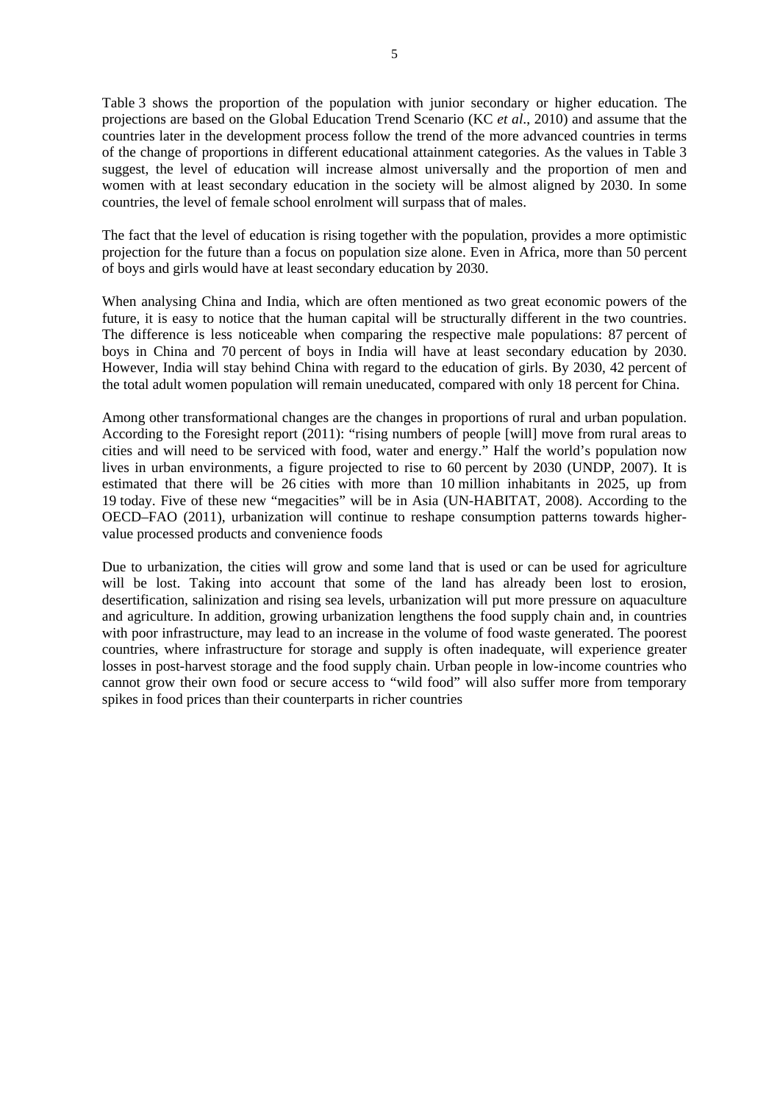5

Table 3 shows the proportion of the population with junior secondary or higher education. The projections are based on the Global Education Trend Scenario (KC *et al*., 2010) and assume that the countries later in the development process follow the trend of the more advanced countries in terms of the change of proportions in different educational attainment categories. As the values in Table 3 suggest, the level of education will increase almost universally and the proportion of men and women with at least secondary education in the society will be almost aligned by 2030. In some countries, the level of female school enrolment will surpass that of males.

The fact that the level of education is rising together with the population, provides a more optimistic projection for the future than a focus on population size alone. Even in Africa, more than 50 percent of boys and girls would have at least secondary education by 2030.

When analysing China and India, which are often mentioned as two great economic powers of the future, it is easy to notice that the human capital will be structurally different in the two countries. The difference is less noticeable when comparing the respective male populations: 87 percent of boys in China and 70 percent of boys in India will have at least secondary education by 2030. However, India will stay behind China with regard to the education of girls. By 2030, 42 percent of the total adult women population will remain uneducated, compared with only 18 percent for China.

Among other transformational changes are the changes in proportions of rural and urban population. According to the Foresight report (2011): "rising numbers of people [will] move from rural areas to cities and will need to be serviced with food, water and energy." Half the world's population now lives in urban environments, a figure projected to rise to 60 percent by 2030 (UNDP, 2007). It is estimated that there will be 26 cities with more than 10 million inhabitants in 2025, up from 19 today. Five of these new "megacities" will be in Asia (UN-HABITAT, 2008). According to the OECD–FAO (2011), urbanization will continue to reshape consumption patterns towards highervalue processed products and convenience foods

Due to urbanization, the cities will grow and some land that is used or can be used for agriculture will be lost. Taking into account that some of the land has already been lost to erosion, desertification, salinization and rising sea levels, urbanization will put more pressure on aquaculture and agriculture. In addition, growing urbanization lengthens the food supply chain and, in countries with poor infrastructure, may lead to an increase in the volume of food waste generated. The poorest countries, where infrastructure for storage and supply is often inadequate, will experience greater losses in post-harvest storage and the food supply chain. Urban people in low-income countries who cannot grow their own food or secure access to "wild food" will also suffer more from temporary spikes in food prices than their counterparts in richer countries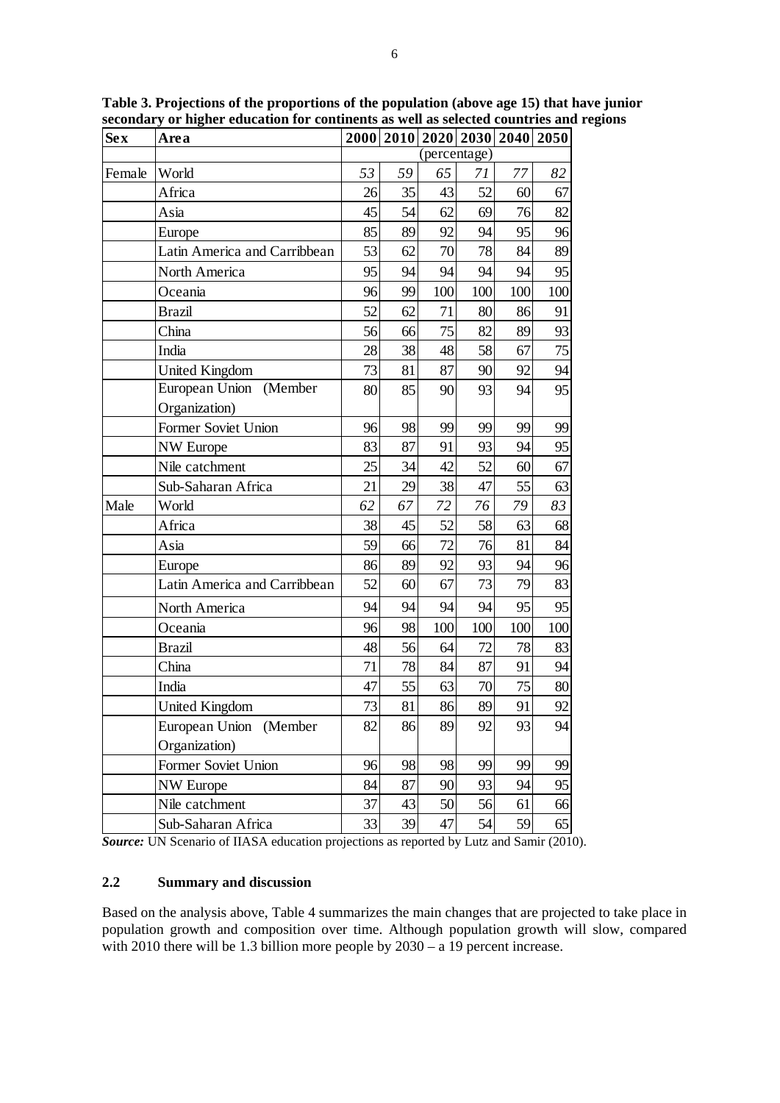| <b>Sex</b> | Area                         |    |    | 2000   2010   2020   2030   2040   2050 |     |     |     |
|------------|------------------------------|----|----|-----------------------------------------|-----|-----|-----|
|            |                              |    |    | (percentage)                            |     |     |     |
| Female     | World                        | 53 | 59 | 65                                      | 71  | 77  | 82  |
|            | Africa                       | 26 | 35 | 43                                      | 52  | 60  | 67  |
|            | Asia                         | 45 | 54 | 62                                      | 69  | 76  | 82  |
|            | Europe                       | 85 | 89 | 92                                      | 94  | 95  | 96  |
|            | Latin America and Carribbean | 53 | 62 | 70                                      | 78  | 84  | 89  |
|            | North America                | 95 | 94 | 94                                      | 94  | 94  | 95  |
|            | Oceania                      | 96 | 99 | 100                                     | 100 | 100 | 100 |
|            | <b>Brazil</b>                | 52 | 62 | 71                                      | 80  | 86  | 91  |
|            | China                        | 56 | 66 | 75                                      | 82  | 89  | 93  |
|            | India                        | 28 | 38 | 48                                      | 58  | 67  | 75  |
|            | <b>United Kingdom</b>        | 73 | 81 | 87                                      | 90  | 92  | 94  |
|            | European Union (Member       | 80 | 85 | 90                                      | 93  | 94  | 95  |
|            | Organization)                |    |    |                                         |     |     |     |
|            | Former Soviet Union          | 96 | 98 | 99                                      | 99  | 99  | 99  |
|            | <b>NW</b> Europe             | 83 | 87 | 91                                      | 93  | 94  | 95  |
|            | Nile catchment               | 25 | 34 | 42                                      | 52  | 60  | 67  |
|            | Sub-Saharan Africa           | 21 | 29 | 38                                      | 47  | 55  | 63  |
| Male       | World                        | 62 | 67 | 72                                      | 76  | 79  | 83  |
|            | Africa                       | 38 | 45 | 52                                      | 58  | 63  | 68  |
|            | Asia                         | 59 | 66 | 72                                      | 76  | 81  | 84  |
|            | Europe                       | 86 | 89 | 92                                      | 93  | 94  | 96  |
|            | Latin America and Carribbean | 52 | 60 | 67                                      | 73  | 79  | 83  |
|            | North America                | 94 | 94 | 94                                      | 94  | 95  | 95  |
|            | Oceania                      | 96 | 98 | 100                                     | 100 | 100 | 100 |
|            | <b>Brazil</b>                | 48 | 56 | 64                                      | 72  | 78  | 83  |
|            | China                        | 71 | 78 | 84                                      | 87  | 91  | 94  |
|            | India                        | 47 | 55 | 63                                      | 70  | 75  | 80  |
|            | <b>United Kingdom</b>        | 73 | 81 | 86                                      | 89  | 91  | 92  |
|            | European Union (Member       | 82 | 86 | 89                                      | 92  | 93  | 94  |
|            | Organization)                |    |    |                                         |     |     |     |
|            | Former Soviet Union          | 96 | 98 | 98                                      | 99  | 99  | 99  |
|            | <b>NW</b> Europe             | 84 | 87 | 90                                      | 93  | 94  | 95  |
|            | Nile catchment               | 37 | 43 | 50                                      | 56  | 61  | 66  |
|            | Sub-Saharan Africa           | 33 | 39 | 47                                      | 54  | 59  | 65  |

**Table 3. Projections of the proportions of the population (above age 15) that have junior secondary or higher education for continents as well as selected countries and regions**

**Source:** UN Scenario of IIASA education projections as reported by Lutz and Samir (2010).

# **2.2 Summary and discussion**

Based on the analysis above, Table 4 summarizes the main changes that are projected to take place in population growth and composition over time. Although population growth will slow, compared with 2010 there will be 1.3 billion more people by 2030 – a 19 percent increase.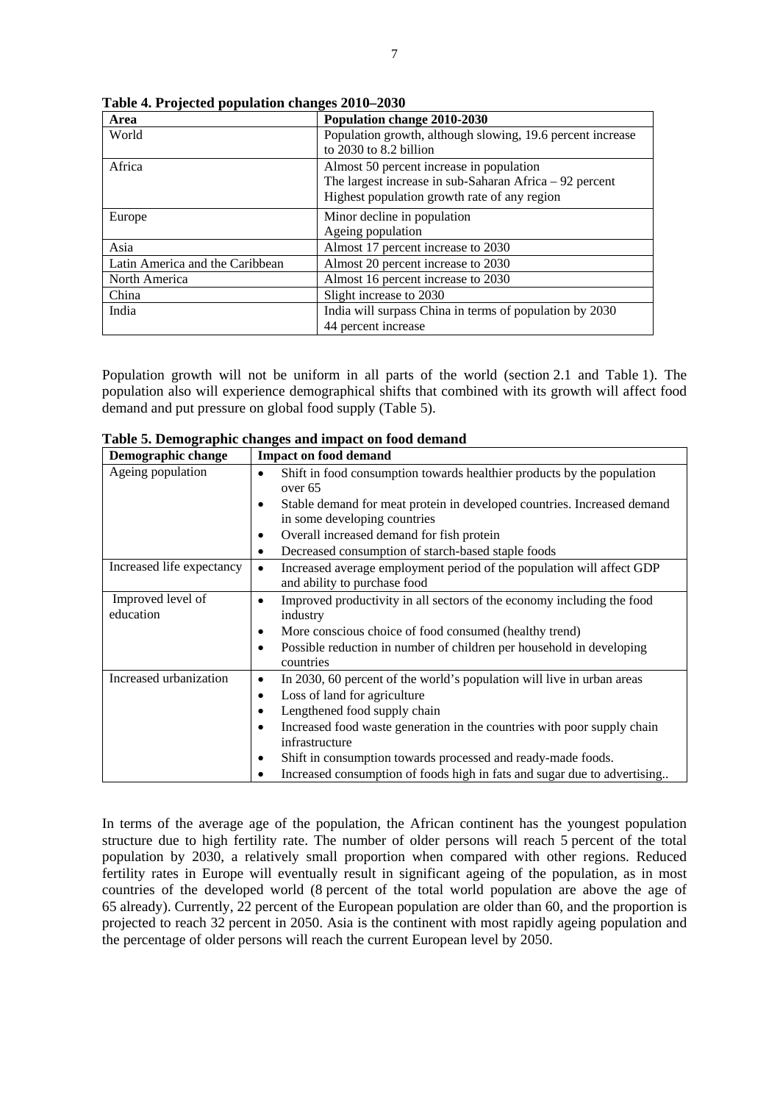| Area                            | Population change 2010-2030                                |  |  |  |  |
|---------------------------------|------------------------------------------------------------|--|--|--|--|
| World                           | Population growth, although slowing, 19.6 percent increase |  |  |  |  |
|                                 | to 2030 to 8.2 billion                                     |  |  |  |  |
| Africa                          | Almost 50 percent increase in population                   |  |  |  |  |
|                                 | The largest increase in sub-Saharan Africa $-92$ percent   |  |  |  |  |
|                                 | Highest population growth rate of any region               |  |  |  |  |
| Europe                          | Minor decline in population                                |  |  |  |  |
|                                 | Ageing population                                          |  |  |  |  |
| Asia                            | Almost 17 percent increase to 2030                         |  |  |  |  |
| Latin America and the Caribbean | Almost 20 percent increase to 2030                         |  |  |  |  |
| North America                   | Almost 16 percent increase to 2030                         |  |  |  |  |
| China                           | Slight increase to 2030                                    |  |  |  |  |
| India                           | India will surpass China in terms of population by 2030    |  |  |  |  |
|                                 | 44 percent increase                                        |  |  |  |  |

**Table 4. Projected population changes 2010–2030** 

Population growth will not be uniform in all parts of the world (section 2.1 and Table 1). The population also will experience demographical shifts that combined with its growth will affect food demand and put pressure on global food supply (Table 5).

| Demographic change             | <b>Impact on food demand</b>                                                                                                                                                                                                                                                                                                                                                                                                     |  |  |  |  |  |
|--------------------------------|----------------------------------------------------------------------------------------------------------------------------------------------------------------------------------------------------------------------------------------------------------------------------------------------------------------------------------------------------------------------------------------------------------------------------------|--|--|--|--|--|
| Ageing population              | Shift in food consumption towards healthier products by the population<br>٠<br>over 65<br>Stable demand for meat protein in developed countries. Increased demand<br>٠<br>in some developing countries<br>Overall increased demand for fish protein<br>٠<br>Decreased consumption of starch-based staple foods<br>$\bullet$                                                                                                      |  |  |  |  |  |
| Increased life expectancy      | Increased average employment period of the population will affect GDP<br>$\bullet$<br>and ability to purchase food                                                                                                                                                                                                                                                                                                               |  |  |  |  |  |
| Improved level of<br>education | Improved productivity in all sectors of the economy including the food<br>٠<br>industry<br>More conscious choice of food consumed (healthy trend)<br>٠<br>Possible reduction in number of children per household in developing<br>٠<br>countries                                                                                                                                                                                 |  |  |  |  |  |
| Increased urbanization         | In 2030, 60 percent of the world's population will live in urban areas<br>٠<br>Loss of land for agriculture<br>$\bullet$<br>Lengthened food supply chain<br>$\bullet$<br>Increased food waste generation in the countries with poor supply chain<br>$\bullet$<br>infrastructure<br>Shift in consumption towards processed and ready-made foods.<br>٠<br>Increased consumption of foods high in fats and sugar due to advertising |  |  |  |  |  |

**Table 5. Demographic changes and impact on food demand** 

In terms of the average age of the population, the African continent has the youngest population structure due to high fertility rate. The number of older persons will reach 5 percent of the total population by 2030, a relatively small proportion when compared with other regions. Reduced fertility rates in Europe will eventually result in significant ageing of the population, as in most countries of the developed world (8 percent of the total world population are above the age of 65 already). Currently, 22 percent of the European population are older than 60, and the proportion is projected to reach 32 percent in 2050. Asia is the continent with most rapidly ageing population and the percentage of older persons will reach the current European level by 2050.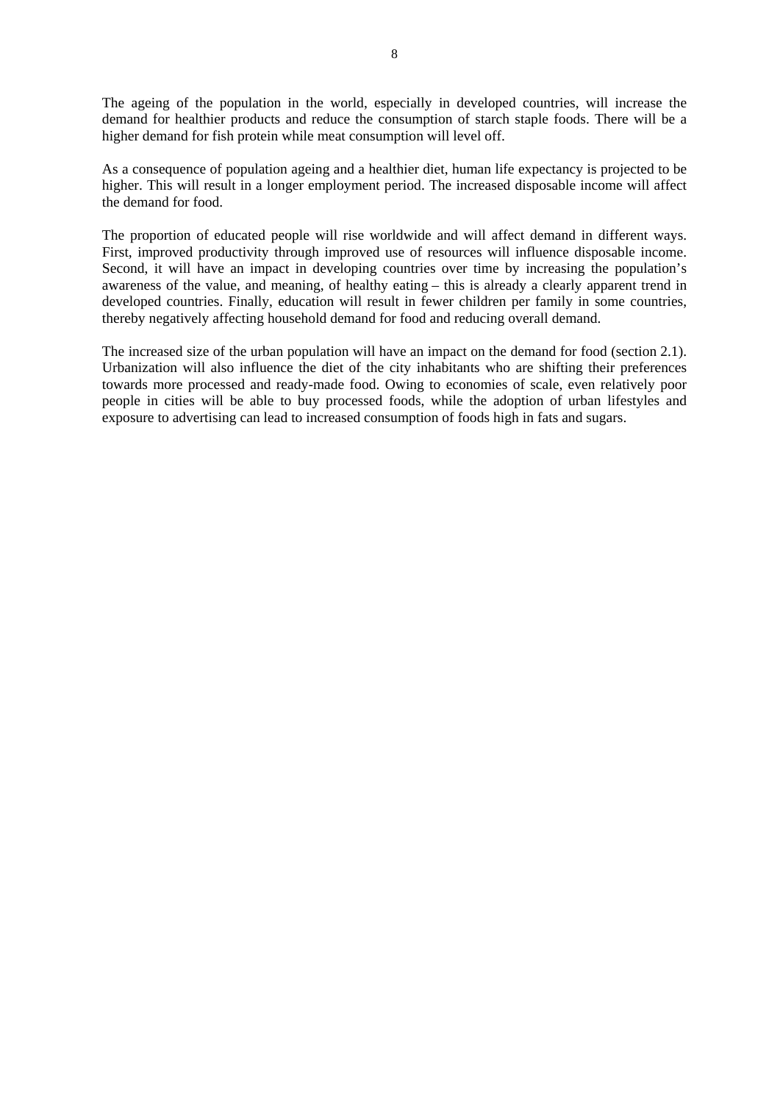The ageing of the population in the world, especially in developed countries, will increase the demand for healthier products and reduce the consumption of starch staple foods. There will be a higher demand for fish protein while meat consumption will level off.

As a consequence of population ageing and a healthier diet, human life expectancy is projected to be higher. This will result in a longer employment period. The increased disposable income will affect the demand for food.

The proportion of educated people will rise worldwide and will affect demand in different ways. First, improved productivity through improved use of resources will influence disposable income. Second, it will have an impact in developing countries over time by increasing the population's awareness of the value, and meaning, of healthy eating – this is already a clearly apparent trend in developed countries. Finally, education will result in fewer children per family in some countries, thereby negatively affecting household demand for food and reducing overall demand.

The increased size of the urban population will have an impact on the demand for food (section 2.1). Urbanization will also influence the diet of the city inhabitants who are shifting their preferences towards more processed and ready-made food. Owing to economies of scale, even relatively poor people in cities will be able to buy processed foods, while the adoption of urban lifestyles and exposure to advertising can lead to increased consumption of foods high in fats and sugars.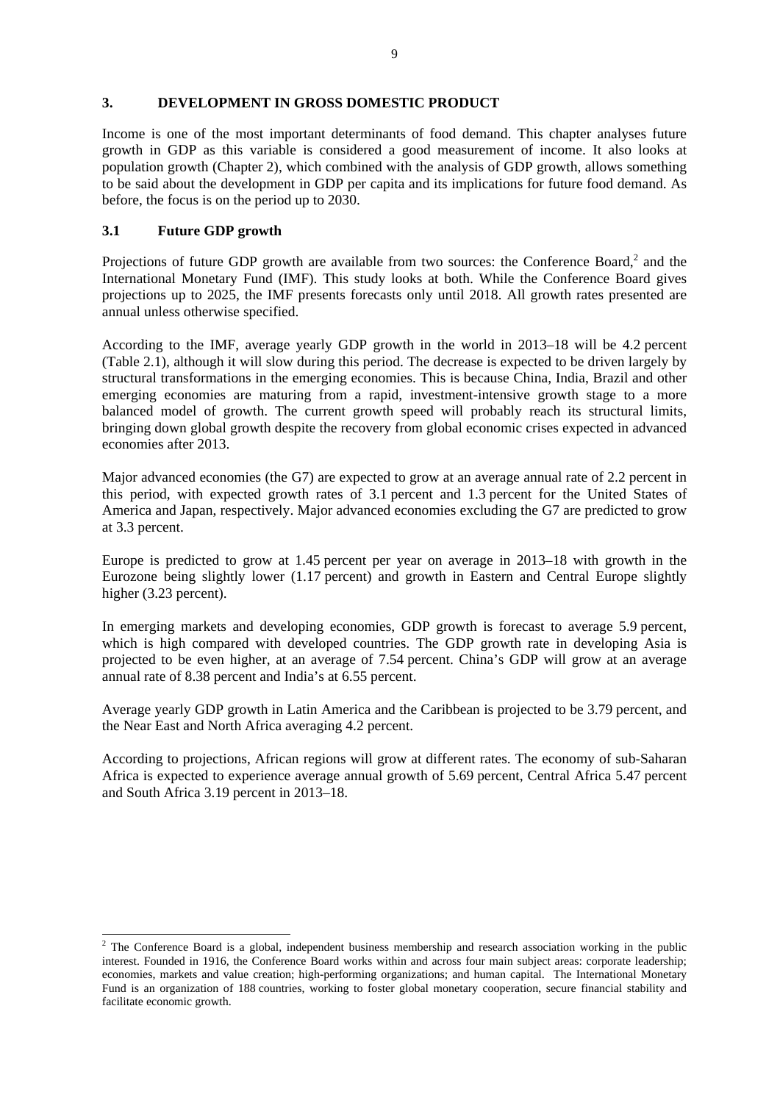# **3. DEVELOPMENT IN GROSS DOMESTIC PRODUCT**

Income is one of the most important determinants of food demand. This chapter analyses future growth in GDP as this variable is considered a good measurement of income. It also looks at population growth (Chapter 2), which combined with the analysis of GDP growth, allows something to be said about the development in GDP per capita and its implications for future food demand. As before, the focus is on the period up to 2030.

# **3.1 Future GDP growth**

Projections of future GDP growth are available from two sources: the Conference Board, $2$  and the International Monetary Fund (IMF). This study looks at both. While the Conference Board gives projections up to 2025, the IMF presents forecasts only until 2018. All growth rates presented are annual unless otherwise specified.

According to the IMF, average yearly GDP growth in the world in 2013–18 will be 4.2 percent (Table 2.1), although it will slow during this period. The decrease is expected to be driven largely by structural transformations in the emerging economies. This is because China, India, Brazil and other emerging economies are maturing from a rapid, investment-intensive growth stage to a more balanced model of growth. The current growth speed will probably reach its structural limits, bringing down global growth despite the recovery from global economic crises expected in advanced economies after 2013.

Major advanced economies (the G7) are expected to grow at an average annual rate of 2.2 percent in this period, with expected growth rates of 3.1 percent and 1.3 percent for the United States of America and Japan, respectively. Major advanced economies excluding the G7 are predicted to grow at 3.3 percent.

Europe is predicted to grow at 1.45 percent per year on average in 2013–18 with growth in the Eurozone being slightly lower (1.17 percent) and growth in Eastern and Central Europe slightly higher (3.23 percent).

In emerging markets and developing economies, GDP growth is forecast to average 5.9 percent, which is high compared with developed countries. The GDP growth rate in developing Asia is projected to be even higher, at an average of 7.54 percent. China's GDP will grow at an average annual rate of 8.38 percent and India's at 6.55 percent.

Average yearly GDP growth in Latin America and the Caribbean is projected to be 3.79 percent, and the Near East and North Africa averaging 4.2 percent.

According to projections, African regions will grow at different rates. The economy of sub-Saharan Africa is expected to experience average annual growth of 5.69 percent, Central Africa 5.47 percent and South Africa 3.19 percent in 2013–18.

<sup>&</sup>lt;sup>2</sup> The Conference Board is a global, independent business membership and research association working in the public interest. Founded in 1916, the Conference Board works within and across four main subject areas: corporate leadership; economies, markets and value creation; high-performing organizations; and human capital. The International Monetary Fund is an organization of 188 countries, working to foster global monetary cooperation, secure financial stability and facilitate economic growth.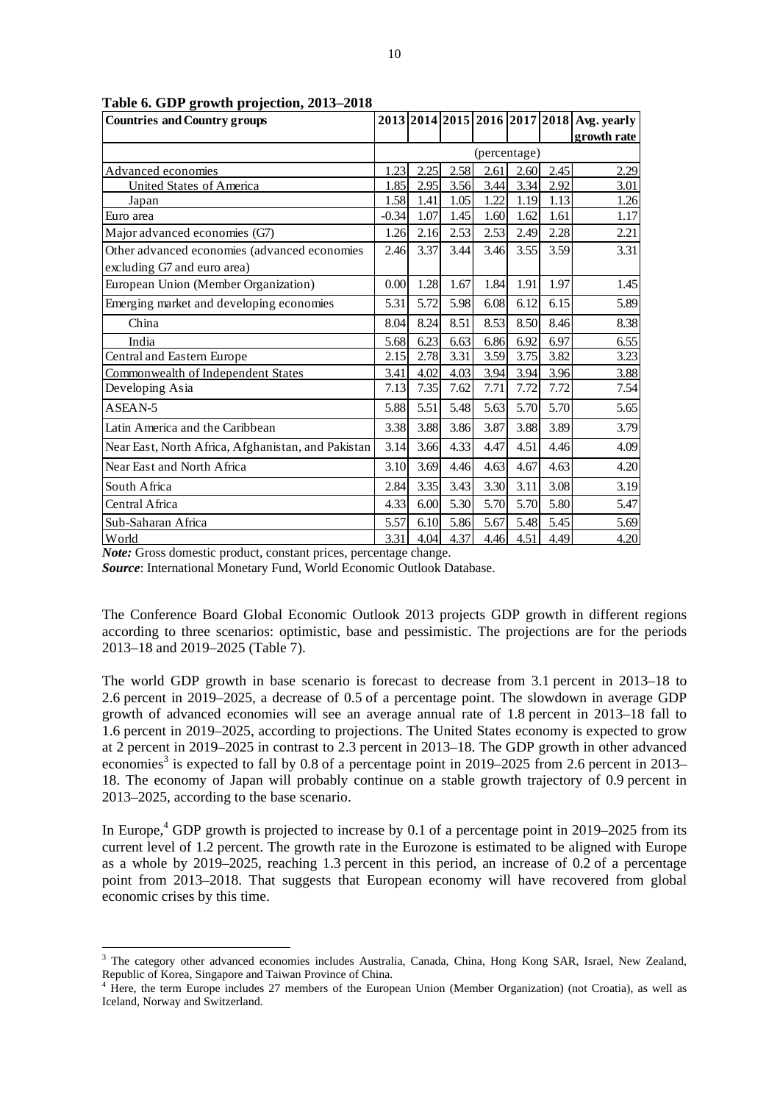| <b>Countries and Country groups</b>                |         |      |      |              |      |      | 2013 2014 2015 2016 2017 2018 Avg. yearly |
|----------------------------------------------------|---------|------|------|--------------|------|------|-------------------------------------------|
|                                                    |         |      |      |              |      |      | growth rate                               |
|                                                    |         |      |      | (percentage) |      |      |                                           |
| Advanced economies                                 | 1.23    | 2.25 | 2.58 | 2.61         | 2.60 | 2.45 | 2.29                                      |
| <b>United States of America</b>                    | 1.85    | 2.95 | 3.56 | 3.44         | 3.34 | 2.92 | 3.01                                      |
| Japan                                              | 1.58    | 1.41 | 1.05 | 1.22         | 1.19 | 1.13 | 1.26                                      |
| Euro area                                          | $-0.34$ | 1.07 | 1.45 | 1.60         | 1.62 | 1.61 | 1.17                                      |
| Major advanced economies (G7)                      | 1.26    | 2.16 | 2.53 | 2.53         | 2.49 | 2.28 | 2.21                                      |
| Other advanced economies (advanced economies       | 2.46    | 3.37 | 3.44 | 3.46         | 3.55 | 3.59 | 3.31                                      |
| excluding G7 and euro area)                        |         |      |      |              |      |      |                                           |
| European Union (Member Organization)               | 0.00    | 1.28 | 1.67 | 1.84         | 1.91 | 1.97 | 1.45                                      |
| Emerging market and developing economies           | 5.31    | 5.72 | 5.98 | 6.08         | 6.12 | 6.15 | 5.89                                      |
| China                                              | 8.04    | 8.24 | 8.51 | 8.53         | 8.50 | 8.46 | 8.38                                      |
| India                                              | 5.68    | 6.23 | 6.63 | 6.86         | 6.92 | 6.97 | 6.55                                      |
| Central and Eastern Europe                         | 2.15    | 2.78 | 3.31 | 3.59         | 3.75 | 3.82 | 3.23                                      |
| Commonwealth of Independent States                 | 3.41    | 4.02 | 4.03 | 3.94         | 3.94 | 3.96 | 3.88                                      |
| Developing Asia                                    | 7.13    | 7.35 | 7.62 | 7.71         | 7.72 | 7.72 | 7.54                                      |
| ASEAN-5                                            | 5.88    | 5.51 | 5.48 | 5.63         | 5.70 | 5.70 | 5.65                                      |
| Latin America and the Caribbean                    | 3.38    | 3.88 | 3.86 | 3.87         | 3.88 | 3.89 | 3.79                                      |
| Near East, North Africa, Afghanistan, and Pakistan | 3.14    | 3.66 | 4.33 | 4.47         | 4.51 | 4.46 | 4.09                                      |
| Near East and North Africa                         | 3.10    | 3.69 | 4.46 | 4.63         | 4.67 | 4.63 | 4.20                                      |
| South Africa                                       | 2.84    | 3.35 | 3.43 | 3.30         | 3.11 | 3.08 | 3.19                                      |
| Central Africa                                     | 4.33    | 6.00 | 5.30 | 5.70         | 5.70 | 5.80 | 5.47                                      |
| Sub-Saharan Africa                                 | 5.57    | 6.10 | 5.86 | 5.67         | 5.48 | 5.45 | 5.69                                      |
| World                                              | 3.31    | 4.04 | 4.37 | 4.46         | 4.51 | 4.49 | 4.20                                      |

**Table 6. GDP growth projection, 2013–2018**

*Note:* Gross domestic product, constant prices, percentage change.

*Source*: International Monetary Fund, World Economic Outlook Database.

The Conference Board Global Economic Outlook 2013 projects GDP growth in different regions according to three scenarios: optimistic, base and pessimistic. The projections are for the periods 2013–18 and 2019–2025 (Table 7).

The world GDP growth in base scenario is forecast to decrease from 3.1 percent in 2013–18 to 2.6 percent in 2019–2025, a decrease of 0.5 of a percentage point. The slowdown in average GDP growth of advanced economies will see an average annual rate of 1.8 percent in 2013–18 fall to 1.6 percent in 2019–2025, according to projections. The United States economy is expected to grow at 2 percent in 2019–2025 in contrast to 2.3 percent in 2013–18. The GDP growth in other advanced economies<sup>3</sup> is expected to fall by 0.8 of a percentage point in 2019–2025 from 2.6 percent in 2013– 18. The economy of Japan will probably continue on a stable growth trajectory of 0.9 percent in 2013–2025, according to the base scenario.

In Europe,<sup>4</sup> GDP growth is projected to increase by 0.1 of a percentage point in 2019–2025 from its current level of 1.2 percent. The growth rate in the Eurozone is estimated to be aligned with Europe as a whole by 2019–2025, reaching 1.3 percent in this period, an increase of 0.2 of a percentage point from 2013–2018. That suggests that European economy will have recovered from global economic crises by this time.

<sup>&</sup>lt;sup>3</sup> The category other advanced economies includes Australia, Canada, China, Hong Kong SAR, Israel, New Zealand, Republic of Korea, Singapore and Taiwan Province of China. 4

<sup>&</sup>lt;sup>4</sup> Here, the term Europe includes 27 members of the European Union (Member Organization) (not Croatia), as well as Iceland, Norway and Switzerland.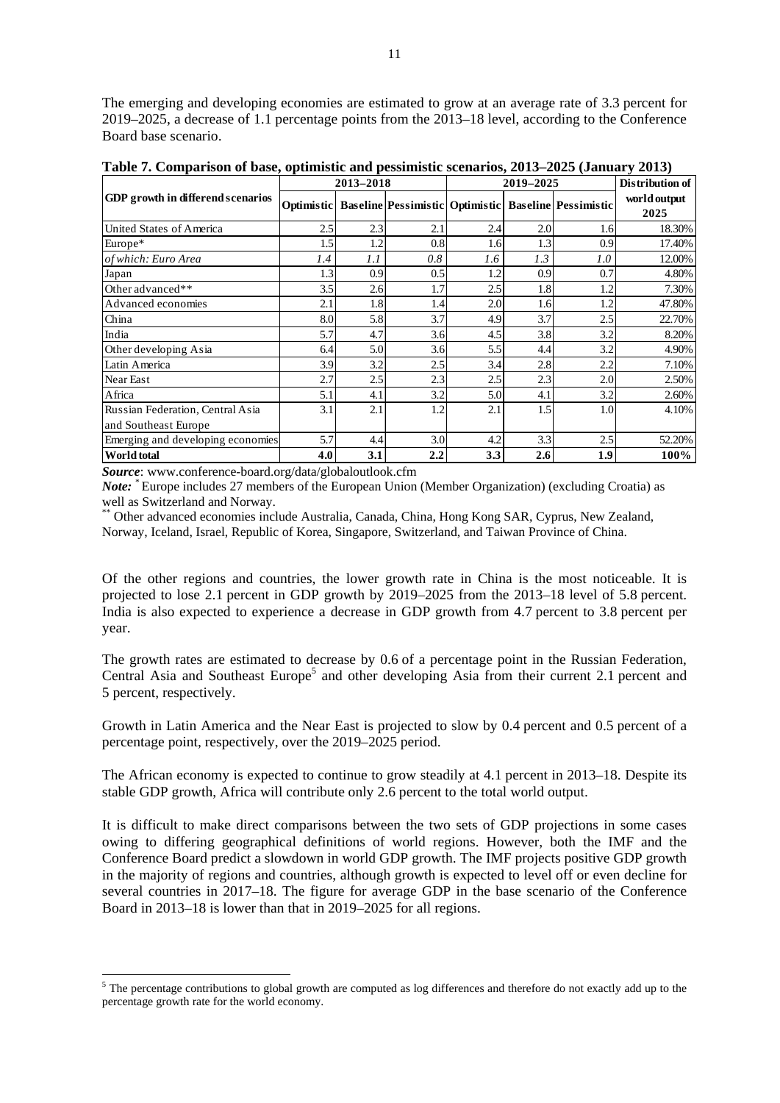The emerging and developing economies are estimated to grow at an average rate of 3.3 percent for 2019–2025, a decrease of 1.1 percentage points from the 2013–18 level, according to the Conference Board base scenario.

|                                   |            | 2013-2018 |     | 2019-2025 | Distribution of |                                                                   |                      |
|-----------------------------------|------------|-----------|-----|-----------|-----------------|-------------------------------------------------------------------|----------------------|
| GDP growth in differend scenarios | Optimistic |           |     |           |                 | <b>Baseline Pessimistic   Optimistic   Baseline   Pessimistic</b> | world output<br>2025 |
| United States of America          | 2.5        | 2.3       | 2.1 | 2.4       | 2.0             | 1.6                                                               | 18.30%               |
| Europe*                           | 1.5        | 1.2       | 0.8 | 1.6       | 1.3             | 0.9                                                               | 17.40%               |
| of which: Euro Area               | 1.4        | 1.1       | 0.8 | 1.6       | 1.3             | 1.0                                                               | 12.00%               |
| Japan                             | 1.3        | 0.9       | 0.5 | 1.2       | 0.9             | 0.7                                                               | 4.80%                |
| Other advanced**                  | 3.5        | 2.6       | 1.7 | 2.5       | 1.8             | 1.2                                                               | 7.30%                |
| Advanced economies                | 2.1        | 1.8       | 1.4 | 2.0       | 1.6             | 1.2                                                               | 47.80%               |
| China                             | 8.0        | 5.8       | 3.7 | 4.9       | 3.7             | 2.5                                                               | 22.70%               |
| India                             | 5.7        | 4.7       | 3.6 | 4.5       | 3.8             | 3.2                                                               | 8.20%                |
| Other developing Asia             | 6.4        | 5.0       | 3.6 | 5.5       | 4.4             | 3.2                                                               | 4.90%                |
| Latin America                     | 3.9        | 3.2       | 2.5 | 3.4       | 2.8             | 2.2                                                               | 7.10%                |
| Near East                         | 2.7        | 2.5       | 2.3 | 2.5       | 2.3             | 2.0                                                               | 2.50%                |
| Africa                            | 5.1        | 4.1       | 3.2 | 5.0       | 4.1             | 3.2                                                               | 2.60%                |
| Russian Federation, Central Asia  | 3.1        | 2.1       | 1.2 | 2.1       | 1.5             | 1.0                                                               | 4.10%                |
| and Southeast Europe              |            |           |     |           |                 |                                                                   |                      |
| Emerging and developing economies | 5.7        | 4.4       | 3.0 | 4.2       | 3.3             | 2.5                                                               | 52.20%               |
| World total                       | 4.0        | 3.1       | 2.2 | 3.3       | 2.6             | 1.9                                                               | 100%                 |

**Table 7. Comparison of base, optimistic and pessimistic scenarios, 2013–2025 (January 2013)**

*Source*: www.conference-board.org/data/globaloutlook.cfm

1

*Note:* <sup>\*</sup> Europe includes 27 members of the European Union (Member Organization) (excluding Croatia) as well as Switzerland and Norway.

\*\* Other advanced economies include Australia, Canada, China, Hong Kong SAR, Cyprus, New Zealand, Norway, Iceland, Israel, Republic of Korea, Singapore, Switzerland, and Taiwan Province of China.

Of the other regions and countries, the lower growth rate in China is the most noticeable. It is projected to lose 2.1 percent in GDP growth by 2019–2025 from the 2013–18 level of 5.8 percent. India is also expected to experience a decrease in GDP growth from 4.7 percent to 3.8 percent per year.

The growth rates are estimated to decrease by 0.6 of a percentage point in the Russian Federation, Central Asia and Southeast Europe<sup>5</sup> and other developing Asia from their current 2.1 percent and 5 percent, respectively.

Growth in Latin America and the Near East is projected to slow by 0.4 percent and 0.5 percent of a percentage point, respectively, over the 2019–2025 period.

The African economy is expected to continue to grow steadily at 4.1 percent in 2013–18. Despite its stable GDP growth, Africa will contribute only 2.6 percent to the total world output.

It is difficult to make direct comparisons between the two sets of GDP projections in some cases owing to differing geographical definitions of world regions. However, both the IMF and the Conference Board predict a slowdown in world GDP growth. The IMF projects positive GDP growth in the majority of regions and countries, although growth is expected to level off or even decline for several countries in 2017–18. The figure for average GDP in the base scenario of the Conference Board in 2013–18 is lower than that in 2019–2025 for all regions.

 $5$  The percentage contributions to global growth are computed as log differences and therefore do not exactly add up to the percentage growth rate for the world economy.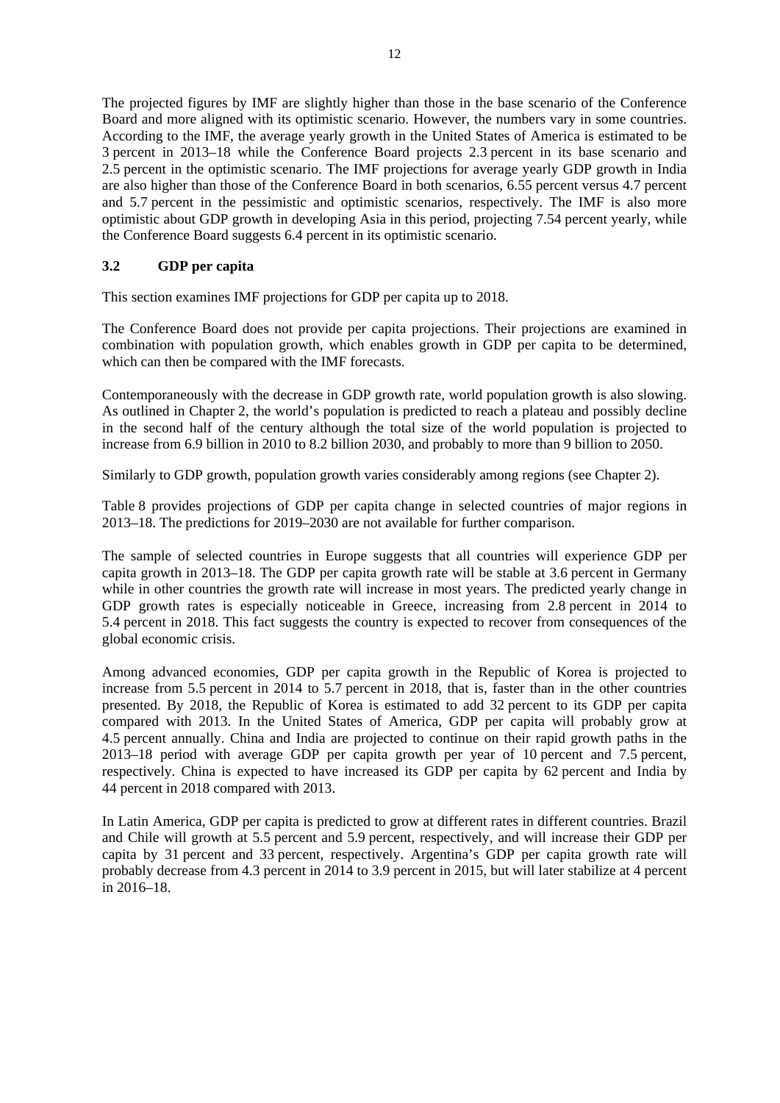The projected figures by IMF are slightly higher than those in the base scenario of the Conference Board and more aligned with its optimistic scenario. However, the numbers vary in some countries. According to the IMF, the average yearly growth in the United States of America is estimated to be 3 percent in 2013–18 while the Conference Board projects 2.3 percent in its base scenario and 2.5 percent in the optimistic scenario. The IMF projections for average yearly GDP growth in India are also higher than those of the Conference Board in both scenarios, 6.55 percent versus 4.7 percent and 5.7 percent in the pessimistic and optimistic scenarios, respectively. The IMF is also more optimistic about GDP growth in developing Asia in this period, projecting 7.54 percent yearly, while the Conference Board suggests 6.4 percent in its optimistic scenario.

# **3.2 GDP per capita**

This section examines IMF projections for GDP per capita up to 2018.

The Conference Board does not provide per capita projections. Their projections are examined in combination with population growth, which enables growth in GDP per capita to be determined, which can then be compared with the IMF forecasts.

Contemporaneously with the decrease in GDP growth rate, world population growth is also slowing. As outlined in Chapter 2, the world's population is predicted to reach a plateau and possibly decline in the second half of the century although the total size of the world population is projected to increase from 6.9 billion in 2010 to 8.2 billion 2030, and probably to more than 9 billion to 2050.

Similarly to GDP growth, population growth varies considerably among regions (see Chapter 2).

Table 8 provides projections of GDP per capita change in selected countries of major regions in 2013–18. The predictions for 2019–2030 are not available for further comparison.

The sample of selected countries in Europe suggests that all countries will experience GDP per capita growth in 2013–18. The GDP per capita growth rate will be stable at 3.6 percent in Germany while in other countries the growth rate will increase in most years. The predicted yearly change in GDP growth rates is especially noticeable in Greece, increasing from 2.8 percent in 2014 to 5.4 percent in 2018. This fact suggests the country is expected to recover from consequences of the global economic crisis.

Among advanced economies, GDP per capita growth in the Republic of Korea is projected to increase from 5.5 percent in 2014 to 5.7 percent in 2018, that is, faster than in the other countries presented. By 2018, the Republic of Korea is estimated to add 32 percent to its GDP per capita compared with 2013. In the United States of America, GDP per capita will probably grow at 4.5 percent annually. China and India are projected to continue on their rapid growth paths in the 2013–18 period with average GDP per capita growth per year of 10 percent and 7.5 percent, respectively. China is expected to have increased its GDP per capita by 62 percent and India by 44 percent in 2018 compared with 2013.

In Latin America, GDP per capita is predicted to grow at different rates in different countries. Brazil and Chile will growth at 5.5 percent and 5.9 percent, respectively, and will increase their GDP per capita by 31 percent and 33 percent, respectively. Argentina's GDP per capita growth rate will probably decrease from 4.3 percent in 2014 to 3.9 percent in 2015, but will later stabilize at 4 percent in 2016–18.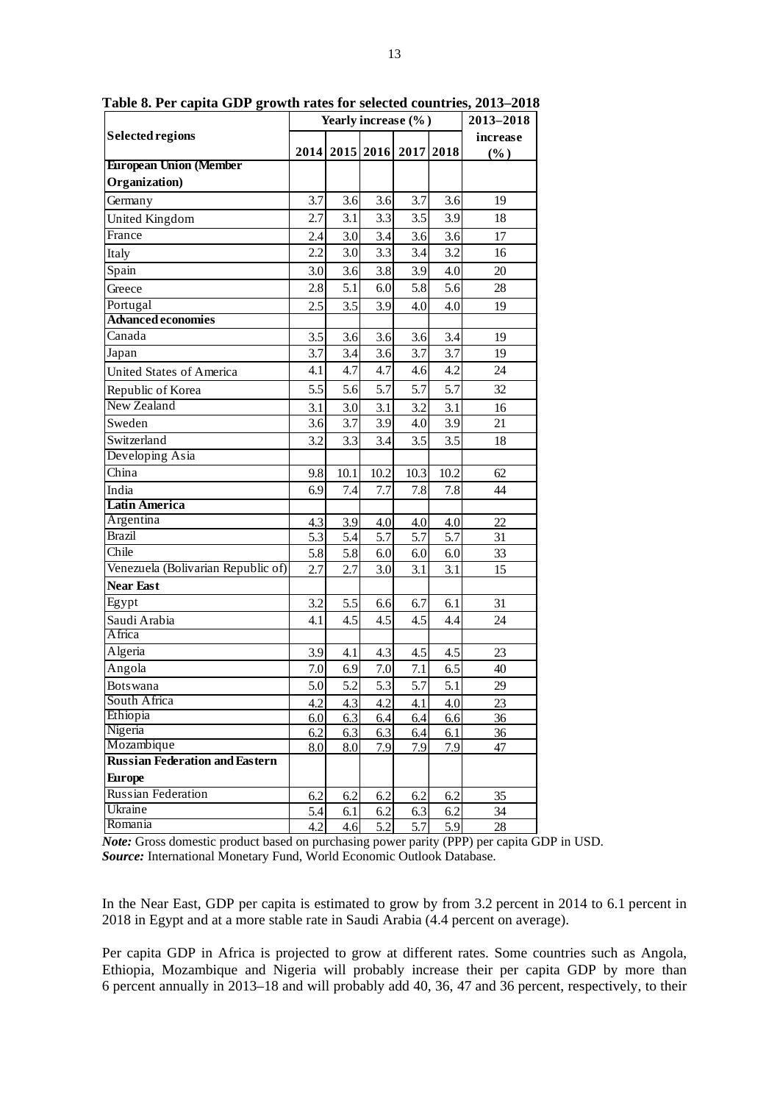|                                       |      | Yearly increase (%) | 2013-2018 |      |      |            |
|---------------------------------------|------|---------------------|-----------|------|------|------------|
| Selected regions                      |      |                     |           |      |      | increase   |
|                                       | 2014 |                     | 2015 2016 | 2017 | 2018 | $(\%)$     |
| <b>European Union (Member</b>         |      |                     |           |      |      |            |
| Organization)                         |      |                     |           |      |      |            |
| Germany                               | 3.7  | 3.6                 | 3.6       | 3.7  | 3.6  | 19         |
| United Kingdom                        | 2.7  | 3.1                 | 3.3       | 3.5  | 3.9  | 18         |
| France                                | 2.4  | 3.0                 | 3.4       | 3.6  | 3.6  | 17         |
| Italy                                 | 2.2  | 3.0                 | 3.3       | 3.4  | 3.2  | 16         |
| Spain                                 | 3.0  | 3.6                 | 3.8       | 3.9  | 4.0  | 20         |
| Greece                                | 2.8  | 5.1                 | 6.0       | 5.8  | 5.6  | 28         |
| Portugal                              | 2.5  | 3.5                 | 3.9       | 4.0  | 4.0  | 19         |
| <b>Advanced economies</b>             |      |                     |           |      |      |            |
| Canada                                | 3.5  | 3.6                 | 3.6       | 3.6  | 3.4  | 19         |
| Japan                                 | 3.7  | 3.4                 | 3.6       | 3.7  | 3.7  | 19         |
| <b>United States of America</b>       | 4.1  | 4.7                 | 4.7       | 4.6  | 4.2  | 24         |
| Republic of Korea                     | 5.5  | 5.6                 | 5.7       | 5.7  | 5.7  | 32         |
| New Zealand                           | 3.1  | 3.0                 | 3.1       | 3.2  | 3.1  | 16         |
| Sweden                                | 3.6  | 3.7                 | 3.9       | 4.0  | 3.9  | 21         |
| Switzerland                           | 3.2  | 3.3                 | 3.4       | 3.5  | 3.5  | 18         |
| Developing Asia                       |      |                     |           |      |      |            |
| China                                 | 9.8  | 10.1                | 10.2      | 10.3 | 10.2 | 62         |
| India                                 | 6.9  | 7.4                 | 7.7       | 7.8  | 7.8  | 44         |
| <b>Latin America</b>                  |      |                     |           |      |      |            |
| Argentina                             | 4.3  | 3.9                 | 4.0       | 4.0  | 4.0  | 22         |
| <b>Brazil</b>                         | 5.3  | 5.4                 | 5.7       | 5.7  | 5.7  | 31         |
| Chile                                 | 5.8  | 5.8                 | 6.0       | 6.0  | 6.0  | 33         |
| Venezuela (Bolivarian Republic of)    | 2.7  | 2.7                 | 3.0       | 3.1  | 3.1  | 15         |
| <b>Near East</b>                      |      |                     |           |      |      |            |
| Egypt                                 | 3.2  | 5.5                 | 6.6       | 6.7  | 6.1  | 31         |
| Saudi Arabia                          | 4.1  | 4.5                 | 4.5       | 4.5  | 4.4  | 24         |
| Africa                                |      |                     |           |      |      |            |
| Algeria                               | 3.9  | 4.1                 | 4.3       | 4.5  | 4.5  | 23         |
| Angola                                | 7.0  | 6.9                 | 7.0       | 7.1  | 6.5  | 40         |
| <b>Botswana</b>                       | 5.0  | 5.2                 | 5.3       | 5.7  | 5.1  | 29         |
| South Africa                          | 4.2  | 4.3                 | 4.2       | 4.1  | 4.0  | 23         |
| Ethiopia                              | 6.0  | 6.3                 | 6.4       | 6.4  | 6.6  | 36         |
| Nigeria                               | 6.2  | 6.3                 | 6.3       | 6.4  | 6.1  | <u>36 </u> |
| Mozambique                            | 8.0  | 8.0                 | 7.9       | 7.9  | 7.9  | 47         |
| <b>Russian Federation and Eastern</b> |      |                     |           |      |      |            |
| Europe                                |      |                     |           |      |      |            |
| <b>Russian Federation</b>             | 6.2  | 6.2                 | 6.2       | 6.2  | 6.2  | 35         |
| Ukraine<br>Romania                    | 5.4  | 6.1                 | 6.2       | 6.3  | 6.2  | 34         |
|                                       | 4.2  | 4.6                 | 5.2       | 5.7  | 5.9  | 28         |

**Table 8. Per capita GDP growth rates for selected countries, 2013–2018**

*Note:* Gross domestic product based on purchasing power parity (PPP) per capita GDP in USD. *Source:* International Monetary Fund, World Economic Outlook Database.

In the Near East, GDP per capita is estimated to grow by from 3.2 percent in 2014 to 6.1 percent in 2018 in Egypt and at a more stable rate in Saudi Arabia (4.4 percent on average).

Per capita GDP in Africa is projected to grow at different rates. Some countries such as Angola, Ethiopia, Mozambique and Nigeria will probably increase their per capita GDP by more than 6 percent annually in 2013–18 and will probably add 40, 36, 47 and 36 percent, respectively, to their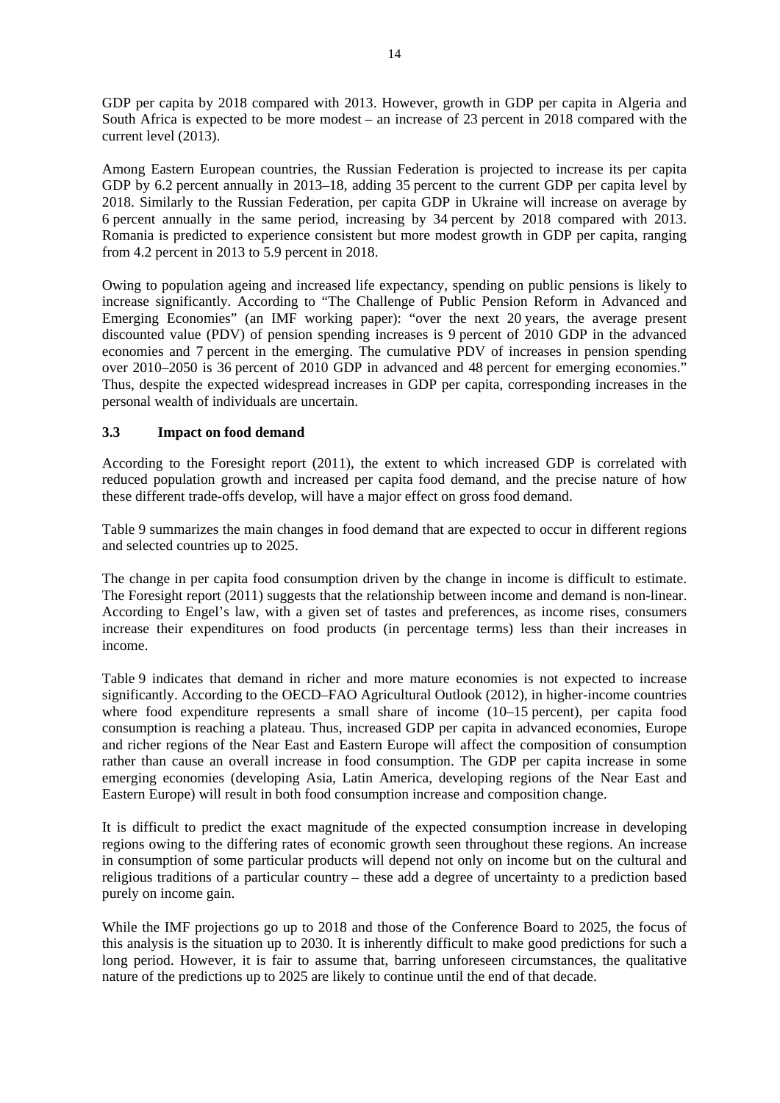GDP per capita by 2018 compared with 2013. However, growth in GDP per capita in Algeria and South Africa is expected to be more modest – an increase of 23 percent in 2018 compared with the current level (2013).

Among Eastern European countries, the Russian Federation is projected to increase its per capita GDP by 6.2 percent annually in 2013–18, adding 35 percent to the current GDP per capita level by 2018. Similarly to the Russian Federation, per capita GDP in Ukraine will increase on average by 6 percent annually in the same period, increasing by 34 percent by 2018 compared with 2013. Romania is predicted to experience consistent but more modest growth in GDP per capita, ranging from 4.2 percent in 2013 to 5.9 percent in 2018.

Owing to population ageing and increased life expectancy, spending on public pensions is likely to increase significantly. According to "The Challenge of Public Pension Reform in Advanced and Emerging Economies" (an IMF working paper): "over the next 20 years, the average present discounted value (PDV) of pension spending increases is 9 percent of 2010 GDP in the advanced economies and 7 percent in the emerging. The cumulative PDV of increases in pension spending over 2010–2050 is 36 percent of 2010 GDP in advanced and 48 percent for emerging economies." Thus, despite the expected widespread increases in GDP per capita, corresponding increases in the personal wealth of individuals are uncertain.

# **3.3 Impact on food demand**

According to the Foresight report (2011), the extent to which increased GDP is correlated with reduced population growth and increased per capita food demand, and the precise nature of how these different trade-offs develop, will have a major effect on gross food demand.

Table 9 summarizes the main changes in food demand that are expected to occur in different regions and selected countries up to 2025.

The change in per capita food consumption driven by the change in income is difficult to estimate. The Foresight report (2011) suggests that the relationship between income and demand is non-linear. According to Engel's law, with a given set of tastes and preferences, as income rises, consumers increase their expenditures on food products (in percentage terms) less than their increases in income.

Table 9 indicates that demand in richer and more mature economies is not expected to increase significantly. According to the OECD–FAO Agricultural Outlook (2012), in higher-income countries where food expenditure represents a small share of income (10–15 percent), per capita food consumption is reaching a plateau. Thus, increased GDP per capita in advanced economies, Europe and richer regions of the Near East and Eastern Europe will affect the composition of consumption rather than cause an overall increase in food consumption. The GDP per capita increase in some emerging economies (developing Asia, Latin America, developing regions of the Near East and Eastern Europe) will result in both food consumption increase and composition change.

It is difficult to predict the exact magnitude of the expected consumption increase in developing regions owing to the differing rates of economic growth seen throughout these regions. An increase in consumption of some particular products will depend not only on income but on the cultural and religious traditions of a particular country – these add a degree of uncertainty to a prediction based purely on income gain.

While the IMF projections go up to 2018 and those of the Conference Board to 2025, the focus of this analysis is the situation up to 2030. It is inherently difficult to make good predictions for such a long period. However, it is fair to assume that, barring unforeseen circumstances, the qualitative nature of the predictions up to 2025 are likely to continue until the end of that decade.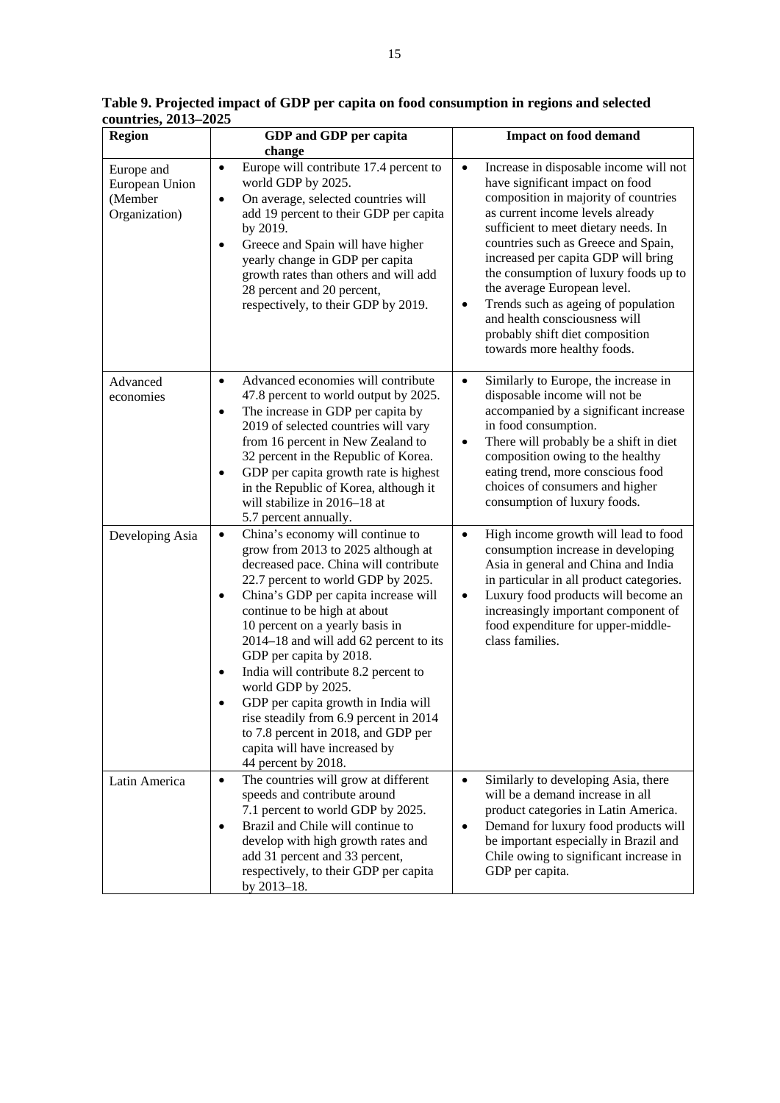| <b>Region</b>                                            | GDP and GDP per capita                                                                                                                                                                                                                                                                                                                                                                                                                                                                                                                                                                                             | <b>Impact on food demand</b>                                                                                                                                                                                                                                                                                                                                                                                                                                                                                            |  |  |  |
|----------------------------------------------------------|--------------------------------------------------------------------------------------------------------------------------------------------------------------------------------------------------------------------------------------------------------------------------------------------------------------------------------------------------------------------------------------------------------------------------------------------------------------------------------------------------------------------------------------------------------------------------------------------------------------------|-------------------------------------------------------------------------------------------------------------------------------------------------------------------------------------------------------------------------------------------------------------------------------------------------------------------------------------------------------------------------------------------------------------------------------------------------------------------------------------------------------------------------|--|--|--|
|                                                          | change                                                                                                                                                                                                                                                                                                                                                                                                                                                                                                                                                                                                             |                                                                                                                                                                                                                                                                                                                                                                                                                                                                                                                         |  |  |  |
| Europe and<br>European Union<br>(Member<br>Organization) | Europe will contribute 17.4 percent to<br>$\bullet$<br>world GDP by 2025.<br>On average, selected countries will<br>$\bullet$<br>add 19 percent to their GDP per capita<br>by 2019.<br>Greece and Spain will have higher<br>$\bullet$<br>yearly change in GDP per capita<br>growth rates than others and will add<br>28 percent and 20 percent,<br>respectively, to their GDP by 2019.                                                                                                                                                                                                                             | Increase in disposable income will not<br>$\bullet$<br>have significant impact on food<br>composition in majority of countries<br>as current income levels already<br>sufficient to meet dietary needs. In<br>countries such as Greece and Spain,<br>increased per capita GDP will bring<br>the consumption of luxury foods up to<br>the average European level.<br>Trends such as ageing of population<br>$\bullet$<br>and health consciousness will<br>probably shift diet composition<br>towards more healthy foods. |  |  |  |
| Advanced<br>economies                                    | Advanced economies will contribute<br>$\bullet$<br>47.8 percent to world output by 2025.<br>The increase in GDP per capita by<br>$\bullet$<br>2019 of selected countries will vary<br>from 16 percent in New Zealand to<br>32 percent in the Republic of Korea.<br>GDP per capita growth rate is highest<br>$\bullet$<br>in the Republic of Korea, although it<br>will stabilize in 2016-18 at<br>5.7 percent annually.                                                                                                                                                                                            | Similarly to Europe, the increase in<br>$\bullet$<br>disposable income will not be<br>accompanied by a significant increase<br>in food consumption.<br>There will probably be a shift in diet<br>$\bullet$<br>composition owing to the healthy<br>eating trend, more conscious food<br>choices of consumers and higher<br>consumption of luxury foods.                                                                                                                                                                  |  |  |  |
| Developing Asia                                          | China's economy will continue to<br>$\bullet$<br>grow from 2013 to 2025 although at<br>decreased pace. China will contribute<br>22.7 percent to world GDP by 2025.<br>China's GDP per capita increase will<br>٠<br>continue to be high at about<br>10 percent on a yearly basis in<br>2014-18 and will add 62 percent to its<br>GDP per capita by 2018.<br>India will contribute 8.2 percent to<br>$\bullet$<br>world GDP by 2025.<br>GDP per capita growth in India will<br>rise steadily from 6.9 percent in 2014<br>to 7.8 percent in 2018, and GDP per<br>capita will have increased by<br>44 percent by 2018. | High income growth will lead to food<br>$\bullet$<br>consumption increase in developing<br>Asia in general and China and India<br>in particular in all product categories.<br>Luxury food products will become an<br>$\bullet$<br>increasingly important component of<br>food expenditure for upper-middle-<br>class families.                                                                                                                                                                                          |  |  |  |
| Latin America                                            | The countries will grow at different<br>$\bullet$<br>speeds and contribute around<br>7.1 percent to world GDP by 2025.<br>Brazil and Chile will continue to<br>$\bullet$<br>develop with high growth rates and<br>add 31 percent and 33 percent,<br>respectively, to their GDP per capita<br>by 2013-18.                                                                                                                                                                                                                                                                                                           | Similarly to developing Asia, there<br>$\bullet$<br>will be a demand increase in all<br>product categories in Latin America.<br>Demand for luxury food products will<br>$\bullet$<br>be important especially in Brazil and<br>Chile owing to significant increase in<br>GDP per capita.                                                                                                                                                                                                                                 |  |  |  |

**Table 9. Projected impact of GDP per capita on food consumption in regions and selected countries, 2013–2025**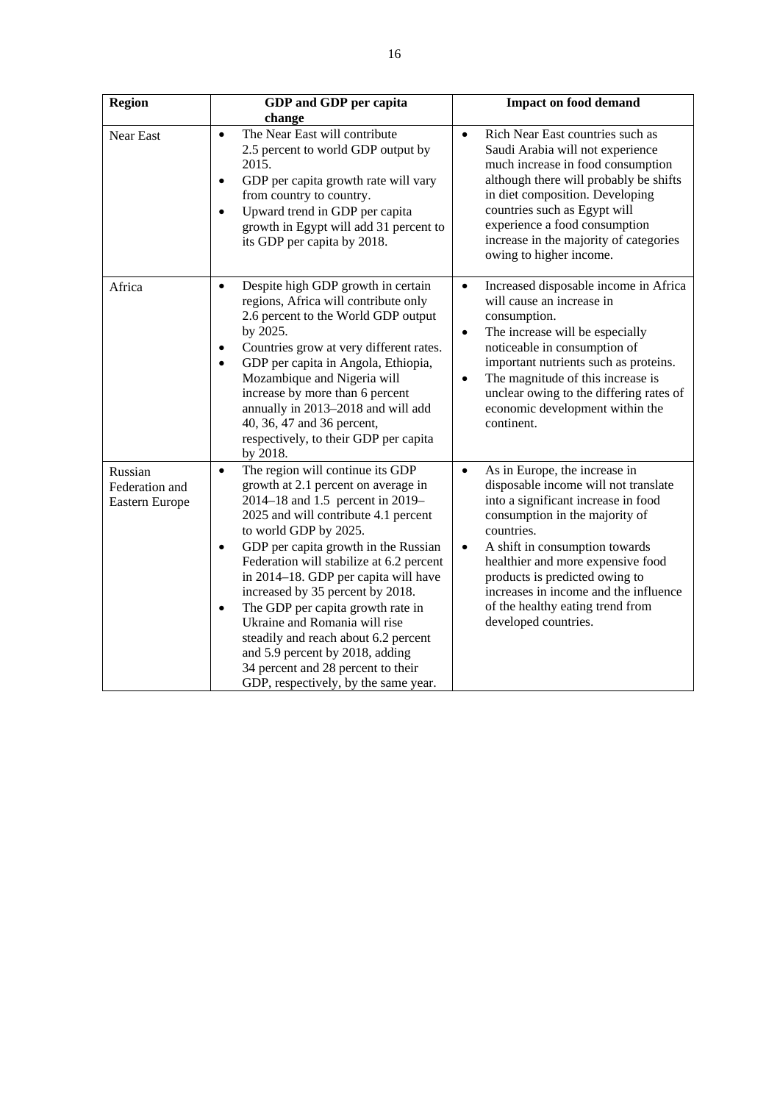| <b>Region</b>                               | GDP and GDP per capita                                                                                                                                                                                                                                                                                                                                                                                                                                                                                                                                                                                             | <b>Impact on food demand</b>                                                                                                                                                                                                                                                                                                                                                                         |  |  |
|---------------------------------------------|--------------------------------------------------------------------------------------------------------------------------------------------------------------------------------------------------------------------------------------------------------------------------------------------------------------------------------------------------------------------------------------------------------------------------------------------------------------------------------------------------------------------------------------------------------------------------------------------------------------------|------------------------------------------------------------------------------------------------------------------------------------------------------------------------------------------------------------------------------------------------------------------------------------------------------------------------------------------------------------------------------------------------------|--|--|
|                                             | change                                                                                                                                                                                                                                                                                                                                                                                                                                                                                                                                                                                                             |                                                                                                                                                                                                                                                                                                                                                                                                      |  |  |
| Near East                                   | The Near East will contribute<br>$\bullet$<br>2.5 percent to world GDP output by<br>2015.<br>GDP per capita growth rate will vary<br>$\bullet$<br>from country to country.<br>Upward trend in GDP per capita<br>$\bullet$<br>growth in Egypt will add 31 percent to<br>its GDP per capita by 2018.                                                                                                                                                                                                                                                                                                                 | Rich Near East countries such as<br>$\bullet$<br>Saudi Arabia will not experience<br>much increase in food consumption<br>although there will probably be shifts<br>in diet composition. Developing<br>countries such as Egypt will<br>experience a food consumption<br>increase in the majority of categories<br>owing to higher income.                                                            |  |  |
| Africa                                      | Despite high GDP growth in certain<br>$\bullet$<br>regions, Africa will contribute only<br>2.6 percent to the World GDP output<br>by 2025.<br>Countries grow at very different rates.<br>٠<br>GDP per capita in Angola, Ethiopia,<br>$\bullet$<br>Mozambique and Nigeria will<br>increase by more than 6 percent<br>annually in 2013-2018 and will add<br>40, 36, 47 and 36 percent,<br>respectively, to their GDP per capita<br>by 2018.                                                                                                                                                                          | Increased disposable income in Africa<br>$\bullet$<br>will cause an increase in<br>consumption.<br>The increase will be especially<br>$\bullet$<br>noticeable in consumption of<br>important nutrients such as proteins.<br>The magnitude of this increase is<br>$\bullet$<br>unclear owing to the differing rates of<br>economic development within the<br>continent.                               |  |  |
| Russian<br>Federation and<br>Eastern Europe | The region will continue its GDP<br>$\bullet$<br>growth at 2.1 percent on average in<br>2014–18 and 1.5 percent in 2019–<br>2025 and will contribute 4.1 percent<br>to world GDP by 2025.<br>GDP per capita growth in the Russian<br>$\bullet$<br>Federation will stabilize at 6.2 percent<br>in 2014–18. GDP per capita will have<br>increased by 35 percent by 2018.<br>The GDP per capita growth rate in<br>$\bullet$<br>Ukraine and Romania will rise<br>steadily and reach about 6.2 percent<br>and 5.9 percent by 2018, adding<br>34 percent and 28 percent to their<br>GDP, respectively, by the same year. | As in Europe, the increase in<br>$\bullet$<br>disposable income will not translate<br>into a significant increase in food<br>consumption in the majority of<br>countries.<br>A shift in consumption towards<br>$\bullet$<br>healthier and more expensive food<br>products is predicted owing to<br>increases in income and the influence<br>of the healthy eating trend from<br>developed countries. |  |  |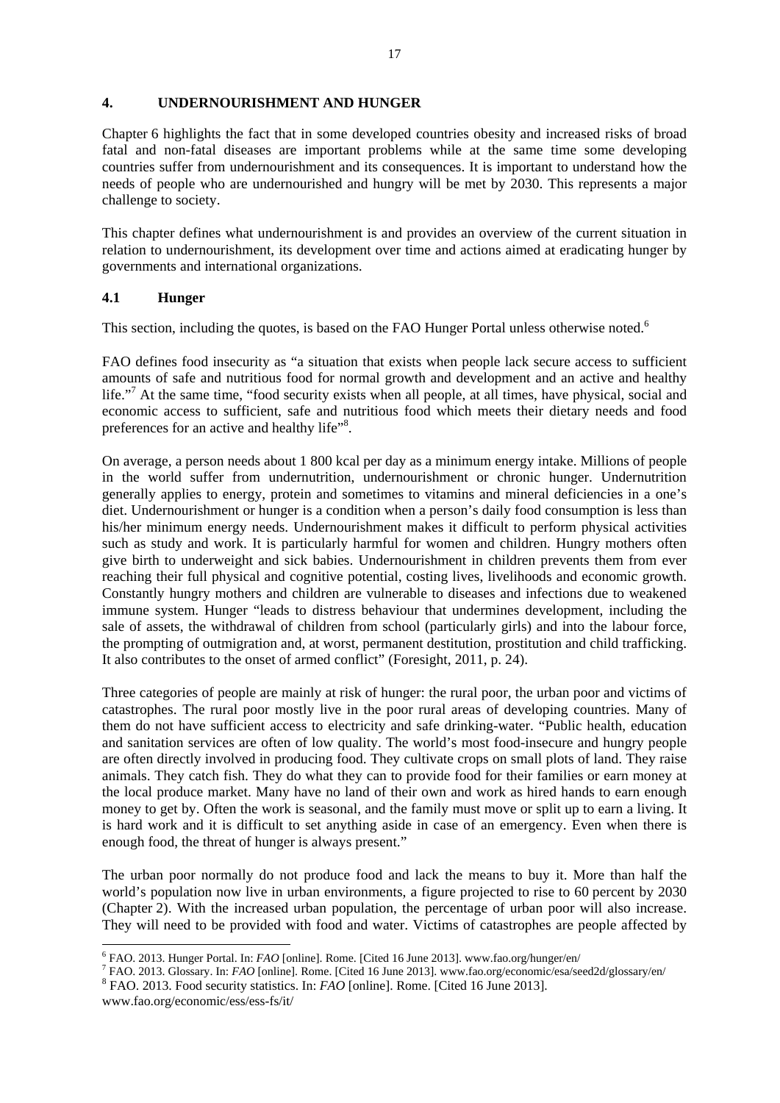### **4. UNDERNOURISHMENT AND HUNGER**

Chapter 6 highlights the fact that in some developed countries obesity and increased risks of broad fatal and non-fatal diseases are important problems while at the same time some developing countries suffer from undernourishment and its consequences. It is important to understand how the needs of people who are undernourished and hungry will be met by 2030. This represents a major challenge to society.

This chapter defines what undernourishment is and provides an overview of the current situation in relation to undernourishment, its development over time and actions aimed at eradicating hunger by governments and international organizations.

# **4.1 Hunger**

This section, including the quotes, is based on the FAO Hunger Portal unless otherwise noted.<sup>6</sup>

FAO defines food insecurity as "a situation that exists when people lack secure access to sufficient amounts of safe and nutritious food for normal growth and development and an active and healthy life."<sup>7</sup> At the same time, "food security exists when all people, at all times, have physical, social and economic access to sufficient, safe and nutritious food which meets their dietary needs and food preferences for an active and healthy life"<sup>8</sup>.

On average, a person needs about 1 800 kcal per day as a minimum energy intake. Millions of people in the world suffer from undernutrition, undernourishment or chronic hunger. Undernutrition generally applies to energy, protein and sometimes to vitamins and mineral deficiencies in a one's diet. Undernourishment or hunger is a condition when a person's daily food consumption is less than his/her minimum energy needs. Undernourishment makes it difficult to perform physical activities such as study and work. It is particularly harmful for women and children. Hungry mothers often give birth to underweight and sick babies. Undernourishment in children prevents them from ever reaching their full physical and cognitive potential, costing lives, livelihoods and economic growth. Constantly hungry mothers and children are vulnerable to diseases and infections due to weakened immune system. Hunger "leads to distress behaviour that undermines development, including the sale of assets, the withdrawal of children from school (particularly girls) and into the labour force, the prompting of outmigration and, at worst, permanent destitution, prostitution and child trafficking. It also contributes to the onset of armed conflict" (Foresight, 2011, p. 24).

Three categories of people are mainly at risk of hunger: the rural poor, the urban poor and victims of catastrophes. The rural poor mostly live in the poor rural areas of developing countries. Many of them do not have sufficient access to electricity and safe drinking-water. "Public health, education and sanitation services are often of low quality. The world's most food-insecure and hungry people are often directly involved in producing food. They cultivate crops on small plots of land. They raise animals. They catch fish. They do what they can to provide food for their families or earn money at the local produce market. Many have no land of their own and work as hired hands to earn enough money to get by. Often the work is seasonal, and the family must move or split up to earn a living. It is hard work and it is difficult to set anything aside in case of an emergency. Even when there is enough food, the threat of hunger is always present."

The urban poor normally do not produce food and lack the means to buy it. More than half the world's population now live in urban environments, a figure projected to rise to 60 percent by 2030 (Chapter 2). With the increased urban population, the percentage of urban poor will also increase. They will need to be provided with food and water. Victims of catastrophes are people affected by

FAO. 2013. Hunger Portal. In: *FAO* [online]. Rome. [Cited 16 June 2013]. www.fao.org/hunger/en/<br><sup>7</sup> FAO. 2013. Classer: In: *FAO* [online]. Rome. [Cited 16 June 2013]. www.fao.org/hunger/en/

FAO. 2013. Glossary. In: *FAO* [online]. Rome. [Cited 16 June 2013]. www.fao.org/economic/esa/seed2d/glossary/en/ 8

FAO. 2013. Food security statistics. In: *FAO* [online]. Rome. [Cited 16 June 2013].

www.fao.org/economic/ess/ess-fs/it/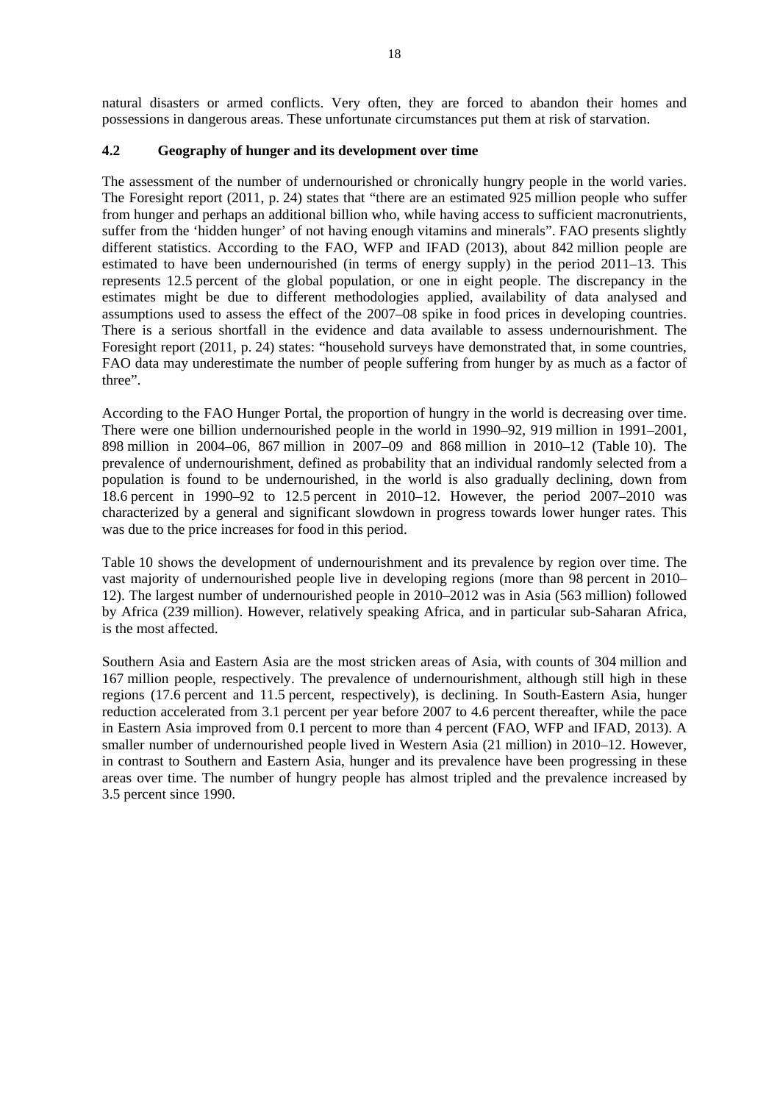natural disasters or armed conflicts. Very often, they are forced to abandon their homes and possessions in dangerous areas. These unfortunate circumstances put them at risk of starvation.

# **4.2 Geography of hunger and its development over time**

The assessment of the number of undernourished or chronically hungry people in the world varies. The Foresight report (2011, p. 24) states that "there are an estimated 925 million people who suffer from hunger and perhaps an additional billion who, while having access to sufficient macronutrients, suffer from the 'hidden hunger' of not having enough vitamins and minerals". FAO presents slightly different statistics. According to the FAO, WFP and IFAD (2013), about 842 million people are estimated to have been undernourished (in terms of energy supply) in the period 2011–13. This represents 12.5 percent of the global population, or one in eight people. The discrepancy in the estimates might be due to different methodologies applied, availability of data analysed and assumptions used to assess the effect of the 2007–08 spike in food prices in developing countries. There is a serious shortfall in the evidence and data available to assess undernourishment. The Foresight report (2011, p. 24) states: "household surveys have demonstrated that, in some countries, FAO data may underestimate the number of people suffering from hunger by as much as a factor of three".

According to the FAO Hunger Portal, the proportion of hungry in the world is decreasing over time. There were one billion undernourished people in the world in 1990–92, 919 million in 1991–2001, 898 million in 2004–06, 867 million in 2007–09 and 868 million in 2010–12 (Table 10). The prevalence of undernourishment, defined as probability that an individual randomly selected from a population is found to be undernourished, in the world is also gradually declining, down from 18.6 percent in 1990–92 to 12.5 percent in 2010–12. However, the period 2007–2010 was characterized by a general and significant slowdown in progress towards lower hunger rates. This was due to the price increases for food in this period.

Table 10 shows the development of undernourishment and its prevalence by region over time. The vast majority of undernourished people live in developing regions (more than 98 percent in 2010– 12). The largest number of undernourished people in 2010–2012 was in Asia (563 million) followed by Africa (239 million). However, relatively speaking Africa, and in particular sub-Saharan Africa, is the most affected.

Southern Asia and Eastern Asia are the most stricken areas of Asia, with counts of 304 million and 167 million people, respectively. The prevalence of undernourishment, although still high in these regions (17.6 percent and 11.5 percent, respectively), is declining. In South-Eastern Asia, hunger reduction accelerated from 3.1 percent per year before 2007 to 4.6 percent thereafter, while the pace in Eastern Asia improved from 0.1 percent to more than 4 percent (FAO, WFP and IFAD, 2013). A smaller number of undernourished people lived in Western Asia (21 million) in 2010–12. However, in contrast to Southern and Eastern Asia, hunger and its prevalence have been progressing in these areas over time. The number of hungry people has almost tripled and the prevalence increased by 3.5 percent since 1990.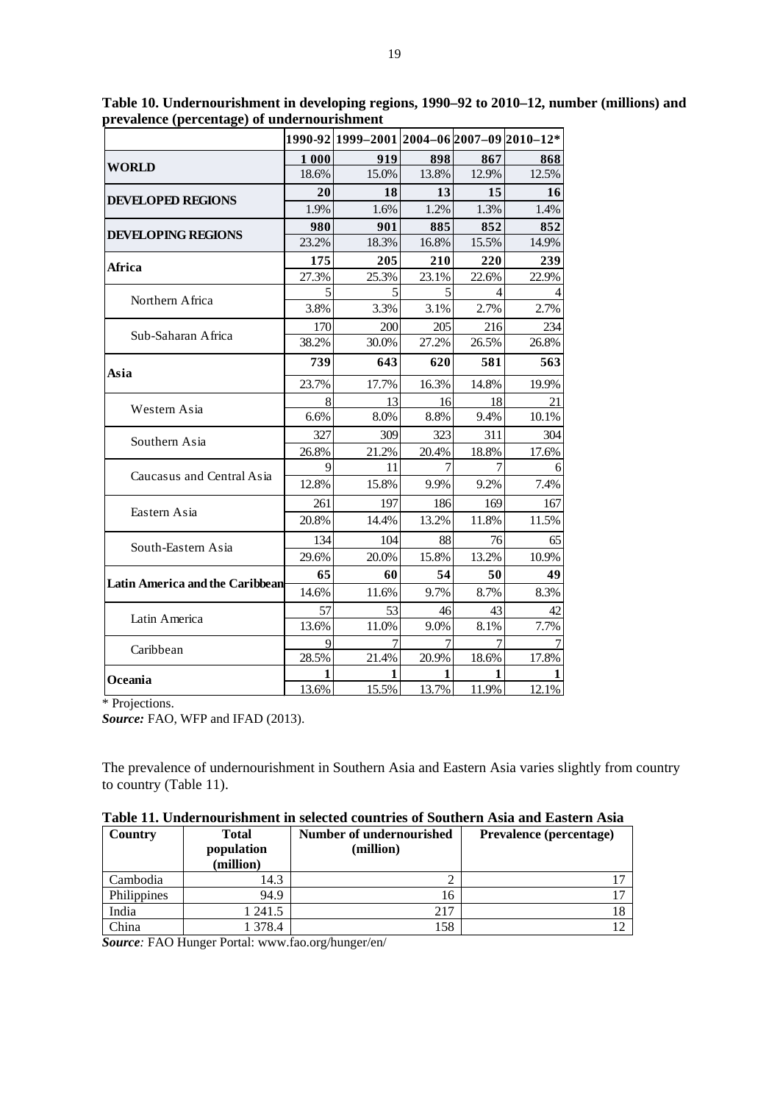|                                        |       | 1990-92 1999-2001 2004-06 2007-09 2010-12* |       |       |       |
|----------------------------------------|-------|--------------------------------------------|-------|-------|-------|
|                                        | 1 000 | 919                                        | 898   | 867   | 868   |
| <b>WORLD</b>                           | 18.6% | 15.0%                                      | 13.8% | 12.9% | 12.5% |
| <b>DEVELOPED REGIONS</b>               | 20    | 18                                         | 13    | 15    | 16    |
|                                        | 1.9%  | 1.6%                                       | 1.2%  | 1.3%  | 1.4%  |
| <b>DEVELOPING REGIONS</b>              | 980   | 901                                        | 885   | 852   | 852   |
|                                        | 23.2% | 18.3%                                      | 16.8% | 15.5% | 14.9% |
| Africa                                 | 175   | 205                                        | 210   | 220   | 239   |
|                                        | 27.3% | 25.3%                                      | 23.1% | 22.6% | 22.9% |
| Northern Africa                        | 5     | 5                                          | 5     | 4     |       |
|                                        | 3.8%  | 3.3%                                       | 3.1%  | 2.7%  | 2.7%  |
| Sub-Saharan Africa                     | 170   | 200                                        | 205   | 216   | 234   |
|                                        | 38.2% | 30.0%                                      | 27.2% | 26.5% | 26.8% |
| Asia                                   | 739   | 643                                        | 620   | 581   | 563   |
|                                        | 23.7% | 17.7%                                      | 16.3% | 14.8% | 19.9% |
|                                        | 8     | 13                                         | 16    | 18    | 21    |
| Western Asia                           | 6.6%  | 8.0%                                       | 8.8%  | 9.4%  | 10.1% |
| Southern Asia                          | 327   | 309                                        | 323   | 311   | 304   |
|                                        | 26.8% | 21.2%                                      | 20.4% | 18.8% | 17.6% |
| Caucasus and Central Asia              | 9     | 11                                         |       |       |       |
|                                        | 12.8% | 15.8%                                      | 9.9%  | 9.2%  | 7.4%  |
|                                        | 261   | 197                                        | 186   | 169   | 167   |
| Eastern Asia                           | 20.8% | 14.4%                                      | 13.2% | 11.8% | 11.5% |
|                                        | 134   | 104                                        | 88    | 76    | 65    |
| South-Eastern Asia                     | 29.6% | 20.0%                                      | 15.8% | 13.2% | 10.9% |
|                                        | 65    | 60                                         | 54    | 50    | 49    |
| <b>Latin America and the Caribbean</b> | 14.6% | 11.6%                                      | 9.7%  | 8.7%  | 8.3%  |
|                                        | 57    | 53                                         | 46    | 43    | 42    |
| Latin America                          | 13.6% | 11.0%                                      | 9.0%  | 8.1%  | 7.7%  |
| Caribbean                              | 9     | $\overline{7}$                             | 7     | 7     |       |
|                                        | 28.5% | 21.4%                                      | 20.9% | 18.6% | 17.8% |
| Oceania                                | 1     | 1                                          | 1     | 1     | 1     |
|                                        | 13.6% | 15.5%                                      | 13.7% | 11.9% | 12.1% |

**Table 10. Undernourishment in developing regions, 1990–92 to 2010–12, number (millions) and prevalence (percentage) of undernourishment** 

\* Projections.

*Source:* FAO, WFP and IFAD (2013).

The prevalence of undernourishment in Southern Asia and Eastern Asia varies slightly from country to country (Table 11).

| Country     | <b>Total</b><br>population<br>(million) | Number of undernourished<br>(million) | <b>Prevalence (percentage)</b> |
|-------------|-----------------------------------------|---------------------------------------|--------------------------------|
| Cambodia    | 14.3                                    |                                       |                                |
| Philippines | 94.9                                    | 16                                    |                                |
| India       | 241.5                                   | 217                                   |                                |
| China       | 378.4                                   | 158                                   |                                |

**Table 11. Undernourishment in selected countries of Southern Asia and Eastern Asia** 

*Source:* FAO Hunger Portal: www.fao.org/hunger/en/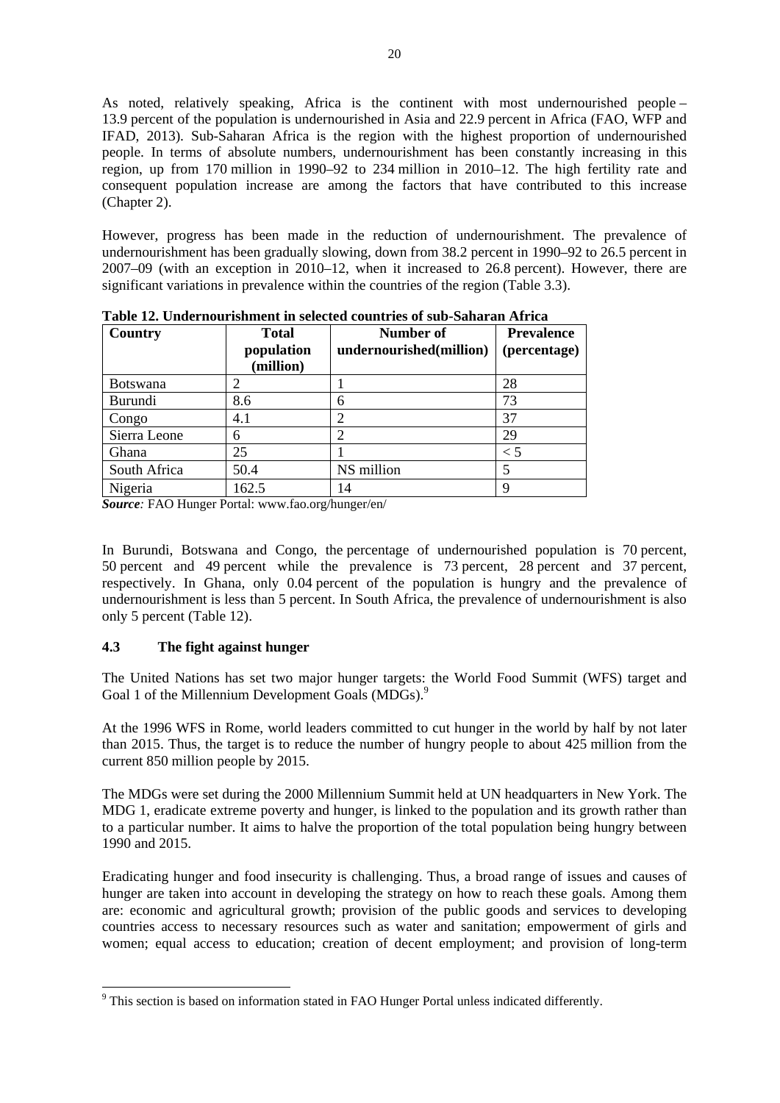As noted, relatively speaking, Africa is the continent with most undernourished people – 13.9 percent of the population is undernourished in Asia and 22.9 percent in Africa (FAO, WFP and IFAD, 2013). Sub-Saharan Africa is the region with the highest proportion of undernourished people. In terms of absolute numbers, undernourishment has been constantly increasing in this region, up from 170 million in 1990–92 to 234 million in 2010–12. The high fertility rate and consequent population increase are among the factors that have contributed to this increase (Chapter 2).

However, progress has been made in the reduction of undernourishment. The prevalence of undernourishment has been gradually slowing, down from 38.2 percent in 1990–92 to 26.5 percent in 2007–09 (with an exception in 2010–12, when it increased to 26.8 percent). However, there are significant variations in prevalence within the countries of the region (Table 3.3).

| Country         | <b>Total</b><br>population<br>(million) | Number of<br>undernourished(million) | <b>Prevalence</b><br>(percentage) |
|-----------------|-----------------------------------------|--------------------------------------|-----------------------------------|
| <b>Botswana</b> |                                         |                                      | 28                                |
| Burundi         | 8.6                                     | 6                                    | 73                                |
| Congo           | 4.1                                     | $\overline{2}$                       | 37                                |
| Sierra Leone    | 6                                       | $\overline{2}$                       | 29                                |
| Ghana           | 25                                      |                                      | $\rm{<}$ 5                        |
| South Africa    | 50.4                                    | NS million                           | 5                                 |
| Nigeria         | 162.5                                   | 14                                   | Q                                 |

**Table 12. Undernourishment in selected countries of sub-Saharan Africa** 

*Source:* FAO Hunger Portal: www.fao.org/hunger/en/

In Burundi, Botswana and Congo, the percentage of undernourished population is 70 percent, 50 percent and 49 percent while the prevalence is 73 percent, 28 percent and 37 percent, respectively. In Ghana, only 0.04 percent of the population is hungry and the prevalence of undernourishment is less than 5 percent. In South Africa, the prevalence of undernourishment is also only 5 percent (Table 12).

# **4.3 The fight against hunger**

1

The United Nations has set two major hunger targets: the World Food Summit (WFS) target and Goal 1 of the Millennium Development Goals (MDGs).<sup>9</sup>

At the 1996 WFS in Rome, world leaders committed to cut hunger in the world by half by not later than 2015. Thus, the target is to reduce the number of hungry people to about 425 million from the current 850 million people by 2015.

The MDGs were set during the 2000 Millennium Summit held at UN headquarters in New York. The MDG 1, eradicate extreme poverty and hunger, is linked to the population and its growth rather than to a particular number. It aims to halve the proportion of the total population being hungry between 1990 and 2015.

Eradicating hunger and food insecurity is challenging. Thus, a broad range of issues and causes of hunger are taken into account in developing the strategy on how to reach these goals. Among them are: economic and agricultural growth; provision of the public goods and services to developing countries access to necessary resources such as water and sanitation; empowerment of girls and women; equal access to education; creation of decent employment; and provision of long-term

<sup>&</sup>lt;sup>9</sup> This section is based on information stated in FAO Hunger Portal unless indicated differently.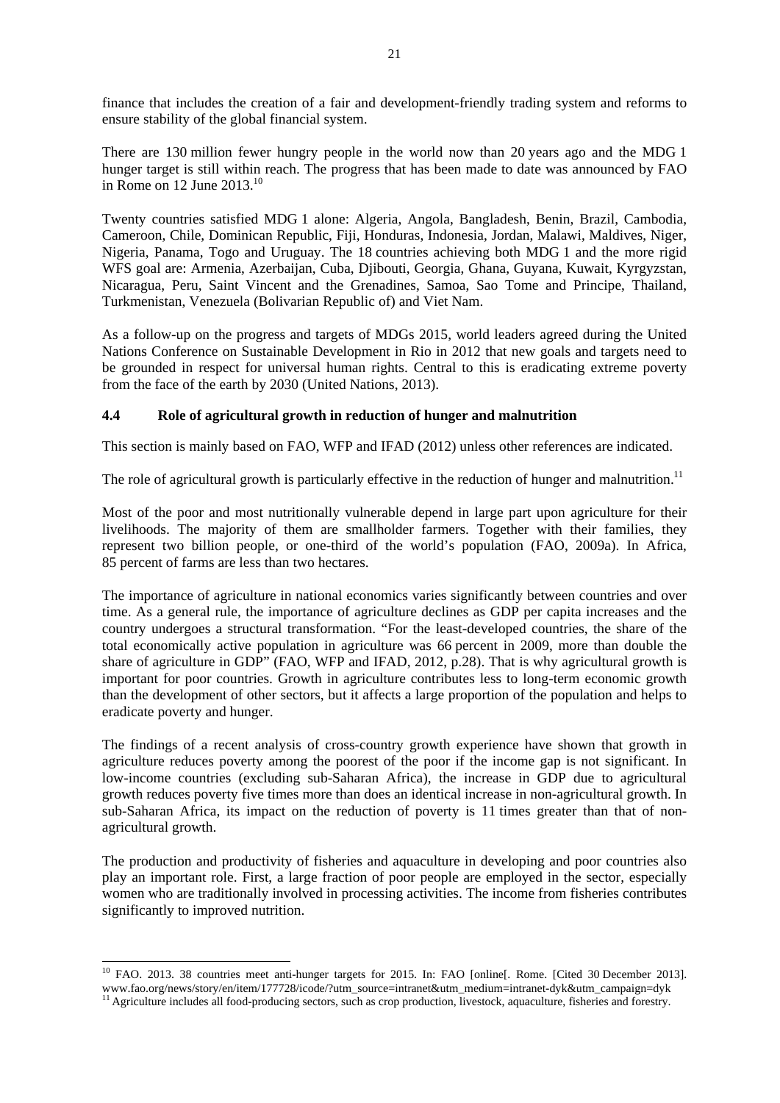finance that includes the creation of a fair and development-friendly trading system and reforms to ensure stability of the global financial system.

There are 130 million fewer hungry people in the world now than 20 years ago and the MDG 1 hunger target is still within reach. The progress that has been made to date was announced by FAO in Rome on  $12$  June  $2013.<sup>10</sup>$ 

Twenty countries satisfied MDG 1 alone: Algeria, Angola, Bangladesh, Benin, Brazil, Cambodia, Cameroon, Chile, Dominican Republic, Fiji, Honduras, Indonesia, Jordan, Malawi, Maldives, Niger, Nigeria, Panama, Togo and Uruguay. The 18 countries achieving both MDG 1 and the more rigid WFS goal are: Armenia, Azerbaijan, Cuba, Djibouti, Georgia, Ghana, Guyana, Kuwait, Kyrgyzstan, Nicaragua, Peru, Saint Vincent and the Grenadines, Samoa, Sao Tome and Principe, Thailand, Turkmenistan, Venezuela (Bolivarian Republic of) and Viet Nam.

As a follow-up on the progress and targets of MDGs 2015, world leaders agreed during the United Nations Conference on Sustainable Development in Rio in 2012 that new goals and targets need to be grounded in respect for universal human rights. Central to this is eradicating extreme poverty from the face of the earth by 2030 (United Nations, 2013).

# **4.4 Role of agricultural growth in reduction of hunger and malnutrition**

This section is mainly based on FAO, WFP and IFAD (2012) unless other references are indicated.

The role of agricultural growth is particularly effective in the reduction of hunger and malnutrition.<sup>11</sup>

Most of the poor and most nutritionally vulnerable depend in large part upon agriculture for their livelihoods. The majority of them are smallholder farmers. Together with their families, they represent two billion people, or one-third of the world's population (FAO, 2009a). In Africa, 85 percent of farms are less than two hectares.

The importance of agriculture in national economics varies significantly between countries and over time. As a general rule, the importance of agriculture declines as GDP per capita increases and the country undergoes a structural transformation. "For the least-developed countries, the share of the total economically active population in agriculture was 66 percent in 2009, more than double the share of agriculture in GDP" (FAO, WFP and IFAD, 2012, p.28). That is why agricultural growth is important for poor countries. Growth in agriculture contributes less to long-term economic growth than the development of other sectors, but it affects a large proportion of the population and helps to eradicate poverty and hunger.

The findings of a recent analysis of cross-country growth experience have shown that growth in agriculture reduces poverty among the poorest of the poor if the income gap is not significant. In low-income countries (excluding sub-Saharan Africa), the increase in GDP due to agricultural growth reduces poverty five times more than does an identical increase in non-agricultural growth. In sub-Saharan Africa, its impact on the reduction of poverty is 11 times greater than that of nonagricultural growth.

The production and productivity of fisheries and aquaculture in developing and poor countries also play an important role. First, a large fraction of poor people are employed in the sector, especially women who are traditionally involved in processing activities. The income from fisheries contributes significantly to improved nutrition.

1

<sup>&</sup>lt;sup>10</sup> FAO. 2013. 38 countries meet anti-hunger targets for 2015. In: FAO [online]. Rome. [Cited 30 December 2013]. www.fao.org/news/story/en/item/177728/icode/?utm\_source=intranet&utm\_medium=intranet-dyk&utm\_campaign=dyk<br><sup>11</sup> Agriculture includes all food-producing sectors, such as crop production, livestock, aquaculture, fisheries and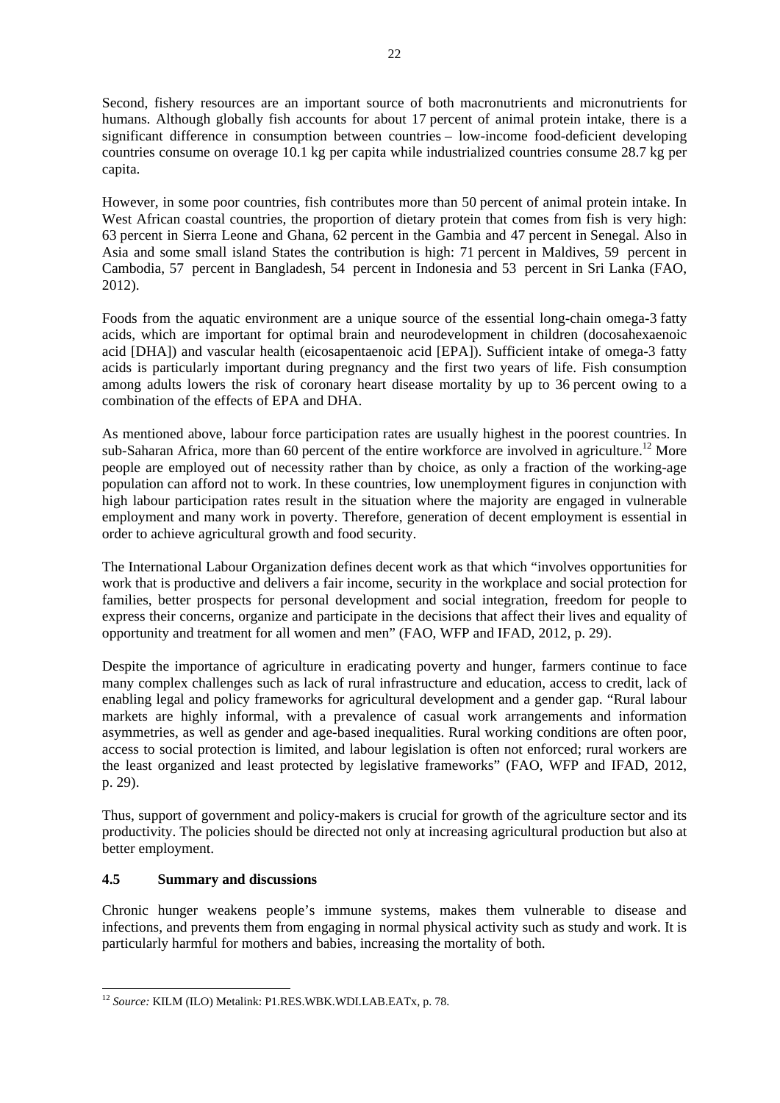Second, fishery resources are an important source of both macronutrients and micronutrients for humans. Although globally fish accounts for about 17 percent of animal protein intake, there is a significant difference in consumption between countries – low-income food-deficient developing countries consume on overage 10.1 kg per capita while industrialized countries consume 28.7 kg per capita.

However, in some poor countries, fish contributes more than 50 percent of animal protein intake. In West African coastal countries, the proportion of dietary protein that comes from fish is very high: 63 percent in Sierra Leone and Ghana, 62 percent in the Gambia and 47 percent in Senegal. Also in Asia and some small island States the contribution is high: 71 percent in Maldives, 59 percent in Cambodia, 57 percent in Bangladesh, 54 percent in Indonesia and 53 percent in Sri Lanka (FAO, 2012).

Foods from the aquatic environment are a unique source of the essential long-chain omega-3 fatty acids, which are important for optimal brain and neurodevelopment in children (docosahexaenoic acid [DHA]) and vascular health (eicosapentaenoic acid [EPA]). Sufficient intake of omega-3 fatty acids is particularly important during pregnancy and the first two years of life. Fish consumption among adults lowers the risk of coronary heart disease mortality by up to 36 percent owing to a combination of the effects of EPA and DHA.

As mentioned above, labour force participation rates are usually highest in the poorest countries. In sub-Saharan Africa, more than 60 percent of the entire workforce are involved in agriculture.<sup>12</sup> More people are employed out of necessity rather than by choice, as only a fraction of the working-age population can afford not to work. In these countries, low unemployment figures in conjunction with high labour participation rates result in the situation where the majority are engaged in vulnerable employment and many work in poverty. Therefore, generation of decent employment is essential in order to achieve agricultural growth and food security.

The International Labour Organization defines decent work as that which "involves opportunities for work that is productive and delivers a fair income, security in the workplace and social protection for families, better prospects for personal development and social integration, freedom for people to express their concerns, organize and participate in the decisions that affect their lives and equality of opportunity and treatment for all women and men" (FAO, WFP and IFAD, 2012, p. 29).

Despite the importance of agriculture in eradicating poverty and hunger, farmers continue to face many complex challenges such as lack of rural infrastructure and education, access to credit, lack of enabling legal and policy frameworks for agricultural development and a gender gap. "Rural labour markets are highly informal, with a prevalence of casual work arrangements and information asymmetries, as well as gender and age-based inequalities. Rural working conditions are often poor, access to social protection is limited, and labour legislation is often not enforced; rural workers are the least organized and least protected by legislative frameworks" (FAO, WFP and IFAD, 2012, p. 29).

Thus, support of government and policy-makers is crucial for growth of the agriculture sector and its productivity. The policies should be directed not only at increasing agricultural production but also at better employment.

# **4.5 Summary and discussions**

 $\overline{a}$ 

Chronic hunger weakens people's immune systems, makes them vulnerable to disease and infections, and prevents them from engaging in normal physical activity such as study and work. It is particularly harmful for mothers and babies, increasing the mortality of both.

<sup>12</sup> *Source:* KILM (ILO) Metalink: P1.RES.WBK.WDI.LAB.EATx, p. 78.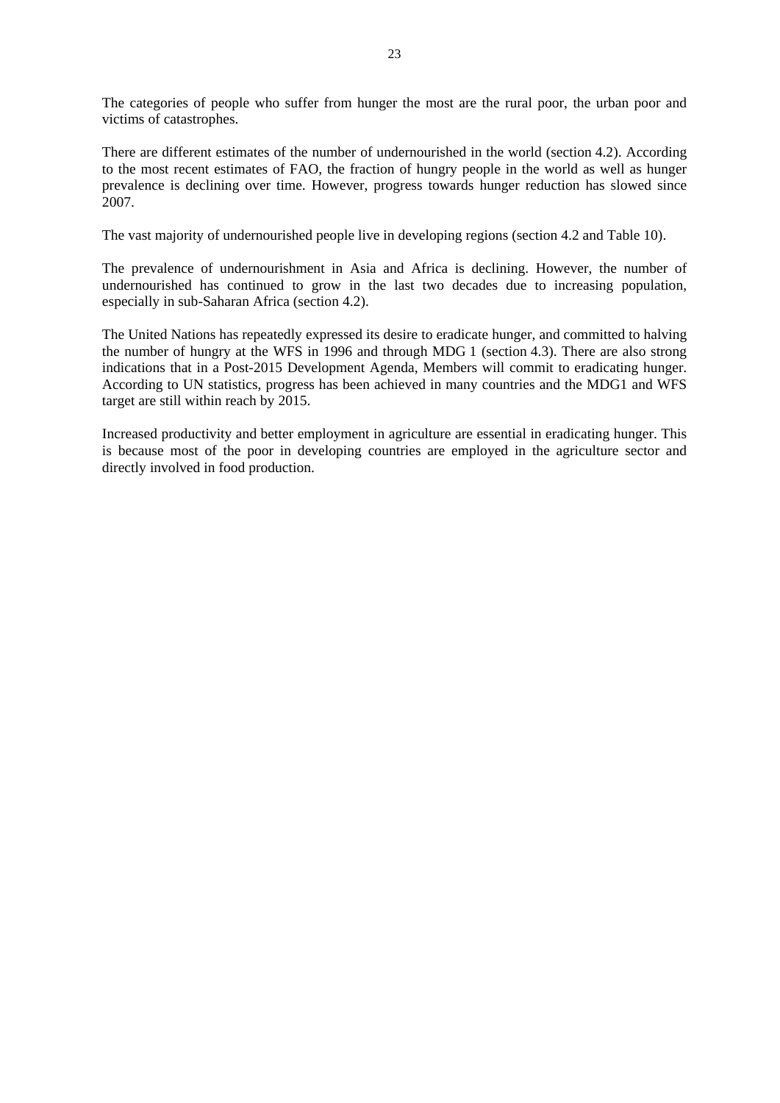The categories of people who suffer from hunger the most are the rural poor, the urban poor and victims of catastrophes.

There are different estimates of the number of undernourished in the world (section 4.2). According to the most recent estimates of FAO, the fraction of hungry people in the world as well as hunger prevalence is declining over time. However, progress towards hunger reduction has slowed since 2007.

The vast majority of undernourished people live in developing regions (section 4.2 and Table 10).

The prevalence of undernourishment in Asia and Africa is declining. However, the number of undernourished has continued to grow in the last two decades due to increasing population, especially in sub-Saharan Africa (section 4.2).

The United Nations has repeatedly expressed its desire to eradicate hunger, and committed to halving the number of hungry at the WFS in 1996 and through MDG 1 (section 4.3). There are also strong indications that in a Post-2015 Development Agenda, Members will commit to eradicating hunger. According to UN statistics, progress has been achieved in many countries and the MDG1 and WFS target are still within reach by 2015.

Increased productivity and better employment in agriculture are essential in eradicating hunger. This is because most of the poor in developing countries are employed in the agriculture sector and directly involved in food production.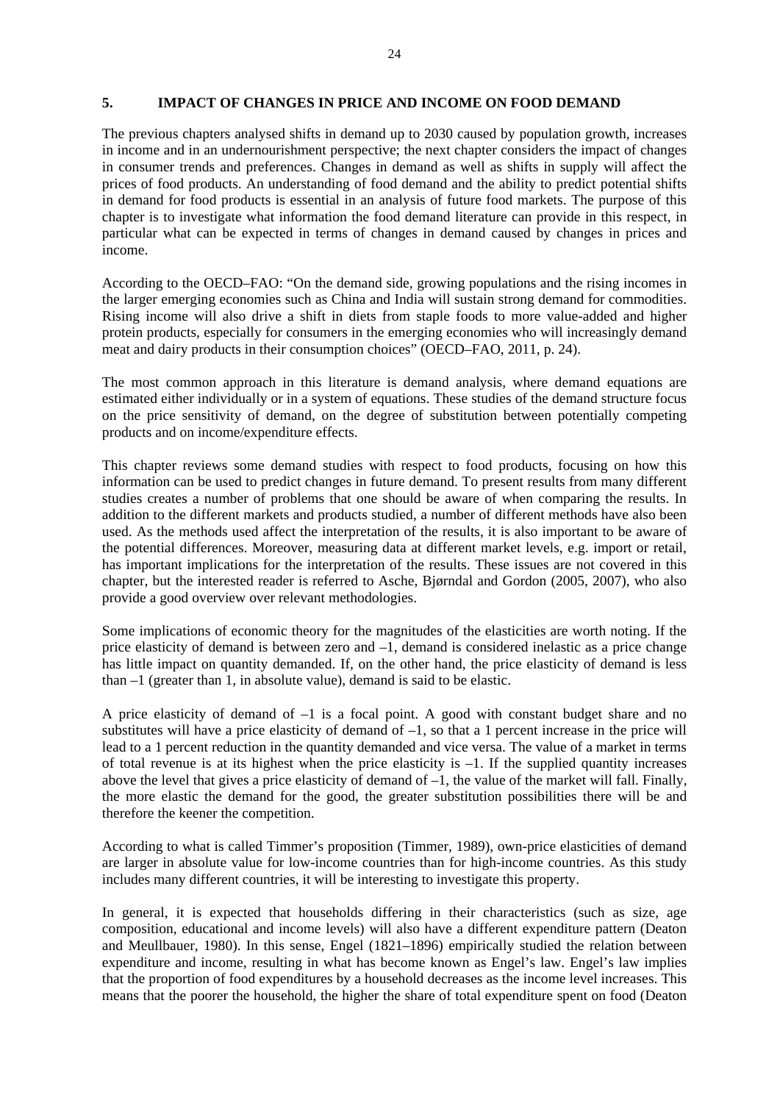### **5. IMPACT OF CHANGES IN PRICE AND INCOME ON FOOD DEMAND**

The previous chapters analysed shifts in demand up to 2030 caused by population growth, increases in income and in an undernourishment perspective; the next chapter considers the impact of changes in consumer trends and preferences. Changes in demand as well as shifts in supply will affect the prices of food products. An understanding of food demand and the ability to predict potential shifts in demand for food products is essential in an analysis of future food markets. The purpose of this chapter is to investigate what information the food demand literature can provide in this respect, in particular what can be expected in terms of changes in demand caused by changes in prices and income.

According to the OECD–FAO: "On the demand side, growing populations and the rising incomes in the larger emerging economies such as China and India will sustain strong demand for commodities. Rising income will also drive a shift in diets from staple foods to more value-added and higher protein products, especially for consumers in the emerging economies who will increasingly demand meat and dairy products in their consumption choices" (OECD–FAO, 2011, p. 24).

The most common approach in this literature is demand analysis, where demand equations are estimated either individually or in a system of equations. These studies of the demand structure focus on the price sensitivity of demand, on the degree of substitution between potentially competing products and on income/expenditure effects.

This chapter reviews some demand studies with respect to food products, focusing on how this information can be used to predict changes in future demand. To present results from many different studies creates a number of problems that one should be aware of when comparing the results. In addition to the different markets and products studied, a number of different methods have also been used. As the methods used affect the interpretation of the results, it is also important to be aware of the potential differences. Moreover, measuring data at different market levels, e.g. import or retail, has important implications for the interpretation of the results. These issues are not covered in this chapter, but the interested reader is referred to Asche, Bjørndal and Gordon (2005, 2007), who also provide a good overview over relevant methodologies.

Some implications of economic theory for the magnitudes of the elasticities are worth noting. If the price elasticity of demand is between zero and –1, demand is considered inelastic as a price change has little impact on quantity demanded. If, on the other hand, the price elasticity of demand is less than –1 (greater than 1, in absolute value), demand is said to be elastic.

A price elasticity of demand of –1 is a focal point. A good with constant budget share and no substitutes will have a price elasticity of demand of  $-1$ , so that a 1 percent increase in the price will lead to a 1 percent reduction in the quantity demanded and vice versa. The value of a market in terms of total revenue is at its highest when the price elasticity is –1. If the supplied quantity increases above the level that gives a price elasticity of demand of  $-1$ , the value of the market will fall. Finally, the more elastic the demand for the good, the greater substitution possibilities there will be and therefore the keener the competition.

According to what is called Timmer's proposition (Timmer, 1989), own-price elasticities of demand are larger in absolute value for low-income countries than for high-income countries. As this study includes many different countries, it will be interesting to investigate this property.

In general, it is expected that households differing in their characteristics (such as size, age composition, educational and income levels) will also have a different expenditure pattern (Deaton and Meullbauer, 1980). In this sense, Engel (1821–1896) empirically studied the relation between expenditure and income, resulting in what has become known as Engel's law. Engel's law implies that the proportion of food expenditures by a household decreases as the income level increases. This means that the poorer the household, the higher the share of total expenditure spent on food (Deaton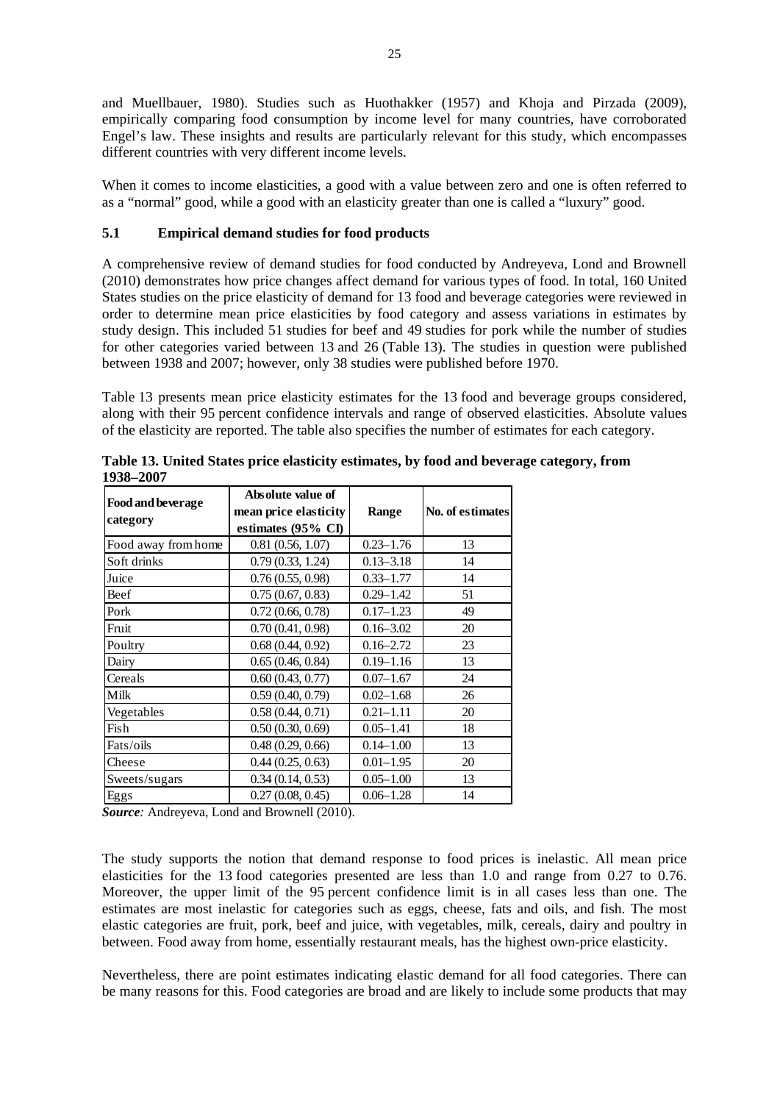and Muellbauer, 1980). Studies such as Huothakker (1957) and Khoja and Pirzada (2009), empirically comparing food consumption by income level for many countries, have corroborated Engel's law. These insights and results are particularly relevant for this study, which encompasses different countries with very different income levels.

When it comes to income elasticities, a good with a value between zero and one is often referred to as a "normal" good, while a good with an elasticity greater than one is called a "luxury" good.

## **5.1 Empirical demand studies for food products**

A comprehensive review of demand studies for food conducted by Andreyeva, Lond and Brownell (2010) demonstrates how price changes affect demand for various types of food. In total, 160 United States studies on the price elasticity of demand for 13 food and beverage categories were reviewed in order to determine mean price elasticities by food category and assess variations in estimates by study design. This included 51 studies for beef and 49 studies for pork while the number of studies for other categories varied between 13 and 26 (Table 13). The studies in question were published between 1938 and 2007; however, only 38 studies were published before 1970.

Table 13 presents mean price elasticity estimates for the 13 food and beverage groups considered, along with their 95 percent confidence intervals and range of observed elasticities. Absolute values of the elasticity are reported. The table also specifies the number of estimates for each category.

| <b>Food and beverage</b> | Absolute value of     |               |                  |
|--------------------------|-----------------------|---------------|------------------|
| category                 | mean price elasticity | Range         | No. of estimates |
|                          | estimates (95% CI)    |               |                  |
| Food away from home      | 0.81(0.56, 1.07)      | $0.23 - 1.76$ | 13               |
| Soft drinks              | 0.79(0.33, 1.24)      | $0.13 - 3.18$ | 14               |
| Juice                    | 0.76(0.55, 0.98)      | $0.33 - 1.77$ | 14               |
| Beef                     | 0.75(0.67, 0.83)      | $0.29 - 1.42$ | 51               |
| Pork                     | 0.72(0.66, 0.78)      | $0.17 - 1.23$ | 49               |
| Fruit                    | 0.70(0.41, 0.98)      | $0.16 - 3.02$ | 20               |
| Poultry                  | 0.68(0.44, 0.92)      | $0.16 - 2.72$ | 23               |
| Dairy                    | 0.65(0.46, 0.84)      | $0.19 - 1.16$ | 13               |
| Cereals                  | 0.60(0.43, 0.77)      | $0.07 - 1.67$ | 24               |
| Milk                     | 0.59(0.40, 0.79)      | $0.02 - 1.68$ | 26               |
| Vegetables               | 0.58(0.44, 0.71)      | $0.21 - 1.11$ | 20               |
| Fish                     | 0.50(0.30, 0.69)      | $0.05 - 1.41$ | 18               |
| Fats/oils                | 0.48(0.29, 0.66)      | $0.14 - 1.00$ | 13               |
| Cheese                   | 0.44(0.25, 0.63)      | $0.01 - 1.95$ | 20               |
| Sweets/sugars            | 0.34(0.14, 0.53)      | $0.05 - 1.00$ | 13               |
| Eggs                     | 0.27(0.08, 0.45)      | $0.06 - 1.28$ | 14               |

**Table 13. United States price elasticity estimates, by food and beverage category, from 1938–2007** 

*Source:* Andreyeva, Lond and Brownell (2010).

The study supports the notion that demand response to food prices is inelastic. All mean price elasticities for the 13 food categories presented are less than 1.0 and range from 0.27 to 0.76. Moreover, the upper limit of the 95 percent confidence limit is in all cases less than one. The estimates are most inelastic for categories such as eggs, cheese, fats and oils, and fish. The most elastic categories are fruit, pork, beef and juice, with vegetables, milk, cereals, dairy and poultry in between. Food away from home, essentially restaurant meals, has the highest own-price elasticity.

Nevertheless, there are point estimates indicating elastic demand for all food categories. There can be many reasons for this. Food categories are broad and are likely to include some products that may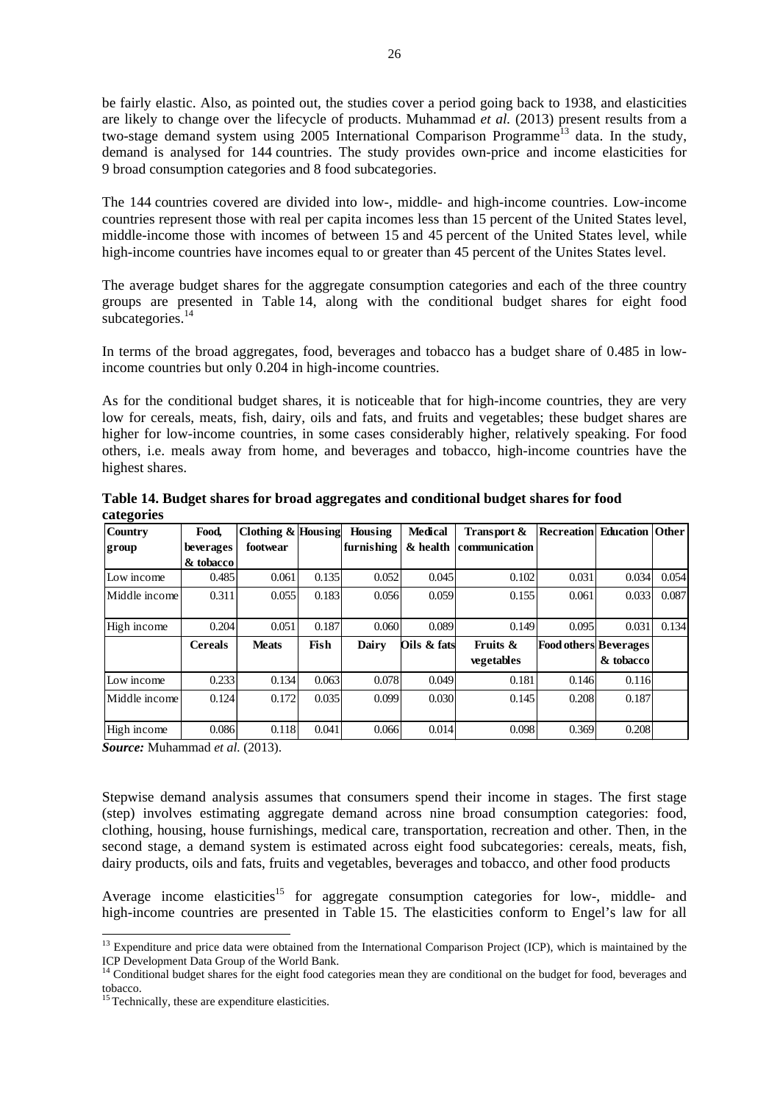be fairly elastic. Also, as pointed out, the studies cover a period going back to 1938, and elasticities are likely to change over the lifecycle of products. Muhammad *et al.* (2013) present results from a two-stage demand system using  $2005$  International Comparison Programme<sup>13</sup> data. In the study, demand is analysed for 144 countries. The study provides own-price and income elasticities for 9 broad consumption categories and 8 food subcategories.

The 144 countries covered are divided into low-, middle- and high-income countries. Low-income countries represent those with real per capita incomes less than 15 percent of the United States level, middle-income those with incomes of between 15 and 45 percent of the United States level, while high-income countries have incomes equal to or greater than 45 percent of the Unites States level.

The average budget shares for the aggregate consumption categories and each of the three country groups are presented in Table 14, along with the conditional budget shares for eight food subcategories.<sup>14</sup>

In terms of the broad aggregates, food, beverages and tobacco has a budget share of 0.485 in lowincome countries but only 0.204 in high-income countries.

As for the conditional budget shares, it is noticeable that for high-income countries, they are very low for cereals, meats, fish, dairy, oils and fats, and fruits and vegetables; these budget shares are higher for low-income countries, in some cases considerably higher, relatively speaking. For food others, i.e. meals away from home, and beverages and tobacco, high-income countries have the highest shares.

| Country       | Food.          | Clothing $&$ Housing |       | Housing    | <b>Medical</b> | Transport &   | <b>Recreation Education Other</b> |           |       |
|---------------|----------------|----------------------|-------|------------|----------------|---------------|-----------------------------------|-----------|-------|
| group         | beverages      | footwear             |       | furnishing | & health       | communication |                                   |           |       |
|               | & tobacco      |                      |       |            |                |               |                                   |           |       |
| Low income    | 0.485          | 0.061                | 0.135 | 0.052      | 0.045          | 0.102         | 0.031                             | 0.034     | 0.054 |
| Middle income | 0.311          | 0.055                | 0.183 | 0.056      | 0.059          | 0.155         | 0.061                             | 0.033     | 0.087 |
| High income   | 0.204          | 0.051                | 0.187 | 0.060      | 0.089          | 0.149         | 0.095                             | 0.031     | 0.134 |
|               | <b>Cereals</b> | <b>Meats</b>         | Fish  | Dairy      | Oils & fats    | Fruits &      | <b>Food others Beverages</b>      |           |       |
|               |                |                      |       |            |                | vegetables    |                                   | & tobacco |       |
| Low income    | 0.233          | 0.134                | 0.063 | 0.078      | 0.049          | 0.181         | 0.146                             | 0.116     |       |
| Middle income | 0.124          | 0.172                | 0.035 | 0.099      | 0.030          | 0.145         | 0.208                             | 0.187     |       |
| High income   | 0.086          | 0.118                | 0.041 | 0.066      | 0.014          | 0.098         | 0.369                             | 0.208     |       |

**Table 14. Budget shares for broad aggregates and conditional budget shares for food categories** 

*Source:* Muhammad *et al.* (2013).

1

Stepwise demand analysis assumes that consumers spend their income in stages. The first stage (step) involves estimating aggregate demand across nine broad consumption categories: food, clothing, housing, house furnishings, medical care, transportation, recreation and other. Then, in the second stage, a demand system is estimated across eight food subcategories: cereals, meats, fish, dairy products, oils and fats, fruits and vegetables, beverages and tobacco, and other food products

Average income elasticities<sup>15</sup> for aggregate consumption categories for low-, middle- and high-income countries are presented in Table 15. The elasticities conform to Engel's law for all

<sup>&</sup>lt;sup>13</sup> Expenditure and price data were obtained from the International Comparison Project (ICP), which is maintained by the ICP Development Data Group of the World Bank.

<sup>&</sup>lt;sup>14</sup> Conditional budget shares for the eight food categories mean they are conditional on the budget for food, beverages and tobacco.

<sup>&</sup>lt;sup>15</sup> Technically, these are expenditure elasticities.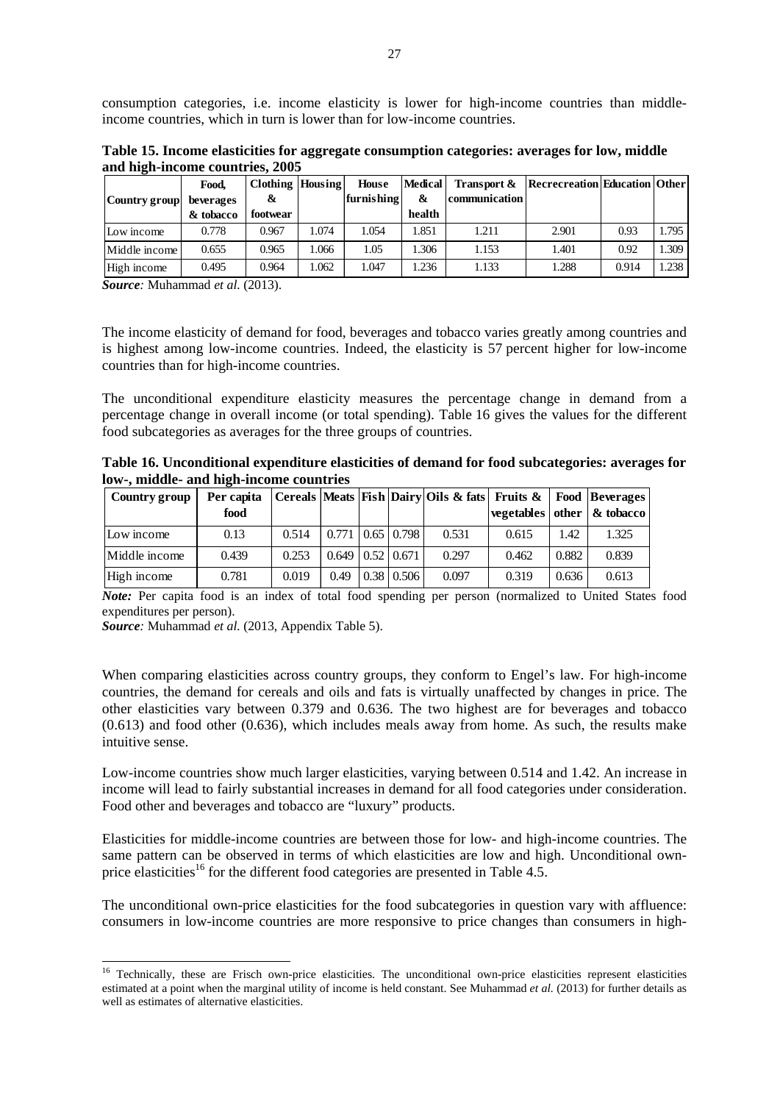consumption categories, i.e. income elasticity is lower for high-income countries than middleincome countries, which in turn is lower than for low-income countries.

**Table 15. Income elasticities for aggregate consumption categories: averages for low, middle and high-income countries, 2005** 

|               | Food,     | Clothing Housing |       | <b>House</b> | <b>Medical</b> | Transport &   | Recrecreation Education Other |       |       |
|---------------|-----------|------------------|-------|--------------|----------------|---------------|-------------------------------|-------|-------|
| Country group | beverages | &                |       | furnishing   | &              | communication |                               |       |       |
|               | & tobacco | footwear         |       |              | health         |               |                               |       |       |
| Low income    | 0.778     | 0.967            | 1.074 | 1.054        | 1.851          | 1.211         | 2.901                         | 0.93  | 1.795 |
| Middle income | 0.655     | 0.965            | 1.066 | 1.05         | 1.306          | 1.153         | 1.401                         | 0.92  | 1.309 |
| High income   | 0.495     | 0.964            | 1.062 | 1.047        | 1.236          | 1.133         | 1.288                         | 0.914 | 1.238 |

*Source:* Muhammad *et al.* (2013).

The income elasticity of demand for food, beverages and tobacco varies greatly among countries and is highest among low-income countries. Indeed, the elasticity is 57 percent higher for low-income countries than for high-income countries.

The unconditional expenditure elasticity measures the percentage change in demand from a percentage change in overall income (or total spending). Table 16 gives the values for the different food subcategories as averages for the three groups of countries.

**Table 16. Unconditional expenditure elasticities of demand for food subcategories: averages for low-, middle- and high-income countries** 

| Country group | Per capita |       |                                   |                            | Cereals   Meats   Fish   Dairy   Oils & fats   Fruits &   Food   Beverages |       |       |                                     |
|---------------|------------|-------|-----------------------------------|----------------------------|----------------------------------------------------------------------------|-------|-------|-------------------------------------|
|               | food       |       |                                   |                            |                                                                            |       |       | vegetables   other $\alpha$ tobacco |
| Low income    | 0.13       | 0.514 | $0.771 \mid 0.65 \mid 0.798 \mid$ |                            | 0.531                                                                      | 0.615 | 1.42  | 1.325                               |
| Middle income | 0.439      | 0.253 |                                   | $0.649$   $0.52$   $0.671$ | 0.297                                                                      | 0.462 | 0.882 | 0.839                               |
| High income   | 0.781      | 0.019 | 0.49                              | $0.38 \mid 0.506 \mid$     | 0.097                                                                      | 0.319 | 0.636 | 0.613                               |

*Note:* Per capita food is an index of total food spending per person (normalized to United States food expenditures per person).

*Source:* Muhammad *et al.* (2013, Appendix Table 5).

1

When comparing elasticities across country groups, they conform to Engel's law. For high-income countries, the demand for cereals and oils and fats is virtually unaffected by changes in price. The other elasticities vary between 0.379 and 0.636. The two highest are for beverages and tobacco (0.613) and food other (0.636), which includes meals away from home. As such, the results make intuitive sense.

Low-income countries show much larger elasticities, varying between 0.514 and 1.42. An increase in income will lead to fairly substantial increases in demand for all food categories under consideration. Food other and beverages and tobacco are "luxury" products.

Elasticities for middle-income countries are between those for low- and high-income countries. The same pattern can be observed in terms of which elasticities are low and high. Unconditional ownprice elasticities<sup>16</sup> for the different food categories are presented in Table 4.5.

The unconditional own-price elasticities for the food subcategories in question vary with affluence: consumers in low-income countries are more responsive to price changes than consumers in high-

<sup>&</sup>lt;sup>16</sup> Technically, these are Frisch own-price elasticities. The unconditional own-price elasticities represent elasticities estimated at a point when the marginal utility of income is held constant. See Muhammad *et al.* (2013) for further details as well as estimates of alternative elasticities.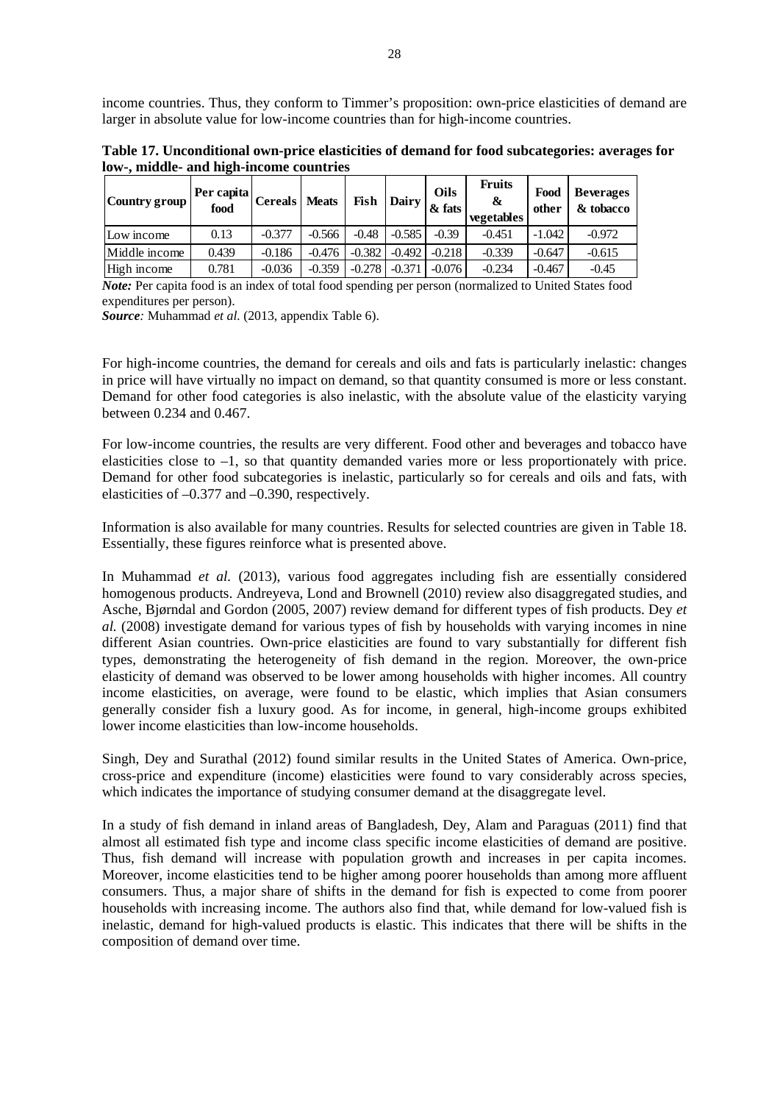income countries. Thus, they conform to Timmer's proposition: own-price elasticities of demand are larger in absolute value for low-income countries than for high-income countries.

**Table 17. Unconditional own-price elasticities of demand for food subcategories: averages for low-, middle- and high-income countries** 

| Country group | Per capita   Cereals   $N^*$<br>food |          | <b>Meats</b> | Fish     | Dairy    | <b>Oils</b><br>& fats | <b>Fruits</b><br>&<br><b>vegetables</b> | Food<br>other | <b>Beverages</b><br>& tobacco |
|---------------|--------------------------------------|----------|--------------|----------|----------|-----------------------|-----------------------------------------|---------------|-------------------------------|
| Low income    | 0.13                                 | $-0.377$ | $-0.566$     | $-0.48$  | $-0.585$ | $-0.39$               | $-0.451$                                | $-1.042$      | $-0.972$                      |
| Middle income | 0.439                                | $-0.186$ | $-0.476$     | $-0.382$ | $-0.492$ | $-0.218$              | $-0.339$                                | $-0.647$      | $-0.615$                      |
| High income   | 0.781                                | $-0.036$ | $-0.359$     | $-0.278$ | $-0.37$  | $-0.076$              | $-0.234$                                | $-0.467$      | $-0.45$                       |

*Note:* Per capita food is an index of total food spending per person (normalized to United States food expenditures per person).

*Source:* Muhammad *et al.* (2013, appendix Table 6).

For high-income countries, the demand for cereals and oils and fats is particularly inelastic: changes in price will have virtually no impact on demand, so that quantity consumed is more or less constant. Demand for other food categories is also inelastic, with the absolute value of the elasticity varying between 0.234 and 0.467.

For low-income countries, the results are very different. Food other and beverages and tobacco have elasticities close to –1, so that quantity demanded varies more or less proportionately with price. Demand for other food subcategories is inelastic, particularly so for cereals and oils and fats, with elasticities of –0.377 and –0.390, respectively.

Information is also available for many countries. Results for selected countries are given in Table 18. Essentially, these figures reinforce what is presented above.

In Muhammad *et al.* (2013), various food aggregates including fish are essentially considered homogenous products. Andreyeva, Lond and Brownell (2010) review also disaggregated studies, and Asche, Bjørndal and Gordon (2005, 2007) review demand for different types of fish products. Dey *et al.* (2008) investigate demand for various types of fish by households with varying incomes in nine different Asian countries. Own-price elasticities are found to vary substantially for different fish types, demonstrating the heterogeneity of fish demand in the region. Moreover, the own-price elasticity of demand was observed to be lower among households with higher incomes. All country income elasticities, on average, were found to be elastic, which implies that Asian consumers generally consider fish a luxury good. As for income, in general, high-income groups exhibited lower income elasticities than low-income households.

Singh, Dey and Surathal (2012) found similar results in the United States of America. Own-price, cross-price and expenditure (income) elasticities were found to vary considerably across species, which indicates the importance of studying consumer demand at the disaggregate level.

In a study of fish demand in inland areas of Bangladesh, Dey, Alam and Paraguas (2011) find that almost all estimated fish type and income class specific income elasticities of demand are positive. Thus, fish demand will increase with population growth and increases in per capita incomes. Moreover, income elasticities tend to be higher among poorer households than among more affluent consumers. Thus, a major share of shifts in the demand for fish is expected to come from poorer households with increasing income. The authors also find that, while demand for low-valued fish is inelastic, demand for high-valued products is elastic. This indicates that there will be shifts in the composition of demand over time.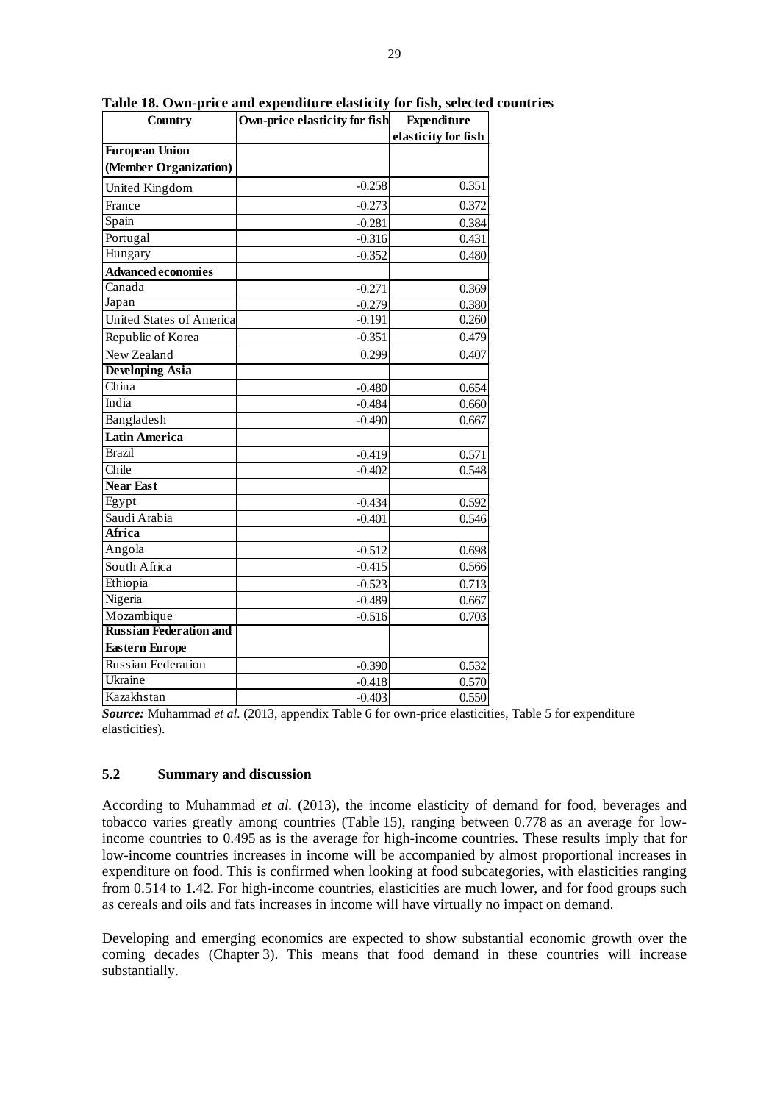| <b>Country</b>                  | Own-price elasticity for fish | <b>Expenditure</b>  |
|---------------------------------|-------------------------------|---------------------|
|                                 |                               | elasticity for fish |
| <b>European Union</b>           |                               |                     |
| (Member Organization)           |                               |                     |
| United Kingdom                  | $-0.258$                      | 0.351               |
| France                          | $-0.273$                      | 0.372               |
| Spain                           | $-0.281$                      | 0.384               |
| Portugal                        | $-0.316$                      | 0.431               |
| Hungary                         | $-0.352$                      | 0.480               |
| Advanced economies              |                               |                     |
| Canada                          | $-0.271$                      | 0.369               |
| Japan                           | $-0.279$                      | 0.380               |
| <b>United States of America</b> | $-0.191$                      | 0.260               |
| Republic of Korea               | $-0.351$                      | 0.479               |
| New Zealand                     | 0.299                         | 0.407               |
| <b>Developing Asia</b>          |                               |                     |
| China                           | $-0.480$                      | 0.654               |
| India                           | $-0.484$                      | 0.660               |
| Bangladesh                      | $-0.490$                      | 0.667               |
| Latin America                   |                               |                     |
| <b>Brazil</b>                   | $-0.419$                      | 0.571               |
| Chile                           | $-0.402$                      | 0.548               |
| <b>Near East</b>                |                               |                     |
| Egypt                           | $-0.434$                      | 0.592               |
| Saudi Arabia                    | $-0.401$                      | 0.546               |
| Africa                          |                               |                     |
| Angola                          | $-0.512$                      | 0.698               |
| South Africa                    | $-0.415$                      | 0.566               |
| Ethiopia                        | $-0.523$                      | 0.713               |
| Nigeria                         | $-0.489$                      | 0.667               |
| Mozambique                      | $-0.516$                      | 0.703               |
| <b>Russian Federation and</b>   |                               |                     |
| <b>Eastern Europe</b>           |                               |                     |
| Russian Federation              | $-0.390$                      | 0.532               |
| Ukraine                         | $-0.418$                      | 0.570               |
| Kazakhstan                      | $-0.403$                      | 0.550               |

**Table 18. Own-price and expenditure elasticity for fish, selected countries** 

*Source:* Muhammad *et al.* (2013, appendix Table 6 for own-price elasticities, Table 5 for expenditure elasticities).

#### **5.2 Summary and discussion**

According to Muhammad *et al.* (2013), the income elasticity of demand for food, beverages and tobacco varies greatly among countries (Table 15), ranging between 0.778 as an average for lowincome countries to 0.495 as is the average for high-income countries. These results imply that for low-income countries increases in income will be accompanied by almost proportional increases in expenditure on food. This is confirmed when looking at food subcategories, with elasticities ranging from 0.514 to 1.42. For high-income countries, elasticities are much lower, and for food groups such as cereals and oils and fats increases in income will have virtually no impact on demand.

Developing and emerging economics are expected to show substantial economic growth over the coming decades (Chapter 3). This means that food demand in these countries will increase substantially.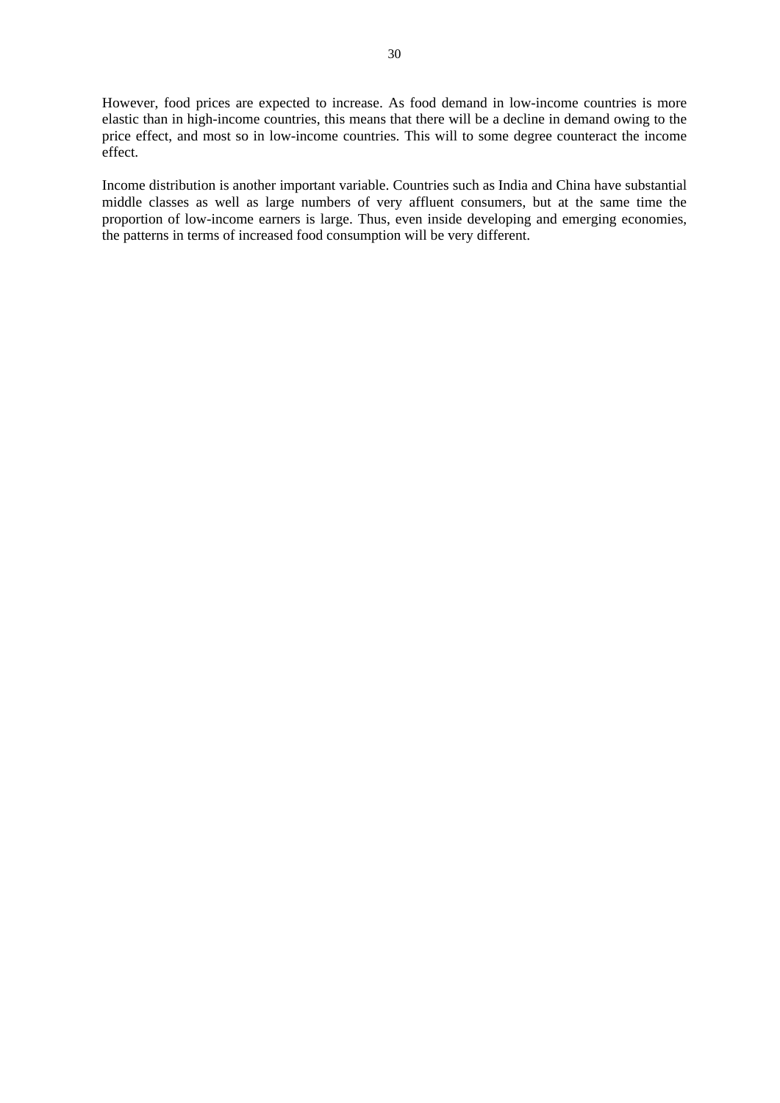However, food prices are expected to increase. As food demand in low-income countries is more elastic than in high-income countries, this means that there will be a decline in demand owing to the price effect, and most so in low-income countries. This will to some degree counteract the income effect.

Income distribution is another important variable. Countries such as India and China have substantial middle classes as well as large numbers of very affluent consumers, but at the same time the proportion of low-income earners is large. Thus, even inside developing and emerging economies, the patterns in terms of increased food consumption will be very different.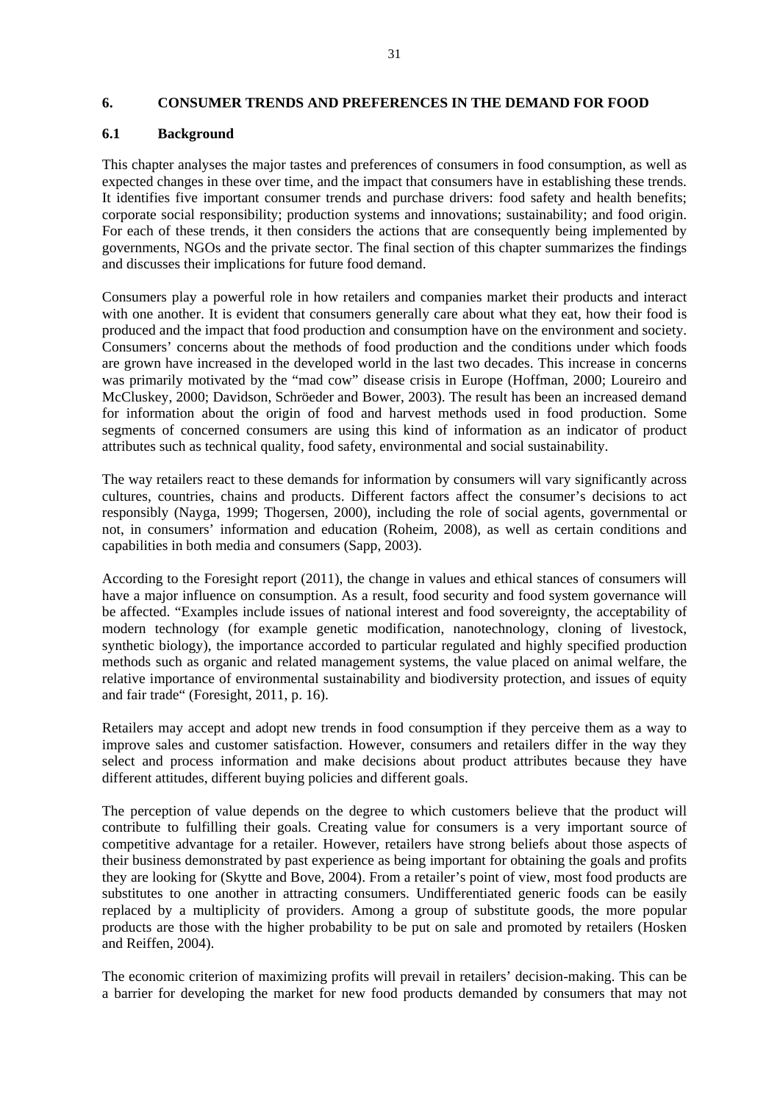#### **6. CONSUMER TRENDS AND PREFERENCES IN THE DEMAND FOR FOOD**

#### **6.1 Background**

This chapter analyses the major tastes and preferences of consumers in food consumption, as well as expected changes in these over time, and the impact that consumers have in establishing these trends. It identifies five important consumer trends and purchase drivers: food safety and health benefits; corporate social responsibility; production systems and innovations; sustainability; and food origin. For each of these trends, it then considers the actions that are consequently being implemented by governments, NGOs and the private sector. The final section of this chapter summarizes the findings and discusses their implications for future food demand.

Consumers play a powerful role in how retailers and companies market their products and interact with one another. It is evident that consumers generally care about what they eat, how their food is produced and the impact that food production and consumption have on the environment and society. Consumers' concerns about the methods of food production and the conditions under which foods are grown have increased in the developed world in the last two decades. This increase in concerns was primarily motivated by the "mad cow" disease crisis in Europe (Hoffman, 2000; Loureiro and McCluskey, 2000; Davidson, Schröeder and Bower, 2003). The result has been an increased demand for information about the origin of food and harvest methods used in food production. Some segments of concerned consumers are using this kind of information as an indicator of product attributes such as technical quality, food safety, environmental and social sustainability.

The way retailers react to these demands for information by consumers will vary significantly across cultures, countries, chains and products. Different factors affect the consumer's decisions to act responsibly (Nayga, 1999; Thogersen, 2000), including the role of social agents, governmental or not, in consumers' information and education (Roheim, 2008), as well as certain conditions and capabilities in both media and consumers (Sapp, 2003).

According to the Foresight report (2011), the change in values and ethical stances of consumers will have a major influence on consumption. As a result, food security and food system governance will be affected. "Examples include issues of national interest and food sovereignty, the acceptability of modern technology (for example genetic modification, nanotechnology, cloning of livestock, synthetic biology), the importance accorded to particular regulated and highly specified production methods such as organic and related management systems, the value placed on animal welfare, the relative importance of environmental sustainability and biodiversity protection, and issues of equity and fair trade" (Foresight, 2011, p. 16).

Retailers may accept and adopt new trends in food consumption if they perceive them as a way to improve sales and customer satisfaction. However, consumers and retailers differ in the way they select and process information and make decisions about product attributes because they have different attitudes, different buying policies and different goals.

The perception of value depends on the degree to which customers believe that the product will contribute to fulfilling their goals. Creating value for consumers is a very important source of competitive advantage for a retailer. However, retailers have strong beliefs about those aspects of their business demonstrated by past experience as being important for obtaining the goals and profits they are looking for (Skytte and Bove, 2004). From a retailer's point of view, most food products are substitutes to one another in attracting consumers. Undifferentiated generic foods can be easily replaced by a multiplicity of providers. Among a group of substitute goods, the more popular products are those with the higher probability to be put on sale and promoted by retailers (Hosken and Reiffen, 2004).

The economic criterion of maximizing profits will prevail in retailers' decision-making. This can be a barrier for developing the market for new food products demanded by consumers that may not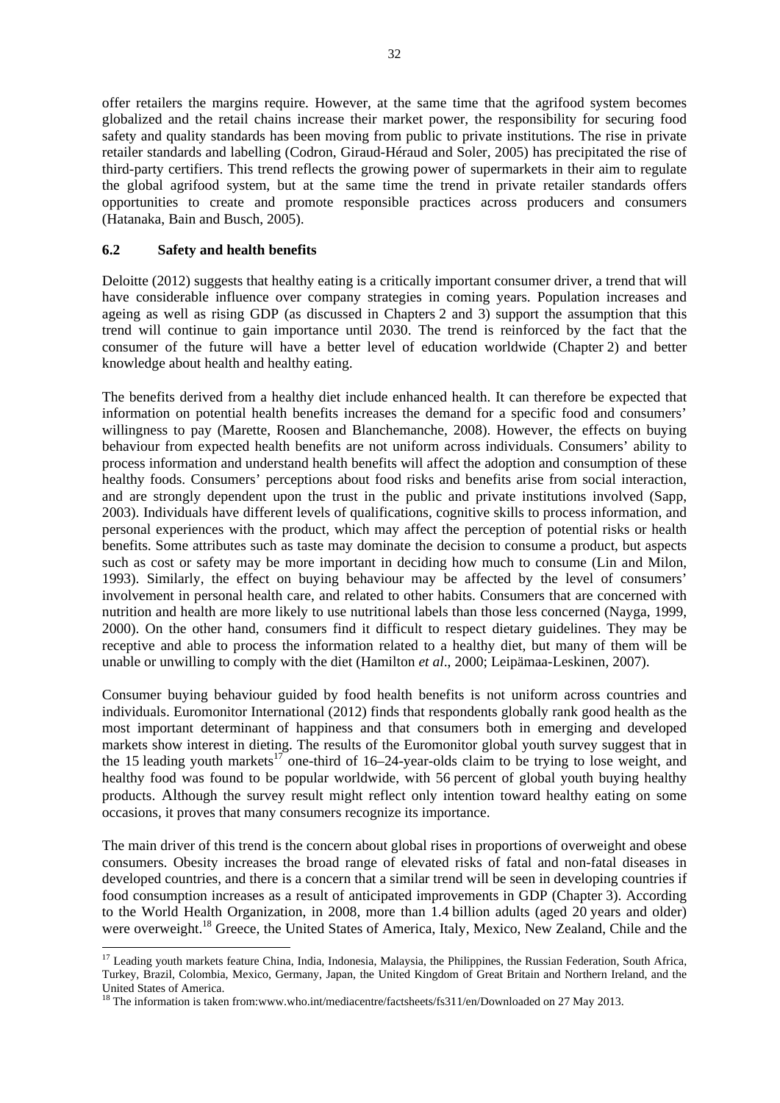offer retailers the margins require. However, at the same time that the agrifood system becomes globalized and the retail chains increase their market power, the responsibility for securing food safety and quality standards has been moving from public to private institutions. The rise in private retailer standards and labelling (Codron, Giraud-Héraud and Soler, 2005) has precipitated the rise of third-party certifiers. This trend reflects the growing power of supermarkets in their aim to regulate the global agrifood system, but at the same time the trend in private retailer standards offers opportunities to create and promote responsible practices across producers and consumers (Hatanaka, Bain and Busch, 2005).

#### **6.2 Safety and health benefits**

1

Deloitte (2012) suggests that healthy eating is a critically important consumer driver, a trend that will have considerable influence over company strategies in coming years. Population increases and ageing as well as rising GDP (as discussed in Chapters 2 and 3) support the assumption that this trend will continue to gain importance until 2030. The trend is reinforced by the fact that the consumer of the future will have a better level of education worldwide (Chapter 2) and better knowledge about health and healthy eating.

The benefits derived from a healthy diet include enhanced health. It can therefore be expected that information on potential health benefits increases the demand for a specific food and consumers' willingness to pay (Marette, Roosen and Blanchemanche, 2008). However, the effects on buying behaviour from expected health benefits are not uniform across individuals. Consumers' ability to process information and understand health benefits will affect the adoption and consumption of these healthy foods. Consumers' perceptions about food risks and benefits arise from social interaction, and are strongly dependent upon the trust in the public and private institutions involved (Sapp, 2003). Individuals have different levels of qualifications, cognitive skills to process information, and personal experiences with the product, which may affect the perception of potential risks or health benefits. Some attributes such as taste may dominate the decision to consume a product, but aspects such as cost or safety may be more important in deciding how much to consume (Lin and Milon, 1993). Similarly, the effect on buying behaviour may be affected by the level of consumers' involvement in personal health care, and related to other habits. Consumers that are concerned with nutrition and health are more likely to use nutritional labels than those less concerned (Nayga, 1999, 2000). On the other hand, consumers find it difficult to respect dietary guidelines. They may be receptive and able to process the information related to a healthy diet, but many of them will be unable or unwilling to comply with the diet (Hamilton *et al*., 2000; Leipämaa-Leskinen, 2007).

Consumer buying behaviour guided by food health benefits is not uniform across countries and individuals. Euromonitor International (2012) finds that respondents globally rank good health as the most important determinant of happiness and that consumers both in emerging and developed markets show interest in dieting. The results of the Euromonitor global youth survey suggest that in the 15 leading youth markets<sup>17</sup> one-third of 16–24-year-olds claim to be trying to lose weight, and healthy food was found to be popular worldwide, with 56 percent of global youth buying healthy products. Although the survey result might reflect only intention toward healthy eating on some occasions, it proves that many consumers recognize its importance.

The main driver of this trend is the concern about global rises in proportions of overweight and obese consumers. Obesity increases the broad range of elevated risks of fatal and non-fatal diseases in developed countries, and there is a concern that a similar trend will be seen in developing countries if food consumption increases as a result of anticipated improvements in GDP (Chapter 3). According to the World Health Organization, in 2008, more than 1.4 billion adults (aged 20 years and older) were overweight.<sup>18</sup> Greece, the United States of America, Italy, Mexico, New Zealand, Chile and the

<sup>&</sup>lt;sup>17</sup> Leading youth markets feature China, India, Indonesia, Malaysia, the Philippines, the Russian Federation, South Africa, Turkey, Brazil, Colombia, Mexico, Germany, Japan, the United Kingdom of Great Britain and Northern Ireland, and the United States of America.

<sup>&</sup>lt;sup>18</sup> The information is taken from:www.who.int/mediacentre/factsheets/fs311/en/Downloaded on 27 May 2013.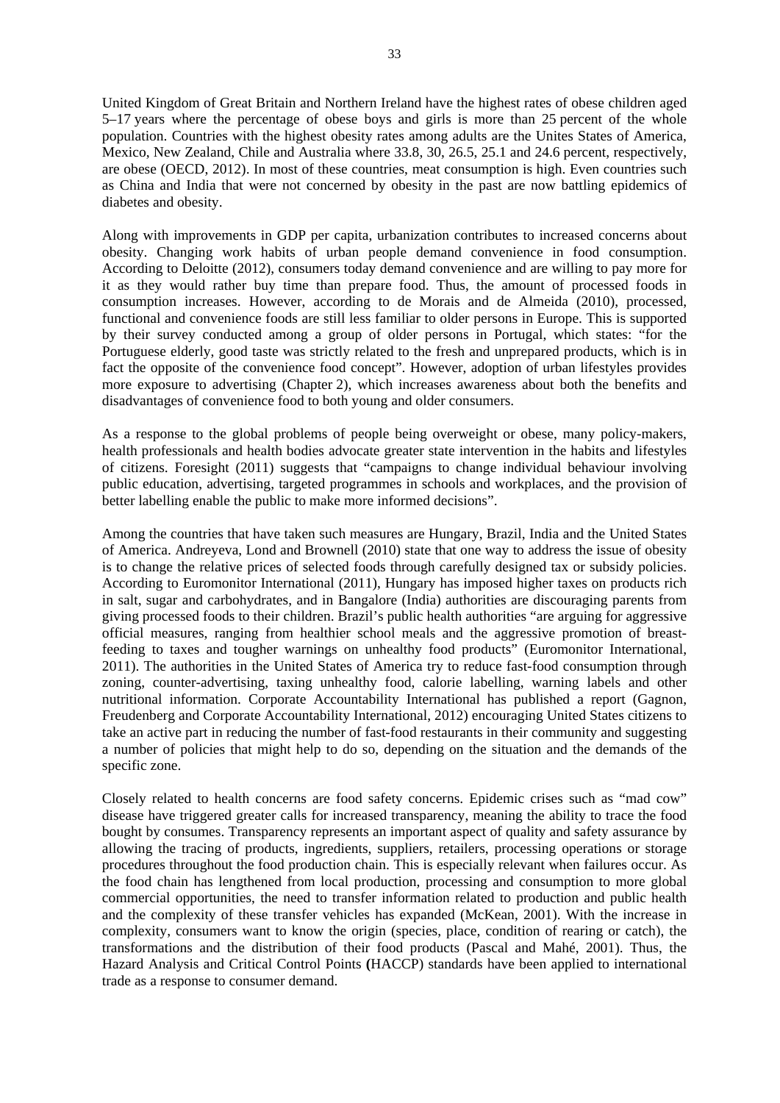United Kingdom of Great Britain and Northern Ireland have the highest rates of obese children aged 5–17 years where the percentage of obese boys and girls is more than 25 percent of the whole population. Countries with the highest obesity rates among adults are the Unites States of America, Mexico, New Zealand, Chile and Australia where 33.8, 30, 26.5, 25.1 and 24.6 percent, respectively, are obese (OECD, 2012). In most of these countries, meat consumption is high. Even countries such as China and India that were not concerned by obesity in the past are now battling epidemics of diabetes and obesity.

Along with improvements in GDP per capita, urbanization contributes to increased concerns about obesity. Changing work habits of urban people demand convenience in food consumption. According to Deloitte (2012), consumers today demand convenience and are willing to pay more for it as they would rather buy time than prepare food. Thus, the amount of processed foods in consumption increases. However, according to de Morais and de Almeida (2010), processed, functional and convenience foods are still less familiar to older persons in Europe. This is supported by their survey conducted among a group of older persons in Portugal, which states: "for the Portuguese elderly, good taste was strictly related to the fresh and unprepared products, which is in fact the opposite of the convenience food concept". However, adoption of urban lifestyles provides more exposure to advertising (Chapter 2), which increases awareness about both the benefits and disadvantages of convenience food to both young and older consumers.

As a response to the global problems of people being overweight or obese, many policy-makers, health professionals and health bodies advocate greater state intervention in the habits and lifestyles of citizens. Foresight (2011) suggests that "campaigns to change individual behaviour involving public education, advertising, targeted programmes in schools and workplaces, and the provision of better labelling enable the public to make more informed decisions".

Among the countries that have taken such measures are Hungary, Brazil, India and the United States of America. Andreyeva, Lond and Brownell (2010) state that one way to address the issue of obesity is to change the relative prices of selected foods through carefully designed tax or subsidy policies. According to Euromonitor International (2011), Hungary has imposed higher taxes on products rich in salt, sugar and carbohydrates, and in Bangalore (India) authorities are discouraging parents from giving processed foods to their children. Brazil's public health authorities "are arguing for aggressive official measures, ranging from healthier school meals and the aggressive promotion of breastfeeding to taxes and tougher warnings on unhealthy food products" (Euromonitor International, 2011). The authorities in the United States of America try to reduce fast-food consumption through zoning, counter-advertising, taxing unhealthy food, calorie labelling, warning labels and other nutritional information. Corporate Accountability International has published a report (Gagnon, Freudenberg and Corporate Accountability International, 2012) encouraging United States citizens to take an active part in reducing the number of fast-food restaurants in their community and suggesting a number of policies that might help to do so, depending on the situation and the demands of the specific zone.

Closely related to health concerns are food safety concerns. Epidemic crises such as "mad cow" disease have triggered greater calls for increased transparency, meaning the ability to trace the food bought by consumes. Transparency represents an important aspect of quality and safety assurance by allowing the tracing of products, ingredients, suppliers, retailers, processing operations or storage procedures throughout the food production chain. This is especially relevant when failures occur. As the food chain has lengthened from local production, processing and consumption to more global commercial opportunities, the need to transfer information related to production and public health and the complexity of these transfer vehicles has expanded (McKean, 2001). With the increase in complexity, consumers want to know the origin (species, place, condition of rearing or catch), the transformations and the distribution of their food products (Pascal and Mahé, 2001). Thus, the Hazard Analysis and Critical Control Points **(**HACCP) standards have been applied to international trade as a response to consumer demand.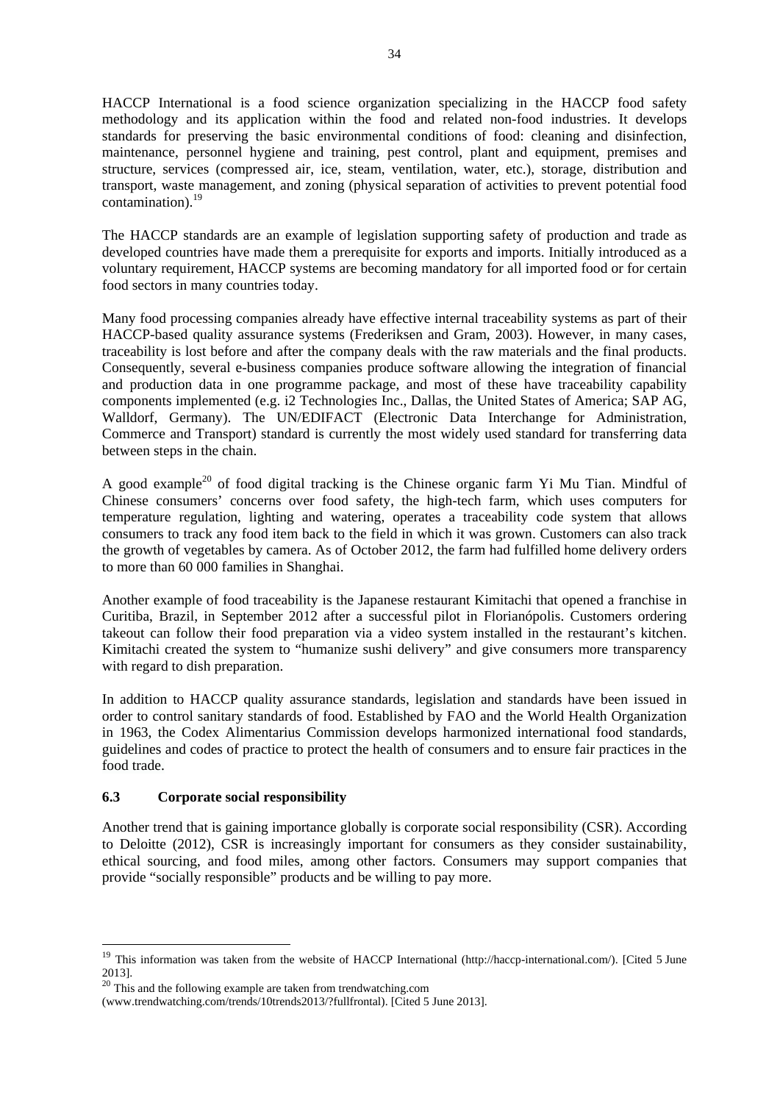HACCP International is a food science organization specializing in the HACCP food safety methodology and its application within the food and related non-food industries. It develops standards for preserving the basic environmental conditions of food: cleaning and disinfection, maintenance, personnel hygiene and training, pest control, plant and equipment, premises and structure, services (compressed air, ice, steam, ventilation, water, etc.), storage, distribution and transport, waste management, and zoning (physical separation of activities to prevent potential food contamination). $^{19}$ 

The HACCP standards are an example of legislation supporting safety of production and trade as developed countries have made them a prerequisite for exports and imports. Initially introduced as a voluntary requirement, HACCP systems are becoming mandatory for all imported food or for certain food sectors in many countries today.

Many food processing companies already have effective internal traceability systems as part of their HACCP-based quality assurance systems (Frederiksen and Gram, 2003). However, in many cases, traceability is lost before and after the company deals with the raw materials and the final products. Consequently, several e-business companies produce software allowing the integration of financial and production data in one programme package, and most of these have traceability capability components implemented (e.g. i2 Technologies Inc., Dallas, the United States of America; SAP AG, Walldorf, Germany). The UN/EDIFACT (Electronic Data Interchange for Administration, Commerce and Transport) standard is currently the most widely used standard for transferring data between steps in the chain.

A good example<sup>20</sup> of food digital tracking is the Chinese organic farm Yi Mu Tian. Mindful of Chinese consumers' concerns over food safety, the high-tech farm, which uses computers for temperature regulation, lighting and watering, operates a traceability code system that allows consumers to track any food item back to the field in which it was grown. Customers can also track the growth of vegetables by camera. As of October 2012, the farm had fulfilled home delivery orders to more than 60 000 families in Shanghai.

Another example of food traceability is the Japanese restaurant Kimitachi that opened a franchise in Curitiba, Brazil, in September 2012 after a successful pilot in Florianópolis. Customers ordering takeout can follow their food preparation via a video system installed in the restaurant's kitchen. Kimitachi created the system to "humanize sushi delivery" and give consumers more transparency with regard to dish preparation.

In addition to HACCP quality assurance standards, legislation and standards have been issued in order to control sanitary standards of food. Established by FAO and the World Health Organization in 1963, the Codex Alimentarius Commission develops harmonized international food standards, guidelines and codes of practice to protect the health of consumers and to ensure fair practices in the food trade.

## **6.3 Corporate social responsibility**

-

Another trend that is gaining importance globally is corporate social responsibility (CSR). According to Deloitte (2012), CSR is increasingly important for consumers as they consider sustainability, ethical sourcing, and food miles, among other factors. Consumers may support companies that provide "socially responsible" products and be willing to pay more.

<sup>&</sup>lt;sup>19</sup> This information was taken from the website of HACCP International (http://haccp-international.com/). [Cited 5 June 2013].

<sup>&</sup>lt;sup>20</sup> This and the following example are taken from trendwatching.com

<sup>(</sup>www.trendwatching.com/trends/10trends2013/?fullfrontal). [Cited 5 June 2013].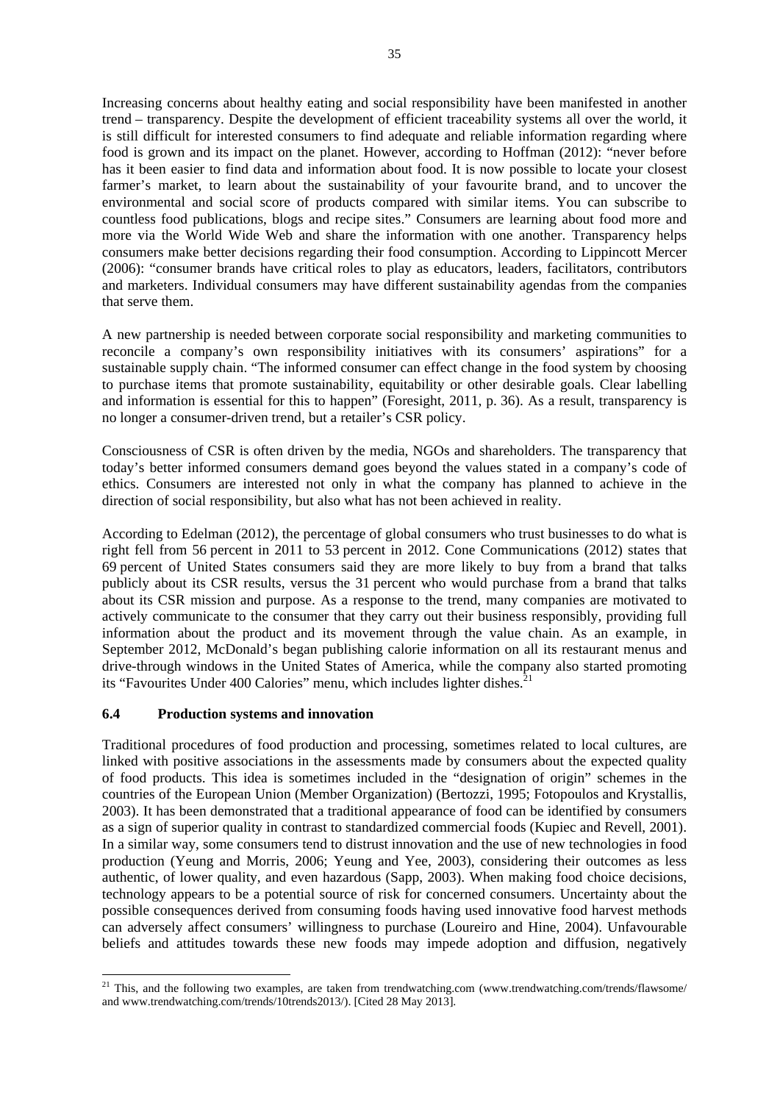Increasing concerns about healthy eating and social responsibility have been manifested in another trend – transparency. Despite the development of efficient traceability systems all over the world, it is still difficult for interested consumers to find adequate and reliable information regarding where food is grown and its impact on the planet. However, according to Hoffman (2012): "never before has it been easier to find data and information about food. It is now possible to locate your closest farmer's market, to learn about the sustainability of your favourite brand, and to uncover the environmental and social score of products compared with similar items. You can subscribe to countless food publications, blogs and recipe sites." Consumers are learning about food more and more via the World Wide Web and share the information with one another. Transparency helps consumers make better decisions regarding their food consumption. According to Lippincott Mercer (2006): "consumer brands have critical roles to play as educators, leaders, facilitators, contributors and marketers. Individual consumers may have different sustainability agendas from the companies that serve them.

A new partnership is needed between corporate social responsibility and marketing communities to reconcile a company's own responsibility initiatives with its consumers' aspirations" for a sustainable supply chain. "The informed consumer can effect change in the food system by choosing to purchase items that promote sustainability, equitability or other desirable goals. Clear labelling and information is essential for this to happen" (Foresight, 2011, p. 36). As a result, transparency is no longer a consumer-driven trend, but a retailer's CSR policy.

Consciousness of CSR is often driven by the media, NGOs and shareholders. The transparency that today's better informed consumers demand goes beyond the values stated in a company's code of ethics. Consumers are interested not only in what the company has planned to achieve in the direction of social responsibility, but also what has not been achieved in reality.

According to Edelman (2012), the percentage of global consumers who trust businesses to do what is right fell from 56 percent in 2011 to 53 percent in 2012. Cone Communications (2012) states that 69 percent of United States consumers said they are more likely to buy from a brand that talks publicly about its CSR results, versus the 31 percent who would purchase from a brand that talks about its CSR mission and purpose. As a response to the trend, many companies are motivated to actively communicate to the consumer that they carry out their business responsibly, providing full information about the product and its movement through the value chain. As an example, in September 2012, McDonald's began publishing calorie information on all its restaurant menus and drive-through windows in the United States of America, while the company also started promoting its "Favourites Under 400 Calories" menu, which includes lighter dishes.<sup>21</sup>

## **6.4 Production systems and innovation**

1

Traditional procedures of food production and processing, sometimes related to local cultures, are linked with positive associations in the assessments made by consumers about the expected quality of food products. This idea is sometimes included in the "designation of origin" schemes in the countries of the European Union (Member Organization) (Bertozzi, 1995; Fotopoulos and Krystallis, 2003). It has been demonstrated that a traditional appearance of food can be identified by consumers as a sign of superior quality in contrast to standardized commercial foods (Kupiec and Revell, 2001). In a similar way, some consumers tend to distrust innovation and the use of new technologies in food production (Yeung and Morris, 2006; Yeung and Yee, 2003), considering their outcomes as less authentic, of lower quality, and even hazardous (Sapp, 2003). When making food choice decisions, technology appears to be a potential source of risk for concerned consumers. Uncertainty about the possible consequences derived from consuming foods having used innovative food harvest methods can adversely affect consumers' willingness to purchase (Loureiro and Hine, 2004). Unfavourable beliefs and attitudes towards these new foods may impede adoption and diffusion, negatively

<sup>&</sup>lt;sup>21</sup> This, and the following two examples, are taken from trendwatching.com (www.trendwatching.com/trends/flawsome/ and www.trendwatching.com/trends/10trends2013/). [Cited 28 May 2013].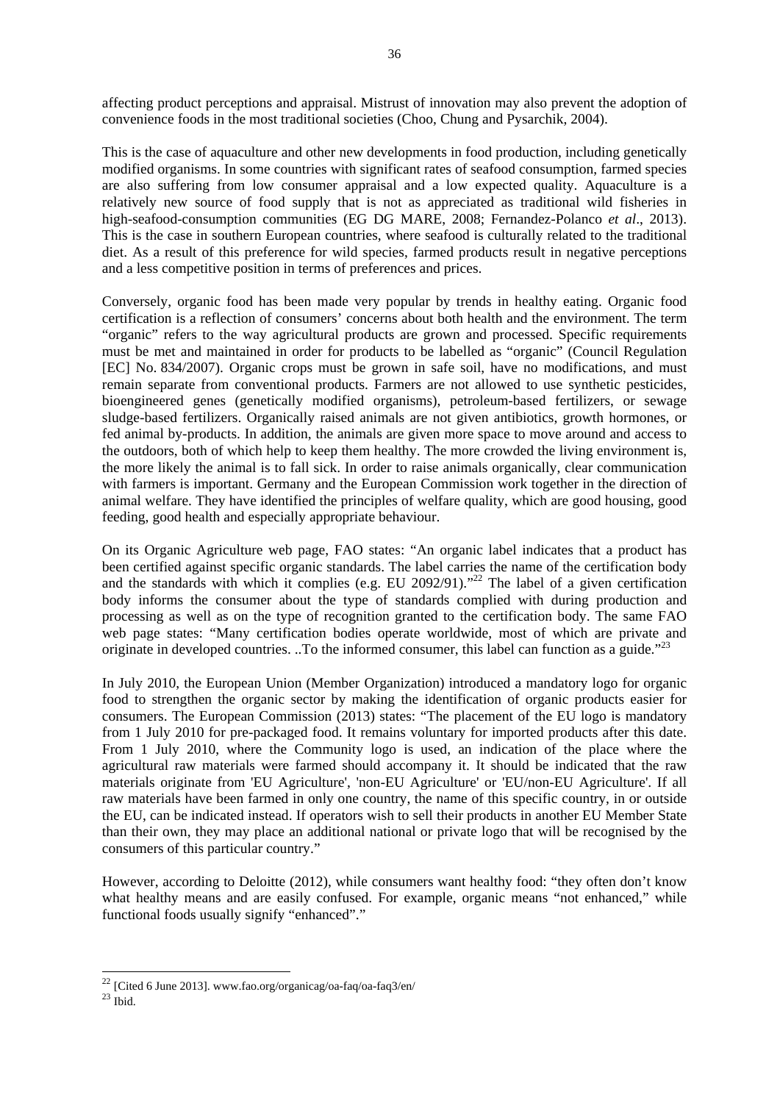affecting product perceptions and appraisal. Mistrust of innovation may also prevent the adoption of convenience foods in the most traditional societies (Choo, Chung and Pysarchik, 2004).

This is the case of aquaculture and other new developments in food production, including genetically modified organisms. In some countries with significant rates of seafood consumption, farmed species are also suffering from low consumer appraisal and a low expected quality. Aquaculture is a relatively new source of food supply that is not as appreciated as traditional wild fisheries in high-seafood-consumption communities (EG DG MARE, 2008; Fernandez-Polanco *et al*., 2013). This is the case in southern European countries, where seafood is culturally related to the traditional diet. As a result of this preference for wild species, farmed products result in negative perceptions and a less competitive position in terms of preferences and prices.

Conversely, organic food has been made very popular by trends in healthy eating. Organic food certification is a reflection of consumers' concerns about both health and the environment. The term "organic" refers to the way agricultural products are grown and processed. Specific requirements must be met and maintained in order for products to be labelled as "organic" (Council Regulation [EC] No. 834/2007). Organic crops must be grown in safe soil, have no modifications, and must remain separate from conventional products. Farmers are not allowed to use synthetic pesticides, bioengineered genes (genetically modified organisms), petroleum-based fertilizers, or sewage sludge-based fertilizers. Organically raised animals are not given antibiotics, growth hormones, or fed animal by-products. In addition, the animals are given more space to move around and access to the outdoors, both of which help to keep them healthy. The more crowded the living environment is, the more likely the animal is to fall sick. In order to raise animals organically, clear communication with farmers is important. Germany and the European Commission work together in the direction of animal welfare. They have identified the principles of welfare quality, which are good housing, good feeding, good health and especially appropriate behaviour.

On its Organic Agriculture web page, FAO states: "An organic label indicates that a product has been certified against specific organic standards. The label carries the name of the certification body and the standards with which it complies (e.g. EU 2092/91)."<sup>22</sup> The label of a given certification body informs the consumer about the type of standards complied with during production and processing as well as on the type of recognition granted to the certification body. The same FAO web page states: "Many certification bodies operate worldwide, most of which are private and originate in developed countries. ..To the informed consumer, this label can function as a guide."<sup>23</sup>

In July 2010, the European Union (Member Organization) introduced a mandatory logo for organic food to strengthen the organic sector by making the identification of organic products easier for consumers. The European Commission (2013) states: "The placement of the EU logo is mandatory from 1 July 2010 for pre-packaged food. It remains voluntary for imported products after this date. From 1 July 2010, where the Community logo is used, an indication of the place where the agricultural raw materials were farmed should accompany it. It should be indicated that the raw materials originate from 'EU Agriculture', 'non-EU Agriculture' or 'EU/non-EU Agriculture'. If all raw materials have been farmed in only one country, the name of this specific country, in or outside the EU, can be indicated instead. If operators wish to sell their products in another EU Member State than their own, they may place an additional national or private logo that will be recognised by the consumers of this particular country."

However, according to Deloitte (2012), while consumers want healthy food: "they often don't know what healthy means and are easily confused. For example, organic means "not enhanced," while functional foods usually signify "enhanced"."

1

<sup>&</sup>lt;sup>22</sup> [Cited 6 June 2013]. www.fao.org/organicag/oa-faq/oa-faq3/en/  $^{23}$  Ibid.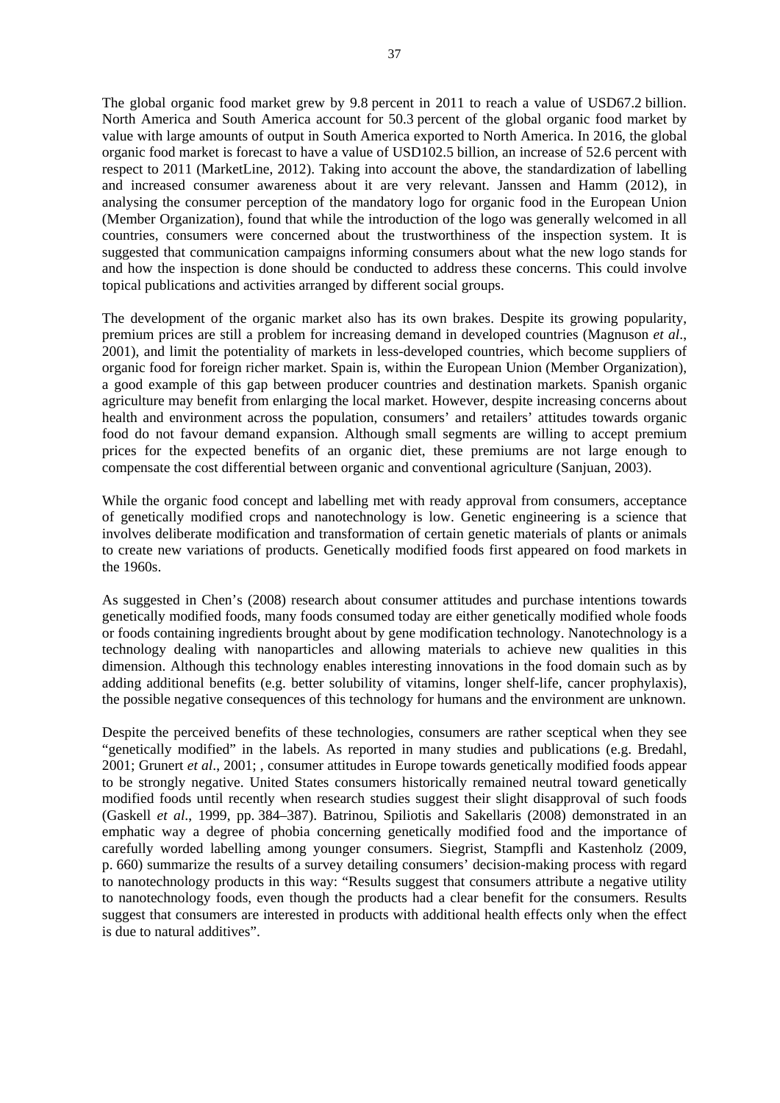The global organic food market grew by 9.8 percent in 2011 to reach a value of USD67.2 billion. North America and South America account for 50.3 percent of the global organic food market by value with large amounts of output in South America exported to North America. In 2016, the global organic food market is forecast to have a value of USD102.5 billion, an increase of 52.6 percent with respect to 2011 (MarketLine, 2012). Taking into account the above, the standardization of labelling and increased consumer awareness about it are very relevant. Janssen and Hamm (2012), in analysing the consumer perception of the mandatory logo for organic food in the European Union (Member Organization), found that while the introduction of the logo was generally welcomed in all countries, consumers were concerned about the trustworthiness of the inspection system. It is suggested that communication campaigns informing consumers about what the new logo stands for and how the inspection is done should be conducted to address these concerns. This could involve topical publications and activities arranged by different social groups.

The development of the organic market also has its own brakes. Despite its growing popularity, premium prices are still a problem for increasing demand in developed countries (Magnuson *et al*., 2001), and limit the potentiality of markets in less-developed countries, which become suppliers of organic food for foreign richer market. Spain is, within the European Union (Member Organization), a good example of this gap between producer countries and destination markets. Spanish organic agriculture may benefit from enlarging the local market. However, despite increasing concerns about health and environment across the population, consumers' and retailers' attitudes towards organic food do not favour demand expansion. Although small segments are willing to accept premium prices for the expected benefits of an organic diet, these premiums are not large enough to compensate the cost differential between organic and conventional agriculture (Sanjuan, 2003).

While the organic food concept and labelling met with ready approval from consumers, acceptance of genetically modified crops and nanotechnology is low. Genetic engineering is a science that involves deliberate modification and transformation of certain genetic materials of plants or animals to create new variations of products. Genetically modified foods first appeared on food markets in the 1960s.

As suggested in Chen's (2008) research about consumer attitudes and purchase intentions towards genetically modified foods, many foods consumed today are either genetically modified whole foods or foods containing ingredients brought about by gene modification technology. Nanotechnology is a technology dealing with nanoparticles and allowing materials to achieve new qualities in this dimension. Although this technology enables interesting innovations in the food domain such as by adding additional benefits (e.g. better solubility of vitamins, longer shelf-life, cancer prophylaxis), the possible negative consequences of this technology for humans and the environment are unknown.

Despite the perceived benefits of these technologies, consumers are rather sceptical when they see "genetically modified" in the labels. As reported in many studies and publications (e.g. Bredahl, 2001; Grunert *et al*., 2001; , consumer attitudes in Europe towards genetically modified foods appear to be strongly negative. United States consumers historically remained neutral toward genetically modified foods until recently when research studies suggest their slight disapproval of such foods (Gaskell *et al*., 1999, pp. 384–387). Batrinou, Spiliotis and Sakellaris (2008) demonstrated in an emphatic way a degree of phobia concerning genetically modified food and the importance of carefully worded labelling among younger consumers. Siegrist, Stampfli and Kastenholz (2009, p. 660) summarize the results of a survey detailing consumers' decision-making process with regard to nanotechnology products in this way: "Results suggest that consumers attribute a negative utility to nanotechnology foods, even though the products had a clear benefit for the consumers. Results suggest that consumers are interested in products with additional health effects only when the effect is due to natural additives".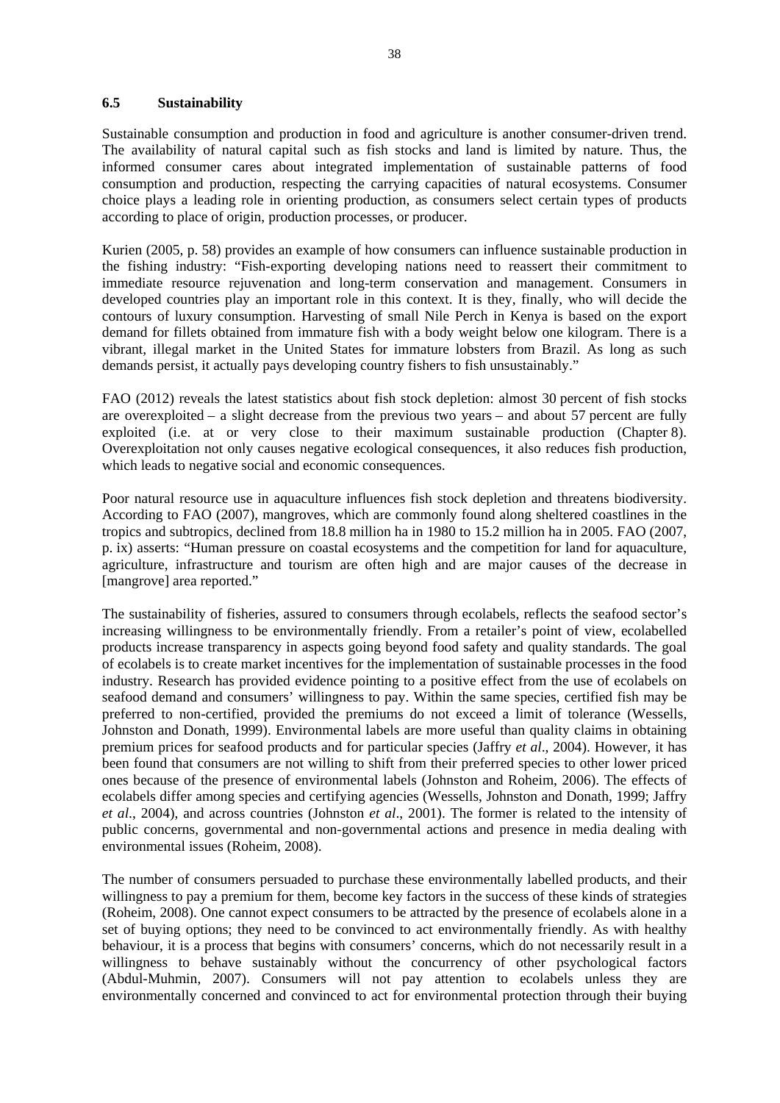#### **6.5 Sustainability**

Sustainable consumption and production in food and agriculture is another consumer-driven trend. The availability of natural capital such as fish stocks and land is limited by nature. Thus, the informed consumer cares about integrated implementation of sustainable patterns of food consumption and production, respecting the carrying capacities of natural ecosystems. Consumer choice plays a leading role in orienting production, as consumers select certain types of products according to place of origin, production processes, or producer.

Kurien (2005, p. 58) provides an example of how consumers can influence sustainable production in the fishing industry: "Fish-exporting developing nations need to reassert their commitment to immediate resource rejuvenation and long-term conservation and management. Consumers in developed countries play an important role in this context. It is they, finally, who will decide the contours of luxury consumption. Harvesting of small Nile Perch in Kenya is based on the export demand for fillets obtained from immature fish with a body weight below one kilogram. There is a vibrant, illegal market in the United States for immature lobsters from Brazil. As long as such demands persist, it actually pays developing country fishers to fish unsustainably."

FAO (2012) reveals the latest statistics about fish stock depletion: almost 30 percent of fish stocks are overexploited – a slight decrease from the previous two years – and about 57 percent are fully exploited (i.e. at or very close to their maximum sustainable production (Chapter 8). Overexploitation not only causes negative ecological consequences, it also reduces fish production, which leads to negative social and economic consequences.

Poor natural resource use in aquaculture influences fish stock depletion and threatens biodiversity. According to FAO (2007), mangroves, which are commonly found along sheltered coastlines in the tropics and subtropics, declined from 18.8 million ha in 1980 to 15.2 million ha in 2005. FAO (2007, p. ix) asserts: "Human pressure on coastal ecosystems and the competition for land for aquaculture, agriculture, infrastructure and tourism are often high and are major causes of the decrease in [mangrove] area reported."

The sustainability of fisheries, assured to consumers through ecolabels, reflects the seafood sector's increasing willingness to be environmentally friendly. From a retailer's point of view, ecolabelled products increase transparency in aspects going beyond food safety and quality standards. The goal of ecolabels is to create market incentives for the implementation of sustainable processes in the food industry. Research has provided evidence pointing to a positive effect from the use of ecolabels on seafood demand and consumers' willingness to pay. Within the same species, certified fish may be preferred to non-certified, provided the premiums do not exceed a limit of tolerance (Wessells, Johnston and Donath, 1999). Environmental labels are more useful than quality claims in obtaining premium prices for seafood products and for particular species (Jaffry *et al*., 2004). However, it has been found that consumers are not willing to shift from their preferred species to other lower priced ones because of the presence of environmental labels (Johnston and Roheim, 2006). The effects of ecolabels differ among species and certifying agencies (Wessells, Johnston and Donath, 1999; Jaffry *et al*., 2004), and across countries (Johnston *et al*., 2001). The former is related to the intensity of public concerns, governmental and non-governmental actions and presence in media dealing with environmental issues (Roheim, 2008).

The number of consumers persuaded to purchase these environmentally labelled products, and their willingness to pay a premium for them, become key factors in the success of these kinds of strategies (Roheim, 2008). One cannot expect consumers to be attracted by the presence of ecolabels alone in a set of buying options; they need to be convinced to act environmentally friendly. As with healthy behaviour, it is a process that begins with consumers' concerns, which do not necessarily result in a willingness to behave sustainably without the concurrency of other psychological factors (Abdul-Muhmin, 2007). Consumers will not pay attention to ecolabels unless they are environmentally concerned and convinced to act for environmental protection through their buying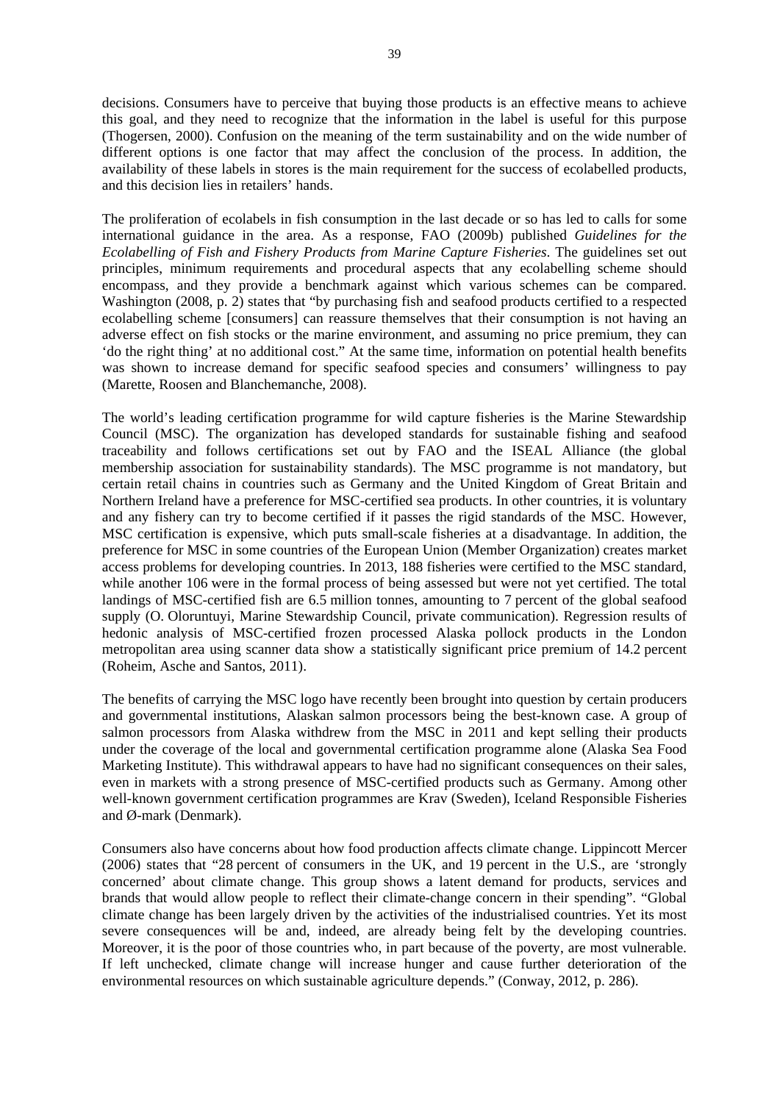decisions. Consumers have to perceive that buying those products is an effective means to achieve this goal, and they need to recognize that the information in the label is useful for this purpose (Thogersen, 2000). Confusion on the meaning of the term sustainability and on the wide number of different options is one factor that may affect the conclusion of the process. In addition, the availability of these labels in stores is the main requirement for the success of ecolabelled products, and this decision lies in retailers' hands.

The proliferation of ecolabels in fish consumption in the last decade or so has led to calls for some international guidance in the area. As a response, FAO (2009b) published *Guidelines for the Ecolabelling of Fish and Fishery Products from Marine Capture Fisheries*. The guidelines set out principles, minimum requirements and procedural aspects that any ecolabelling scheme should encompass, and they provide a benchmark against which various schemes can be compared. Washington (2008, p. 2) states that "by purchasing fish and seafood products certified to a respected ecolabelling scheme [consumers] can reassure themselves that their consumption is not having an adverse effect on fish stocks or the marine environment, and assuming no price premium, they can 'do the right thing' at no additional cost." At the same time, information on potential health benefits was shown to increase demand for specific seafood species and consumers' willingness to pay (Marette, Roosen and Blanchemanche, 2008).

The world's leading certification programme for wild capture fisheries is the Marine Stewardship Council (MSC). The organization has developed standards for sustainable fishing and seafood traceability and follows certifications set out by FAO and the ISEAL Alliance (the global membership association for sustainability standards). The MSC programme is not mandatory, but certain retail chains in countries such as Germany and the United Kingdom of Great Britain and Northern Ireland have a preference for MSC-certified sea products. In other countries, it is voluntary and any fishery can try to become certified if it passes the rigid standards of the MSC. However, MSC certification is expensive, which puts small-scale fisheries at a disadvantage. In addition, the preference for MSC in some countries of the European Union (Member Organization) creates market access problems for developing countries. In 2013, 188 fisheries were certified to the MSC standard, while another 106 were in the formal process of being assessed but were not yet certified. The total landings of MSC-certified fish are 6.5 million tonnes, amounting to 7 percent of the global seafood supply (O. Oloruntuyi, Marine Stewardship Council, private communication). Regression results of hedonic analysis of MSC-certified frozen processed Alaska pollock products in the London metropolitan area using scanner data show a statistically significant price premium of 14.2 percent (Roheim, Asche and Santos, 2011).

The benefits of carrying the MSC logo have recently been brought into question by certain producers and governmental institutions, Alaskan salmon processors being the best-known case. A group of salmon processors from Alaska withdrew from the MSC in 2011 and kept selling their products under the coverage of the local and governmental certification programme alone (Alaska Sea Food Marketing Institute). This withdrawal appears to have had no significant consequences on their sales, even in markets with a strong presence of MSC-certified products such as Germany. Among other well-known government certification programmes are Krav (Sweden), Iceland Responsible Fisheries and Ø-mark (Denmark).

Consumers also have concerns about how food production affects climate change. Lippincott Mercer (2006) states that "28 percent of consumers in the UK, and 19 percent in the U.S., are 'strongly concerned' about climate change. This group shows a latent demand for products, services and brands that would allow people to reflect their climate-change concern in their spending". "Global climate change has been largely driven by the activities of the industrialised countries. Yet its most severe consequences will be and, indeed, are already being felt by the developing countries. Moreover, it is the poor of those countries who, in part because of the poverty, are most vulnerable. If left unchecked, climate change will increase hunger and cause further deterioration of the environmental resources on which sustainable agriculture depends." (Conway, 2012, p. 286).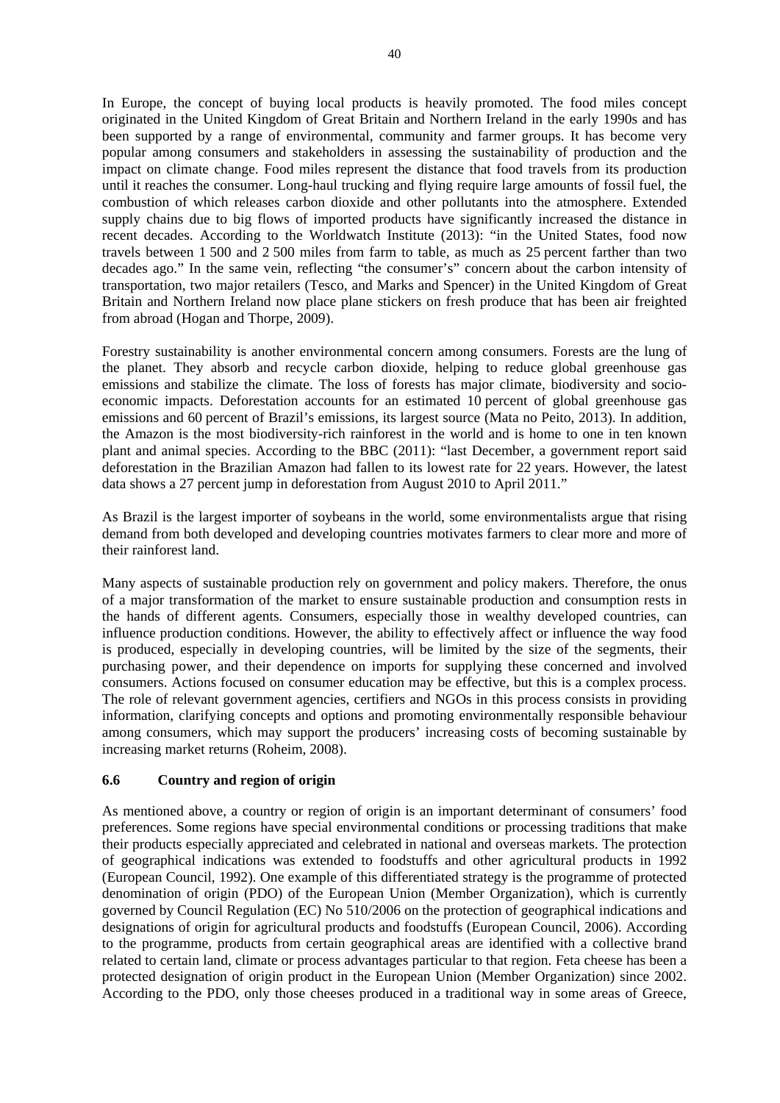In Europe, the concept of buying local products is heavily promoted. The food miles concept originated in the United Kingdom of Great Britain and Northern Ireland in the early 1990s and has been supported by a range of environmental, community and farmer groups. It has become very popular among consumers and stakeholders in assessing the sustainability of production and the impact on climate change. Food miles represent the distance that food travels from its production until it reaches the consumer. Long-haul trucking and flying require large amounts of fossil fuel, the combustion of which releases carbon dioxide and other pollutants into the atmosphere. Extended supply chains due to big flows of imported products have significantly increased the distance in recent decades. According to the Worldwatch Institute (2013): "in the United States, food now travels between 1 500 and 2 500 miles from farm to table, as much as 25 percent farther than two decades ago." In the same vein, reflecting "the consumer's" concern about the carbon intensity of transportation, two major retailers (Tesco, and Marks and Spencer) in the United Kingdom of Great Britain and Northern Ireland now place plane stickers on fresh produce that has been air freighted from abroad (Hogan and Thorpe, 2009).

Forestry sustainability is another environmental concern among consumers. Forests are the lung of the planet. They absorb and recycle carbon dioxide, helping to reduce global greenhouse gas emissions and stabilize the climate. The loss of forests has major climate, biodiversity and socioeconomic impacts. Deforestation accounts for an estimated 10 percent of global greenhouse gas emissions and 60 percent of Brazil's emissions, its largest source (Mata no Peito, 2013). In addition, the Amazon is the most biodiversity-rich rainforest in the world and is home to one in ten known plant and animal species. According to the BBC (2011): "last December, a government report said deforestation in the Brazilian Amazon had fallen to its lowest rate for 22 years. However, the latest data shows a 27 percent jump in deforestation from August 2010 to April 2011."

As Brazil is the largest importer of soybeans in the world, some environmentalists argue that rising demand from both developed and developing countries motivates farmers to clear more and more of their rainforest land.

Many aspects of sustainable production rely on government and policy makers. Therefore, the onus of a major transformation of the market to ensure sustainable production and consumption rests in the hands of different agents. Consumers, especially those in wealthy developed countries, can influence production conditions. However, the ability to effectively affect or influence the way food is produced, especially in developing countries, will be limited by the size of the segments, their purchasing power, and their dependence on imports for supplying these concerned and involved consumers. Actions focused on consumer education may be effective, but this is a complex process. The role of relevant government agencies, certifiers and NGOs in this process consists in providing information, clarifying concepts and options and promoting environmentally responsible behaviour among consumers, which may support the producers' increasing costs of becoming sustainable by increasing market returns (Roheim, 2008).

## **6.6 Country and region of origin**

As mentioned above, a country or region of origin is an important determinant of consumers' food preferences. Some regions have special environmental conditions or processing traditions that make their products especially appreciated and celebrated in national and overseas markets. The protection of geographical indications was extended to foodstuffs and other agricultural products in 1992 (European Council, 1992). One example of this differentiated strategy is the programme of protected denomination of origin (PDO) of the European Union (Member Organization), which is currently governed by Council Regulation (EC) No 510/2006 on the protection of geographical indications and designations of origin for agricultural products and foodstuffs (European Council, 2006). According to the programme, products from certain geographical areas are identified with a collective brand related to certain land, climate or process advantages particular to that region. Feta cheese has been a protected designation of origin product in the European Union (Member Organization) since 2002. According to the PDO, only those cheeses produced in a traditional way in some areas of Greece,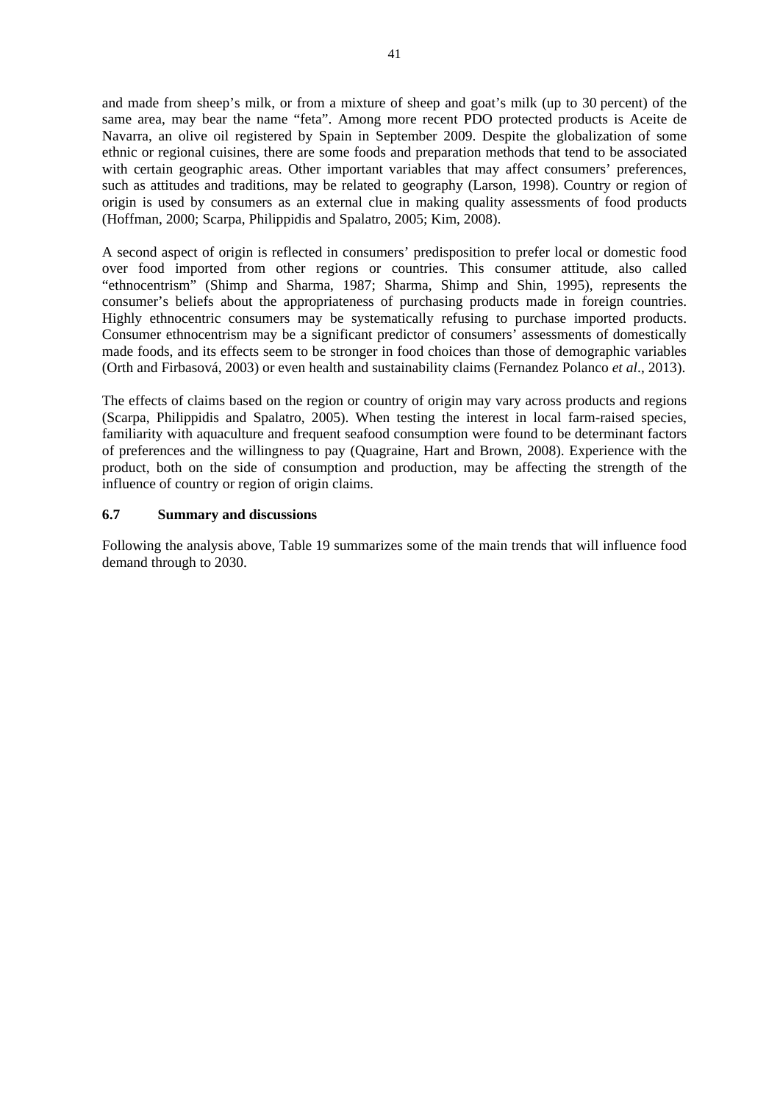and made from sheep's milk, or from a mixture of sheep and goat's milk (up to 30 percent) of the same area, may bear the name "feta". Among more recent PDO protected products is Aceite de Navarra, an olive oil registered by Spain in September 2009. Despite the globalization of some ethnic or regional cuisines, there are some foods and preparation methods that tend to be associated with certain geographic areas. Other important variables that may affect consumers' preferences, such as attitudes and traditions, may be related to geography (Larson, 1998). Country or region of origin is used by consumers as an external clue in making quality assessments of food products (Hoffman, 2000; Scarpa, Philippidis and Spalatro, 2005; Kim, 2008).

A second aspect of origin is reflected in consumers' predisposition to prefer local or domestic food over food imported from other regions or countries. This consumer attitude, also called "ethnocentrism" (Shimp and Sharma, 1987; Sharma, Shimp and Shin, 1995), represents the consumer's beliefs about the appropriateness of purchasing products made in foreign countries. Highly ethnocentric consumers may be systematically refusing to purchase imported products. Consumer ethnocentrism may be a significant predictor of consumers' assessments of domestically made foods, and its effects seem to be stronger in food choices than those of demographic variables (Orth and Firbasová, 2003) or even health and sustainability claims (Fernandez Polanco *et al*., 2013).

The effects of claims based on the region or country of origin may vary across products and regions (Scarpa, Philippidis and Spalatro, 2005). When testing the interest in local farm-raised species, familiarity with aquaculture and frequent seafood consumption were found to be determinant factors of preferences and the willingness to pay (Quagraine, Hart and Brown, 2008). Experience with the product, both on the side of consumption and production, may be affecting the strength of the influence of country or region of origin claims.

## **6.7 Summary and discussions**

Following the analysis above, Table 19 summarizes some of the main trends that will influence food demand through to 2030.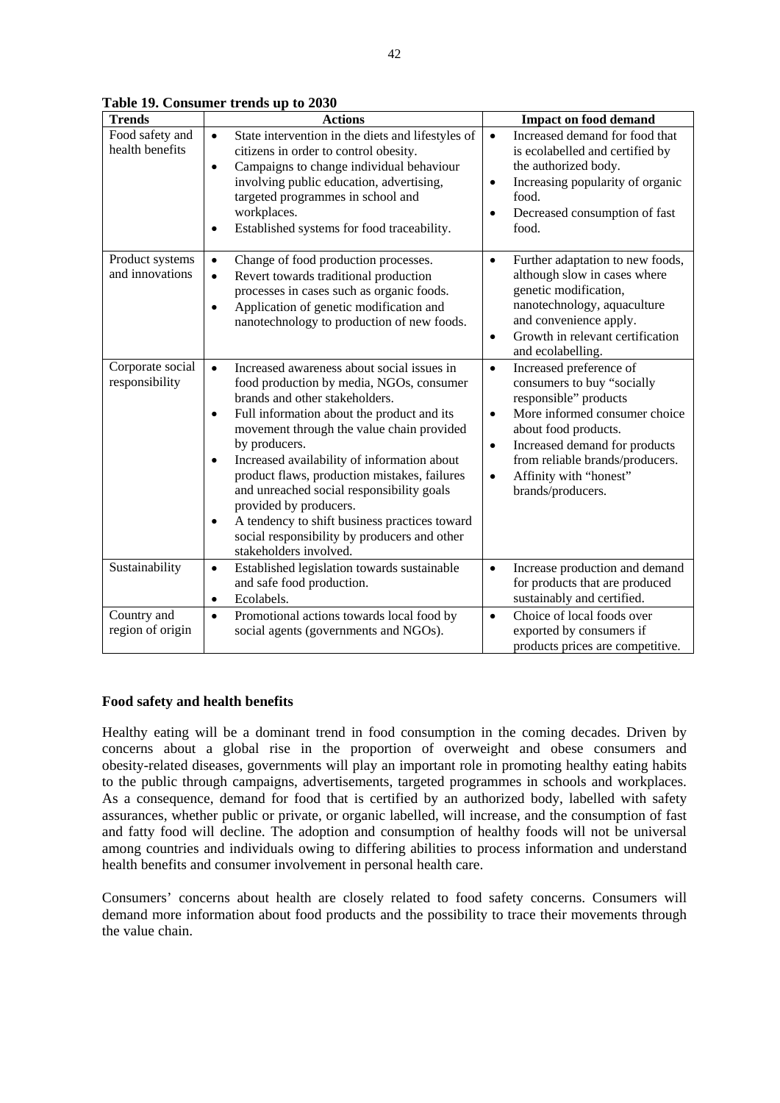| <b>Trends</b>                      | <b>Actions</b>                                                                                                                                                                                                                                                                                                                                                                                                                                                                                                                                                                            | <b>Impact on food demand</b>                                                                                                                                                                                                                                                                                   |
|------------------------------------|-------------------------------------------------------------------------------------------------------------------------------------------------------------------------------------------------------------------------------------------------------------------------------------------------------------------------------------------------------------------------------------------------------------------------------------------------------------------------------------------------------------------------------------------------------------------------------------------|----------------------------------------------------------------------------------------------------------------------------------------------------------------------------------------------------------------------------------------------------------------------------------------------------------------|
| Food safety and<br>health benefits | State intervention in the diets and lifestyles of<br>$\bullet$<br>citizens in order to control obesity.<br>Campaigns to change individual behaviour<br>$\bullet$<br>involving public education, advertising,<br>targeted programmes in school and<br>workplaces.<br>Established systems for food traceability.<br>$\bullet$                                                                                                                                                                                                                                                               | Increased demand for food that<br>$\bullet$<br>is ecolabelled and certified by<br>the authorized body.<br>Increasing popularity of organic<br>$\bullet$<br>food.<br>Decreased consumption of fast<br>$\bullet$<br>food.                                                                                        |
| Product systems<br>and innovations | Change of food production processes.<br>$\bullet$<br>Revert towards traditional production<br>$\bullet$<br>processes in cases such as organic foods.<br>Application of genetic modification and<br>$\bullet$<br>nanotechnology to production of new foods.                                                                                                                                                                                                                                                                                                                                | Further adaptation to new foods,<br>$\bullet$<br>although slow in cases where<br>genetic modification,<br>nanotechnology, aquaculture<br>and convenience apply.<br>Growth in relevant certification<br>$\bullet$<br>and ecolabelling.                                                                          |
| Corporate social<br>responsibility | Increased awareness about social issues in<br>$\bullet$<br>food production by media, NGOs, consumer<br>brands and other stakeholders.<br>Full information about the product and its<br>$\bullet$<br>movement through the value chain provided<br>by producers.<br>Increased availability of information about<br>$\bullet$<br>product flaws, production mistakes, failures<br>and unreached social responsibility goals<br>provided by producers.<br>A tendency to shift business practices toward<br>$\bullet$<br>social responsibility by producers and other<br>stakeholders involved. | Increased preference of<br>$\bullet$<br>consumers to buy "socially<br>responsible" products<br>More informed consumer choice<br>$\bullet$<br>about food products.<br>Increased demand for products<br>$\bullet$<br>from reliable brands/producers.<br>Affinity with "honest"<br>$\bullet$<br>brands/producers. |
| Sustainability                     | Established legislation towards sustainable<br>$\bullet$<br>and safe food production.<br>Ecolabels.<br>$\bullet$                                                                                                                                                                                                                                                                                                                                                                                                                                                                          | Increase production and demand<br>$\bullet$<br>for products that are produced<br>sustainably and certified.                                                                                                                                                                                                    |
| Country and<br>region of origin    | Promotional actions towards local food by<br>$\bullet$<br>social agents (governments and NGOs).                                                                                                                                                                                                                                                                                                                                                                                                                                                                                           | Choice of local foods over<br>$\bullet$<br>exported by consumers if<br>products prices are competitive.                                                                                                                                                                                                        |

**Table 19. Consumer trends up to 2030** 

## **Food safety and health benefits**

Healthy eating will be a dominant trend in food consumption in the coming decades. Driven by concerns about a global rise in the proportion of overweight and obese consumers and obesity-related diseases, governments will play an important role in promoting healthy eating habits to the public through campaigns, advertisements, targeted programmes in schools and workplaces. As a consequence, demand for food that is certified by an authorized body, labelled with safety assurances, whether public or private, or organic labelled, will increase, and the consumption of fast and fatty food will decline. The adoption and consumption of healthy foods will not be universal among countries and individuals owing to differing abilities to process information and understand health benefits and consumer involvement in personal health care.

Consumers' concerns about health are closely related to food safety concerns. Consumers will demand more information about food products and the possibility to trace their movements through the value chain.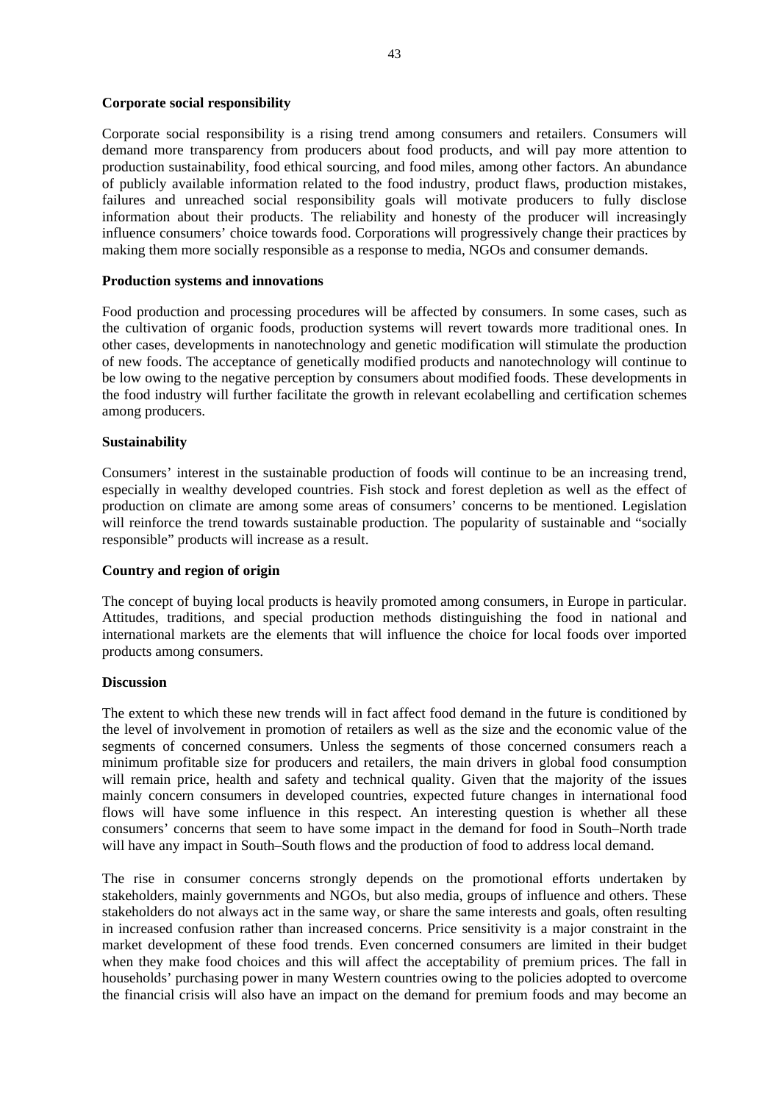#### **Corporate social responsibility**

Corporate social responsibility is a rising trend among consumers and retailers. Consumers will demand more transparency from producers about food products, and will pay more attention to production sustainability, food ethical sourcing, and food miles, among other factors. An abundance of publicly available information related to the food industry, product flaws, production mistakes, failures and unreached social responsibility goals will motivate producers to fully disclose information about their products. The reliability and honesty of the producer will increasingly influence consumers' choice towards food. Corporations will progressively change their practices by making them more socially responsible as a response to media, NGOs and consumer demands.

#### **Production systems and innovations**

Food production and processing procedures will be affected by consumers. In some cases, such as the cultivation of organic foods, production systems will revert towards more traditional ones. In other cases, developments in nanotechnology and genetic modification will stimulate the production of new foods. The acceptance of genetically modified products and nanotechnology will continue to be low owing to the negative perception by consumers about modified foods. These developments in the food industry will further facilitate the growth in relevant ecolabelling and certification schemes among producers.

#### **Sustainability**

Consumers' interest in the sustainable production of foods will continue to be an increasing trend, especially in wealthy developed countries. Fish stock and forest depletion as well as the effect of production on climate are among some areas of consumers' concerns to be mentioned. Legislation will reinforce the trend towards sustainable production. The popularity of sustainable and "socially responsible" products will increase as a result.

## **Country and region of origin**

The concept of buying local products is heavily promoted among consumers, in Europe in particular. Attitudes, traditions, and special production methods distinguishing the food in national and international markets are the elements that will influence the choice for local foods over imported products among consumers.

## **Discussion**

The extent to which these new trends will in fact affect food demand in the future is conditioned by the level of involvement in promotion of retailers as well as the size and the economic value of the segments of concerned consumers. Unless the segments of those concerned consumers reach a minimum profitable size for producers and retailers, the main drivers in global food consumption will remain price, health and safety and technical quality. Given that the majority of the issues mainly concern consumers in developed countries, expected future changes in international food flows will have some influence in this respect. An interesting question is whether all these consumers' concerns that seem to have some impact in the demand for food in South–North trade will have any impact in South–South flows and the production of food to address local demand.

The rise in consumer concerns strongly depends on the promotional efforts undertaken by stakeholders, mainly governments and NGOs, but also media, groups of influence and others. These stakeholders do not always act in the same way, or share the same interests and goals, often resulting in increased confusion rather than increased concerns. Price sensitivity is a major constraint in the market development of these food trends. Even concerned consumers are limited in their budget when they make food choices and this will affect the acceptability of premium prices. The fall in households' purchasing power in many Western countries owing to the policies adopted to overcome the financial crisis will also have an impact on the demand for premium foods and may become an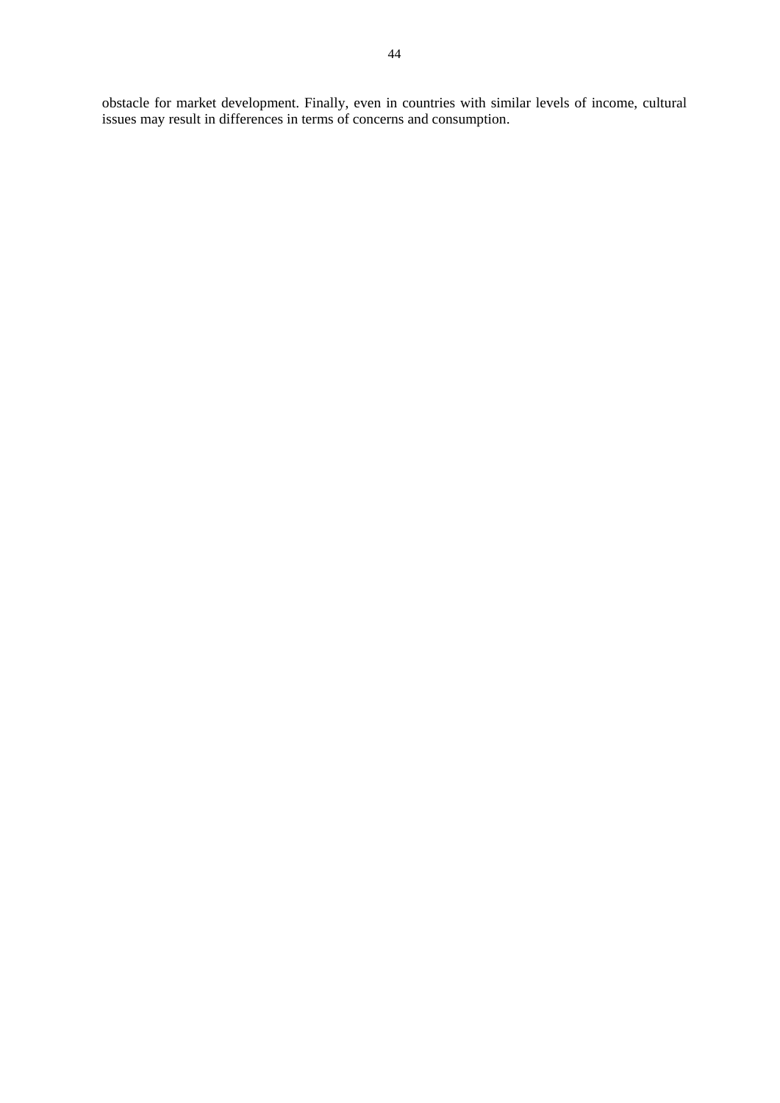obstacle for market development. Finally, even in countries with similar levels of income, cultural issues may result in differences in terms of concerns and consumption.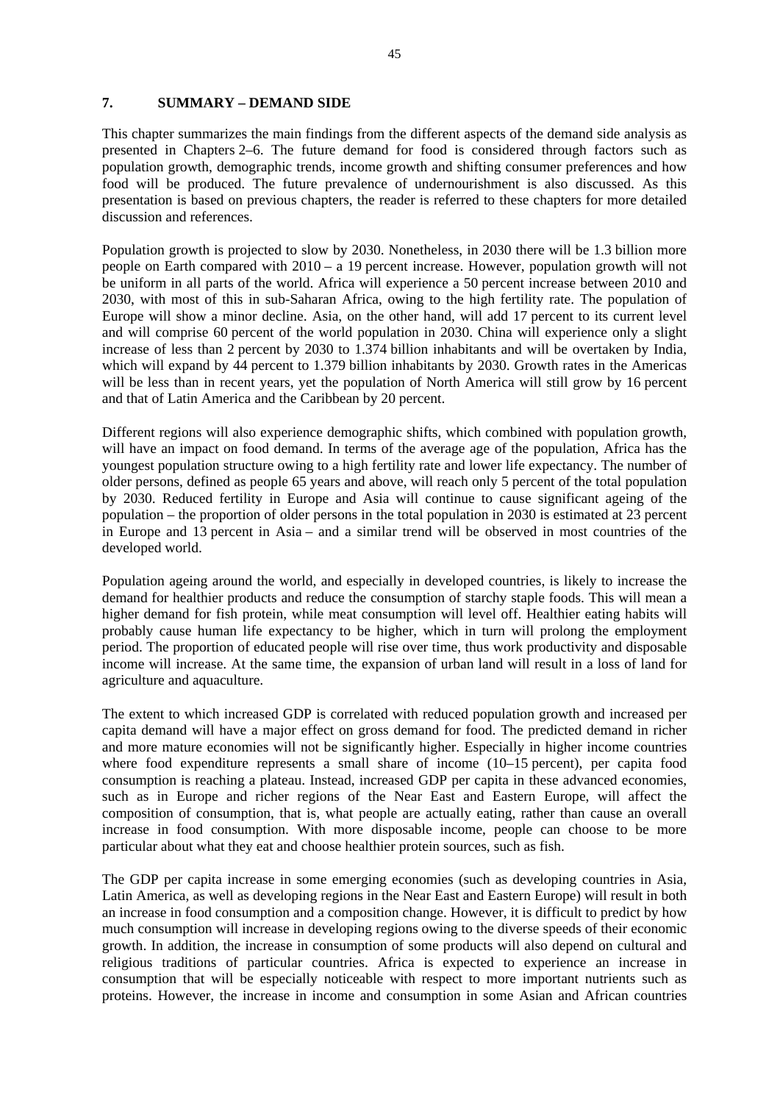# **7. SUMMARY – DEMAND SIDE**

This chapter summarizes the main findings from the different aspects of the demand side analysis as presented in Chapters 2–6. The future demand for food is considered through factors such as population growth, demographic trends, income growth and shifting consumer preferences and how food will be produced. The future prevalence of undernourishment is also discussed. As this presentation is based on previous chapters, the reader is referred to these chapters for more detailed discussion and references.

Population growth is projected to slow by 2030. Nonetheless, in 2030 there will be 1.3 billion more people on Earth compared with 2010 – a 19 percent increase. However, population growth will not be uniform in all parts of the world. Africa will experience a 50 percent increase between 2010 and 2030, with most of this in sub-Saharan Africa, owing to the high fertility rate. The population of Europe will show a minor decline. Asia, on the other hand, will add 17 percent to its current level and will comprise 60 percent of the world population in 2030. China will experience only a slight increase of less than 2 percent by 2030 to 1.374 billion inhabitants and will be overtaken by India, which will expand by 44 percent to 1.379 billion inhabitants by 2030. Growth rates in the Americas will be less than in recent years, yet the population of North America will still grow by 16 percent and that of Latin America and the Caribbean by 20 percent.

Different regions will also experience demographic shifts, which combined with population growth, will have an impact on food demand. In terms of the average age of the population, Africa has the youngest population structure owing to a high fertility rate and lower life expectancy. The number of older persons, defined as people 65 years and above, will reach only 5 percent of the total population by 2030. Reduced fertility in Europe and Asia will continue to cause significant ageing of the population – the proportion of older persons in the total population in 2030 is estimated at 23 percent in Europe and 13 percent in Asia – and a similar trend will be observed in most countries of the developed world.

Population ageing around the world, and especially in developed countries, is likely to increase the demand for healthier products and reduce the consumption of starchy staple foods. This will mean a higher demand for fish protein, while meat consumption will level off. Healthier eating habits will probably cause human life expectancy to be higher, which in turn will prolong the employment period. The proportion of educated people will rise over time, thus work productivity and disposable income will increase. At the same time, the expansion of urban land will result in a loss of land for agriculture and aquaculture.

The extent to which increased GDP is correlated with reduced population growth and increased per capita demand will have a major effect on gross demand for food. The predicted demand in richer and more mature economies will not be significantly higher. Especially in higher income countries where food expenditure represents a small share of income (10–15 percent), per capita food consumption is reaching a plateau. Instead, increased GDP per capita in these advanced economies, such as in Europe and richer regions of the Near East and Eastern Europe, will affect the composition of consumption, that is, what people are actually eating, rather than cause an overall increase in food consumption. With more disposable income, people can choose to be more particular about what they eat and choose healthier protein sources, such as fish.

The GDP per capita increase in some emerging economies (such as developing countries in Asia, Latin America, as well as developing regions in the Near East and Eastern Europe) will result in both an increase in food consumption and a composition change. However, it is difficult to predict by how much consumption will increase in developing regions owing to the diverse speeds of their economic growth. In addition, the increase in consumption of some products will also depend on cultural and religious traditions of particular countries. Africa is expected to experience an increase in consumption that will be especially noticeable with respect to more important nutrients such as proteins. However, the increase in income and consumption in some Asian and African countries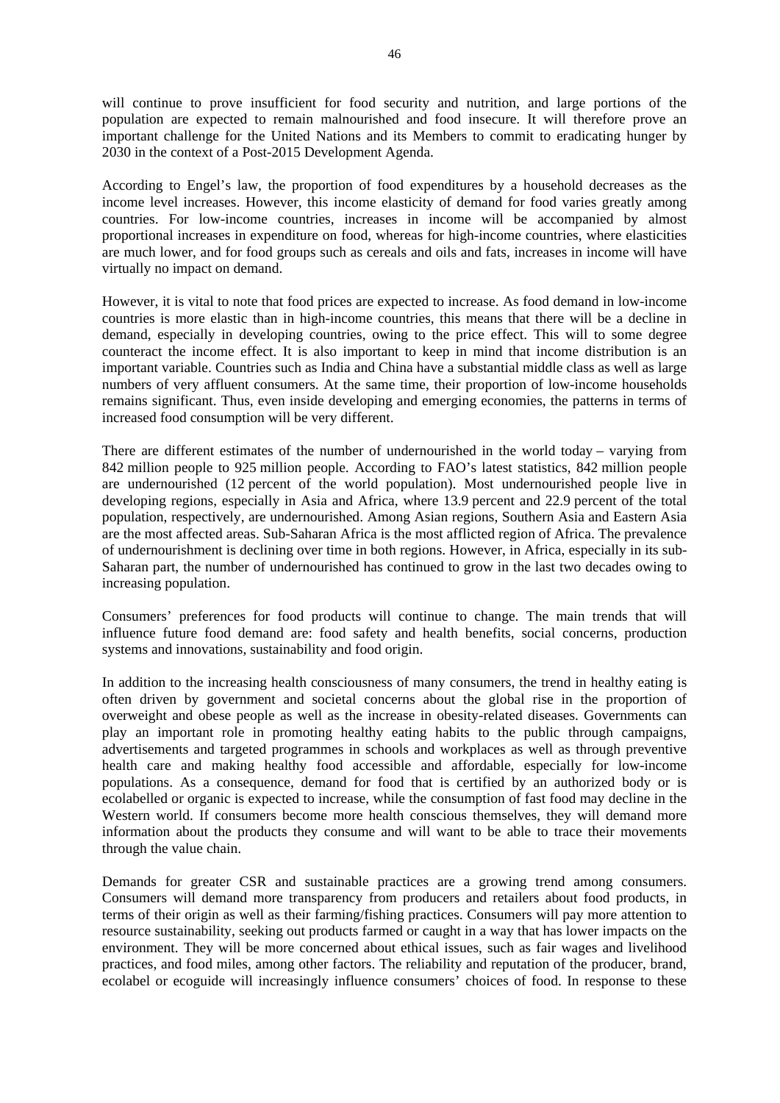will continue to prove insufficient for food security and nutrition, and large portions of the population are expected to remain malnourished and food insecure. It will therefore prove an important challenge for the United Nations and its Members to commit to eradicating hunger by 2030 in the context of a Post-2015 Development Agenda.

According to Engel's law, the proportion of food expenditures by a household decreases as the income level increases. However, this income elasticity of demand for food varies greatly among countries. For low-income countries, increases in income will be accompanied by almost proportional increases in expenditure on food, whereas for high-income countries, where elasticities are much lower, and for food groups such as cereals and oils and fats, increases in income will have virtually no impact on demand.

However, it is vital to note that food prices are expected to increase. As food demand in low-income countries is more elastic than in high-income countries, this means that there will be a decline in demand, especially in developing countries, owing to the price effect. This will to some degree counteract the income effect. It is also important to keep in mind that income distribution is an important variable. Countries such as India and China have a substantial middle class as well as large numbers of very affluent consumers. At the same time, their proportion of low-income households remains significant. Thus, even inside developing and emerging economies, the patterns in terms of increased food consumption will be very different.

There are different estimates of the number of undernourished in the world today – varying from 842 million people to 925 million people. According to FAO's latest statistics, 842 million people are undernourished (12 percent of the world population). Most undernourished people live in developing regions, especially in Asia and Africa, where 13.9 percent and 22.9 percent of the total population, respectively, are undernourished. Among Asian regions, Southern Asia and Eastern Asia are the most affected areas. Sub-Saharan Africa is the most afflicted region of Africa. The prevalence of undernourishment is declining over time in both regions. However, in Africa, especially in its sub-Saharan part, the number of undernourished has continued to grow in the last two decades owing to increasing population.

Consumers' preferences for food products will continue to change. The main trends that will influence future food demand are: food safety and health benefits, social concerns, production systems and innovations, sustainability and food origin.

In addition to the increasing health consciousness of many consumers, the trend in healthy eating is often driven by government and societal concerns about the global rise in the proportion of overweight and obese people as well as the increase in obesity-related diseases. Governments can play an important role in promoting healthy eating habits to the public through campaigns, advertisements and targeted programmes in schools and workplaces as well as through preventive health care and making healthy food accessible and affordable, especially for low-income populations. As a consequence, demand for food that is certified by an authorized body or is ecolabelled or organic is expected to increase, while the consumption of fast food may decline in the Western world. If consumers become more health conscious themselves, they will demand more information about the products they consume and will want to be able to trace their movements through the value chain.

Demands for greater CSR and sustainable practices are a growing trend among consumers. Consumers will demand more transparency from producers and retailers about food products, in terms of their origin as well as their farming/fishing practices. Consumers will pay more attention to resource sustainability, seeking out products farmed or caught in a way that has lower impacts on the environment. They will be more concerned about ethical issues, such as fair wages and livelihood practices, and food miles, among other factors. The reliability and reputation of the producer, brand, ecolabel or ecoguide will increasingly influence consumers' choices of food. In response to these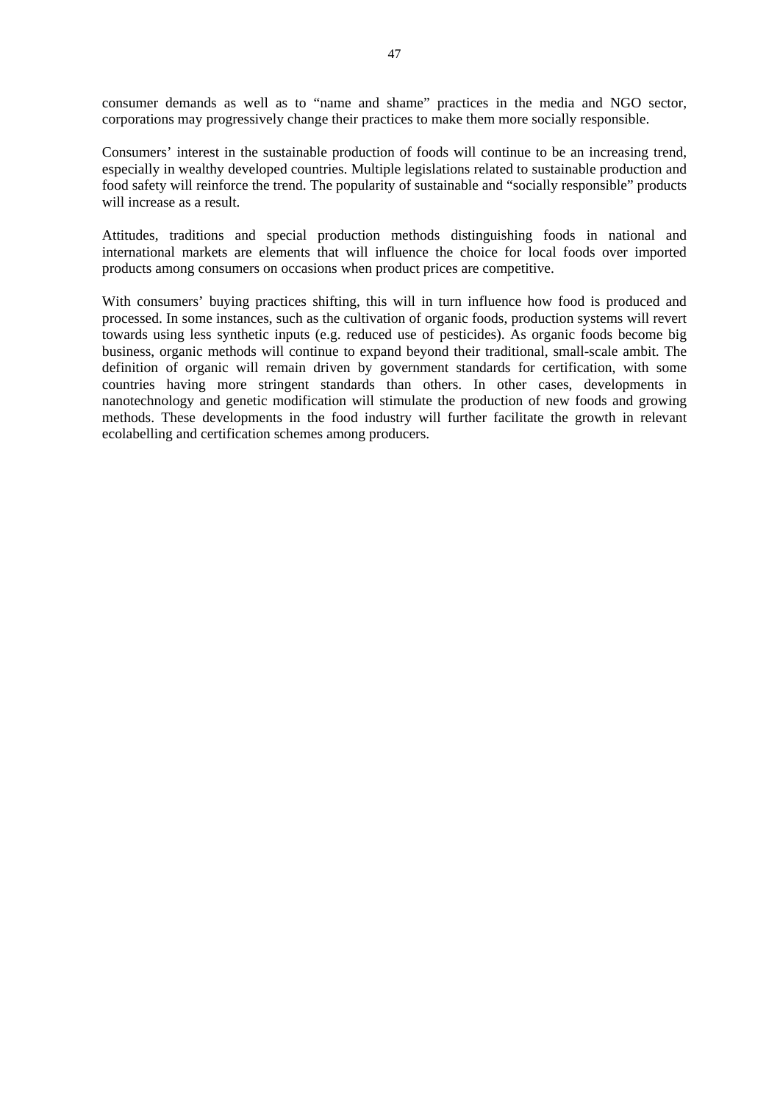consumer demands as well as to "name and shame" practices in the media and NGO sector, corporations may progressively change their practices to make them more socially responsible.

Consumers' interest in the sustainable production of foods will continue to be an increasing trend, especially in wealthy developed countries. Multiple legislations related to sustainable production and food safety will reinforce the trend. The popularity of sustainable and "socially responsible" products will increase as a result.

Attitudes, traditions and special production methods distinguishing foods in national and international markets are elements that will influence the choice for local foods over imported products among consumers on occasions when product prices are competitive.

With consumers' buying practices shifting, this will in turn influence how food is produced and processed. In some instances, such as the cultivation of organic foods, production systems will revert towards using less synthetic inputs (e.g. reduced use of pesticides). As organic foods become big business, organic methods will continue to expand beyond their traditional, small-scale ambit. The definition of organic will remain driven by government standards for certification, with some countries having more stringent standards than others. In other cases, developments in nanotechnology and genetic modification will stimulate the production of new foods and growing methods. These developments in the food industry will further facilitate the growth in relevant ecolabelling and certification schemes among producers.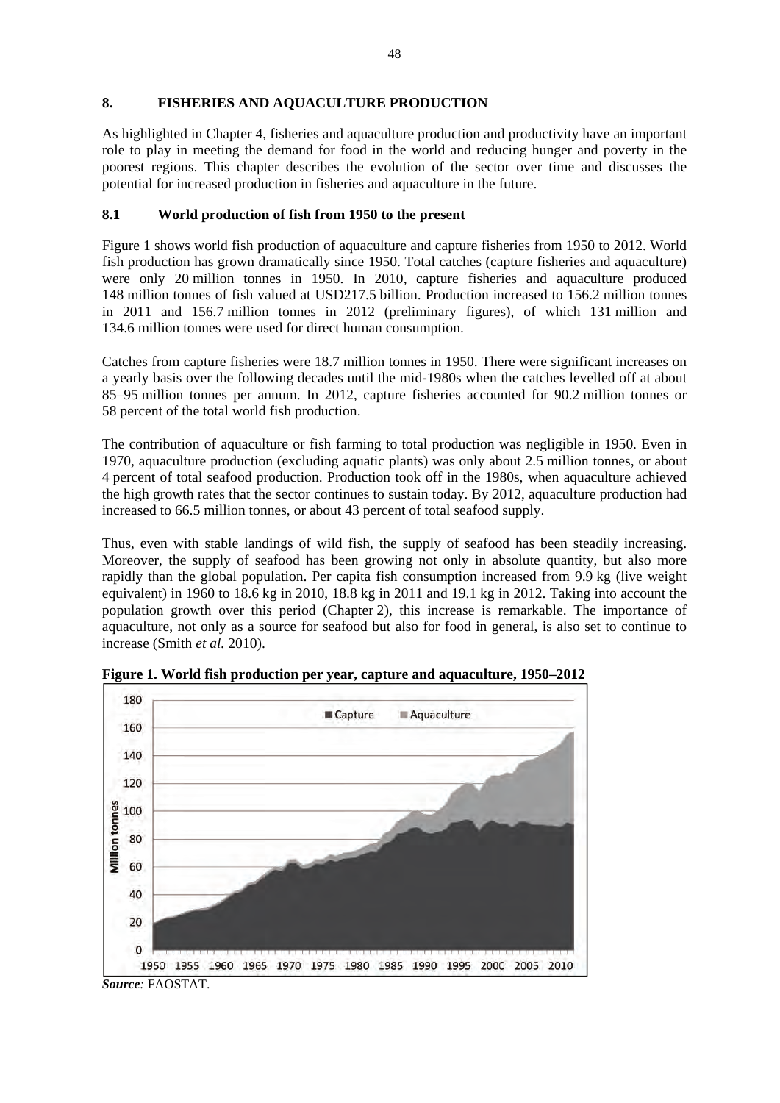## **8. FISHERIES AND AQUACULTURE PRODUCTION**

As highlighted in Chapter 4, fisheries and aquaculture production and productivity have an important role to play in meeting the demand for food in the world and reducing hunger and poverty in the poorest regions. This chapter describes the evolution of the sector over time and discusses the potential for increased production in fisheries and aquaculture in the future.

# **8.1 World production of fish from 1950 to the present**

Figure 1 shows world fish production of aquaculture and capture fisheries from 1950 to 2012. World fish production has grown dramatically since 1950. Total catches (capture fisheries and aquaculture) were only 20 million tonnes in 1950. In 2010, capture fisheries and aquaculture produced 148 million tonnes of fish valued at USD217.5 billion. Production increased to 156.2 million tonnes in 2011 and 156.7 million tonnes in 2012 (preliminary figures), of which 131 million and 134.6 million tonnes were used for direct human consumption.

Catches from capture fisheries were 18.7 million tonnes in 1950. There were significant increases on a yearly basis over the following decades until the mid-1980s when the catches levelled off at about 85–95 million tonnes per annum. In 2012, capture fisheries accounted for 90.2 million tonnes or 58 percent of the total world fish production.

The contribution of aquaculture or fish farming to total production was negligible in 1950. Even in 1970, aquaculture production (excluding aquatic plants) was only about 2.5 million tonnes, or about 4 percent of total seafood production. Production took off in the 1980s, when aquaculture achieved the high growth rates that the sector continues to sustain today. By 2012, aquaculture production had increased to 66.5 million tonnes, or about 43 percent of total seafood supply.

Thus, even with stable landings of wild fish, the supply of seafood has been steadily increasing. Moreover, the supply of seafood has been growing not only in absolute quantity, but also more rapidly than the global population. Per capita fish consumption increased from 9.9 kg (live weight equivalent) in 1960 to 18.6 kg in 2010, 18.8 kg in 2011 and 19.1 kg in 2012. Taking into account the population growth over this period (Chapter 2), this increase is remarkable. The importance of aquaculture, not only as a source for seafood but also for food in general, is also set to continue to increase (Smith *et al.* 2010).



**Figure 1. World fish production per year, capture and aquaculture, 1950–2012** 

*Source:* FAOSTAT.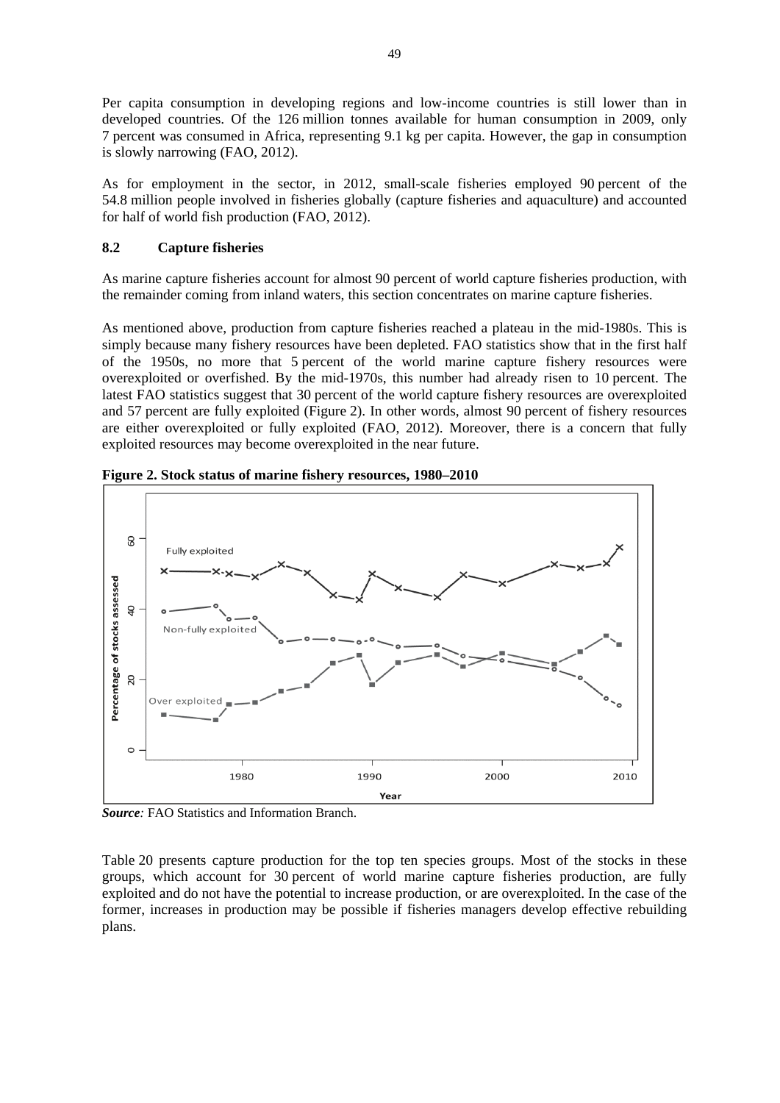Per capita consumption in developing regions and low-income countries is still lower than in developed countries. Of the 126 million tonnes available for human consumption in 2009, only 7 percent was consumed in Africa, representing 9.1 kg per capita. However, the gap in consumption is slowly narrowing (FAO, 2012).

As for employment in the sector, in 2012, small-scale fisheries employed 90 percent of the 54.8 million people involved in fisheries globally (capture fisheries and aquaculture) and accounted for half of world fish production (FAO, 2012).

# **8.2 Capture fisheries**

As marine capture fisheries account for almost 90 percent of world capture fisheries production, with the remainder coming from inland waters, this section concentrates on marine capture fisheries.

As mentioned above, production from capture fisheries reached a plateau in the mid-1980s. This is simply because many fishery resources have been depleted. FAO statistics show that in the first half of the 1950s, no more that 5 percent of the world marine capture fishery resources were overexploited or overfished. By the mid-1970s, this number had already risen to 10 percent. The latest FAO statistics suggest that 30 percent of the world capture fishery resources are overexploited and 57 percent are fully exploited (Figure 2). In other words, almost 90 percent of fishery resources are either overexploited or fully exploited (FAO, 2012). Moreover, there is a concern that fully exploited resources may become overexploited in the near future.



**Figure 2. Stock status of marine fishery resources, 1980–2010** 

*Source:* FAO Statistics and Information Branch.

Table 20 presents capture production for the top ten species groups. Most of the stocks in these groups, which account for 30 percent of world marine capture fisheries production, are fully exploited and do not have the potential to increase production, or are overexploited. In the case of the former, increases in production may be possible if fisheries managers develop effective rebuilding plans.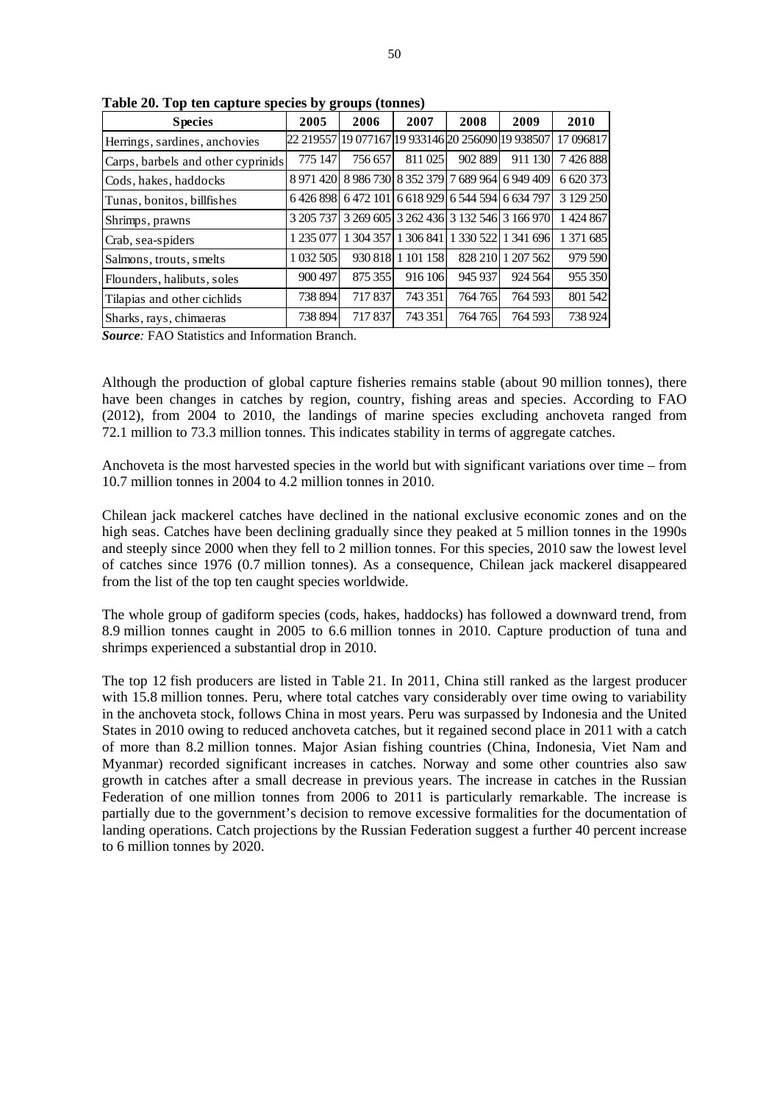| <b>Species</b>                     | ືປ ອె<br>2005 | 2006                                              | 2007      | 2008                                    | 2009      | 2010        |
|------------------------------------|---------------|---------------------------------------------------|-----------|-----------------------------------------|-----------|-------------|
| Herrings, sardines, anchovies      |               | 22 219557 19 077167 19 933146 20 256090 19 938507 |           |                                         |           | 17 09 68 17 |
| Carps, barbels and other cyprinids | 775 147       | 756 657                                           | 811 025   | 902 889                                 | 911 130   | 7426888     |
| Cods, hakes, haddocks              | 8 971 4 20    |                                                   |           | 8 986 730 8 352 379 7 689 964 6 949 409 |           | 6 620 373   |
| Tunas, bonitos, billfishes         | 6426898       | 6 472 101                                         |           | 6 618 929 6 544 594 6 634 797           |           | 3 129 250   |
| Shrimps, prawns                    | 3 205 737     |                                                   |           | 3 269 605 3 262 436 3 132 546 3 166 970 |           | 1 424 867   |
| Crab, sea-spiders                  | 1 235 077     | 304 357                                           | 1 306 841 | 1 330 522                               | 1 341 696 | 1 371 685   |
| Salmons, trouts, smelts            | 1 032 505     | 930 818                                           | 1 101 158 | 828 210                                 | 1 207 562 | 979 590     |
| Flounders, halibuts, soles         | 900 497       | 875 355                                           | 916 106   | 945 937                                 | 924 564   | 955 350     |
| Tilapias and other cichlids        | 738 894       | 717837                                            | 743 351   | 764765                                  | 764 593   | 801 542     |
| Sharks, rays, chimaeras            | 738 894       | 717837                                            | 743 351   | 764765                                  | 764 593   | 738 924     |

**Table 20. Top ten capture species by groups (tonnes)** 

*Source:* FAO Statistics and Information Branch.

Although the production of global capture fisheries remains stable (about 90 million tonnes), there have been changes in catches by region, country, fishing areas and species. According to FAO (2012), from 2004 to 2010, the landings of marine species excluding anchoveta ranged from 72.1 million to 73.3 million tonnes. This indicates stability in terms of aggregate catches.

Anchoveta is the most harvested species in the world but with significant variations over time – from 10.7 million tonnes in 2004 to 4.2 million tonnes in 2010.

Chilean jack mackerel catches have declined in the national exclusive economic zones and on the high seas. Catches have been declining gradually since they peaked at 5 million tonnes in the 1990s and steeply since 2000 when they fell to 2 million tonnes. For this species, 2010 saw the lowest level of catches since 1976 (0.7 million tonnes). As a consequence, Chilean jack mackerel disappeared from the list of the top ten caught species worldwide.

The whole group of gadiform species (cods, hakes, haddocks) has followed a downward trend, from 8.9 million tonnes caught in 2005 to 6.6 million tonnes in 2010. Capture production of tuna and shrimps experienced a substantial drop in 2010.

The top 12 fish producers are listed in Table 21. In 2011, China still ranked as the largest producer with 15.8 million tonnes. Peru, where total catches vary considerably over time owing to variability in the anchoveta stock, follows China in most years. Peru was surpassed by Indonesia and the United States in 2010 owing to reduced anchoveta catches, but it regained second place in 2011 with a catch of more than 8.2 million tonnes. Major Asian fishing countries (China, Indonesia, Viet Nam and Myanmar) recorded significant increases in catches. Norway and some other countries also saw growth in catches after a small decrease in previous years. The increase in catches in the Russian Federation of one million tonnes from 2006 to 2011 is particularly remarkable. The increase is partially due to the government's decision to remove excessive formalities for the documentation of landing operations. Catch projections by the Russian Federation suggest a further 40 percent increase to 6 million tonnes by 2020.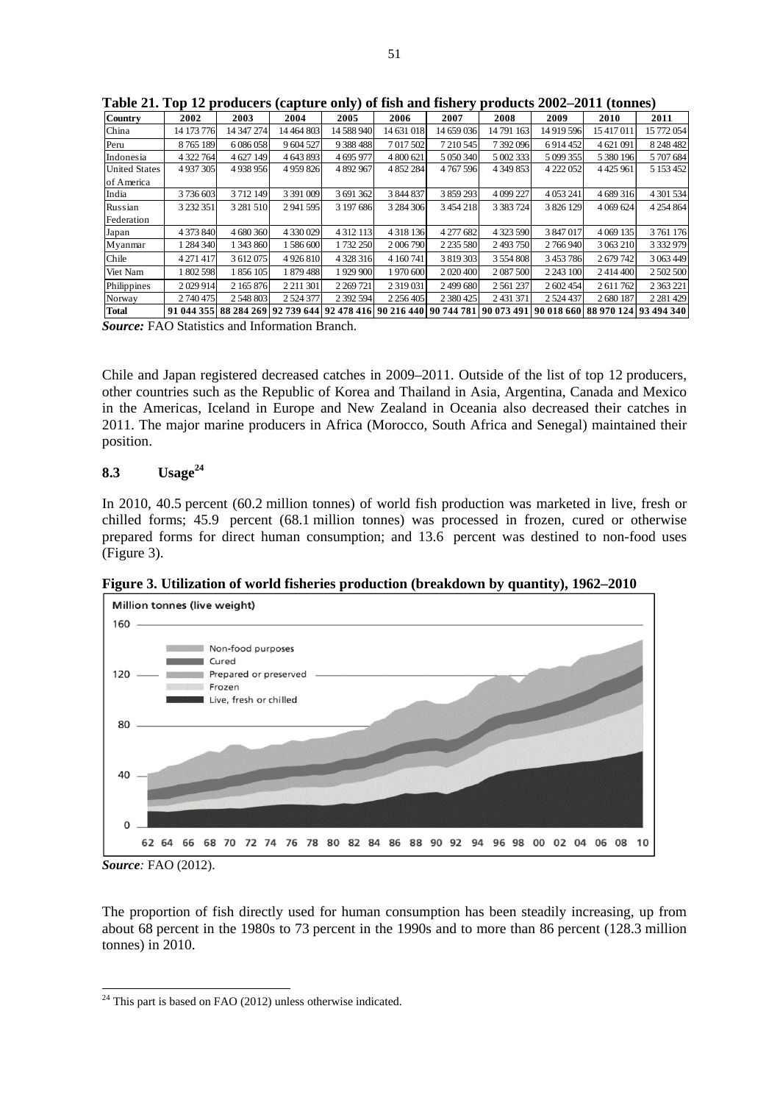| <b>Country</b>       | 2002          | 2003          | 2004                                                              | 2005          | 2006          | 2007          | 2008          | 2009         | 2010                             | 2011          |
|----------------------|---------------|---------------|-------------------------------------------------------------------|---------------|---------------|---------------|---------------|--------------|----------------------------------|---------------|
| China                | 14 173 776    | 14 347 274    | 14 4 64 8 03                                                      | 14 588 940    | 14 631 018    | 14 659 036    | 14 791 163    | 14 919 596   | 15 417 011                       | 15 772 054    |
| Peru                 | 8765189       | 6 0 8 6 0 5 8 | 9 604 527                                                         | 9 388 488     | 7 017 502     | 7 210 545     | 7 392 096     | 6914452      | 4 621 091                        | 8 248 482     |
| Indonesia            | 4 322 764     | 4 627 149     | 4 643 893                                                         | 4 695 977     | 4 800 621     | 5 0 5 0 3 4 0 | 5 002 333     | 5 099 355    | 5 380 196                        | 5 707 684     |
| <b>United States</b> | 4 9 37 30 5   | 4938956       | 4 9 5 9 8 2 6                                                     | 4 892 967     | 4 852 284     | 4767596       | 4 349 853     | 4 222 052    | 4425961                          | 5 153 452     |
| of America           |               |               |                                                                   |               |               |               |               |              |                                  |               |
| India                | 3736603       | 3712149       | 3 391 009                                                         | 3 691 362     | 3 844 837     | 3 859 293     | 4 099 227     | 4 0 53 241   | 4 689 316                        | 4 301 534     |
| Russian              | 3 2 3 2 3 5 1 | 3 281 510     | 2 941 595                                                         | 3 197 686     | 3 284 306     | 3 4 5 4 2 1 8 | 3 3 8 3 7 2 4 | 3 826 129    | 4 0 6 9 6 2 4                    | 4 2 5 4 8 6 4 |
| Federation           |               |               |                                                                   |               |               |               |               |              |                                  |               |
| Japan                | 4 373 840     | 4 680 360     | 4 330 029                                                         | 4 3 1 2 1 1 3 | 4 3 1 8 1 3 6 | 4 277 682     | 4 3 23 5 90   | 3 847 017    | 4 0 69 1 35                      | 3761176       |
| Myanmar              | 1 284 340     | 1 343 860     | 1586600                                                           | 1732 250      | 2 006 790     | 2 2 3 5 5 8 0 | 2493750       | 2 766 940    | 3 063 210                        | 3 3 3 9 9 7 9 |
| Chile                | 4 271 417     | 3 612 075     | 4 9 2 6 8 1 0                                                     | 4 3 28 3 16   | 4 160 741     | 3 819 303     | 3 5 5 4 8 0 8 | 3 453 786    | 2679742                          | 3 063 449     |
| Viet Nam             | 1802598       | 1 856 105     | 1879488                                                           | 1929900       | 1 970 600     | 2 020 400     | 2 0 87 500    | 2 2 4 3 10 0 | 2 4 1 4 4 0 0                    | 2 502 500     |
| Philippines          | 2029914       | 2 165 876     | 2 2 1 1 3 0 1                                                     | 2 2 69 7 21   | 2 3 1 9 0 3 1 | 2499680       | 2 5 61 2 37   | 2 602 454    | 2 611 762                        | 2 3 6 3 2 2 1 |
| Norway               | 2 740 475     | 2 548 803     | 2 5 24 3 77                                                       | 2 392 594     | 2 2 5 6 4 0 5 | 2 380 425     | 2 4 3 1 3 7 1 | 2 5 24 4 37  | 2680187                          | 2 2 8 1 4 2 9 |
| <b>Total</b>         | 91 044 355    |               | 88 284 269 92 739 644 92 478 416 90 216 440 90 744 781 90 073 491 |               |               |               |               |              | 90 018 660 88 970 124 93 494 340 |               |

**Table 21. Top 12 producers (capture only) of fish and fishery products 2002–2011 (tonnes)** 

*Source:* FAO Statistics and Information Branch.

Chile and Japan registered decreased catches in 2009–2011. Outside of the list of top 12 producers, other countries such as the Republic of Korea and Thailand in Asia, Argentina, Canada and Mexico in the Americas, Iceland in Europe and New Zealand in Oceania also decreased their catches in 2011. The major marine producers in Africa (Morocco, South Africa and Senegal) maintained their position.

# **8.3 Usage24**

In 2010, 40.5 percent (60.2 million tonnes) of world fish production was marketed in live, fresh or chilled forms; 45.9 percent (68.1 million tonnes) was processed in frozen, cured or otherwise prepared forms for direct human consumption; and 13.6 percent was destined to non-food uses (Figure 3).





*Source:* FAO (2012).

-

The proportion of fish directly used for human consumption has been steadily increasing, up from about 68 percent in the 1980s to 73 percent in the 1990s and to more than 86 percent (128.3 million tonnes) in 2010.

 $24$  This part is based on FAO (2012) unless otherwise indicated.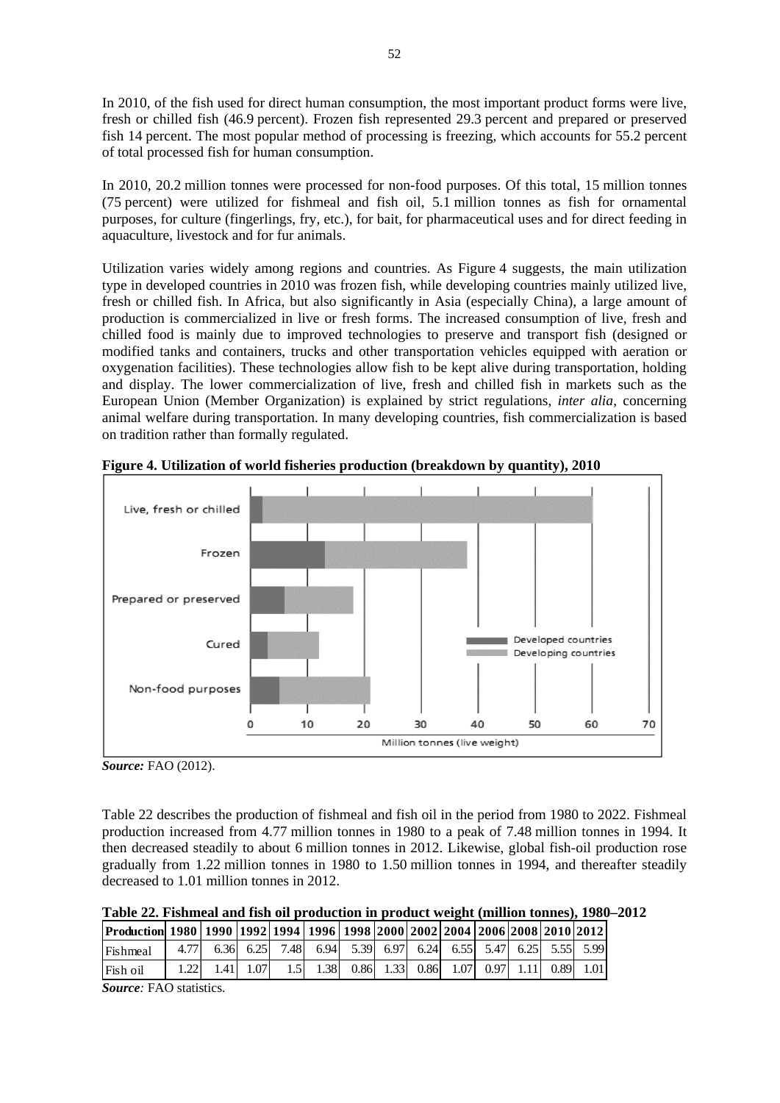In 2010, of the fish used for direct human consumption, the most important product forms were live, fresh or chilled fish (46.9 percent). Frozen fish represented 29.3 percent and prepared or preserved fish 14 percent. The most popular method of processing is freezing, which accounts for 55.2 percent of total processed fish for human consumption.

In 2010, 20.2 million tonnes were processed for non-food purposes. Of this total, 15 million tonnes (75 percent) were utilized for fishmeal and fish oil, 5.1 million tonnes as fish for ornamental purposes, for culture (fingerlings, fry, etc.), for bait, for pharmaceutical uses and for direct feeding in aquaculture, livestock and for fur animals.

Utilization varies widely among regions and countries. As Figure 4 suggests, the main utilization type in developed countries in 2010 was frozen fish, while developing countries mainly utilized live, fresh or chilled fish. In Africa, but also significantly in Asia (especially China), a large amount of production is commercialized in live or fresh forms. The increased consumption of live, fresh and chilled food is mainly due to improved technologies to preserve and transport fish (designed or modified tanks and containers, trucks and other transportation vehicles equipped with aeration or oxygenation facilities). These technologies allow fish to be kept alive during transportation, holding and display. The lower commercialization of live, fresh and chilled fish in markets such as the European Union (Member Organization) is explained by strict regulations, *inter alia*, concerning animal welfare during transportation. In many developing countries, fish commercialization is based on tradition rather than formally regulated.



**Figure 4. Utilization of world fisheries production (breakdown by quantity), 2010** 

Table 22 describes the production of fishmeal and fish oil in the period from 1980 to 2022. Fishmeal production increased from 4.77 million tonnes in 1980 to a peak of 7.48 million tonnes in 1994. It then decreased steadily to about 6 million tonnes in 2012. Likewise, global fish-oil production rose gradually from 1.22 million tonnes in 1980 to 1.50 million tonnes in 1994, and thereafter steadily decreased to 1.01 million tonnes in 2012.

**Table 22. Fishmeal and fish oil production in product weight (million tonnes), 1980–2012 Production 1980 1990 1992 1994 1996 1998 2000 2002 2004 2006 2008 2010 2012**

| 12006120081201012012 1299 1299211994 12996 12998 20001200212004 2006120081201012012 |      |      |      |                                                             |  |  |  |  |
|-------------------------------------------------------------------------------------|------|------|------|-------------------------------------------------------------|--|--|--|--|
| Fishmeal                                                                            | 4.77 |      |      | 6.36 6.25 7.48 6.94 5.39 6.97 6.24 6.55 5.47 6.25 5.55 5.99 |  |  |  |  |
| Fish oil                                                                            |      | 1.41 | 1.07 | 1.5 1.38 0.86 1.33 0.86 1.07 0.97 1.11 0.89 1.01            |  |  |  |  |

*Source:* FAO statistics.

*Source:* FAO (2012).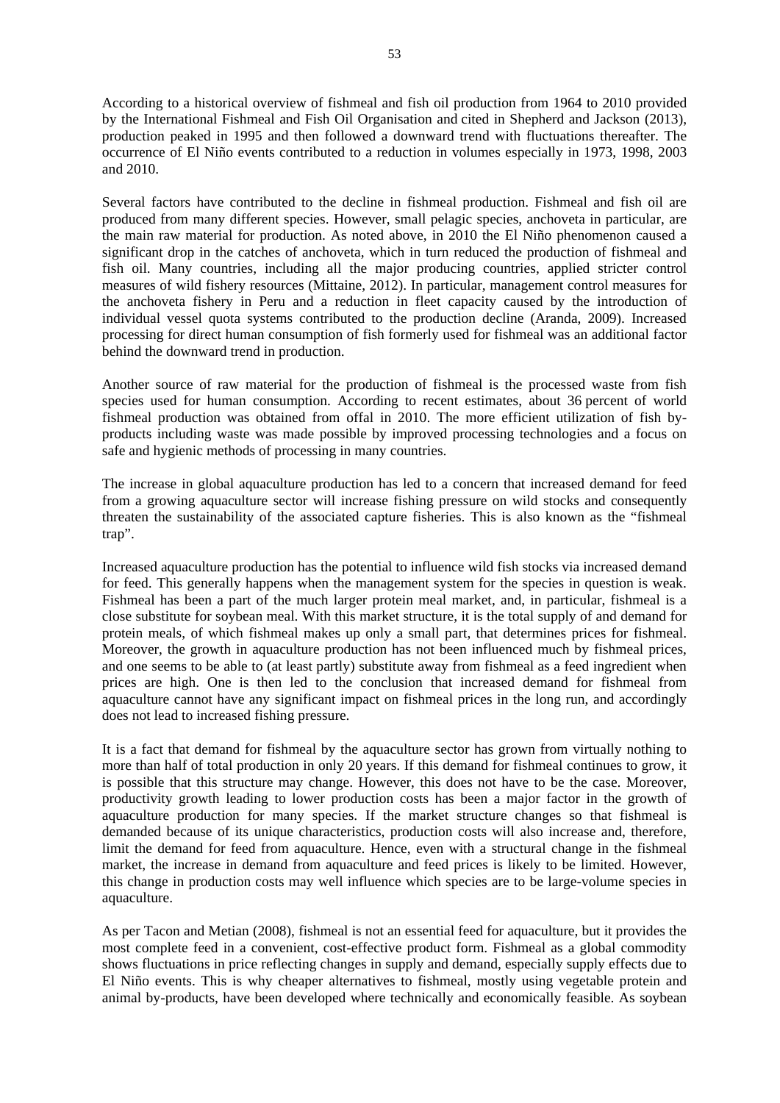According to a historical overview of fishmeal and fish oil production from 1964 to 2010 provided by the International Fishmeal and Fish Oil Organisation and cited in Shepherd and Jackson (2013), production peaked in 1995 and then followed a downward trend with fluctuations thereafter. The occurrence of El Niño events contributed to a reduction in volumes especially in 1973, 1998, 2003 and 2010.

Several factors have contributed to the decline in fishmeal production. Fishmeal and fish oil are produced from many different species. However, small pelagic species, anchoveta in particular, are the main raw material for production. As noted above, in 2010 the El Niño phenomenon caused a significant drop in the catches of anchoveta, which in turn reduced the production of fishmeal and fish oil. Many countries, including all the major producing countries, applied stricter control measures of wild fishery resources (Mittaine, 2012). In particular, management control measures for the anchoveta fishery in Peru and a reduction in fleet capacity caused by the introduction of individual vessel quota systems contributed to the production decline (Aranda, 2009). Increased processing for direct human consumption of fish formerly used for fishmeal was an additional factor behind the downward trend in production.

Another source of raw material for the production of fishmeal is the processed waste from fish species used for human consumption. According to recent estimates, about 36 percent of world fishmeal production was obtained from offal in 2010. The more efficient utilization of fish byproducts including waste was made possible by improved processing technologies and a focus on safe and hygienic methods of processing in many countries.

The increase in global aquaculture production has led to a concern that increased demand for feed from a growing aquaculture sector will increase fishing pressure on wild stocks and consequently threaten the sustainability of the associated capture fisheries. This is also known as the "fishmeal trap".

Increased aquaculture production has the potential to influence wild fish stocks via increased demand for feed. This generally happens when the management system for the species in question is weak. Fishmeal has been a part of the much larger protein meal market, and, in particular, fishmeal is a close substitute for soybean meal. With this market structure, it is the total supply of and demand for protein meals, of which fishmeal makes up only a small part, that determines prices for fishmeal. Moreover, the growth in aquaculture production has not been influenced much by fishmeal prices, and one seems to be able to (at least partly) substitute away from fishmeal as a feed ingredient when prices are high. One is then led to the conclusion that increased demand for fishmeal from aquaculture cannot have any significant impact on fishmeal prices in the long run, and accordingly does not lead to increased fishing pressure.

It is a fact that demand for fishmeal by the aquaculture sector has grown from virtually nothing to more than half of total production in only 20 years. If this demand for fishmeal continues to grow, it is possible that this structure may change. However, this does not have to be the case. Moreover, productivity growth leading to lower production costs has been a major factor in the growth of aquaculture production for many species. If the market structure changes so that fishmeal is demanded because of its unique characteristics, production costs will also increase and, therefore, limit the demand for feed from aquaculture. Hence, even with a structural change in the fishmeal market, the increase in demand from aquaculture and feed prices is likely to be limited. However, this change in production costs may well influence which species are to be large-volume species in aquaculture.

As per Tacon and Metian (2008), fishmeal is not an essential feed for aquaculture, but it provides the most complete feed in a convenient, cost-effective product form. Fishmeal as a global commodity shows fluctuations in price reflecting changes in supply and demand, especially supply effects due to El Niño events. This is why cheaper alternatives to fishmeal, mostly using vegetable protein and animal by-products, have been developed where technically and economically feasible. As soybean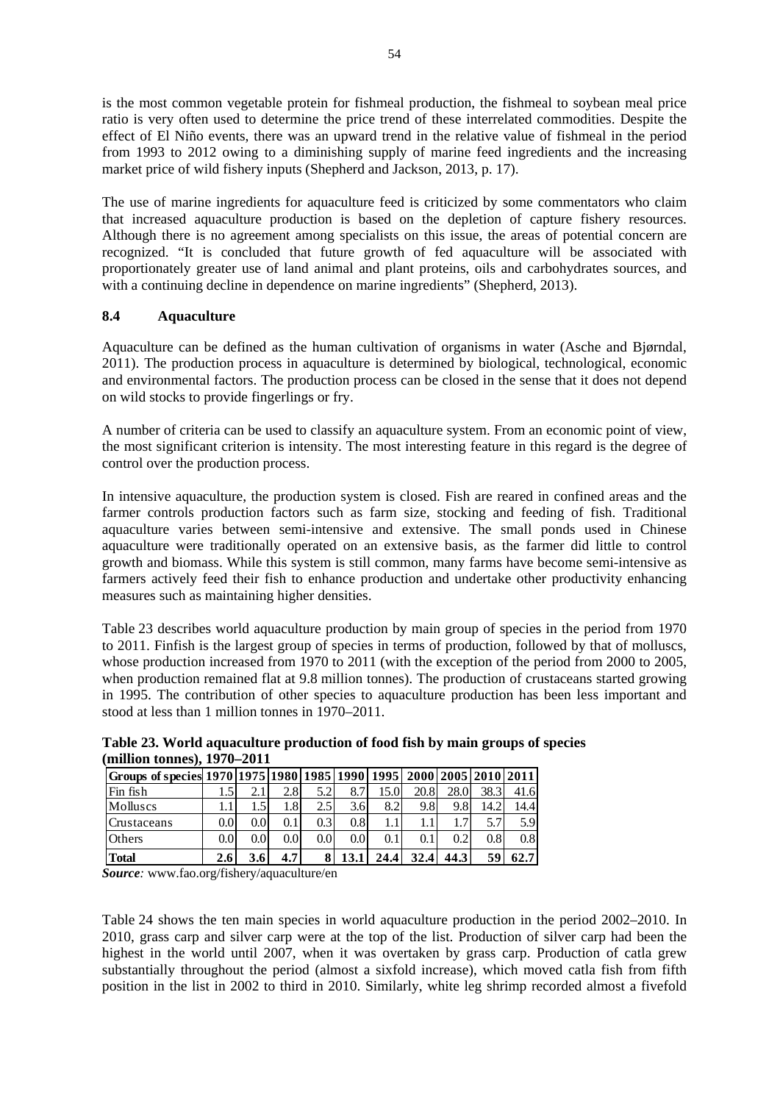is the most common vegetable protein for fishmeal production, the fishmeal to soybean meal price ratio is very often used to determine the price trend of these interrelated commodities. Despite the effect of El Niño events, there was an upward trend in the relative value of fishmeal in the period from 1993 to 2012 owing to a diminishing supply of marine feed ingredients and the increasing market price of wild fishery inputs (Shepherd and Jackson, 2013, p. 17).

The use of marine ingredients for aquaculture feed is criticized by some commentators who claim that increased aquaculture production is based on the depletion of capture fishery resources. Although there is no agreement among specialists on this issue, the areas of potential concern are recognized. "It is concluded that future growth of fed aquaculture will be associated with proportionately greater use of land animal and plant proteins, oils and carbohydrates sources, and with a continuing decline in dependence on marine ingredients" (Shepherd, 2013).

# **8.4 Aquaculture**

Aquaculture can be defined as the human cultivation of organisms in water (Asche and Bjørndal, 2011). The production process in aquaculture is determined by biological, technological, economic and environmental factors. The production process can be closed in the sense that it does not depend on wild stocks to provide fingerlings or fry.

A number of criteria can be used to classify an aquaculture system. From an economic point of view, the most significant criterion is intensity. The most interesting feature in this regard is the degree of control over the production process.

In intensive aquaculture, the production system is closed. Fish are reared in confined areas and the farmer controls production factors such as farm size, stocking and feeding of fish. Traditional aquaculture varies between semi-intensive and extensive. The small ponds used in Chinese aquaculture were traditionally operated on an extensive basis, as the farmer did little to control growth and biomass. While this system is still common, many farms have become semi-intensive as farmers actively feed their fish to enhance production and undertake other productivity enhancing measures such as maintaining higher densities.

Table 23 describes world aquaculture production by main group of species in the period from 1970 to 2011. Finfish is the largest group of species in terms of production, followed by that of molluscs, whose production increased from 1970 to 2011 (with the exception of the period from 2000 to 2005, when production remained flat at 9.8 million tonnes). The production of crustaceans started growing in 1995. The contribution of other species to aquaculture production has been less important and stood at less than 1 million tonnes in 1970–2011.

|                                                                               | (million tonnes), $19/0-2011$ |     |                  |                  |                  |      |      |      |      |      |  |  |  |  |
|-------------------------------------------------------------------------------|-------------------------------|-----|------------------|------------------|------------------|------|------|------|------|------|--|--|--|--|
| Groups of species  1970  1975  1980  1985  1990  1995  2000  2005  2010  2011 |                               |     |                  |                  |                  |      |      |      |      |      |  |  |  |  |
| Fin fish                                                                      | .5 <sup>1</sup>               | 2.1 | 2.8              | 5.2              | 8.7              | 15.0 | 20.8 | 28.0 | 38.3 | 41.6 |  |  |  |  |
| Molluscs                                                                      |                               |     | 1.8I             | 2.5              | 3.6              | 8.2  | 9.8  | 9.8  | 14.2 | 14.4 |  |  |  |  |
| Crustaceans                                                                   | 0.0 <sub>l</sub>              | 0.0 | 0.1              | 0.3              | 0.8              |      |      |      | 5.7  | 5.9  |  |  |  |  |
| <b>Others</b>                                                                 | 0.0 <sub>l</sub>              | 0.0 | 0.0 <sub>l</sub> | 0.0 <sub>l</sub> | 0.0 <sub>l</sub> | 0.1  | 0.1  | 0.21 | 0.8  | 0.8  |  |  |  |  |
| <b>Total</b>                                                                  | 2.6                           | 3.6 | 4.7              |                  |                  | 24.4 | 32.4 | 44.3 | 59   | 62.7 |  |  |  |  |

**Table 23. World aquaculture production of food fish by main groups of species (million tonnes), 1970–2011** 

*Source:* www.fao.org/fishery/aquaculture/en

Table 24 shows the ten main species in world aquaculture production in the period 2002–2010. In 2010, grass carp and silver carp were at the top of the list. Production of silver carp had been the highest in the world until 2007, when it was overtaken by grass carp. Production of catla grew substantially throughout the period (almost a sixfold increase), which moved catla fish from fifth position in the list in 2002 to third in 2010. Similarly, white leg shrimp recorded almost a fivefold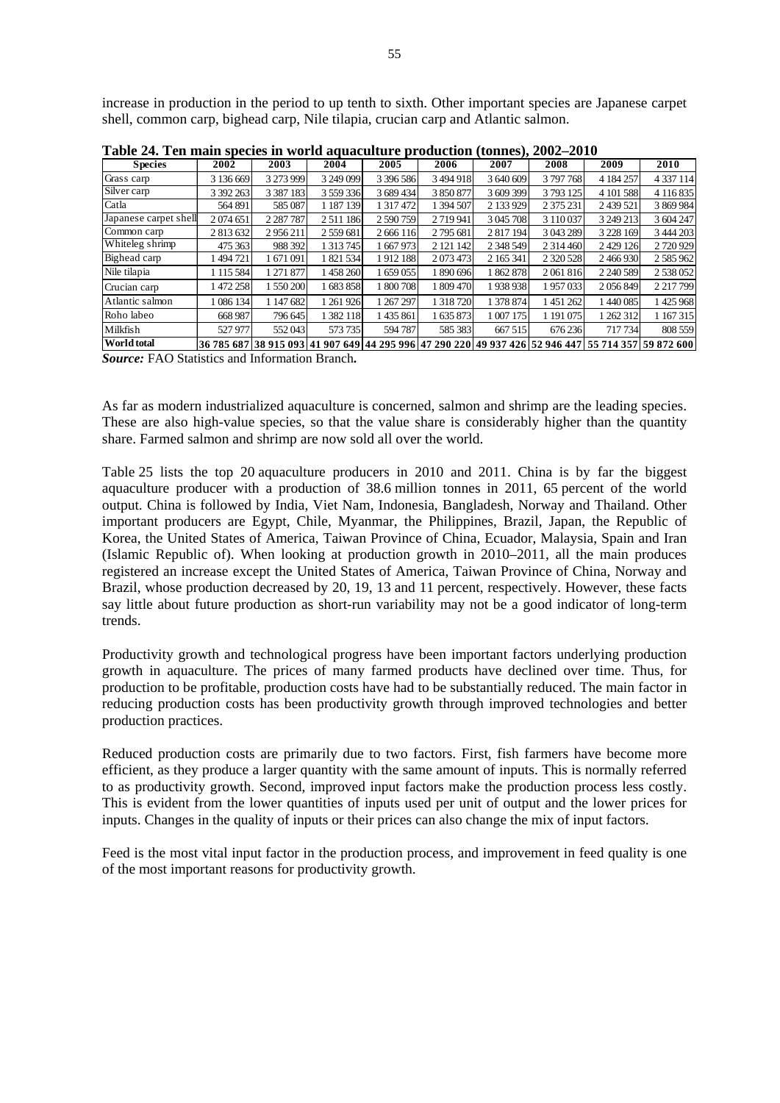increase in production in the period to up tenth to sixth. Other important species are Japanese carpet shell, common carp, bighead carp, Nile tilapia, crucian carp and Atlantic salmon.

|                       |           |               |               | uu uucuren e  |           |             |               |                                                                                                    |               |
|-----------------------|-----------|---------------|---------------|---------------|-----------|-------------|---------------|----------------------------------------------------------------------------------------------------|---------------|
| <b>Species</b>        | 2002      | 2003          | 2004          | 2005          | 2006      | 2007        | 2008          | 2009                                                                                               | 2010          |
| Grass carp            | 3 136 669 | 3 273 999     | 3 249 099     | 3 396 586     | 3 494 918 | 3 640 609   | 3797768       | 4 184 257                                                                                          | 4 3 3 7 1 1 4 |
| Silver carp           | 3 392 263 | 3 3 8 7 1 8 3 | 3 559 336     | 3 689 434     | 3 850 877 | 3609399     | 3793125       | 4 101 588                                                                                          | 4 116 835     |
| Catla                 | 564 891   | 585 087       | 1 187 139     | 1 3 1 7 4 7 2 | 1 394 507 | 2 133 929   | 2 3 7 5 2 3 1 | 2 439 521                                                                                          | 3 869 984     |
| Japanese carpet shell | 2074651   | 2 2 8 7 7 8 7 | 2511186       | 2590759       | 2719941   | 3 045 708   | 3 110 037     | 3 249 213                                                                                          | 3 604 247     |
| Common carp           | 2 813 632 | 2956211       | 2 559 681     | 2 6 6 1 1 6   | 2795 681  | 2 817 194   | 3 043 289     | 3 2 2 8 1 6 9                                                                                      | 3 444 203     |
| Whiteleg shrimp       | 475 363   | 988 392       | 1 3 1 3 7 4 5 | 1 667 973     | 2 121 142 | 2 3 48 5 49 | 2 3 1 4 4 6 0 | 2 4 29 1 26                                                                                        | 2720929       |
| Bighead carp          | l 494 721 | 1 671 091     | 1 821 534     | 1912 188      | 2 073 473 | 2 165 341   | 2 3 2 0 5 2 8 | 2466930                                                                                            | 2 5 8 5 9 6 2 |
| Nile tilapia          | 1 115 584 | 1 271 877     | 1458260       | 1 659 055     | 1890696   | 1862878     | 2061816       | 2 240 589                                                                                          | 2 538 052     |
| Crucian carp          | 1472258   | 1 550 200     | 1683858       | 1 800 708     | 1 809 470 | 1938938     | 1957033       | 2056849                                                                                            | 2 2 1 7 7 9 9 |
| Atlantic salmon       | 1 086 134 | 1 147 682     | 1 261 926     | 1 267 297     | 1 318 720 | 1 378 874   | 1451262       | 1 440 085                                                                                          | 1425968       |
| Roho labeo            | 668 987   | 796 645       | 1 382 118     | 1435861       | 1 635 873 | 1 007 175   | 1 191 075     | 1 262 312                                                                                          | 1 167 315     |
| Milkfish              | 527 977   | 552043        | 573 735       | 594 787       | 585 383   | 667 515     | 676 236       | 717 734                                                                                            | 808 559       |
| <b>World total</b>    |           |               |               |               |           |             |               | 36 785 687 38 915 093 41 907 649 44 295 996 47 290 220 49 937 426 52 946 447 55 714 357 59 872 600 |               |

**Table 24. Ten main species in world aquaculture production (tonnes), 2002–2010** 

*Source:* FAO Statistics and Information Branch**.** 

As far as modern industrialized aquaculture is concerned, salmon and shrimp are the leading species. These are also high-value species, so that the value share is considerably higher than the quantity share. Farmed salmon and shrimp are now sold all over the world.

Table 25 lists the top 20 aquaculture producers in 2010 and 2011. China is by far the biggest aquaculture producer with a production of 38.6 million tonnes in 2011, 65 percent of the world output. China is followed by India, Viet Nam, Indonesia, Bangladesh, Norway and Thailand. Other important producers are Egypt, Chile, Myanmar, the Philippines, Brazil, Japan, the Republic of Korea, the United States of America, Taiwan Province of China, Ecuador, Malaysia, Spain and Iran (Islamic Republic of). When looking at production growth in 2010–2011, all the main produces registered an increase except the United States of America, Taiwan Province of China, Norway and Brazil, whose production decreased by 20, 19, 13 and 11 percent, respectively. However, these facts say little about future production as short-run variability may not be a good indicator of long-term trends.

Productivity growth and technological progress have been important factors underlying production growth in aquaculture. The prices of many farmed products have declined over time. Thus, for production to be profitable, production costs have had to be substantially reduced. The main factor in reducing production costs has been productivity growth through improved technologies and better production practices.

Reduced production costs are primarily due to two factors. First, fish farmers have become more efficient, as they produce a larger quantity with the same amount of inputs. This is normally referred to as productivity growth. Second, improved input factors make the production process less costly. This is evident from the lower quantities of inputs used per unit of output and the lower prices for inputs. Changes in the quality of inputs or their prices can also change the mix of input factors.

Feed is the most vital input factor in the production process, and improvement in feed quality is one of the most important reasons for productivity growth.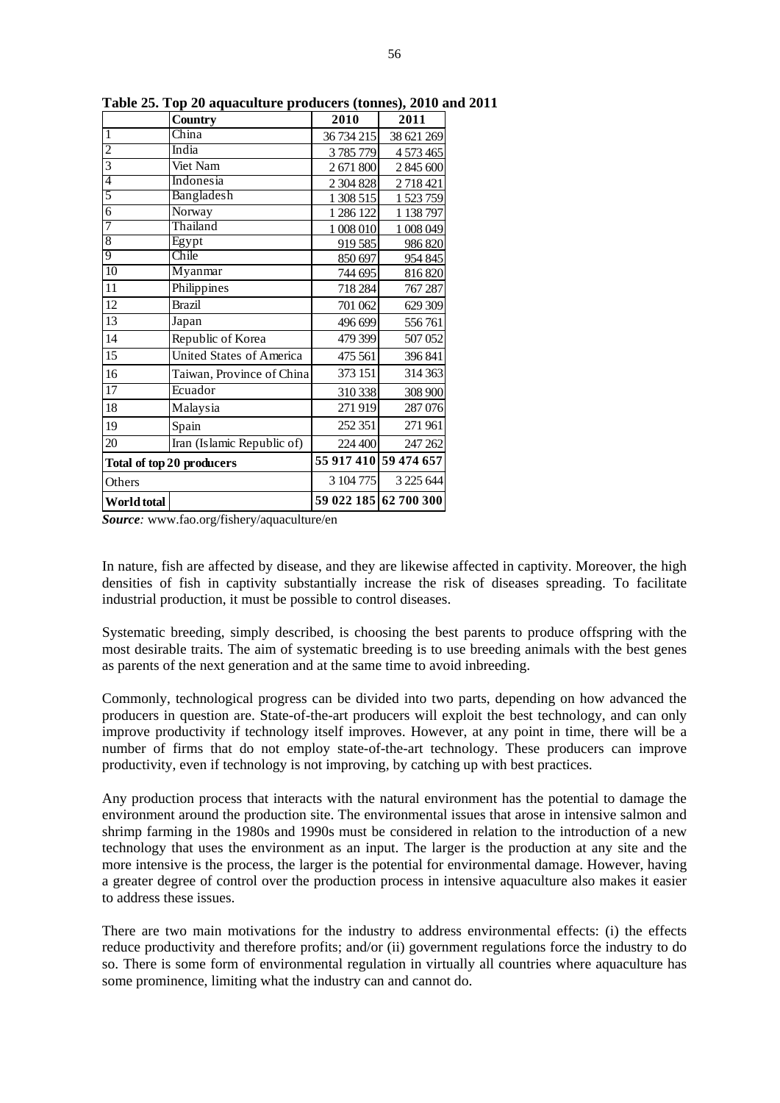|                           | <b>Country</b>             | 2010       | 2011                  |
|---------------------------|----------------------------|------------|-----------------------|
| $\mathbf{1}$              | China                      | 36 734 215 | 38 621 269            |
| $\overline{c}$            | India                      | 3785779    | 4 573 465             |
| $\overline{3}$            | Viet Nam                   | 2 671 800  | 2 845 600             |
| 4                         | Indonesia                  | 2 304 828  | 2718421               |
| 5                         | Bangladesh                 | 1 308 515  | 1 523 759             |
| $\overline{6}$            | Norway                     | 1 286 122  | 1 138 797             |
| 7                         | Thailand                   | 1 008 010  | 1 008 049             |
| $\overline{8}$            | Egypt                      | 919 585    | 986 820               |
| 9                         | Chile                      | 850 697    | 954 845               |
| 10                        | Myanmar                    | 744 695    | 816 820               |
| 11                        | Philippines                | 718 284    | 767 287               |
| 12                        | <b>Brazil</b>              | 701 062    | 629 309               |
| 13                        | Japan                      | 496 699    | 556761                |
| 14                        | Republic of Korea          | 479 399    | 507 052               |
| 15                        | United States of America   | 475 561    | 396 841               |
| 16                        | Taiwan, Province of China  | 373 151    | 314 363               |
| $\overline{17}$           | Ecuador                    | 310 338    | 308 900               |
| 18                        | Malaysia                   | 271919     | 287 076               |
| 19                        | Spain                      | 252 351    | 271961                |
| 20                        | Iran (Islamic Republic of) | 224 400    | 247 262               |
| Total of top 20 producers |                            |            | 55 917 410 59 474 657 |
| Others                    |                            | 3 104 775  | 3 2 2 5 6 4 4         |
| World total               |                            |            | 59 022 185 62 700 300 |

**Table 25. Top 20 aquaculture producers (tonnes), 2010 and 2011** 

*Source:* www.fao.org/fishery/aquaculture/en

In nature, fish are affected by disease, and they are likewise affected in captivity. Moreover, the high densities of fish in captivity substantially increase the risk of diseases spreading. To facilitate industrial production, it must be possible to control diseases.

Systematic breeding, simply described, is choosing the best parents to produce offspring with the most desirable traits. The aim of systematic breeding is to use breeding animals with the best genes as parents of the next generation and at the same time to avoid inbreeding.

Commonly, technological progress can be divided into two parts, depending on how advanced the producers in question are. State-of-the-art producers will exploit the best technology, and can only improve productivity if technology itself improves. However, at any point in time, there will be a number of firms that do not employ state-of-the-art technology. These producers can improve productivity, even if technology is not improving, by catching up with best practices.

Any production process that interacts with the natural environment has the potential to damage the environment around the production site. The environmental issues that arose in intensive salmon and shrimp farming in the 1980s and 1990s must be considered in relation to the introduction of a new technology that uses the environment as an input. The larger is the production at any site and the more intensive is the process, the larger is the potential for environmental damage. However, having a greater degree of control over the production process in intensive aquaculture also makes it easier to address these issues.

There are two main motivations for the industry to address environmental effects: (i) the effects reduce productivity and therefore profits; and/or (ii) government regulations force the industry to do so. There is some form of environmental regulation in virtually all countries where aquaculture has some prominence, limiting what the industry can and cannot do.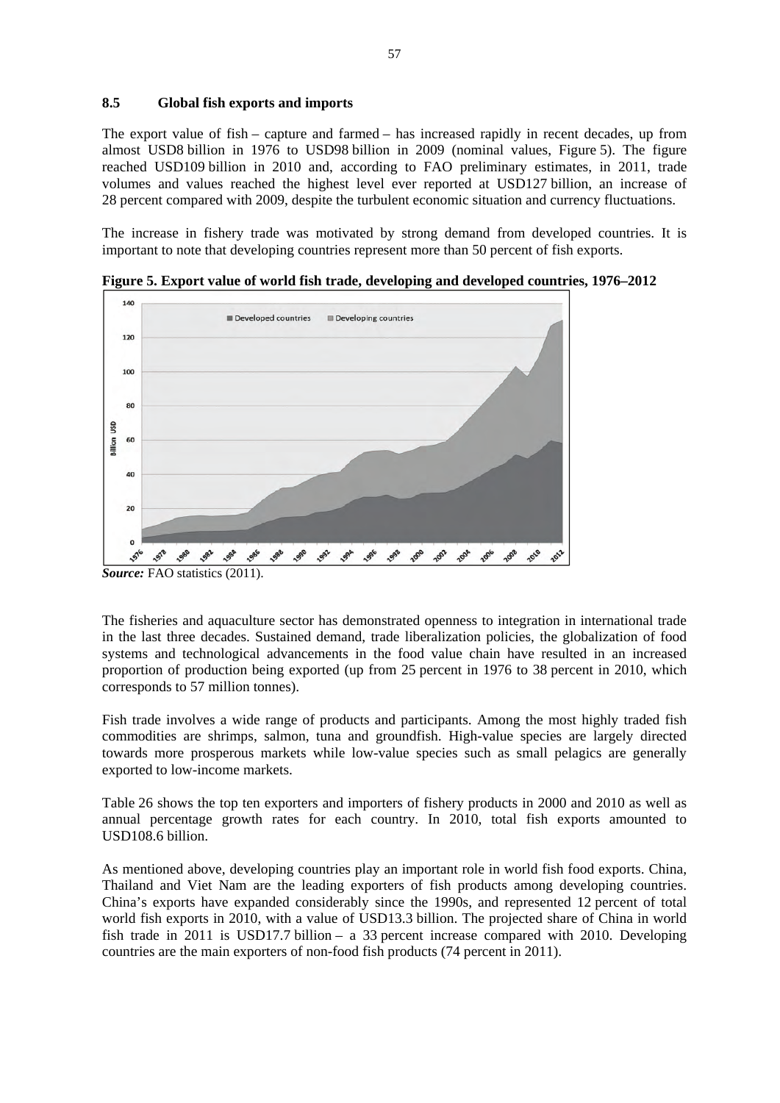#### **8.5 Global fish exports and imports**

The export value of fish – capture and farmed – has increased rapidly in recent decades, up from almost USD8 billion in 1976 to USD98 billion in 2009 (nominal values, Figure 5). The figure reached USD109 billion in 2010 and, according to FAO preliminary estimates, in 2011, trade volumes and values reached the highest level ever reported at USD127 billion, an increase of 28 percent compared with 2009, despite the turbulent economic situation and currency fluctuations.

The increase in fishery trade was motivated by strong demand from developed countries. It is important to note that developing countries represent more than 50 percent of fish exports.



**Figure 5. Export value of world fish trade, developing and developed countries, 1976–2012**

The fisheries and aquaculture sector has demonstrated openness to integration in international trade in the last three decades. Sustained demand, trade liberalization policies, the globalization of food systems and technological advancements in the food value chain have resulted in an increased proportion of production being exported (up from 25 percent in 1976 to 38 percent in 2010, which corresponds to 57 million tonnes).

Fish trade involves a wide range of products and participants. Among the most highly traded fish commodities are shrimps, salmon, tuna and groundfish. High-value species are largely directed towards more prosperous markets while low-value species such as small pelagics are generally exported to low-income markets.

Table 26 shows the top ten exporters and importers of fishery products in 2000 and 2010 as well as annual percentage growth rates for each country. In 2010, total fish exports amounted to USD108.6 billion.

As mentioned above, developing countries play an important role in world fish food exports. China, Thailand and Viet Nam are the leading exporters of fish products among developing countries. China's exports have expanded considerably since the 1990s, and represented 12 percent of total world fish exports in 2010, with a value of USD13.3 billion. The projected share of China in world fish trade in 2011 is USD17.7 billion – a 33 percent increase compared with 2010. Developing countries are the main exporters of non-food fish products (74 percent in 2011).

*Source:* FAO statistics (2011).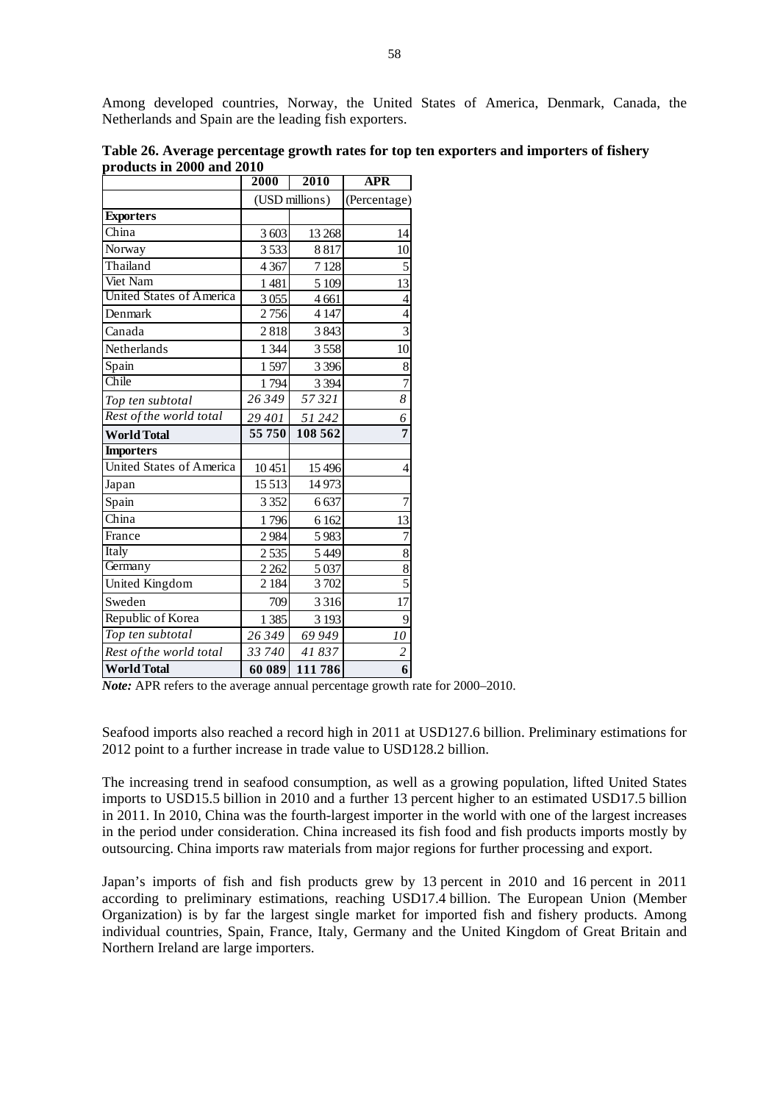Among developed countries, Norway, the United States of America, Denmark, Canada, the Netherlands and Spain are the leading fish exporters.

|                                 | 2000           | 2010     | <b>APR</b>              |
|---------------------------------|----------------|----------|-------------------------|
|                                 | (USD millions) |          | (Percentage)            |
| <b>Exporters</b>                |                |          |                         |
| China                           | 3 603          | 13 268   | 14                      |
| Norway                          | 3533           | 8817     | 10                      |
| Thailand                        | 4 3 6 7        | 7 1 28   | 5                       |
| Viet Nam                        | 1481           | 5 109    | 13                      |
| <b>United States of America</b> | 3055           | 4 6 61   | $\overline{4}$          |
| Denmark                         | 2756           | 4 1 4 7  | 4                       |
| Canada                          | 2818           | 3843     | $\overline{\mathbf{3}}$ |
| Netherlands                     | 1 3 4 4        | 3558     | 10                      |
| Spain                           | 1597           | 3 3 9 6  | 8                       |
| Chile                           | 1794           | 3 3 9 4  | $\overline{7}$          |
| Top ten subtotal                | 26 349         | 57321    | $\overline{\delta}$     |
| Rest of the world total         | 29 401         | 51 242   | 6                       |
| <b>World Total</b>              | 55750          | 108 562  | 7                       |
| <b>Importers</b>                |                |          |                         |
| <b>United States of America</b> | 10451          | 15 4 9 6 | 4                       |
| Japan                           | 15 5 13        | 14973    |                         |
| Spain                           | 3 3 5 2        | 6637     | $\overline{7}$          |
| China                           | 1796           | 6 1 6 2  | 13                      |
| France                          | 2984           | 5983     | 7                       |
| Italy                           | 2535           | 5449     | $\overline{8}$          |
| Germany                         | 2 2 6 2        | 5 0 37   | 8                       |
| United Kingdom                  | 2 1 8 4        | 3702     | $\overline{5}$          |
| Sweden                          | 709            | 3 3 1 6  | 17                      |
| Republic of Korea               | 1 3 8 5        | 3 1 9 3  | 9                       |
| Top ten subtotal                | 26349          | 69 949   | 10                      |
| Rest of the world total         | 33 740         | 41837    | $\overline{c}$          |
| <b>World Total</b>              | 60 089         | 111786   | 6                       |

**Table 26. Average percentage growth rates for top ten exporters and importers of fishery products in 2000 and 2010** 

Seafood imports also reached a record high in 2011 at USD127.6 billion. Preliminary estimations for 2012 point to a further increase in trade value to USD128.2 billion.

The increasing trend in seafood consumption, as well as a growing population, lifted United States imports to USD15.5 billion in 2010 and a further 13 percent higher to an estimated USD17.5 billion in 2011. In 2010, China was the fourth-largest importer in the world with one of the largest increases in the period under consideration. China increased its fish food and fish products imports mostly by outsourcing. China imports raw materials from major regions for further processing and export.

Japan's imports of fish and fish products grew by 13 percent in 2010 and 16 percent in 2011 according to preliminary estimations, reaching USD17.4 billion. The European Union (Member Organization) is by far the largest single market for imported fish and fishery products. Among individual countries, Spain, France, Italy, Germany and the United Kingdom of Great Britain and Northern Ireland are large importers.

*Note:* APR refers to the average annual percentage growth rate for 2000–2010.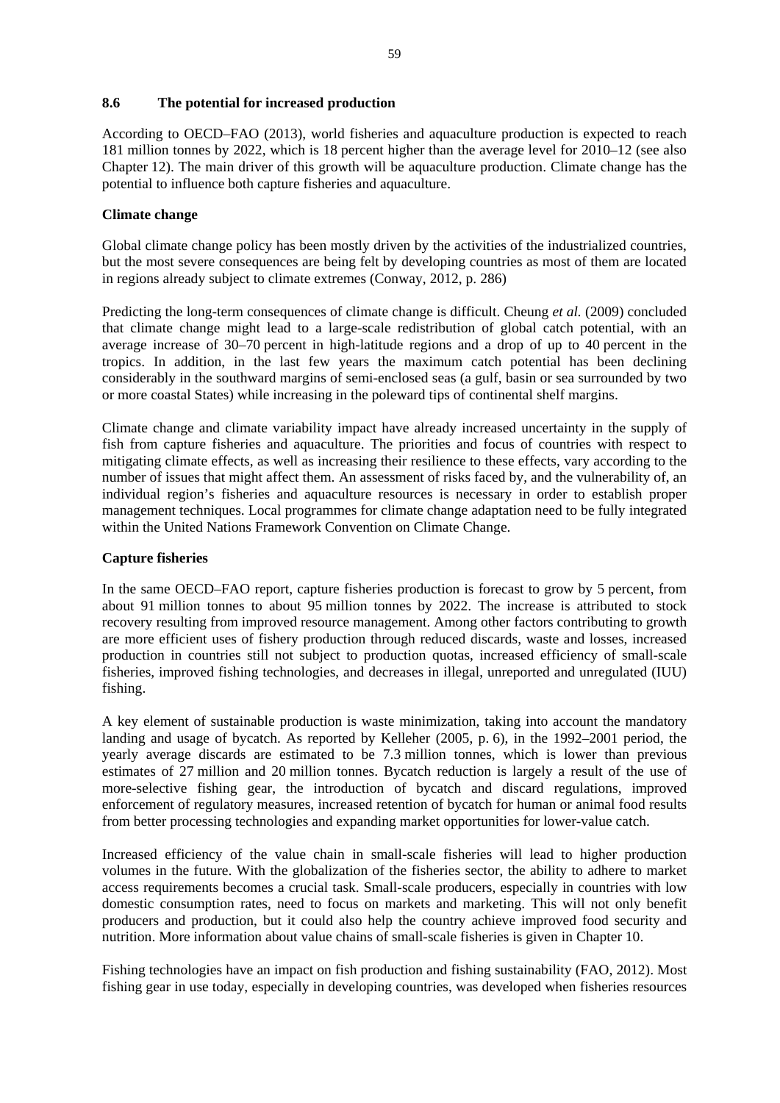#### **8.6 The potential for increased production**

According to OECD–FAO (2013), world fisheries and aquaculture production is expected to reach 181 million tonnes by 2022, which is 18 percent higher than the average level for 2010–12 (see also Chapter 12). The main driver of this growth will be aquaculture production. Climate change has the potential to influence both capture fisheries and aquaculture.

## **Climate change**

Global climate change policy has been mostly driven by the activities of the industrialized countries, but the most severe consequences are being felt by developing countries as most of them are located in regions already subject to climate extremes (Conway, 2012, p. 286)

Predicting the long-term consequences of climate change is difficult. Cheung *et al.* (2009) concluded that climate change might lead to a large-scale redistribution of global catch potential, with an average increase of 30–70 percent in high-latitude regions and a drop of up to 40 percent in the tropics. In addition, in the last few years the maximum catch potential has been declining considerably in the southward margins of semi-enclosed seas (a gulf, basin or sea surrounded by two or more coastal States) while increasing in the poleward tips of continental shelf margins.

Climate change and climate variability impact have already increased uncertainty in the supply of fish from capture fisheries and aquaculture. The priorities and focus of countries with respect to mitigating climate effects, as well as increasing their resilience to these effects, vary according to the number of issues that might affect them. An assessment of risks faced by, and the vulnerability of, an individual region's fisheries and aquaculture resources is necessary in order to establish proper management techniques. Local programmes for climate change adaptation need to be fully integrated within the United Nations Framework Convention on Climate Change.

#### **Capture fisheries**

In the same OECD–FAO report, capture fisheries production is forecast to grow by 5 percent, from about 91 million tonnes to about 95 million tonnes by 2022. The increase is attributed to stock recovery resulting from improved resource management. Among other factors contributing to growth are more efficient uses of fishery production through reduced discards, waste and losses, increased production in countries still not subject to production quotas, increased efficiency of small-scale fisheries, improved fishing technologies, and decreases in illegal, unreported and unregulated (IUU) fishing.

A key element of sustainable production is waste minimization, taking into account the mandatory landing and usage of bycatch. As reported by Kelleher (2005, p. 6), in the 1992–2001 period, the yearly average discards are estimated to be 7.3 million tonnes, which is lower than previous estimates of 27 million and 20 million tonnes. Bycatch reduction is largely a result of the use of more-selective fishing gear, the introduction of bycatch and discard regulations, improved enforcement of regulatory measures, increased retention of bycatch for human or animal food results from better processing technologies and expanding market opportunities for lower-value catch.

Increased efficiency of the value chain in small-scale fisheries will lead to higher production volumes in the future. With the globalization of the fisheries sector, the ability to adhere to market access requirements becomes a crucial task. Small-scale producers, especially in countries with low domestic consumption rates, need to focus on markets and marketing. This will not only benefit producers and production, but it could also help the country achieve improved food security and nutrition. More information about value chains of small-scale fisheries is given in Chapter 10.

Fishing technologies have an impact on fish production and fishing sustainability (FAO, 2012). Most fishing gear in use today, especially in developing countries, was developed when fisheries resources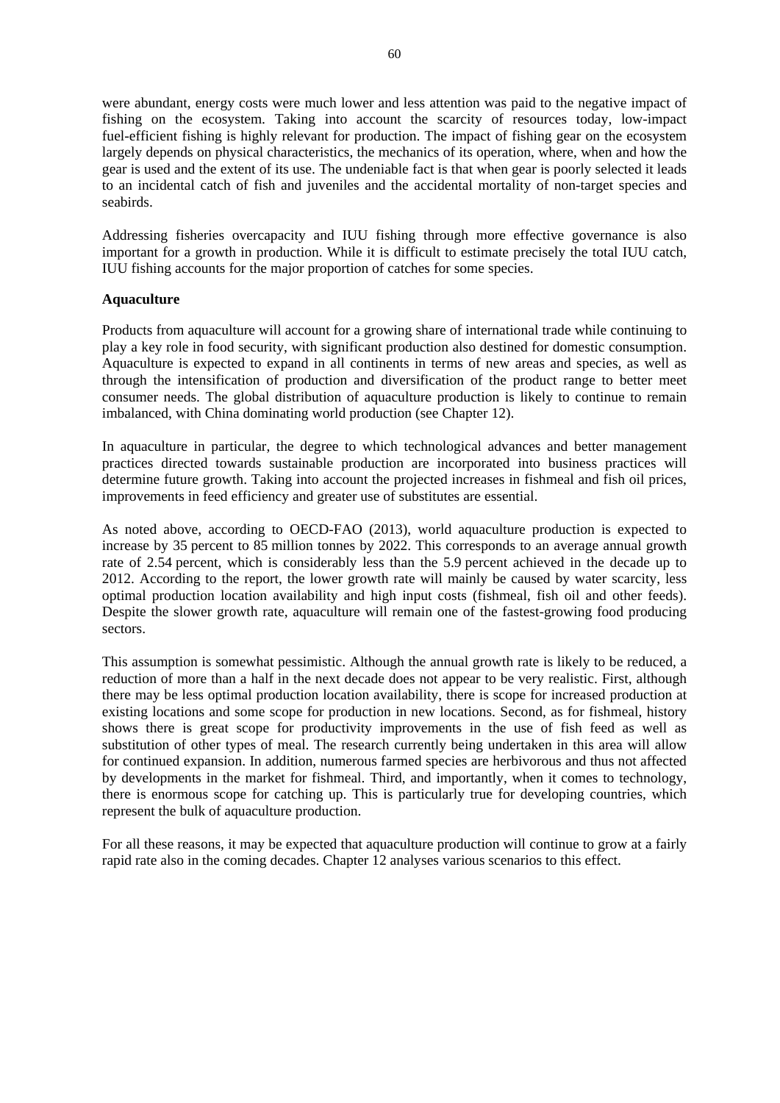were abundant, energy costs were much lower and less attention was paid to the negative impact of fishing on the ecosystem. Taking into account the scarcity of resources today, low-impact fuel-efficient fishing is highly relevant for production. The impact of fishing gear on the ecosystem largely depends on physical characteristics, the mechanics of its operation, where, when and how the gear is used and the extent of its use. The undeniable fact is that when gear is poorly selected it leads to an incidental catch of fish and juveniles and the accidental mortality of non-target species and seabirds.

Addressing fisheries overcapacity and IUU fishing through more effective governance is also important for a growth in production. While it is difficult to estimate precisely the total IUU catch, IUU fishing accounts for the major proportion of catches for some species.

#### **Aquaculture**

Products from aquaculture will account for a growing share of international trade while continuing to play a key role in food security, with significant production also destined for domestic consumption. Aquaculture is expected to expand in all continents in terms of new areas and species, as well as through the intensification of production and diversification of the product range to better meet consumer needs. The global distribution of aquaculture production is likely to continue to remain imbalanced, with China dominating world production (see Chapter 12).

In aquaculture in particular, the degree to which technological advances and better management practices directed towards sustainable production are incorporated into business practices will determine future growth. Taking into account the projected increases in fishmeal and fish oil prices, improvements in feed efficiency and greater use of substitutes are essential.

As noted above, according to OECD-FAO (2013), world aquaculture production is expected to increase by 35 percent to 85 million tonnes by 2022. This corresponds to an average annual growth rate of 2.54 percent, which is considerably less than the 5.9 percent achieved in the decade up to 2012. According to the report, the lower growth rate will mainly be caused by water scarcity, less optimal production location availability and high input costs (fishmeal, fish oil and other feeds). Despite the slower growth rate, aquaculture will remain one of the fastest-growing food producing sectors.

This assumption is somewhat pessimistic. Although the annual growth rate is likely to be reduced, a reduction of more than a half in the next decade does not appear to be very realistic. First, although there may be less optimal production location availability, there is scope for increased production at existing locations and some scope for production in new locations. Second, as for fishmeal, history shows there is great scope for productivity improvements in the use of fish feed as well as substitution of other types of meal. The research currently being undertaken in this area will allow for continued expansion. In addition, numerous farmed species are herbivorous and thus not affected by developments in the market for fishmeal. Third, and importantly, when it comes to technology, there is enormous scope for catching up. This is particularly true for developing countries, which represent the bulk of aquaculture production.

For all these reasons, it may be expected that aquaculture production will continue to grow at a fairly rapid rate also in the coming decades. Chapter 12 analyses various scenarios to this effect.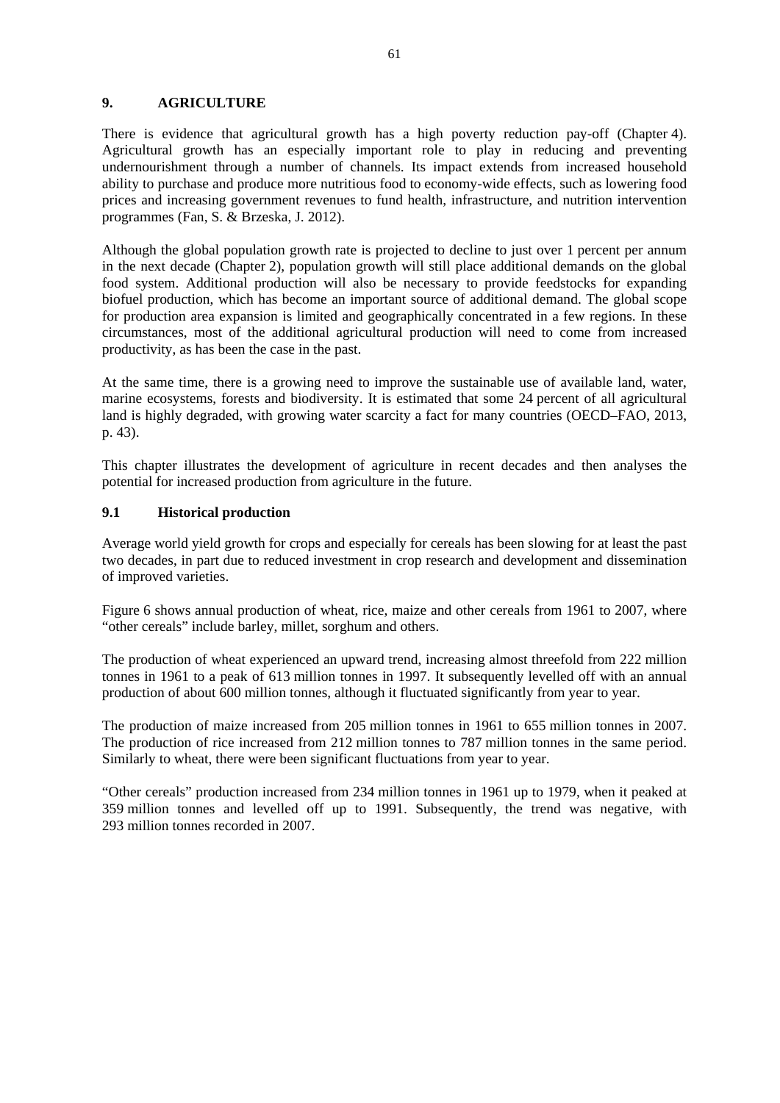### **9. AGRICULTURE**

There is evidence that agricultural growth has a high poverty reduction pay-off (Chapter 4). Agricultural growth has an especially important role to play in reducing and preventing undernourishment through a number of channels. Its impact extends from increased household ability to purchase and produce more nutritious food to economy-wide effects, such as lowering food prices and increasing government revenues to fund health, infrastructure, and nutrition intervention programmes (Fan, S. & Brzeska, J. 2012).

Although the global population growth rate is projected to decline to just over 1 percent per annum in the next decade (Chapter 2), population growth will still place additional demands on the global food system. Additional production will also be necessary to provide feedstocks for expanding biofuel production, which has become an important source of additional demand. The global scope for production area expansion is limited and geographically concentrated in a few regions. In these circumstances, most of the additional agricultural production will need to come from increased productivity, as has been the case in the past.

At the same time, there is a growing need to improve the sustainable use of available land, water, marine ecosystems, forests and biodiversity. It is estimated that some 24 percent of all agricultural land is highly degraded, with growing water scarcity a fact for many countries (OECD–FAO, 2013, p. 43).

This chapter illustrates the development of agriculture in recent decades and then analyses the potential for increased production from agriculture in the future.

## **9.1 Historical production**

Average world yield growth for crops and especially for cereals has been slowing for at least the past two decades, in part due to reduced investment in crop research and development and dissemination of improved varieties.

Figure 6 shows annual production of wheat, rice, maize and other cereals from 1961 to 2007, where "other cereals" include barley, millet, sorghum and others.

The production of wheat experienced an upward trend, increasing almost threefold from 222 million tonnes in 1961 to a peak of 613 million tonnes in 1997. It subsequently levelled off with an annual production of about 600 million tonnes, although it fluctuated significantly from year to year.

The production of maize increased from 205 million tonnes in 1961 to 655 million tonnes in 2007. The production of rice increased from 212 million tonnes to 787 million tonnes in the same period. Similarly to wheat, there were been significant fluctuations from year to year.

"Other cereals" production increased from 234 million tonnes in 1961 up to 1979, when it peaked at 359 million tonnes and levelled off up to 1991. Subsequently, the trend was negative, with 293 million tonnes recorded in 2007.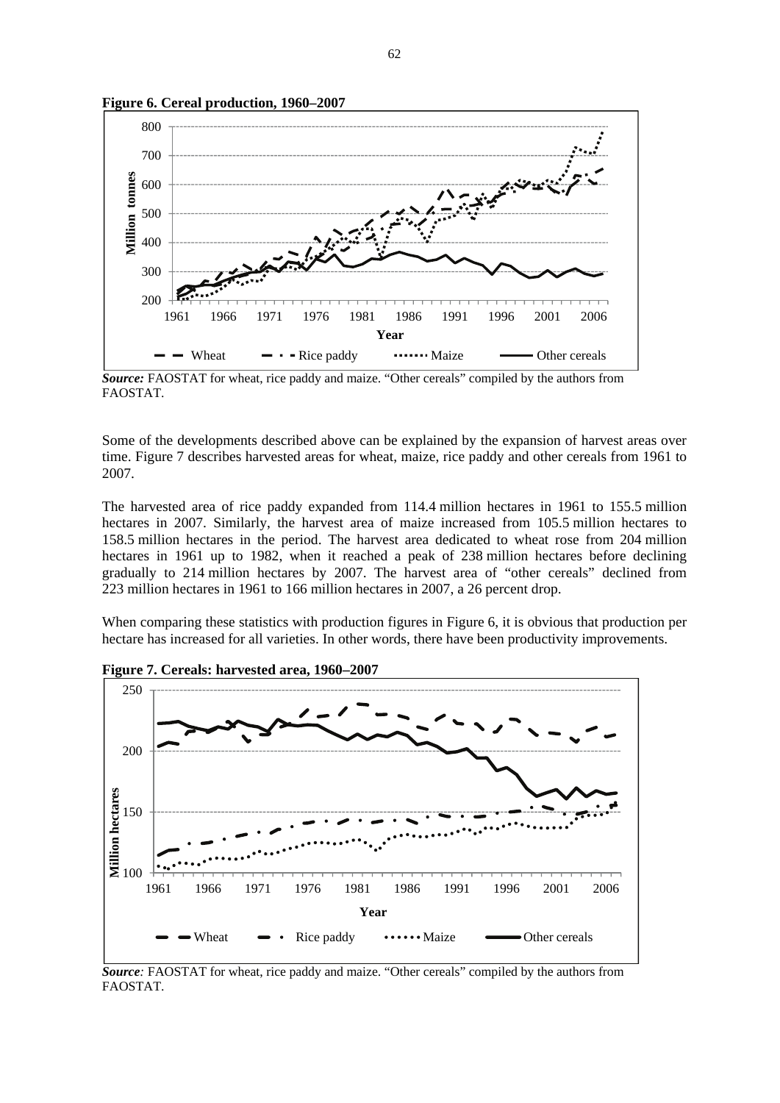

**Figure 6. Cereal production, 1960–2007** 

*Source:* FAOSTAT for wheat, rice paddy and maize. "Other cereals" compiled by the authors from FAOSTAT.

Some of the developments described above can be explained by the expansion of harvest areas over time. Figure 7 describes harvested areas for wheat, maize, rice paddy and other cereals from 1961 to 2007.

The harvested area of rice paddy expanded from 114.4 million hectares in 1961 to 155.5 million hectares in 2007. Similarly, the harvest area of maize increased from 105.5 million hectares to 158.5 million hectares in the period. The harvest area dedicated to wheat rose from 204 million hectares in 1961 up to 1982, when it reached a peak of 238 million hectares before declining gradually to 214 million hectares by 2007. The harvest area of "other cereals" declined from 223 million hectares in 1961 to 166 million hectares in 2007, a 26 percent drop.

When comparing these statistics with production figures in Figure 6, it is obvious that production per hectare has increased for all varieties. In other words, there have been productivity improvements.



**Figure 7. Cereals: harvested area, 1960–2007** 

*Source:* FAOSTAT for wheat, rice paddy and maize. "Other cereals" compiled by the authors from FAOSTAT.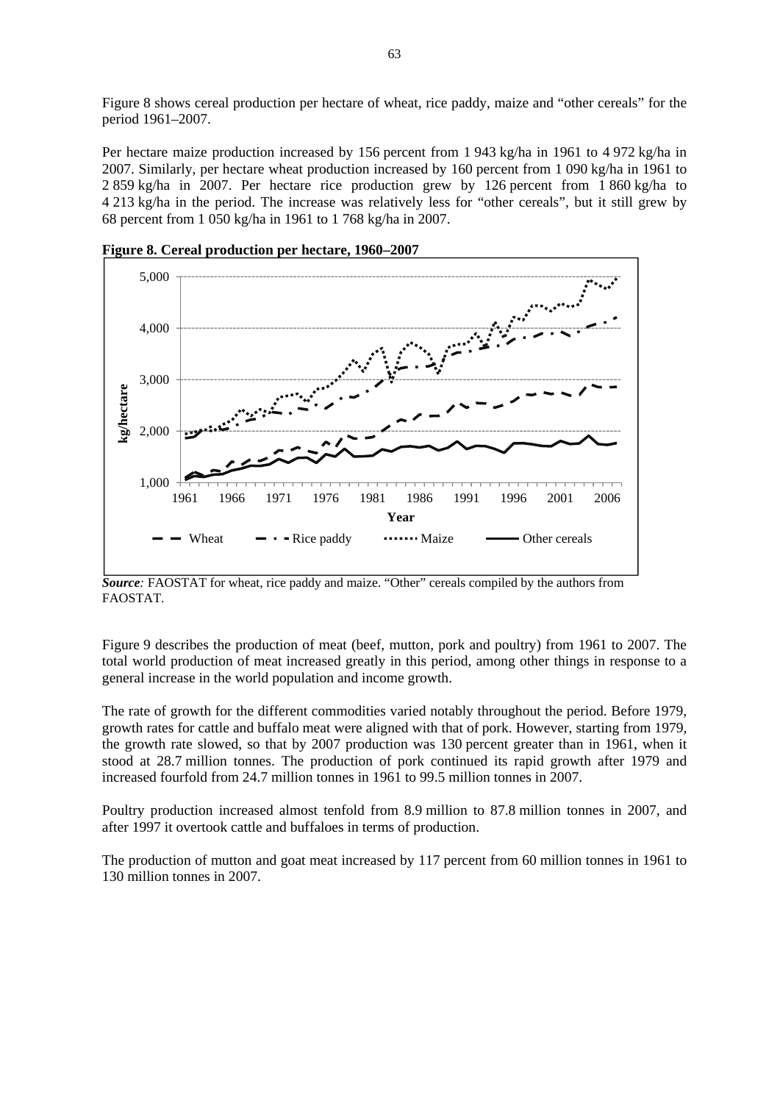Figure 8 shows cereal production per hectare of wheat, rice paddy, maize and "other cereals" for the period 1961–2007.

Per hectare maize production increased by 156 percent from 1 943 kg/ha in 1961 to 4 972 kg/ha in 2007. Similarly, per hectare wheat production increased by 160 percent from 1 090 kg/ha in 1961 to 2 859 kg/ha in 2007. Per hectare rice production grew by 126 percent from 1 860 kg/ha to 4 213 kg/ha in the period. The increase was relatively less for "other cereals", but it still grew by 68 percent from 1 050 kg/ha in 1961 to 1 768 kg/ha in 2007.



**Figure 8. Cereal production per hectare, 1960–2007** 

*Source:* FAOSTAT for wheat, rice paddy and maize. "Other" cereals compiled by the authors from FAOSTAT.

Figure 9 describes the production of meat (beef, mutton, pork and poultry) from 1961 to 2007. The total world production of meat increased greatly in this period, among other things in response to a general increase in the world population and income growth.

The rate of growth for the different commodities varied notably throughout the period. Before 1979, growth rates for cattle and buffalo meat were aligned with that of pork. However, starting from 1979, the growth rate slowed, so that by 2007 production was 130 percent greater than in 1961, when it stood at 28.7 million tonnes. The production of pork continued its rapid growth after 1979 and increased fourfold from 24.7 million tonnes in 1961 to 99.5 million tonnes in 2007.

Poultry production increased almost tenfold from 8.9 million to 87.8 million tonnes in 2007, and after 1997 it overtook cattle and buffaloes in terms of production.

The production of mutton and goat meat increased by 117 percent from 60 million tonnes in 1961 to 130 million tonnes in 2007.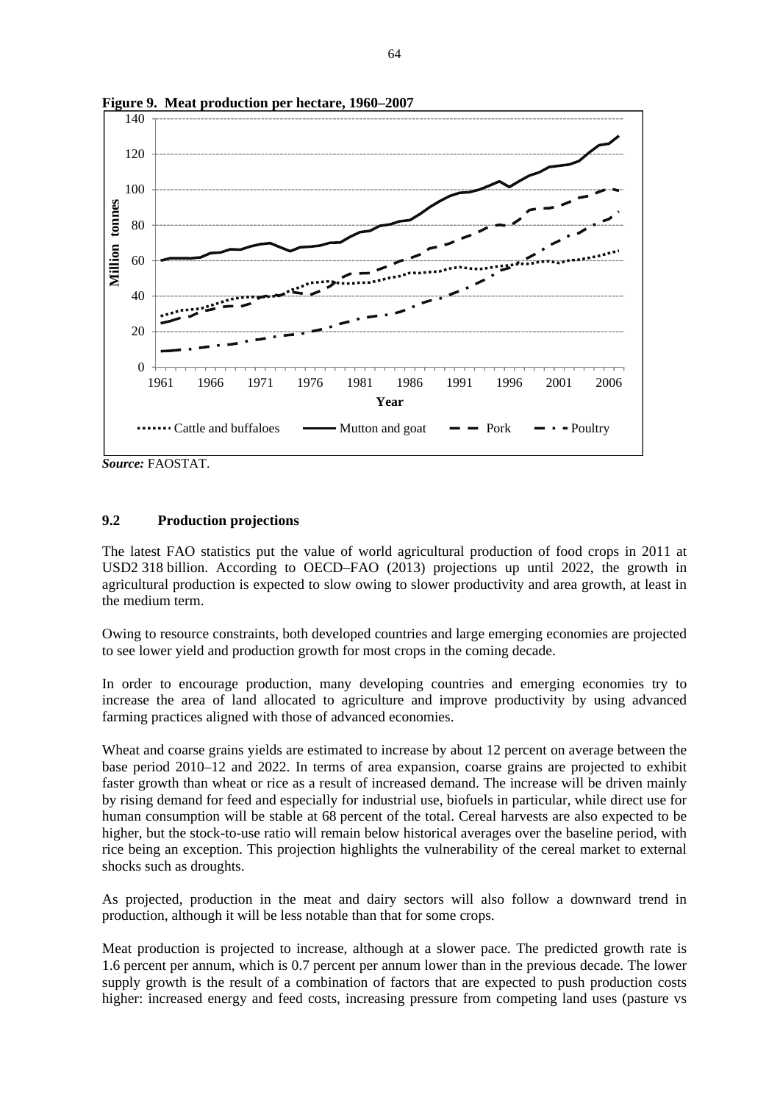

**Figure 9. Meat production per hectare, 1960–2007**

*Source:* FAOSTAT.

#### **9.2 Production projections**

The latest FAO statistics put the value of world agricultural production of food crops in 2011 at USD2 318 billion. According to OECD–FAO (2013) projections up until 2022, the growth in agricultural production is expected to slow owing to slower productivity and area growth, at least in the medium term.

Owing to resource constraints, both developed countries and large emerging economies are projected to see lower yield and production growth for most crops in the coming decade.

In order to encourage production, many developing countries and emerging economies try to increase the area of land allocated to agriculture and improve productivity by using advanced farming practices aligned with those of advanced economies.

Wheat and coarse grains yields are estimated to increase by about 12 percent on average between the base period 2010–12 and 2022. In terms of area expansion, coarse grains are projected to exhibit faster growth than wheat or rice as a result of increased demand. The increase will be driven mainly by rising demand for feed and especially for industrial use, biofuels in particular, while direct use for human consumption will be stable at 68 percent of the total. Cereal harvests are also expected to be higher, but the stock-to-use ratio will remain below historical averages over the baseline period, with rice being an exception. This projection highlights the vulnerability of the cereal market to external shocks such as droughts.

As projected, production in the meat and dairy sectors will also follow a downward trend in production, although it will be less notable than that for some crops.

Meat production is projected to increase, although at a slower pace. The predicted growth rate is 1.6 percent per annum, which is 0.7 percent per annum lower than in the previous decade. The lower supply growth is the result of a combination of factors that are expected to push production costs higher: increased energy and feed costs, increasing pressure from competing land uses (pasture vs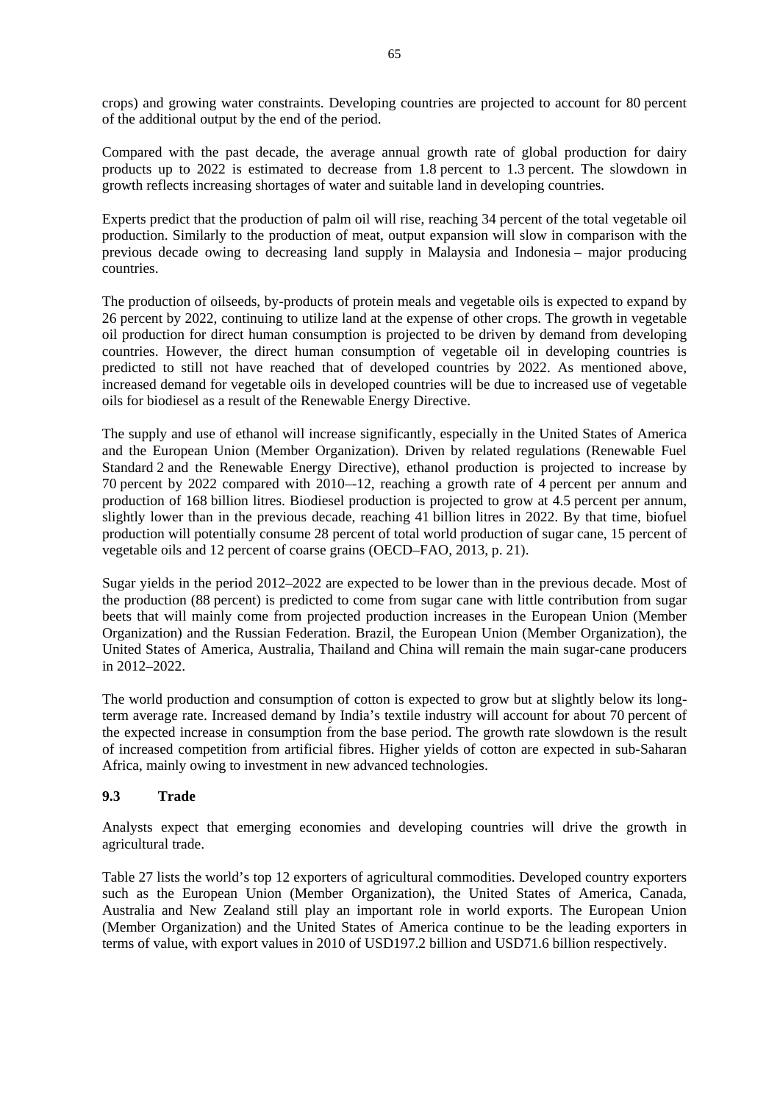crops) and growing water constraints. Developing countries are projected to account for 80 percent of the additional output by the end of the period.

Compared with the past decade, the average annual growth rate of global production for dairy products up to 2022 is estimated to decrease from 1.8 percent to 1.3 percent. The slowdown in growth reflects increasing shortages of water and suitable land in developing countries.

Experts predict that the production of palm oil will rise, reaching 34 percent of the total vegetable oil production. Similarly to the production of meat, output expansion will slow in comparison with the previous decade owing to decreasing land supply in Malaysia and Indonesia – major producing countries.

The production of oilseeds, by-products of protein meals and vegetable oils is expected to expand by 26 percent by 2022, continuing to utilize land at the expense of other crops. The growth in vegetable oil production for direct human consumption is projected to be driven by demand from developing countries. However, the direct human consumption of vegetable oil in developing countries is predicted to still not have reached that of developed countries by 2022. As mentioned above, increased demand for vegetable oils in developed countries will be due to increased use of vegetable oils for biodiesel as a result of the Renewable Energy Directive.

The supply and use of ethanol will increase significantly, especially in the United States of America and the European Union (Member Organization). Driven by related regulations (Renewable Fuel Standard 2 and the Renewable Energy Directive), ethanol production is projected to increase by 70 percent by 2022 compared with 2010–-12, reaching a growth rate of 4 percent per annum and production of 168 billion litres. Biodiesel production is projected to grow at 4.5 percent per annum, slightly lower than in the previous decade, reaching 41 billion litres in 2022. By that time, biofuel production will potentially consume 28 percent of total world production of sugar cane, 15 percent of vegetable oils and 12 percent of coarse grains (OECD–FAO, 2013, p. 21).

Sugar yields in the period 2012–2022 are expected to be lower than in the previous decade. Most of the production (88 percent) is predicted to come from sugar cane with little contribution from sugar beets that will mainly come from projected production increases in the European Union (Member Organization) and the Russian Federation. Brazil, the European Union (Member Organization), the United States of America, Australia, Thailand and China will remain the main sugar-cane producers in 2012–2022.

The world production and consumption of cotton is expected to grow but at slightly below its longterm average rate. Increased demand by India's textile industry will account for about 70 percent of the expected increase in consumption from the base period. The growth rate slowdown is the result of increased competition from artificial fibres. Higher yields of cotton are expected in sub-Saharan Africa, mainly owing to investment in new advanced technologies.

### **9.3 Trade**

Analysts expect that emerging economies and developing countries will drive the growth in agricultural trade.

Table 27 lists the world's top 12 exporters of agricultural commodities. Developed country exporters such as the European Union (Member Organization), the United States of America, Canada, Australia and New Zealand still play an important role in world exports. The European Union (Member Organization) and the United States of America continue to be the leading exporters in terms of value, with export values in 2010 of USD197.2 billion and USD71.6 billion respectively.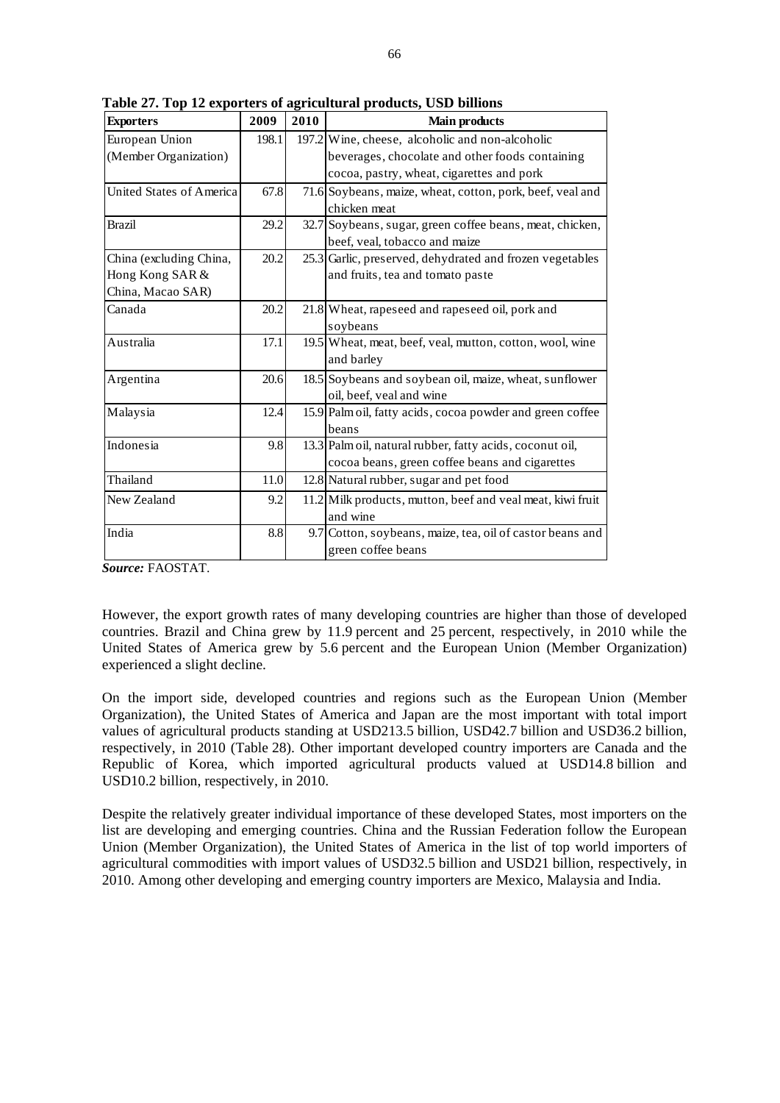| <b>Exporters</b>                | 2009  | 2010 | <b>Main products</b>                                       |
|---------------------------------|-------|------|------------------------------------------------------------|
| European Union                  | 198.1 |      | 197.2 Wine, cheese, alcoholic and non-alcoholic            |
| (Member Organization)           |       |      | beverages, chocolate and other foods containing            |
|                                 |       |      | cocoa, pastry, wheat, cigarettes and pork                  |
| <b>United States of America</b> | 67.8  |      | 71.6 Soybeans, maize, wheat, cotton, pork, beef, veal and  |
|                                 |       |      | chicken meat                                               |
| <b>Brazil</b>                   | 29.2  |      | 32.7 Soybeans, sugar, green coffee beans, meat, chicken,   |
|                                 |       |      | beef, veal, tobacco and maize                              |
| China (excluding China,         | 20.2  |      | 25.3 Garlic, preserved, dehydrated and frozen vegetables   |
| Hong Kong SAR &                 |       |      | and fruits, tea and tomato paste                           |
| China, Macao SAR)               |       |      |                                                            |
| Canada                          | 20.2  |      | 21.8 Wheat, rapeseed and rapeseed oil, pork and            |
|                                 |       |      | soybeans                                                   |
| Australia                       | 17.1  |      | 19.5 Wheat, meat, beef, veal, mutton, cotton, wool, wine   |
|                                 |       |      | and barley                                                 |
| Argentina                       | 20.6  |      | 18.5 Soybeans and soybean oil, maize, wheat, sunflower     |
|                                 |       |      | oil, beef, veal and wine                                   |
| Malaysia                        | 12.4  |      | 15.9 Palm oil, fatty acids, cocoa powder and green coffee  |
|                                 |       |      | beans                                                      |
| Indonesia                       | 9.8   |      | 13.3 Palm oil, natural rubber, fatty acids, coconut oil,   |
|                                 |       |      | cocoa beans, green coffee beans and cigarettes             |
| Thailand                        | 11.0  |      | 12.8 Natural rubber, sugar and pet food                    |
| New Zealand                     | 9.2   |      | 11.2 Milk products, mutton, beef and veal meat, kiwi fruit |
|                                 |       |      | and wine                                                   |
| India                           | 8.8   |      | 9.7 Cotton, soybeans, maize, tea, oil of castor beans and  |
|                                 |       |      | green coffee beans                                         |

**Table 27. Top 12 exporters of agricultural products, USD billions** 

*Source:* FAOSTAT.

However, the export growth rates of many developing countries are higher than those of developed countries. Brazil and China grew by 11.9 percent and 25 percent, respectively, in 2010 while the United States of America grew by 5.6 percent and the European Union (Member Organization) experienced a slight decline.

On the import side, developed countries and regions such as the European Union (Member Organization), the United States of America and Japan are the most important with total import values of agricultural products standing at USD213.5 billion, USD42.7 billion and USD36.2 billion, respectively, in 2010 (Table 28). Other important developed country importers are Canada and the Republic of Korea, which imported agricultural products valued at USD14.8 billion and USD10.2 billion, respectively, in 2010.

Despite the relatively greater individual importance of these developed States, most importers on the list are developing and emerging countries. China and the Russian Federation follow the European Union (Member Organization), the United States of America in the list of top world importers of agricultural commodities with import values of USD32.5 billion and USD21 billion, respectively, in 2010. Among other developing and emerging country importers are Mexico, Malaysia and India.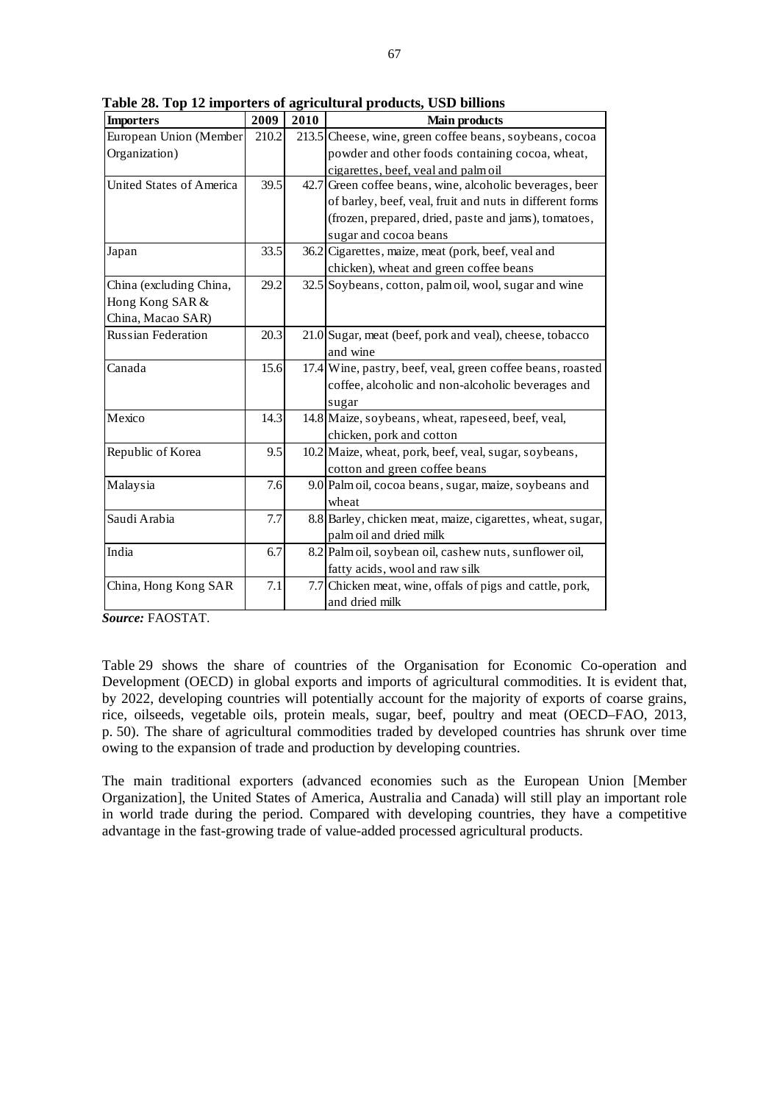| <b>Importers</b>                | 2009  | 2010 | <b>Main products</b>                                       |
|---------------------------------|-------|------|------------------------------------------------------------|
| European Union (Member          | 210.2 |      | 213.5 Cheese, wine, green coffee beans, soybeans, cocoa    |
| Organization)                   |       |      | powder and other foods containing cocoa, wheat,            |
|                                 |       |      | cigarettes, beef, yeal and palmoil                         |
| <b>United States of America</b> | 39.5  |      | 42.7 Green coffee beans, wine, alcoholic beverages, beer   |
|                                 |       |      | of barley, beef, veal, fruit and nuts in different forms   |
|                                 |       |      | (frozen, prepared, dried, paste and jams), tomatoes,       |
|                                 |       |      | sugar and cocoa beans                                      |
| Japan                           | 33.5  |      | 36.2 Cigarettes, maize, meat (pork, beef, veal and         |
|                                 |       |      | chicken), wheat and green coffee beans                     |
| China (excluding China,         | 29.2  |      | 32.5 Soybeans, cotton, palmoil, wool, sugar and wine       |
| Hong Kong SAR &                 |       |      |                                                            |
| China, Macao SAR)               |       |      |                                                            |
| <b>Russian Federation</b>       | 20.3  |      | 21.0 Sugar, meat (beef, pork and veal), cheese, tobacco    |
|                                 |       |      | and wine                                                   |
| Canada                          | 15.6  |      | 17.4 Wine, pastry, beef, veal, green coffee beans, roasted |
|                                 |       |      | coffee, alcoholic and non-alcoholic beverages and          |
|                                 |       |      | sugar                                                      |
| Mexico                          | 14.3  |      | 14.8 Maize, soybeans, wheat, rapeseed, beef, veal,         |
|                                 |       |      | chicken, pork and cotton                                   |
| Republic of Korea               | 9.5   |      | 10.2 Maize, wheat, pork, beef, veal, sugar, soybeans,      |
|                                 |       |      | cotton and green coffee beans                              |
| Malaysia                        | 7.6   |      | 9.0 Palm oil, cocoa beans, sugar, maize, soybeans and      |
|                                 |       |      | wheat                                                      |
| Saudi Arabia                    | 7.7   |      | 8.8 Barley, chicken meat, maize, cigarettes, wheat, sugar, |
|                                 |       |      | palm oil and dried milk                                    |
| India                           | 6.7   |      | 8.2 Palm oil, soybean oil, cashew nuts, sunflower oil,     |
|                                 |       |      | fatty acids, wool and raw silk                             |
| China, Hong Kong SAR            | 7.1   |      | 7.7 Chicken meat, wine, offals of pigs and cattle, pork,   |
|                                 |       |      | and dried milk                                             |

**Table 28. Top 12 importers of agricultural products, USD billions** 

*Source:* FAOSTAT.

Table 29 shows the share of countries of the Organisation for Economic Co-operation and Development (OECD) in global exports and imports of agricultural commodities. It is evident that, by 2022, developing countries will potentially account for the majority of exports of coarse grains, rice, oilseeds, vegetable oils, protein meals, sugar, beef, poultry and meat (OECD–FAO, 2013, p. 50). The share of agricultural commodities traded by developed countries has shrunk over time owing to the expansion of trade and production by developing countries.

The main traditional exporters (advanced economies such as the European Union [Member Organization], the United States of America, Australia and Canada) will still play an important role in world trade during the period. Compared with developing countries, they have a competitive advantage in the fast-growing trade of value-added processed agricultural products.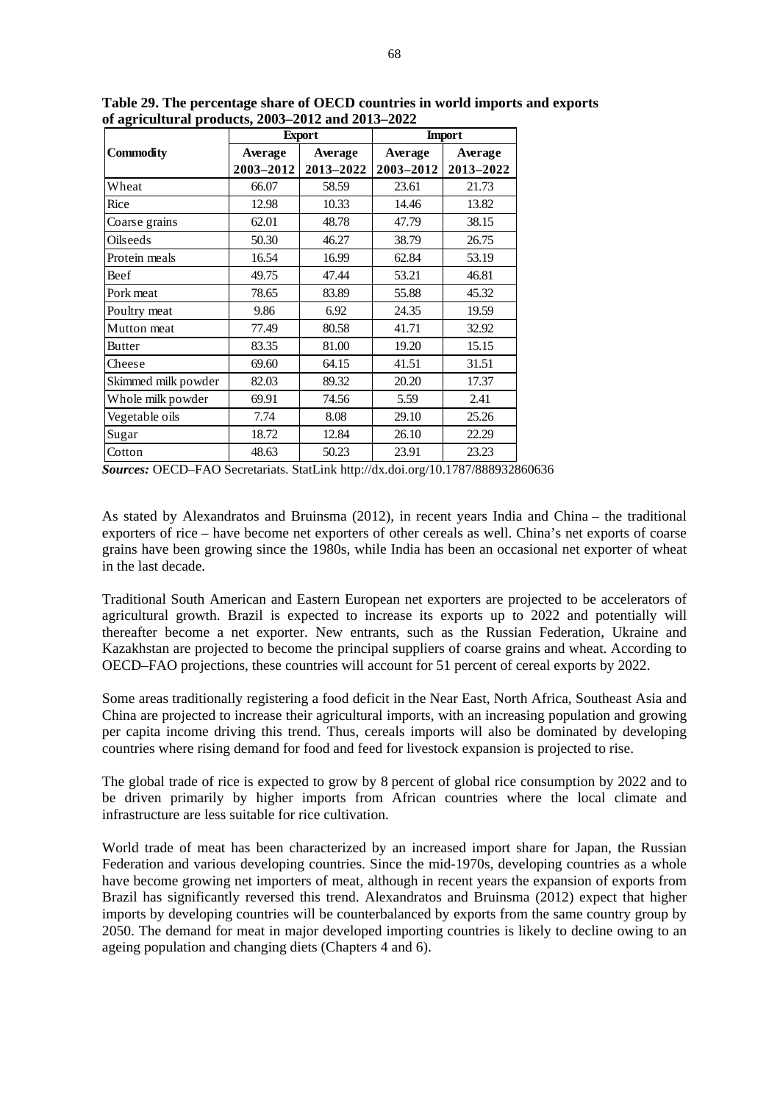|                     |           | <b>Export</b> | <b>Import</b> |           |  |
|---------------------|-----------|---------------|---------------|-----------|--|
| <b>Commodity</b>    | Average   | Average       | Average       | Average   |  |
|                     | 2003-2012 | 2013-2022     | 2003-2012     | 2013-2022 |  |
| Wheat               | 66.07     | 58.59         | 23.61         | 21.73     |  |
| Rice                | 12.98     | 10.33         | 14.46         | 13.82     |  |
| Coarse grains       | 62.01     | 48.78         | 47.79         | 38.15     |  |
| Oilseeds            | 50.30     | 46.27         | 38.79         | 26.75     |  |
| Protein meals       | 16.54     | 16.99         | 62.84         | 53.19     |  |
| Beef                | 49.75     | 47.44         | 53.21         | 46.81     |  |
| Pork meat           | 78.65     | 83.89         | 55.88         | 45.32     |  |
| Poultry meat        | 9.86      | 6.92          | 24.35         | 19.59     |  |
| Mutton meat         | 77.49     | 80.58         | 41.71         | 32.92     |  |
| <b>Butter</b>       | 83.35     | 81.00         | 19.20         | 15.15     |  |
| Cheese              | 69.60     | 64.15         | 41.51         | 31.51     |  |
| Skimmed milk powder | 82.03     | 89.32         | 20.20         | 17.37     |  |
| Whole milk powder   | 69.91     | 74.56         | 5.59          | 2.41      |  |
| Vegetable oils      | 7.74      | 8.08          | 29.10         | 25.26     |  |
| Sugar               | 18.72     | 12.84         | 26.10         | 22.29     |  |
| Cotton              | 48.63     | 50.23         | 23.91         | 23.23     |  |

**Table 29. The percentage share of OECD countries in world imports and exports of agricultural products, 2003–2012 and 2013–2022** 

*Sources:* OECD–FAO Secretariats. StatLink http://dx.doi.org/10.1787/888932860636

As stated by Alexandratos and Bruinsma (2012), in recent years India and China – the traditional exporters of rice – have become net exporters of other cereals as well. China's net exports of coarse grains have been growing since the 1980s, while India has been an occasional net exporter of wheat in the last decade.

Traditional South American and Eastern European net exporters are projected to be accelerators of agricultural growth. Brazil is expected to increase its exports up to 2022 and potentially will thereafter become a net exporter. New entrants, such as the Russian Federation, Ukraine and Kazakhstan are projected to become the principal suppliers of coarse grains and wheat. According to OECD–FAO projections, these countries will account for 51 percent of cereal exports by 2022.

Some areas traditionally registering a food deficit in the Near East, North Africa, Southeast Asia and China are projected to increase their agricultural imports, with an increasing population and growing per capita income driving this trend. Thus, cereals imports will also be dominated by developing countries where rising demand for food and feed for livestock expansion is projected to rise.

The global trade of rice is expected to grow by 8 percent of global rice consumption by 2022 and to be driven primarily by higher imports from African countries where the local climate and infrastructure are less suitable for rice cultivation.

World trade of meat has been characterized by an increased import share for Japan, the Russian Federation and various developing countries. Since the mid-1970s, developing countries as a whole have become growing net importers of meat, although in recent years the expansion of exports from Brazil has significantly reversed this trend. Alexandratos and Bruinsma (2012) expect that higher imports by developing countries will be counterbalanced by exports from the same country group by 2050. The demand for meat in major developed importing countries is likely to decline owing to an ageing population and changing diets (Chapters 4 and 6).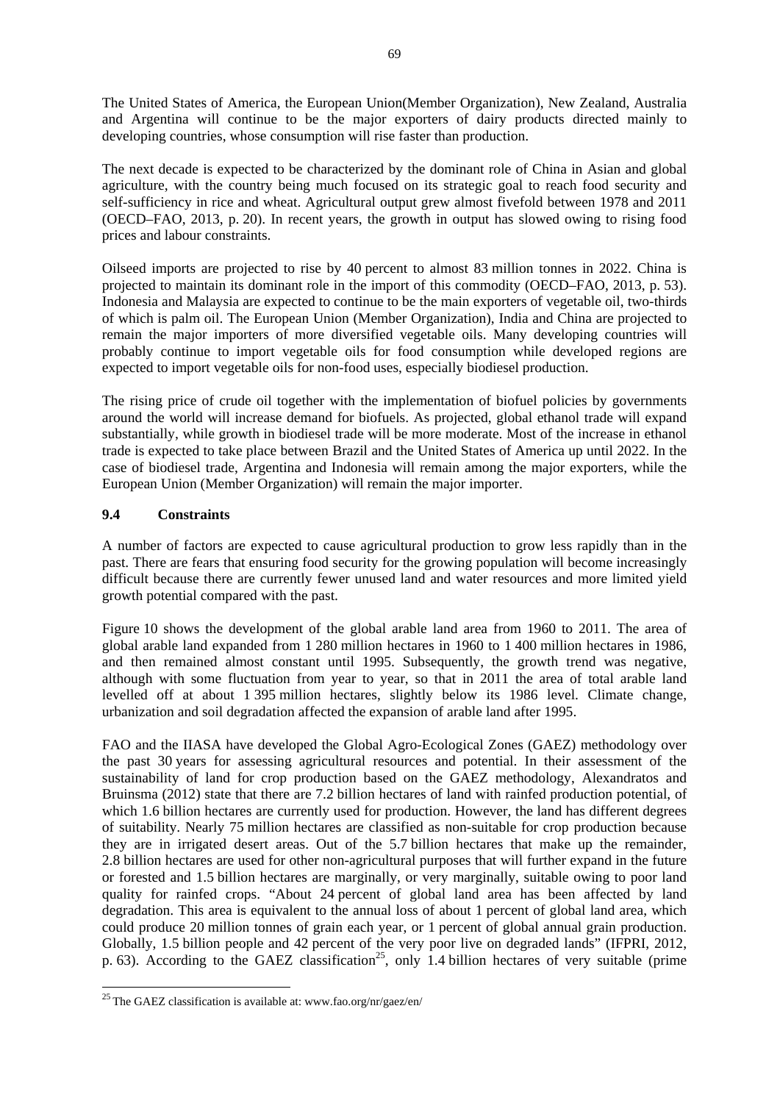The United States of America, the European Union(Member Organization), New Zealand, Australia and Argentina will continue to be the major exporters of dairy products directed mainly to developing countries, whose consumption will rise faster than production.

The next decade is expected to be characterized by the dominant role of China in Asian and global agriculture, with the country being much focused on its strategic goal to reach food security and self-sufficiency in rice and wheat. Agricultural output grew almost fivefold between 1978 and 2011 (OECD–FAO, 2013, p. 20). In recent years, the growth in output has slowed owing to rising food prices and labour constraints.

Oilseed imports are projected to rise by 40 percent to almost 83 million tonnes in 2022. China is projected to maintain its dominant role in the import of this commodity (OECD–FAO, 2013, p. 53). Indonesia and Malaysia are expected to continue to be the main exporters of vegetable oil, two-thirds of which is palm oil. The European Union (Member Organization), India and China are projected to remain the major importers of more diversified vegetable oils. Many developing countries will probably continue to import vegetable oils for food consumption while developed regions are expected to import vegetable oils for non-food uses, especially biodiesel production.

The rising price of crude oil together with the implementation of biofuel policies by governments around the world will increase demand for biofuels. As projected, global ethanol trade will expand substantially, while growth in biodiesel trade will be more moderate. Most of the increase in ethanol trade is expected to take place between Brazil and the United States of America up until 2022. In the case of biodiesel trade, Argentina and Indonesia will remain among the major exporters, while the European Union (Member Organization) will remain the major importer.

## **9.4 Constraints**

-

A number of factors are expected to cause agricultural production to grow less rapidly than in the past. There are fears that ensuring food security for the growing population will become increasingly difficult because there are currently fewer unused land and water resources and more limited yield growth potential compared with the past.

Figure 10 shows the development of the global arable land area from 1960 to 2011. The area of global arable land expanded from 1 280 million hectares in 1960 to 1 400 million hectares in 1986, and then remained almost constant until 1995. Subsequently, the growth trend was negative, although with some fluctuation from year to year, so that in 2011 the area of total arable land levelled off at about 1 395 million hectares, slightly below its 1986 level. Climate change, urbanization and soil degradation affected the expansion of arable land after 1995.

FAO and the IIASA have developed the Global Agro-Ecological Zones (GAEZ) methodology over the past 30 years for assessing agricultural resources and potential. In their assessment of the sustainability of land for crop production based on the GAEZ methodology, Alexandratos and Bruinsma (2012) state that there are 7.2 billion hectares of land with rainfed production potential, of which 1.6 billion hectares are currently used for production. However, the land has different degrees of suitability. Nearly 75 million hectares are classified as non-suitable for crop production because they are in irrigated desert areas. Out of the 5.7 billion hectares that make up the remainder, 2.8 billion hectares are used for other non-agricultural purposes that will further expand in the future or forested and 1.5 billion hectares are marginally, or very marginally, suitable owing to poor land quality for rainfed crops. "About 24 percent of global land area has been affected by land degradation. This area is equivalent to the annual loss of about 1 percent of global land area, which could produce 20 million tonnes of grain each year, or 1 percent of global annual grain production. Globally, 1.5 billion people and 42 percent of the very poor live on degraded lands" (IFPRI, 2012, p. 63). According to the GAEZ classification<sup>25</sup>, only 1.4 billion hectares of very suitable (prime

<sup>&</sup>lt;sup>25</sup> The GAEZ classification is available at: www.fao.org/nr/gaez/en/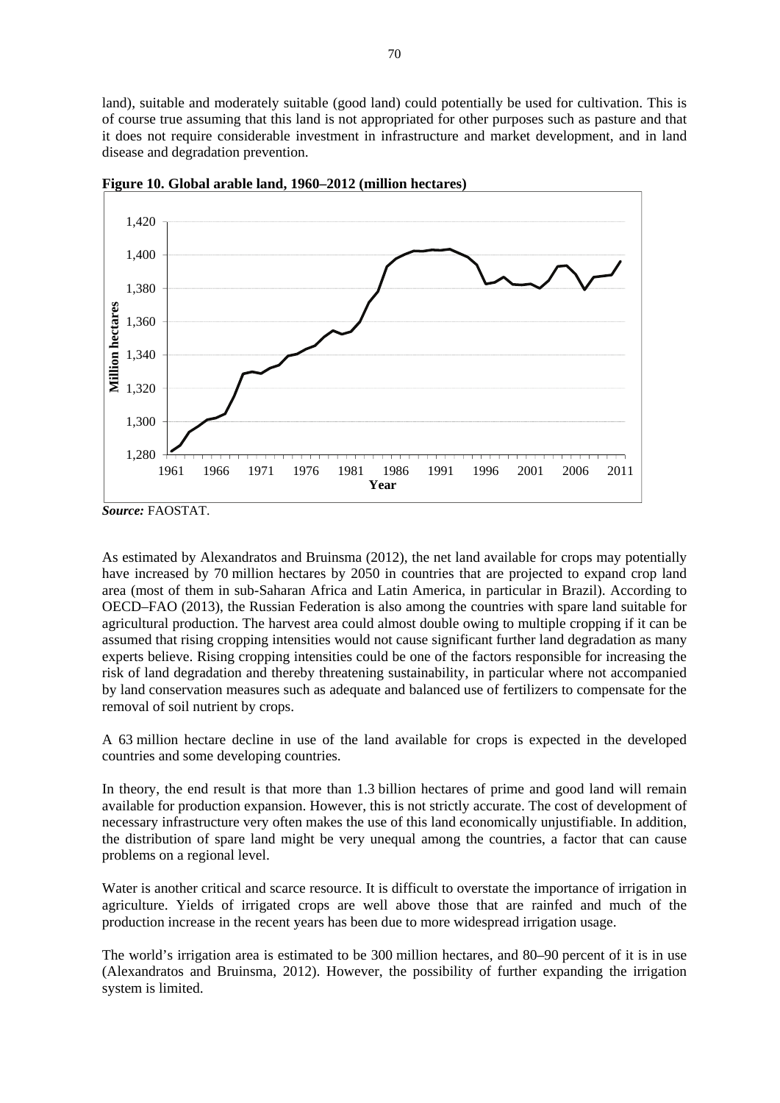land), suitable and moderately suitable (good land) could potentially be used for cultivation. This is of course true assuming that this land is not appropriated for other purposes such as pasture and that it does not require considerable investment in infrastructure and market development, and in land disease and degradation prevention.



**Figure 10. Global arable land, 1960–2012 (million hectares)**

As estimated by Alexandratos and Bruinsma (2012), the net land available for crops may potentially have increased by 70 million hectares by 2050 in countries that are projected to expand crop land area (most of them in sub-Saharan Africa and Latin America, in particular in Brazil). According to OECD–FAO (2013), the Russian Federation is also among the countries with spare land suitable for agricultural production. The harvest area could almost double owing to multiple cropping if it can be assumed that rising cropping intensities would not cause significant further land degradation as many experts believe. Rising cropping intensities could be one of the factors responsible for increasing the risk of land degradation and thereby threatening sustainability, in particular where not accompanied by land conservation measures such as adequate and balanced use of fertilizers to compensate for the removal of soil nutrient by crops.

A 63 million hectare decline in use of the land available for crops is expected in the developed countries and some developing countries.

In theory, the end result is that more than 1.3 billion hectares of prime and good land will remain available for production expansion. However, this is not strictly accurate. The cost of development of necessary infrastructure very often makes the use of this land economically unjustifiable. In addition, the distribution of spare land might be very unequal among the countries, a factor that can cause problems on a regional level.

Water is another critical and scarce resource. It is difficult to overstate the importance of irrigation in agriculture. Yields of irrigated crops are well above those that are rainfed and much of the production increase in the recent years has been due to more widespread irrigation usage.

The world's irrigation area is estimated to be 300 million hectares, and 80–90 percent of it is in use (Alexandratos and Bruinsma, 2012). However, the possibility of further expanding the irrigation system is limited.

*Source:* FAOSTAT.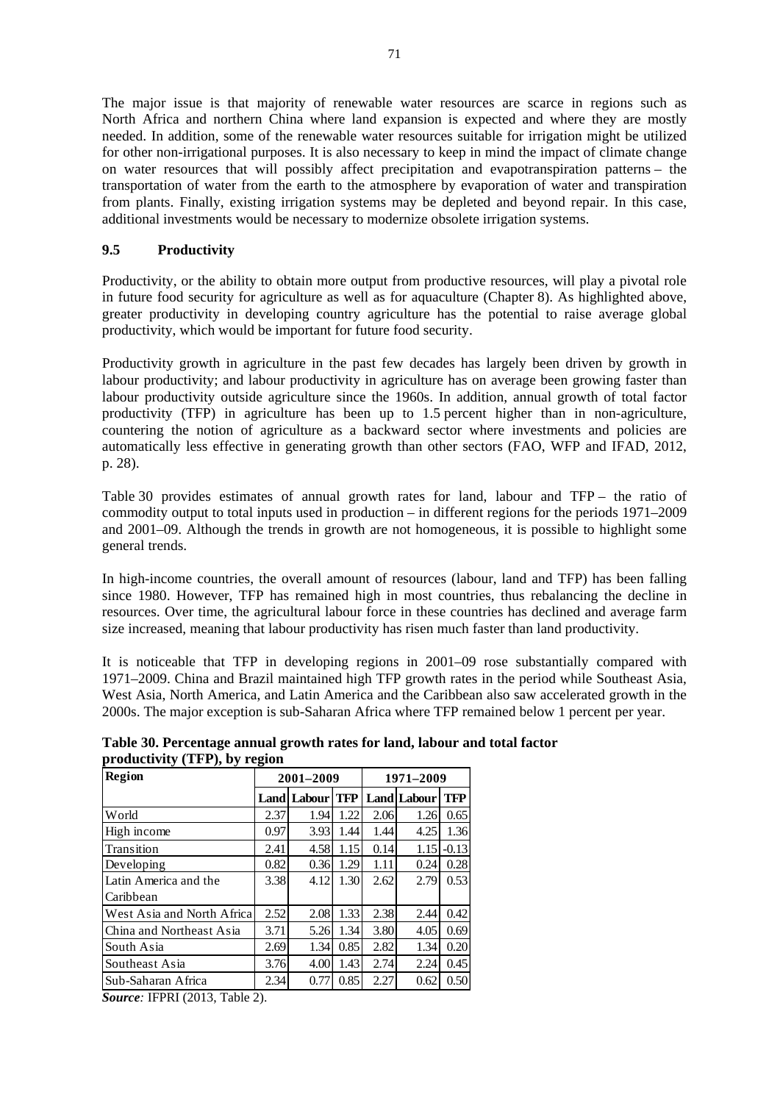The major issue is that majority of renewable water resources are scarce in regions such as North Africa and northern China where land expansion is expected and where they are mostly needed. In addition, some of the renewable water resources suitable for irrigation might be utilized for other non-irrigational purposes. It is also necessary to keep in mind the impact of climate change on water resources that will possibly affect precipitation and evapotranspiration patterns – the transportation of water from the earth to the atmosphere by evaporation of water and transpiration from plants. Finally, existing irrigation systems may be depleted and beyond repair. In this case, additional investments would be necessary to modernize obsolete irrigation systems.

### **9.5 Productivity**

Productivity, or the ability to obtain more output from productive resources, will play a pivotal role in future food security for agriculture as well as for aquaculture (Chapter 8). As highlighted above, greater productivity in developing country agriculture has the potential to raise average global productivity, which would be important for future food security.

Productivity growth in agriculture in the past few decades has largely been driven by growth in labour productivity; and labour productivity in agriculture has on average been growing faster than labour productivity outside agriculture since the 1960s. In addition, annual growth of total factor productivity (TFP) in agriculture has been up to 1.5 percent higher than in non-agriculture, countering the notion of agriculture as a backward sector where investments and policies are automatically less effective in generating growth than other sectors (FAO, WFP and IFAD, 2012, p. 28).

Table 30 provides estimates of annual growth rates for land, labour and TFP – the ratio of commodity output to total inputs used in production – in different regions for the periods 1971–2009 and 2001–09. Although the trends in growth are not homogeneous, it is possible to highlight some general trends.

In high-income countries, the overall amount of resources (labour, land and TFP) has been falling since 1980. However, TFP has remained high in most countries, thus rebalancing the decline in resources. Over time, the agricultural labour force in these countries has declined and average farm size increased, meaning that labour productivity has risen much faster than land productivity.

It is noticeable that TFP in developing regions in 2001–09 rose substantially compared with 1971–2009. China and Brazil maintained high TFP growth rates in the period while Southeast Asia, West Asia, North America, and Latin America and the Caribbean also saw accelerated growth in the 2000s. The major exception is sub-Saharan Africa where TFP remained below 1 percent per year.

| productivity (TFP), by region | Table 30. Percentage annual growth rates for land, labour and total factor |  |  |
|-------------------------------|----------------------------------------------------------------------------|--|--|
|                               |                                                                            |  |  |

| <b>Region</b>              | 2001-2009 |                        |      | 1971–2009 |                    |            |
|----------------------------|-----------|------------------------|------|-----------|--------------------|------------|
|                            |           | <b>Land Labour TFP</b> |      |           | <b>Land</b> Labour | <b>TFP</b> |
| World                      | 2.37      | 1.94                   | 1.22 | 2.06      | 1.26               | 0.65       |
| High income                | 0.97      | 3.93                   | 1.44 | 1.44      | 4.25               | 1.36       |
| Transition                 | 2.41      | 4.58                   | 1.15 | 0.14      | 1.15               | $-0.13$    |
| Developing                 | 0.82      | 0.36                   | 1.29 | 1.11      | 0.24               | 0.28       |
| Latin America and the      | 3.38      | 4.12                   | 1.30 | 2.62      | 2.79               | 0.53       |
| l Caribbean                |           |                        |      |           |                    |            |
| West Asia and North Africa | 2.52      | 2.08                   | 1.33 | 2.38      | 2.44               | 0.42       |
| China and Northeast Asia   | 3.71      | 5.26                   | 1.34 | 3.80      | 4.05               | 0.69       |
| South Asia                 | 2.69      | 1.34                   | 0.85 | 2.82      | 1.34               | 0.20       |
| Southeast Asia             | 3.76      | 4.00                   | 1.43 | 2.74      | 2.24               | 0.45       |
| Sub-Saharan Africa         | 2.34      | 0.77                   | 0.85 | 2.27      | 0.62               | 0.50       |

*Source:* IFPRI (2013, Table 2).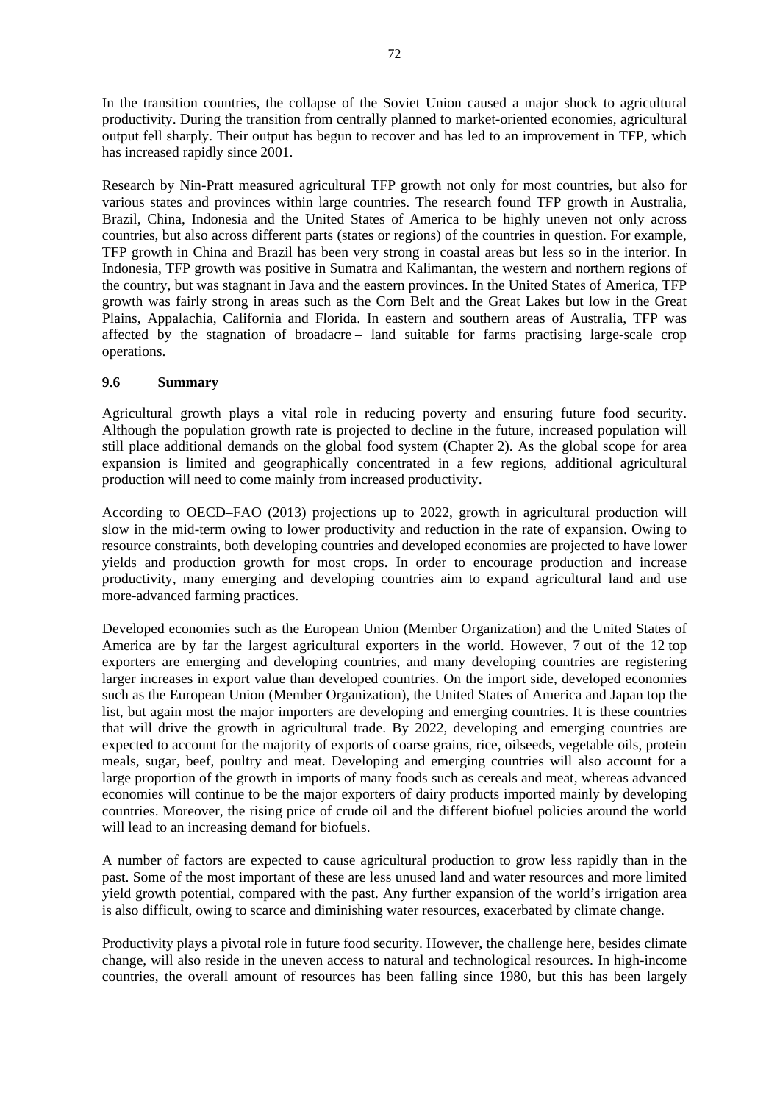In the transition countries, the collapse of the Soviet Union caused a major shock to agricultural productivity. During the transition from centrally planned to market-oriented economies, agricultural output fell sharply. Their output has begun to recover and has led to an improvement in TFP, which has increased rapidly since 2001.

Research by Nin-Pratt measured agricultural TFP growth not only for most countries, but also for various states and provinces within large countries. The research found TFP growth in Australia, Brazil, China, Indonesia and the United States of America to be highly uneven not only across countries, but also across different parts (states or regions) of the countries in question. For example, TFP growth in China and Brazil has been very strong in coastal areas but less so in the interior. In Indonesia, TFP growth was positive in Sumatra and Kalimantan, the western and northern regions of the country, but was stagnant in Java and the eastern provinces. In the United States of America, TFP growth was fairly strong in areas such as the Corn Belt and the Great Lakes but low in the Great Plains, Appalachia, California and Florida. In eastern and southern areas of Australia, TFP was affected by the stagnation of broadacre – land suitable for farms practising large-scale crop operations.

### **9.6 Summary**

Agricultural growth plays a vital role in reducing poverty and ensuring future food security. Although the population growth rate is projected to decline in the future, increased population will still place additional demands on the global food system (Chapter 2). As the global scope for area expansion is limited and geographically concentrated in a few regions, additional agricultural production will need to come mainly from increased productivity.

According to OECD–FAO (2013) projections up to 2022, growth in agricultural production will slow in the mid-term owing to lower productivity and reduction in the rate of expansion. Owing to resource constraints, both developing countries and developed economies are projected to have lower yields and production growth for most crops. In order to encourage production and increase productivity, many emerging and developing countries aim to expand agricultural land and use more-advanced farming practices.

Developed economies such as the European Union (Member Organization) and the United States of America are by far the largest agricultural exporters in the world. However, 7 out of the 12 top exporters are emerging and developing countries, and many developing countries are registering larger increases in export value than developed countries. On the import side, developed economies such as the European Union (Member Organization), the United States of America and Japan top the list, but again most the major importers are developing and emerging countries. It is these countries that will drive the growth in agricultural trade. By 2022, developing and emerging countries are expected to account for the majority of exports of coarse grains, rice, oilseeds, vegetable oils, protein meals, sugar, beef, poultry and meat. Developing and emerging countries will also account for a large proportion of the growth in imports of many foods such as cereals and meat, whereas advanced economies will continue to be the major exporters of dairy products imported mainly by developing countries. Moreover, the rising price of crude oil and the different biofuel policies around the world will lead to an increasing demand for biofuels.

A number of factors are expected to cause agricultural production to grow less rapidly than in the past. Some of the most important of these are less unused land and water resources and more limited yield growth potential, compared with the past. Any further expansion of the world's irrigation area is also difficult, owing to scarce and diminishing water resources, exacerbated by climate change.

Productivity plays a pivotal role in future food security. However, the challenge here, besides climate change, will also reside in the uneven access to natural and technological resources. In high-income countries, the overall amount of resources has been falling since 1980, but this has been largely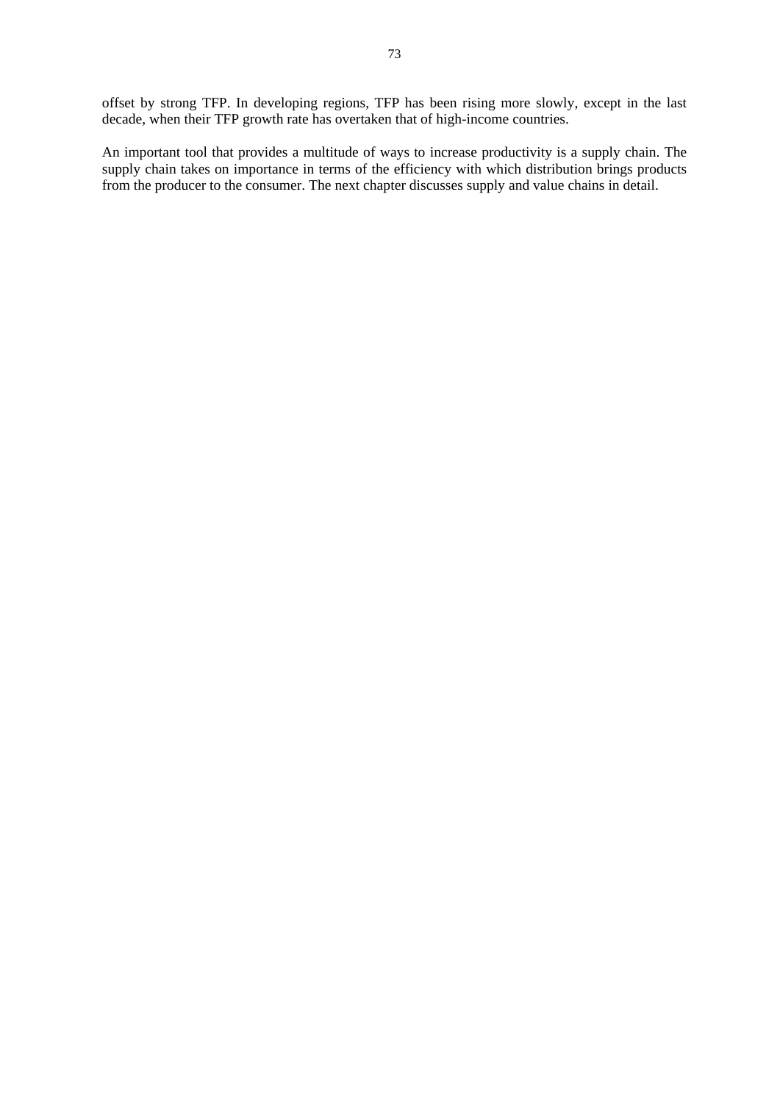offset by strong TFP. In developing regions, TFP has been rising more slowly, except in the last decade, when their TFP growth rate has overtaken that of high-income countries.

An important tool that provides a multitude of ways to increase productivity is a supply chain. The supply chain takes on importance in terms of the efficiency with which distribution brings products from the producer to the consumer. The next chapter discusses supply and value chains in detail.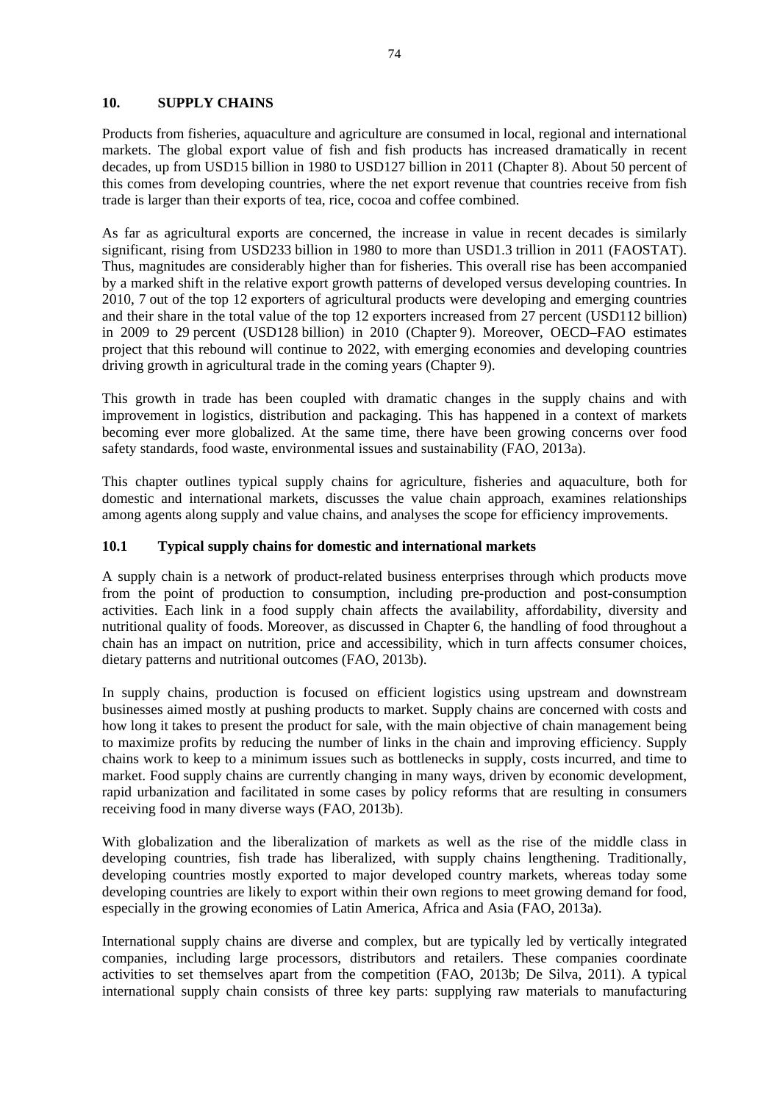#### **10. SUPPLY CHAINS**

Products from fisheries, aquaculture and agriculture are consumed in local, regional and international markets. The global export value of fish and fish products has increased dramatically in recent decades, up from USD15 billion in 1980 to USD127 billion in 2011 (Chapter 8). About 50 percent of this comes from developing countries, where the net export revenue that countries receive from fish trade is larger than their exports of tea, rice, cocoa and coffee combined.

As far as agricultural exports are concerned, the increase in value in recent decades is similarly significant, rising from USD233 billion in 1980 to more than USD1.3 trillion in 2011 (FAOSTAT). Thus, magnitudes are considerably higher than for fisheries. This overall rise has been accompanied by a marked shift in the relative export growth patterns of developed versus developing countries. In 2010, 7 out of the top 12 exporters of agricultural products were developing and emerging countries and their share in the total value of the top 12 exporters increased from 27 percent (USD112 billion) in 2009 to 29 percent (USD128 billion) in 2010 (Chapter 9). Moreover, OECD–FAO estimates project that this rebound will continue to 2022, with emerging economies and developing countries driving growth in agricultural trade in the coming years (Chapter 9).

This growth in trade has been coupled with dramatic changes in the supply chains and with improvement in logistics, distribution and packaging. This has happened in a context of markets becoming ever more globalized. At the same time, there have been growing concerns over food safety standards, food waste, environmental issues and sustainability (FAO, 2013a).

This chapter outlines typical supply chains for agriculture, fisheries and aquaculture, both for domestic and international markets, discusses the value chain approach, examines relationships among agents along supply and value chains, and analyses the scope for efficiency improvements.

#### **10.1 Typical supply chains for domestic and international markets**

A supply chain is a network of product-related business enterprises through which products move from the point of production to consumption, including pre-production and post-consumption activities. Each link in a food supply chain affects the availability, affordability, diversity and nutritional quality of foods. Moreover, as discussed in Chapter 6, the handling of food throughout a chain has an impact on nutrition, price and accessibility, which in turn affects consumer choices, dietary patterns and nutritional outcomes (FAO, 2013b).

In supply chains, production is focused on efficient logistics using upstream and downstream businesses aimed mostly at pushing products to market. Supply chains are concerned with costs and how long it takes to present the product for sale, with the main objective of chain management being to maximize profits by reducing the number of links in the chain and improving efficiency. Supply chains work to keep to a minimum issues such as bottlenecks in supply, costs incurred, and time to market. Food supply chains are currently changing in many ways, driven by economic development, rapid urbanization and facilitated in some cases by policy reforms that are resulting in consumers receiving food in many diverse ways (FAO, 2013b).

With globalization and the liberalization of markets as well as the rise of the middle class in developing countries, fish trade has liberalized, with supply chains lengthening. Traditionally, developing countries mostly exported to major developed country markets, whereas today some developing countries are likely to export within their own regions to meet growing demand for food, especially in the growing economies of Latin America, Africa and Asia (FAO, 2013a).

International supply chains are diverse and complex, but are typically led by vertically integrated companies, including large processors, distributors and retailers. These companies coordinate activities to set themselves apart from the competition (FAO, 2013b; De Silva, 2011). A typical international supply chain consists of three key parts: supplying raw materials to manufacturing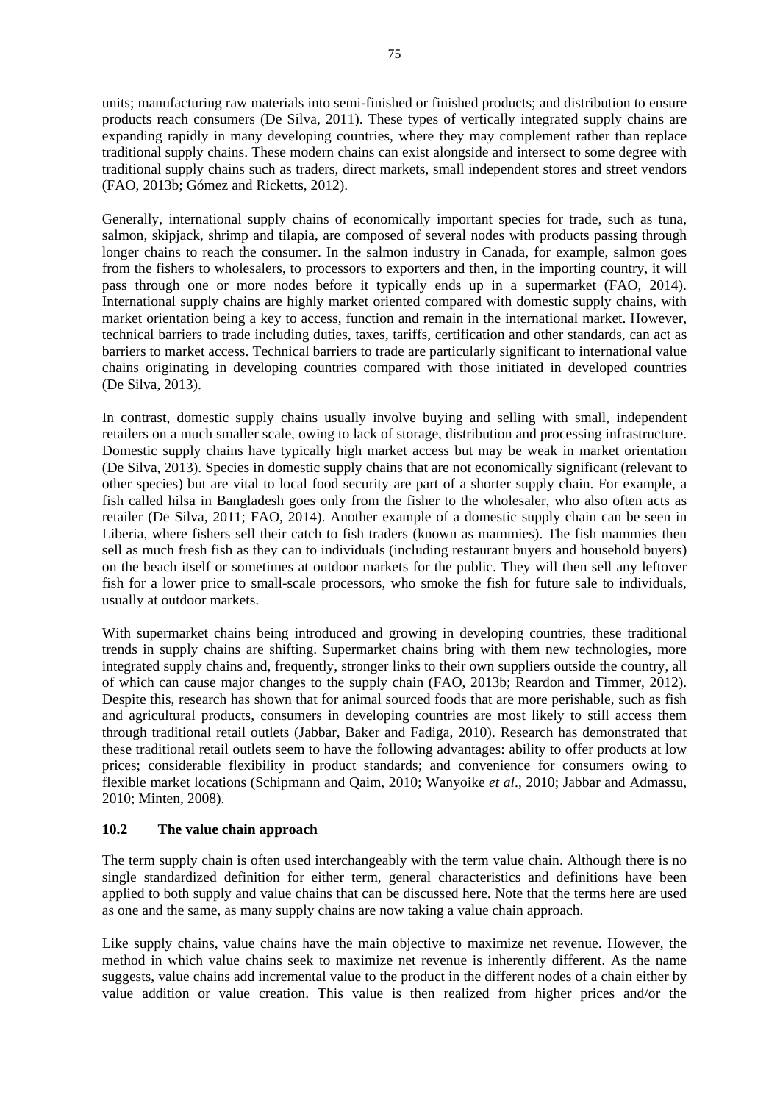units; manufacturing raw materials into semi-finished or finished products; and distribution to ensure products reach consumers (De Silva, 2011). These types of vertically integrated supply chains are expanding rapidly in many developing countries, where they may complement rather than replace traditional supply chains. These modern chains can exist alongside and intersect to some degree with traditional supply chains such as traders, direct markets, small independent stores and street vendors (FAO, 2013b; Gómez and Ricketts, 2012).

Generally, international supply chains of economically important species for trade, such as tuna, salmon, skipjack, shrimp and tilapia, are composed of several nodes with products passing through longer chains to reach the consumer. In the salmon industry in Canada, for example, salmon goes from the fishers to wholesalers, to processors to exporters and then, in the importing country, it will pass through one or more nodes before it typically ends up in a supermarket (FAO, 2014). International supply chains are highly market oriented compared with domestic supply chains, with market orientation being a key to access, function and remain in the international market. However, technical barriers to trade including duties, taxes, tariffs, certification and other standards, can act as barriers to market access. Technical barriers to trade are particularly significant to international value chains originating in developing countries compared with those initiated in developed countries (De Silva, 2013).

In contrast, domestic supply chains usually involve buying and selling with small, independent retailers on a much smaller scale, owing to lack of storage, distribution and processing infrastructure. Domestic supply chains have typically high market access but may be weak in market orientation (De Silva, 2013). Species in domestic supply chains that are not economically significant (relevant to other species) but are vital to local food security are part of a shorter supply chain. For example, a fish called hilsa in Bangladesh goes only from the fisher to the wholesaler, who also often acts as retailer (De Silva, 2011; FAO, 2014). Another example of a domestic supply chain can be seen in Liberia, where fishers sell their catch to fish traders (known as mammies). The fish mammies then sell as much fresh fish as they can to individuals (including restaurant buyers and household buyers) on the beach itself or sometimes at outdoor markets for the public. They will then sell any leftover fish for a lower price to small-scale processors, who smoke the fish for future sale to individuals, usually at outdoor markets.

With supermarket chains being introduced and growing in developing countries, these traditional trends in supply chains are shifting. Supermarket chains bring with them new technologies, more integrated supply chains and, frequently, stronger links to their own suppliers outside the country, all of which can cause major changes to the supply chain (FAO, 2013b; Reardon and Timmer, 2012). Despite this, research has shown that for animal sourced foods that are more perishable, such as fish and agricultural products, consumers in developing countries are most likely to still access them through traditional retail outlets (Jabbar, Baker and Fadiga, 2010). Research has demonstrated that these traditional retail outlets seem to have the following advantages: ability to offer products at low prices; considerable flexibility in product standards; and convenience for consumers owing to flexible market locations (Schipmann and Qaim, 2010; Wanyoike *et al*., 2010; Jabbar and Admassu, 2010; Minten, 2008).

### **10.2 The value chain approach**

The term supply chain is often used interchangeably with the term value chain. Although there is no single standardized definition for either term, general characteristics and definitions have been applied to both supply and value chains that can be discussed here. Note that the terms here are used as one and the same, as many supply chains are now taking a value chain approach.

Like supply chains, value chains have the main objective to maximize net revenue. However, the method in which value chains seek to maximize net revenue is inherently different. As the name suggests, value chains add incremental value to the product in the different nodes of a chain either by value addition or value creation. This value is then realized from higher prices and/or the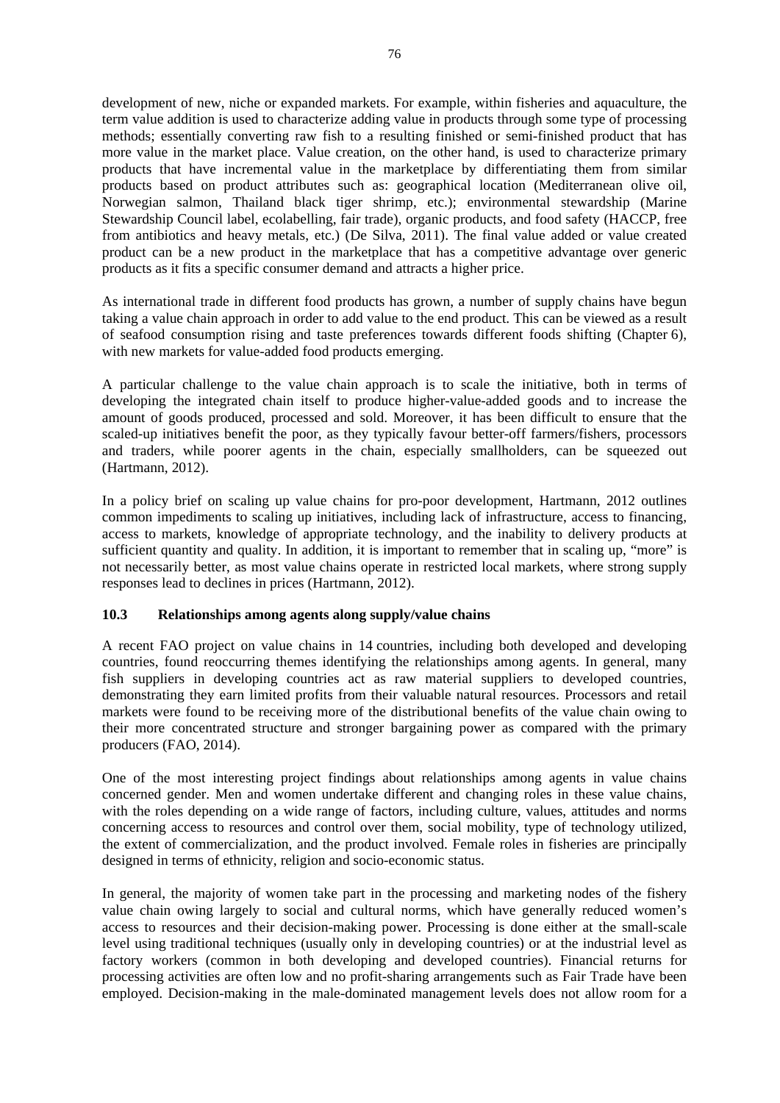development of new, niche or expanded markets. For example, within fisheries and aquaculture, the term value addition is used to characterize adding value in products through some type of processing methods; essentially converting raw fish to a resulting finished or semi-finished product that has more value in the market place. Value creation, on the other hand, is used to characterize primary products that have incremental value in the marketplace by differentiating them from similar products based on product attributes such as: geographical location (Mediterranean olive oil, Norwegian salmon, Thailand black tiger shrimp, etc.); environmental stewardship (Marine Stewardship Council label, ecolabelling, fair trade), organic products, and food safety (HACCP, free from antibiotics and heavy metals, etc.) (De Silva, 2011). The final value added or value created product can be a new product in the marketplace that has a competitive advantage over generic products as it fits a specific consumer demand and attracts a higher price.

As international trade in different food products has grown, a number of supply chains have begun taking a value chain approach in order to add value to the end product. This can be viewed as a result of seafood consumption rising and taste preferences towards different foods shifting (Chapter 6), with new markets for value-added food products emerging.

A particular challenge to the value chain approach is to scale the initiative, both in terms of developing the integrated chain itself to produce higher-value-added goods and to increase the amount of goods produced, processed and sold. Moreover, it has been difficult to ensure that the scaled-up initiatives benefit the poor, as they typically favour better-off farmers/fishers, processors and traders, while poorer agents in the chain, especially smallholders, can be squeezed out (Hartmann, 2012).

In a policy brief on scaling up value chains for pro-poor development, Hartmann, 2012 outlines common impediments to scaling up initiatives, including lack of infrastructure, access to financing, access to markets, knowledge of appropriate technology, and the inability to delivery products at sufficient quantity and quality. In addition, it is important to remember that in scaling up, "more" is not necessarily better, as most value chains operate in restricted local markets, where strong supply responses lead to declines in prices (Hartmann, 2012).

### **10.3 Relationships among agents along supply/value chains**

A recent FAO project on value chains in 14 countries, including both developed and developing countries, found reoccurring themes identifying the relationships among agents. In general, many fish suppliers in developing countries act as raw material suppliers to developed countries, demonstrating they earn limited profits from their valuable natural resources. Processors and retail markets were found to be receiving more of the distributional benefits of the value chain owing to their more concentrated structure and stronger bargaining power as compared with the primary producers (FAO, 2014).

One of the most interesting project findings about relationships among agents in value chains concerned gender. Men and women undertake different and changing roles in these value chains, with the roles depending on a wide range of factors, including culture, values, attitudes and norms concerning access to resources and control over them, social mobility, type of technology utilized, the extent of commercialization, and the product involved. Female roles in fisheries are principally designed in terms of ethnicity, religion and socio-economic status.

In general, the majority of women take part in the processing and marketing nodes of the fishery value chain owing largely to social and cultural norms, which have generally reduced women's access to resources and their decision-making power. Processing is done either at the small-scale level using traditional techniques (usually only in developing countries) or at the industrial level as factory workers (common in both developing and developed countries). Financial returns for processing activities are often low and no profit-sharing arrangements such as Fair Trade have been employed. Decision-making in the male-dominated management levels does not allow room for a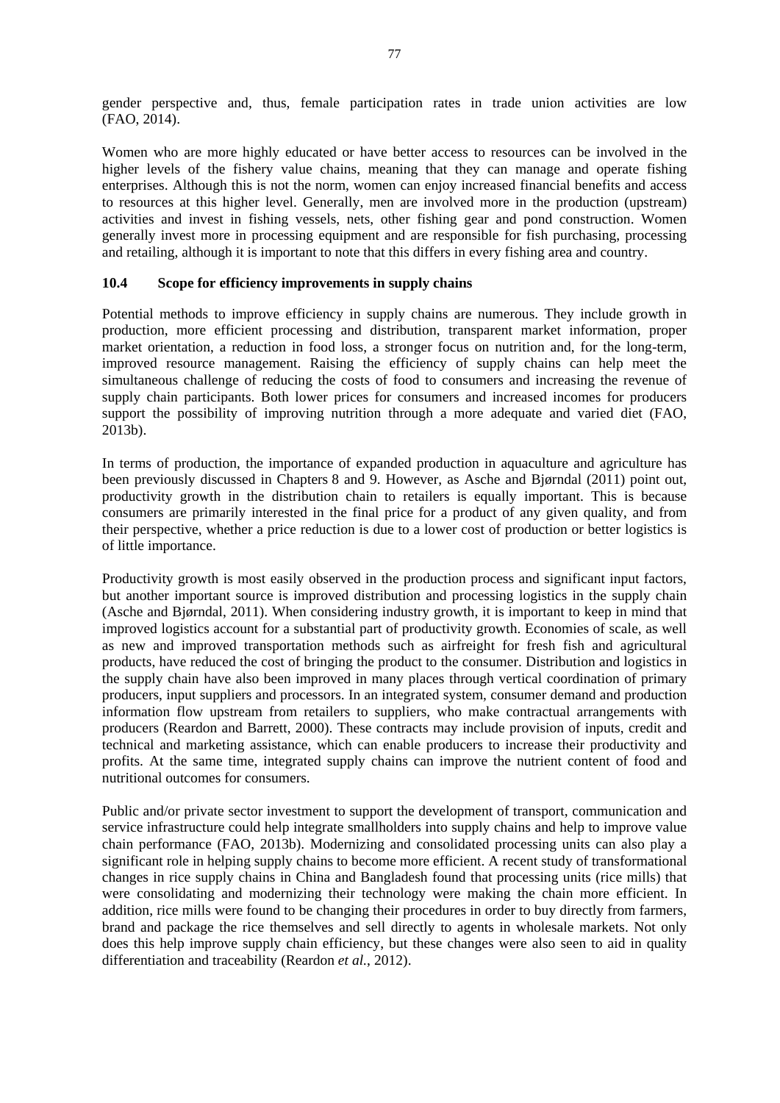gender perspective and, thus, female participation rates in trade union activities are low (FAO, 2014).

Women who are more highly educated or have better access to resources can be involved in the higher levels of the fishery value chains, meaning that they can manage and operate fishing enterprises. Although this is not the norm, women can enjoy increased financial benefits and access to resources at this higher level. Generally, men are involved more in the production (upstream) activities and invest in fishing vessels, nets, other fishing gear and pond construction. Women generally invest more in processing equipment and are responsible for fish purchasing, processing and retailing, although it is important to note that this differs in every fishing area and country.

#### **10.4 Scope for efficiency improvements in supply chains**

Potential methods to improve efficiency in supply chains are numerous. They include growth in production, more efficient processing and distribution, transparent market information, proper market orientation, a reduction in food loss, a stronger focus on nutrition and, for the long-term, improved resource management. Raising the efficiency of supply chains can help meet the simultaneous challenge of reducing the costs of food to consumers and increasing the revenue of supply chain participants. Both lower prices for consumers and increased incomes for producers support the possibility of improving nutrition through a more adequate and varied diet (FAO, 2013b).

In terms of production, the importance of expanded production in aquaculture and agriculture has been previously discussed in Chapters 8 and 9. However, as Asche and Bjørndal (2011) point out, productivity growth in the distribution chain to retailers is equally important. This is because consumers are primarily interested in the final price for a product of any given quality, and from their perspective, whether a price reduction is due to a lower cost of production or better logistics is of little importance.

Productivity growth is most easily observed in the production process and significant input factors, but another important source is improved distribution and processing logistics in the supply chain (Asche and Bjørndal, 2011). When considering industry growth, it is important to keep in mind that improved logistics account for a substantial part of productivity growth. Economies of scale, as well as new and improved transportation methods such as airfreight for fresh fish and agricultural products, have reduced the cost of bringing the product to the consumer. Distribution and logistics in the supply chain have also been improved in many places through vertical coordination of primary producers, input suppliers and processors. In an integrated system, consumer demand and production information flow upstream from retailers to suppliers, who make contractual arrangements with producers (Reardon and Barrett, 2000). These contracts may include provision of inputs, credit and technical and marketing assistance, which can enable producers to increase their productivity and profits. At the same time, integrated supply chains can improve the nutrient content of food and nutritional outcomes for consumers.

Public and/or private sector investment to support the development of transport, communication and service infrastructure could help integrate smallholders into supply chains and help to improve value chain performance (FAO, 2013b). Modernizing and consolidated processing units can also play a significant role in helping supply chains to become more efficient. A recent study of transformational changes in rice supply chains in China and Bangladesh found that processing units (rice mills) that were consolidating and modernizing their technology were making the chain more efficient. In addition, rice mills were found to be changing their procedures in order to buy directly from farmers, brand and package the rice themselves and sell directly to agents in wholesale markets. Not only does this help improve supply chain efficiency, but these changes were also seen to aid in quality differentiation and traceability (Reardon *et al.*, 2012).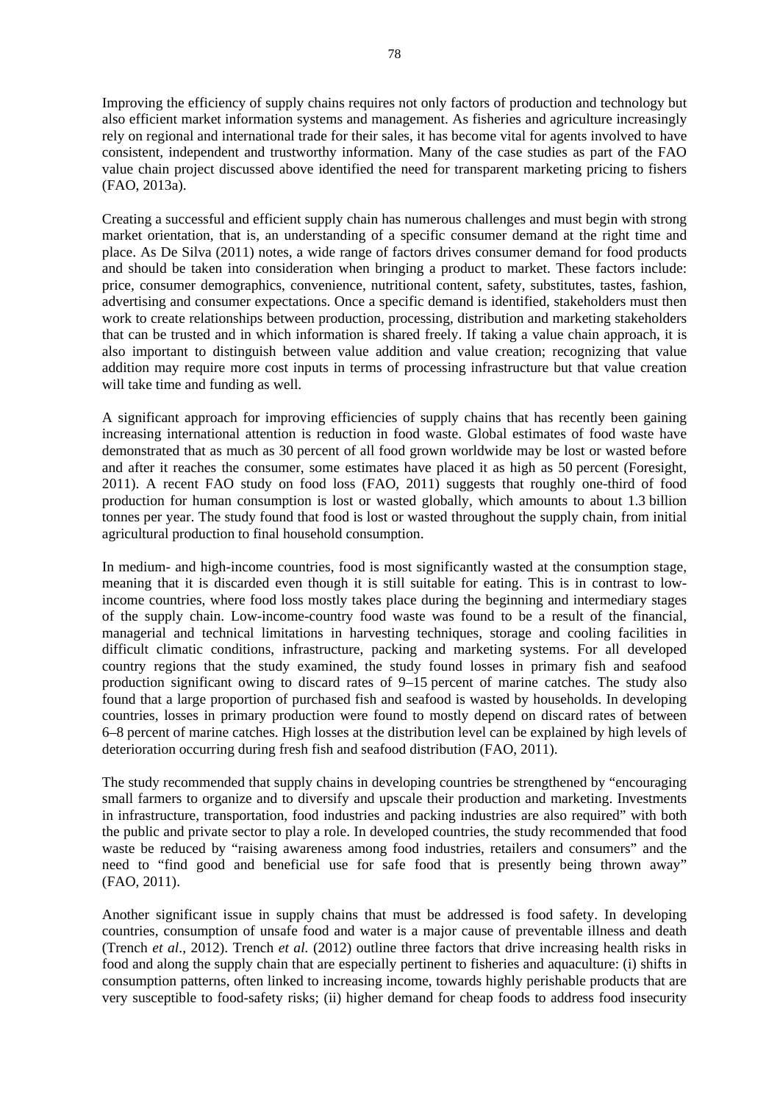Improving the efficiency of supply chains requires not only factors of production and technology but also efficient market information systems and management. As fisheries and agriculture increasingly rely on regional and international trade for their sales, it has become vital for agents involved to have consistent, independent and trustworthy information. Many of the case studies as part of the FAO value chain project discussed above identified the need for transparent marketing pricing to fishers (FAO, 2013a).

Creating a successful and efficient supply chain has numerous challenges and must begin with strong market orientation, that is, an understanding of a specific consumer demand at the right time and place. As De Silva (2011) notes, a wide range of factors drives consumer demand for food products and should be taken into consideration when bringing a product to market. These factors include: price, consumer demographics, convenience, nutritional content, safety, substitutes, tastes, fashion, advertising and consumer expectations. Once a specific demand is identified, stakeholders must then work to create relationships between production, processing, distribution and marketing stakeholders that can be trusted and in which information is shared freely. If taking a value chain approach, it is also important to distinguish between value addition and value creation; recognizing that value addition may require more cost inputs in terms of processing infrastructure but that value creation will take time and funding as well.

A significant approach for improving efficiencies of supply chains that has recently been gaining increasing international attention is reduction in food waste. Global estimates of food waste have demonstrated that as much as 30 percent of all food grown worldwide may be lost or wasted before and after it reaches the consumer, some estimates have placed it as high as 50 percent (Foresight, 2011). A recent FAO study on food loss (FAO, 2011) suggests that roughly one-third of food production for human consumption is lost or wasted globally, which amounts to about 1.3 billion tonnes per year. The study found that food is lost or wasted throughout the supply chain, from initial agricultural production to final household consumption.

In medium- and high-income countries, food is most significantly wasted at the consumption stage, meaning that it is discarded even though it is still suitable for eating. This is in contrast to lowincome countries, where food loss mostly takes place during the beginning and intermediary stages of the supply chain. Low-income-country food waste was found to be a result of the financial, managerial and technical limitations in harvesting techniques, storage and cooling facilities in difficult climatic conditions, infrastructure, packing and marketing systems. For all developed country regions that the study examined, the study found losses in primary fish and seafood production significant owing to discard rates of 9–15 percent of marine catches. The study also found that a large proportion of purchased fish and seafood is wasted by households. In developing countries, losses in primary production were found to mostly depend on discard rates of between 6–8 percent of marine catches. High losses at the distribution level can be explained by high levels of deterioration occurring during fresh fish and seafood distribution (FAO, 2011).

The study recommended that supply chains in developing countries be strengthened by "encouraging small farmers to organize and to diversify and upscale their production and marketing. Investments in infrastructure, transportation, food industries and packing industries are also required" with both the public and private sector to play a role. In developed countries, the study recommended that food waste be reduced by "raising awareness among food industries, retailers and consumers" and the need to "find good and beneficial use for safe food that is presently being thrown away" (FAO, 2011).

Another significant issue in supply chains that must be addressed is food safety. In developing countries, consumption of unsafe food and water is a major cause of preventable illness and death (Trench *et al*., 2012). Trench *et al.* (2012) outline three factors that drive increasing health risks in food and along the supply chain that are especially pertinent to fisheries and aquaculture: (i) shifts in consumption patterns, often linked to increasing income, towards highly perishable products that are very susceptible to food-safety risks; (ii) higher demand for cheap foods to address food insecurity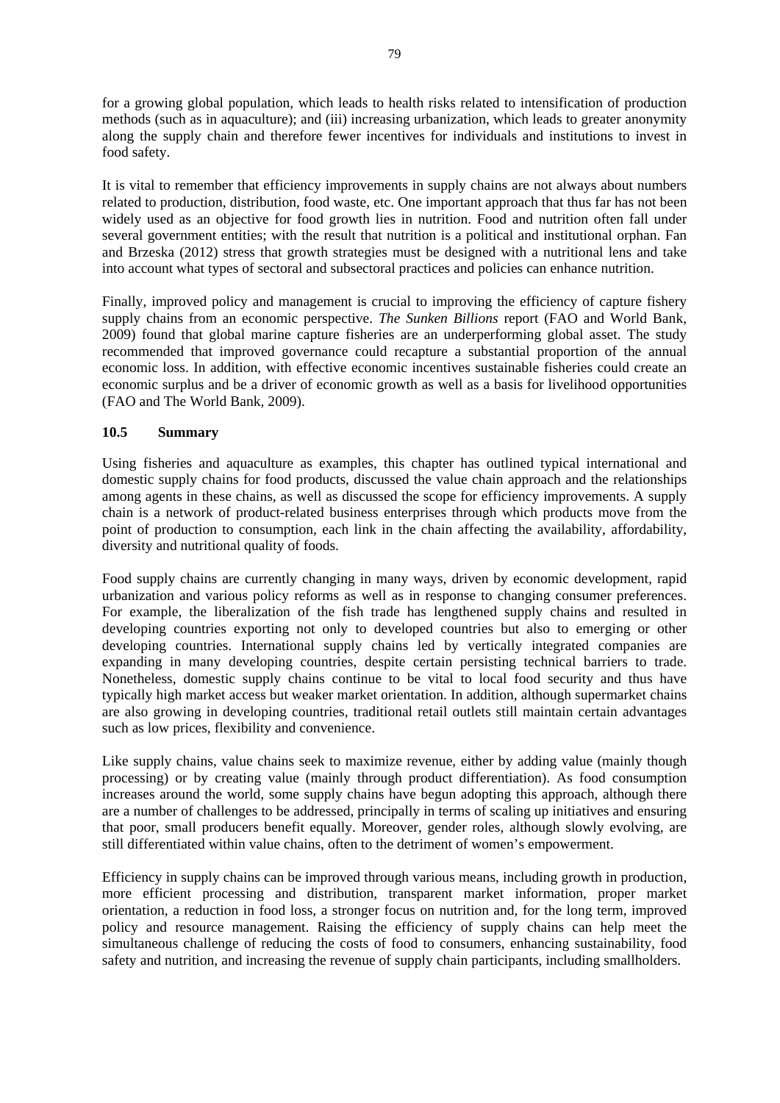for a growing global population, which leads to health risks related to intensification of production methods (such as in aquaculture); and (iii) increasing urbanization, which leads to greater anonymity along the supply chain and therefore fewer incentives for individuals and institutions to invest in food safety.

It is vital to remember that efficiency improvements in supply chains are not always about numbers related to production, distribution, food waste, etc. One important approach that thus far has not been widely used as an objective for food growth lies in nutrition. Food and nutrition often fall under several government entities; with the result that nutrition is a political and institutional orphan. Fan and Brzeska (2012) stress that growth strategies must be designed with a nutritional lens and take into account what types of sectoral and subsectoral practices and policies can enhance nutrition.

Finally, improved policy and management is crucial to improving the efficiency of capture fishery supply chains from an economic perspective. *The Sunken Billions* report (FAO and World Bank, 2009) found that global marine capture fisheries are an underperforming global asset. The study recommended that improved governance could recapture a substantial proportion of the annual economic loss. In addition, with effective economic incentives sustainable fisheries could create an economic surplus and be a driver of economic growth as well as a basis for livelihood opportunities (FAO and The World Bank, 2009).

## **10.5 Summary**

Using fisheries and aquaculture as examples, this chapter has outlined typical international and domestic supply chains for food products, discussed the value chain approach and the relationships among agents in these chains, as well as discussed the scope for efficiency improvements. A supply chain is a network of product-related business enterprises through which products move from the point of production to consumption, each link in the chain affecting the availability, affordability, diversity and nutritional quality of foods.

Food supply chains are currently changing in many ways, driven by economic development, rapid urbanization and various policy reforms as well as in response to changing consumer preferences. For example, the liberalization of the fish trade has lengthened supply chains and resulted in developing countries exporting not only to developed countries but also to emerging or other developing countries. International supply chains led by vertically integrated companies are expanding in many developing countries, despite certain persisting technical barriers to trade. Nonetheless, domestic supply chains continue to be vital to local food security and thus have typically high market access but weaker market orientation. In addition, although supermarket chains are also growing in developing countries, traditional retail outlets still maintain certain advantages such as low prices, flexibility and convenience.

Like supply chains, value chains seek to maximize revenue, either by adding value (mainly though processing) or by creating value (mainly through product differentiation). As food consumption increases around the world, some supply chains have begun adopting this approach, although there are a number of challenges to be addressed, principally in terms of scaling up initiatives and ensuring that poor, small producers benefit equally. Moreover, gender roles, although slowly evolving, are still differentiated within value chains, often to the detriment of women's empowerment.

Efficiency in supply chains can be improved through various means, including growth in production, more efficient processing and distribution, transparent market information, proper market orientation, a reduction in food loss, a stronger focus on nutrition and, for the long term, improved policy and resource management. Raising the efficiency of supply chains can help meet the simultaneous challenge of reducing the costs of food to consumers, enhancing sustainability, food safety and nutrition, and increasing the revenue of supply chain participants, including smallholders.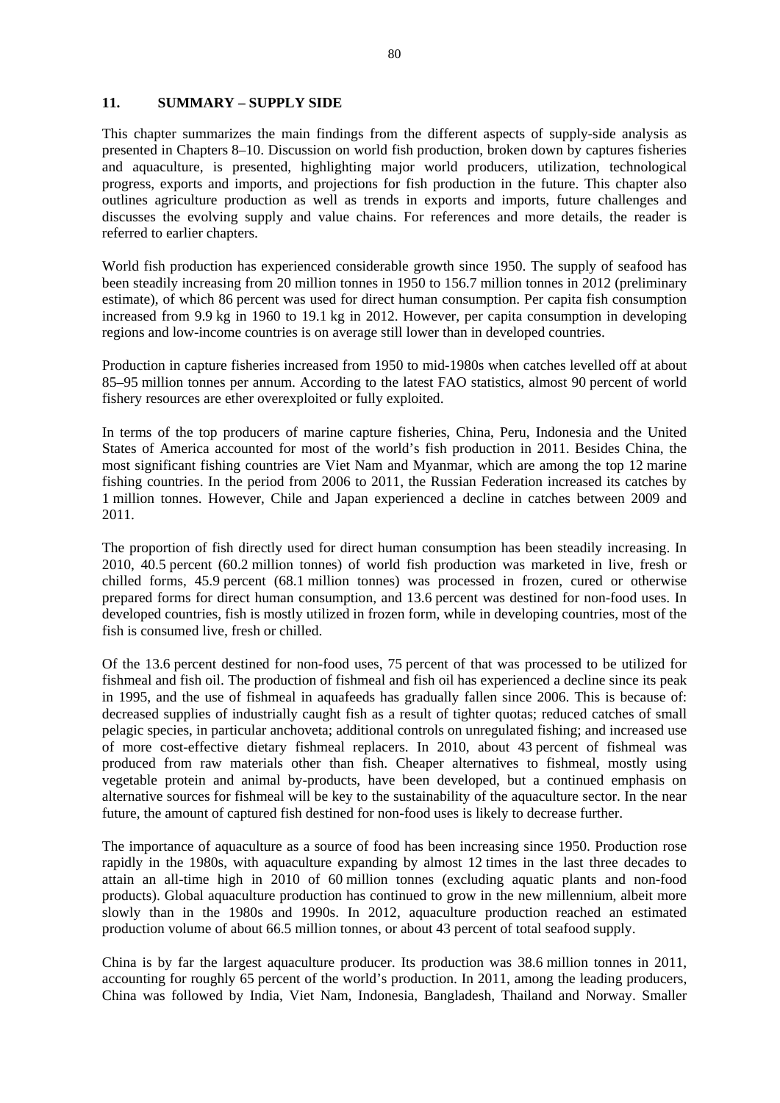#### **11. SUMMARY – SUPPLY SIDE**

This chapter summarizes the main findings from the different aspects of supply-side analysis as presented in Chapters 8–10. Discussion on world fish production, broken down by captures fisheries and aquaculture, is presented, highlighting major world producers, utilization, technological progress, exports and imports, and projections for fish production in the future. This chapter also outlines agriculture production as well as trends in exports and imports, future challenges and discusses the evolving supply and value chains. For references and more details, the reader is referred to earlier chapters.

World fish production has experienced considerable growth since 1950. The supply of seafood has been steadily increasing from 20 million tonnes in 1950 to 156.7 million tonnes in 2012 (preliminary estimate), of which 86 percent was used for direct human consumption. Per capita fish consumption increased from 9.9 kg in 1960 to 19.1 kg in 2012. However, per capita consumption in developing regions and low-income countries is on average still lower than in developed countries.

Production in capture fisheries increased from 1950 to mid-1980s when catches levelled off at about 85–95 million tonnes per annum. According to the latest FAO statistics, almost 90 percent of world fishery resources are ether overexploited or fully exploited.

In terms of the top producers of marine capture fisheries, China, Peru, Indonesia and the United States of America accounted for most of the world's fish production in 2011. Besides China, the most significant fishing countries are Viet Nam and Myanmar, which are among the top 12 marine fishing countries. In the period from 2006 to 2011, the Russian Federation increased its catches by 1 million tonnes. However, Chile and Japan experienced a decline in catches between 2009 and 2011.

The proportion of fish directly used for direct human consumption has been steadily increasing. In 2010, 40.5 percent (60.2 million tonnes) of world fish production was marketed in live, fresh or chilled forms, 45.9 percent (68.1 million tonnes) was processed in frozen, cured or otherwise prepared forms for direct human consumption, and 13.6 percent was destined for non-food uses. In developed countries, fish is mostly utilized in frozen form, while in developing countries, most of the fish is consumed live, fresh or chilled.

Of the 13.6 percent destined for non-food uses, 75 percent of that was processed to be utilized for fishmeal and fish oil. The production of fishmeal and fish oil has experienced a decline since its peak in 1995, and the use of fishmeal in aquafeeds has gradually fallen since 2006. This is because of: decreased supplies of industrially caught fish as a result of tighter quotas; reduced catches of small pelagic species, in particular anchoveta; additional controls on unregulated fishing; and increased use of more cost-effective dietary fishmeal replacers. In 2010, about 43 percent of fishmeal was produced from raw materials other than fish. Cheaper alternatives to fishmeal, mostly using vegetable protein and animal by-products, have been developed, but a continued emphasis on alternative sources for fishmeal will be key to the sustainability of the aquaculture sector. In the near future, the amount of captured fish destined for non-food uses is likely to decrease further.

The importance of aquaculture as a source of food has been increasing since 1950. Production rose rapidly in the 1980s, with aquaculture expanding by almost 12 times in the last three decades to attain an all-time high in 2010 of 60 million tonnes (excluding aquatic plants and non-food products). Global aquaculture production has continued to grow in the new millennium, albeit more slowly than in the 1980s and 1990s. In 2012, aquaculture production reached an estimated production volume of about 66.5 million tonnes, or about 43 percent of total seafood supply.

China is by far the largest aquaculture producer. Its production was 38.6 million tonnes in 2011, accounting for roughly 65 percent of the world's production. In 2011, among the leading producers, China was followed by India, Viet Nam, Indonesia, Bangladesh, Thailand and Norway. Smaller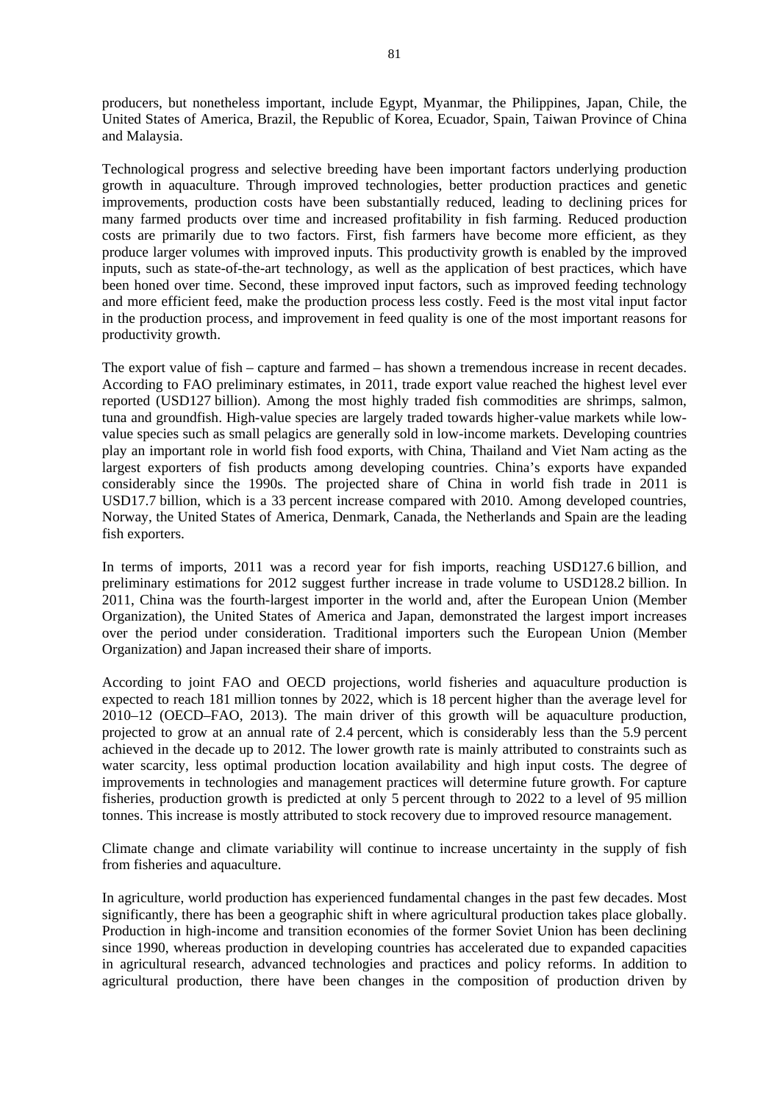producers, but nonetheless important, include Egypt, Myanmar, the Philippines, Japan, Chile, the United States of America, Brazil, the Republic of Korea, Ecuador, Spain, Taiwan Province of China and Malaysia.

Technological progress and selective breeding have been important factors underlying production growth in aquaculture. Through improved technologies, better production practices and genetic improvements, production costs have been substantially reduced, leading to declining prices for many farmed products over time and increased profitability in fish farming. Reduced production costs are primarily due to two factors. First, fish farmers have become more efficient, as they produce larger volumes with improved inputs. This productivity growth is enabled by the improved inputs, such as state-of-the-art technology, as well as the application of best practices, which have been honed over time. Second, these improved input factors, such as improved feeding technology and more efficient feed, make the production process less costly. Feed is the most vital input factor in the production process, and improvement in feed quality is one of the most important reasons for productivity growth.

The export value of fish – capture and farmed – has shown a tremendous increase in recent decades. According to FAO preliminary estimates, in 2011, trade export value reached the highest level ever reported (USD127 billion). Among the most highly traded fish commodities are shrimps, salmon, tuna and groundfish. High-value species are largely traded towards higher-value markets while lowvalue species such as small pelagics are generally sold in low-income markets. Developing countries play an important role in world fish food exports, with China, Thailand and Viet Nam acting as the largest exporters of fish products among developing countries. China's exports have expanded considerably since the 1990s. The projected share of China in world fish trade in 2011 is USD17.7 billion, which is a 33 percent increase compared with 2010. Among developed countries, Norway, the United States of America, Denmark, Canada, the Netherlands and Spain are the leading fish exporters.

In terms of imports, 2011 was a record year for fish imports, reaching USD127.6 billion, and preliminary estimations for 2012 suggest further increase in trade volume to USD128.2 billion. In 2011, China was the fourth-largest importer in the world and, after the European Union (Member Organization), the United States of America and Japan, demonstrated the largest import increases over the period under consideration. Traditional importers such the European Union (Member Organization) and Japan increased their share of imports.

According to joint FAO and OECD projections, world fisheries and aquaculture production is expected to reach 181 million tonnes by 2022, which is 18 percent higher than the average level for 2010–12 (OECD–FAO, 2013). The main driver of this growth will be aquaculture production, projected to grow at an annual rate of 2.4 percent, which is considerably less than the 5.9 percent achieved in the decade up to 2012. The lower growth rate is mainly attributed to constraints such as water scarcity, less optimal production location availability and high input costs. The degree of improvements in technologies and management practices will determine future growth. For capture fisheries, production growth is predicted at only 5 percent through to 2022 to a level of 95 million tonnes. This increase is mostly attributed to stock recovery due to improved resource management.

Climate change and climate variability will continue to increase uncertainty in the supply of fish from fisheries and aquaculture.

In agriculture, world production has experienced fundamental changes in the past few decades. Most significantly, there has been a geographic shift in where agricultural production takes place globally. Production in high-income and transition economies of the former Soviet Union has been declining since 1990, whereas production in developing countries has accelerated due to expanded capacities in agricultural research, advanced technologies and practices and policy reforms. In addition to agricultural production, there have been changes in the composition of production driven by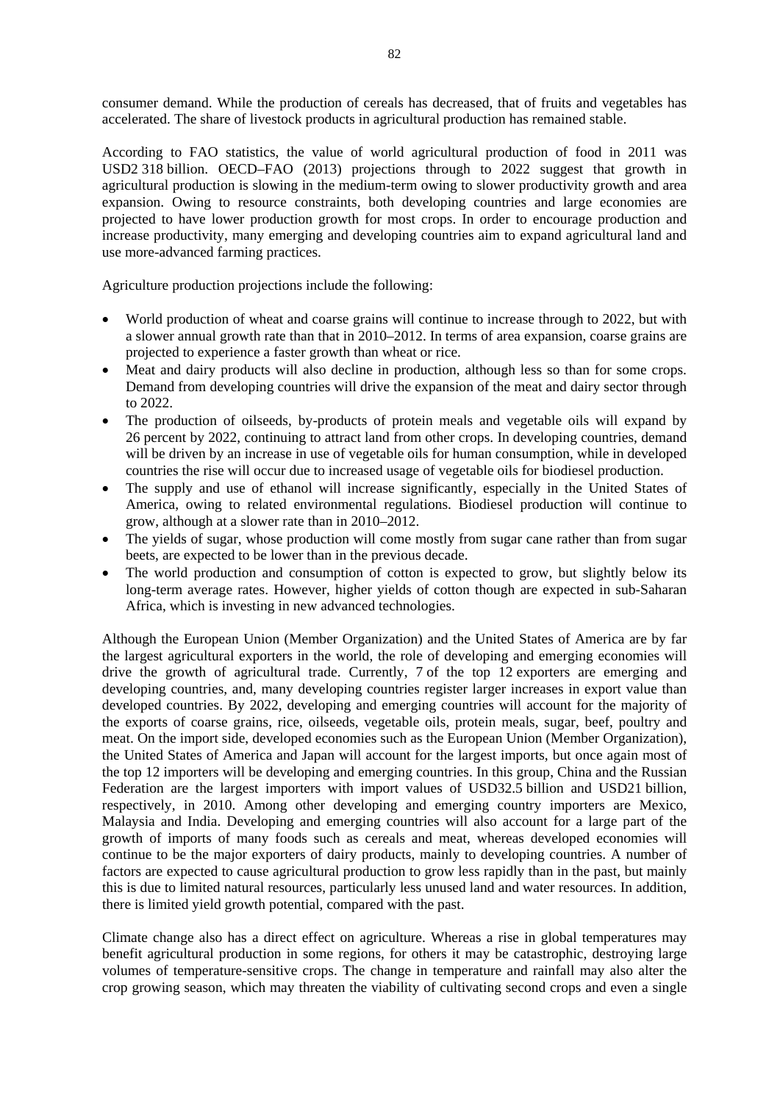consumer demand. While the production of cereals has decreased, that of fruits and vegetables has accelerated. The share of livestock products in agricultural production has remained stable.

According to FAO statistics, the value of world agricultural production of food in 2011 was USD2 318 billion. OECD–FAO (2013) projections through to 2022 suggest that growth in agricultural production is slowing in the medium-term owing to slower productivity growth and area expansion. Owing to resource constraints, both developing countries and large economies are projected to have lower production growth for most crops. In order to encourage production and increase productivity, many emerging and developing countries aim to expand agricultural land and use more-advanced farming practices.

Agriculture production projections include the following:

- World production of wheat and coarse grains will continue to increase through to 2022, but with a slower annual growth rate than that in 2010–2012. In terms of area expansion, coarse grains are projected to experience a faster growth than wheat or rice.
- Meat and dairy products will also decline in production, although less so than for some crops. Demand from developing countries will drive the expansion of the meat and dairy sector through to 2022.
- The production of oilseeds, by-products of protein meals and vegetable oils will expand by 26 percent by 2022, continuing to attract land from other crops. In developing countries, demand will be driven by an increase in use of vegetable oils for human consumption, while in developed countries the rise will occur due to increased usage of vegetable oils for biodiesel production.
- The supply and use of ethanol will increase significantly, especially in the United States of America, owing to related environmental regulations. Biodiesel production will continue to grow, although at a slower rate than in 2010–2012.
- The yields of sugar, whose production will come mostly from sugar cane rather than from sugar beets, are expected to be lower than in the previous decade.
- The world production and consumption of cotton is expected to grow, but slightly below its long-term average rates. However, higher yields of cotton though are expected in sub-Saharan Africa, which is investing in new advanced technologies.

Although the European Union (Member Organization) and the United States of America are by far the largest agricultural exporters in the world, the role of developing and emerging economies will drive the growth of agricultural trade. Currently, 7 of the top 12 exporters are emerging and developing countries, and, many developing countries register larger increases in export value than developed countries. By 2022, developing and emerging countries will account for the majority of the exports of coarse grains, rice, oilseeds, vegetable oils, protein meals, sugar, beef, poultry and meat. On the import side, developed economies such as the European Union (Member Organization), the United States of America and Japan will account for the largest imports, but once again most of the top 12 importers will be developing and emerging countries. In this group, China and the Russian Federation are the largest importers with import values of USD32.5 billion and USD21 billion, respectively, in 2010. Among other developing and emerging country importers are Mexico, Malaysia and India. Developing and emerging countries will also account for a large part of the growth of imports of many foods such as cereals and meat, whereas developed economies will continue to be the major exporters of dairy products, mainly to developing countries. A number of factors are expected to cause agricultural production to grow less rapidly than in the past, but mainly this is due to limited natural resources, particularly less unused land and water resources. In addition, there is limited yield growth potential, compared with the past.

Climate change also has a direct effect on agriculture. Whereas a rise in global temperatures may benefit agricultural production in some regions, for others it may be catastrophic, destroying large volumes of temperature-sensitive crops. The change in temperature and rainfall may also alter the crop growing season, which may threaten the viability of cultivating second crops and even a single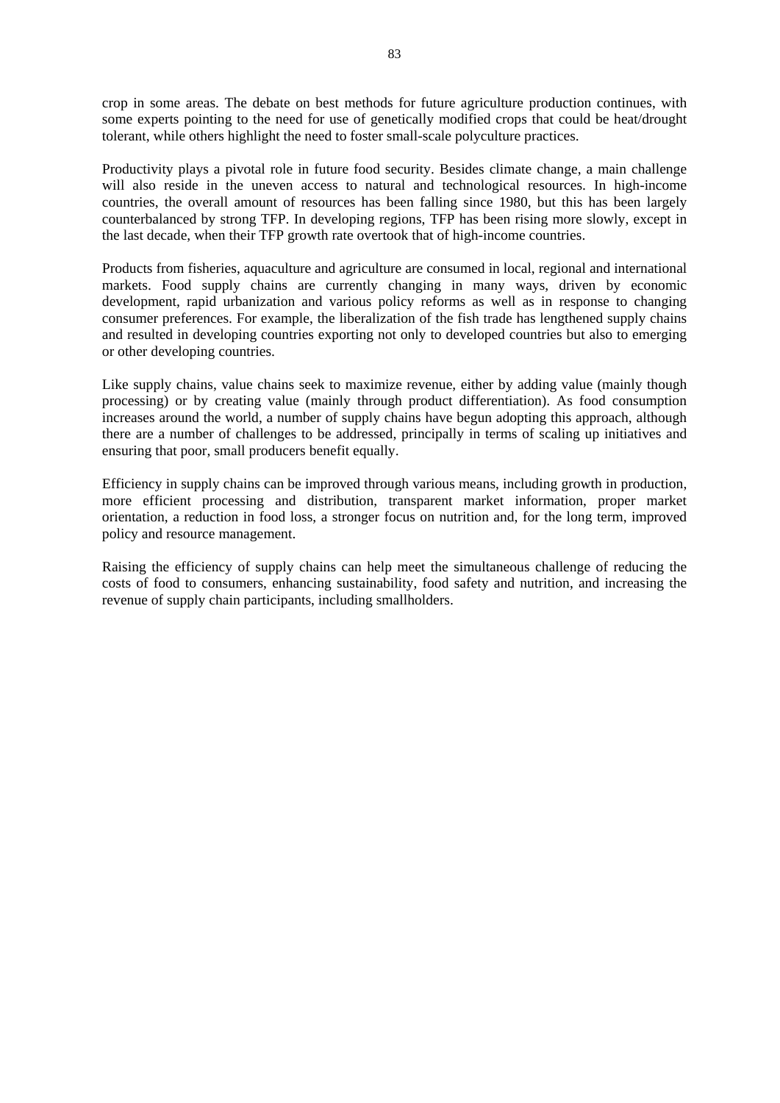crop in some areas. The debate on best methods for future agriculture production continues, with some experts pointing to the need for use of genetically modified crops that could be heat/drought tolerant, while others highlight the need to foster small-scale polyculture practices.

Productivity plays a pivotal role in future food security. Besides climate change, a main challenge will also reside in the uneven access to natural and technological resources. In high-income countries, the overall amount of resources has been falling since 1980, but this has been largely counterbalanced by strong TFP. In developing regions, TFP has been rising more slowly, except in the last decade, when their TFP growth rate overtook that of high-income countries.

Products from fisheries, aquaculture and agriculture are consumed in local, regional and international markets. Food supply chains are currently changing in many ways, driven by economic development, rapid urbanization and various policy reforms as well as in response to changing consumer preferences. For example, the liberalization of the fish trade has lengthened supply chains and resulted in developing countries exporting not only to developed countries but also to emerging or other developing countries.

Like supply chains, value chains seek to maximize revenue, either by adding value (mainly though processing) or by creating value (mainly through product differentiation). As food consumption increases around the world, a number of supply chains have begun adopting this approach, although there are a number of challenges to be addressed, principally in terms of scaling up initiatives and ensuring that poor, small producers benefit equally.

Efficiency in supply chains can be improved through various means, including growth in production, more efficient processing and distribution, transparent market information, proper market orientation, a reduction in food loss, a stronger focus on nutrition and, for the long term, improved policy and resource management.

Raising the efficiency of supply chains can help meet the simultaneous challenge of reducing the costs of food to consumers, enhancing sustainability, food safety and nutrition, and increasing the revenue of supply chain participants, including smallholders.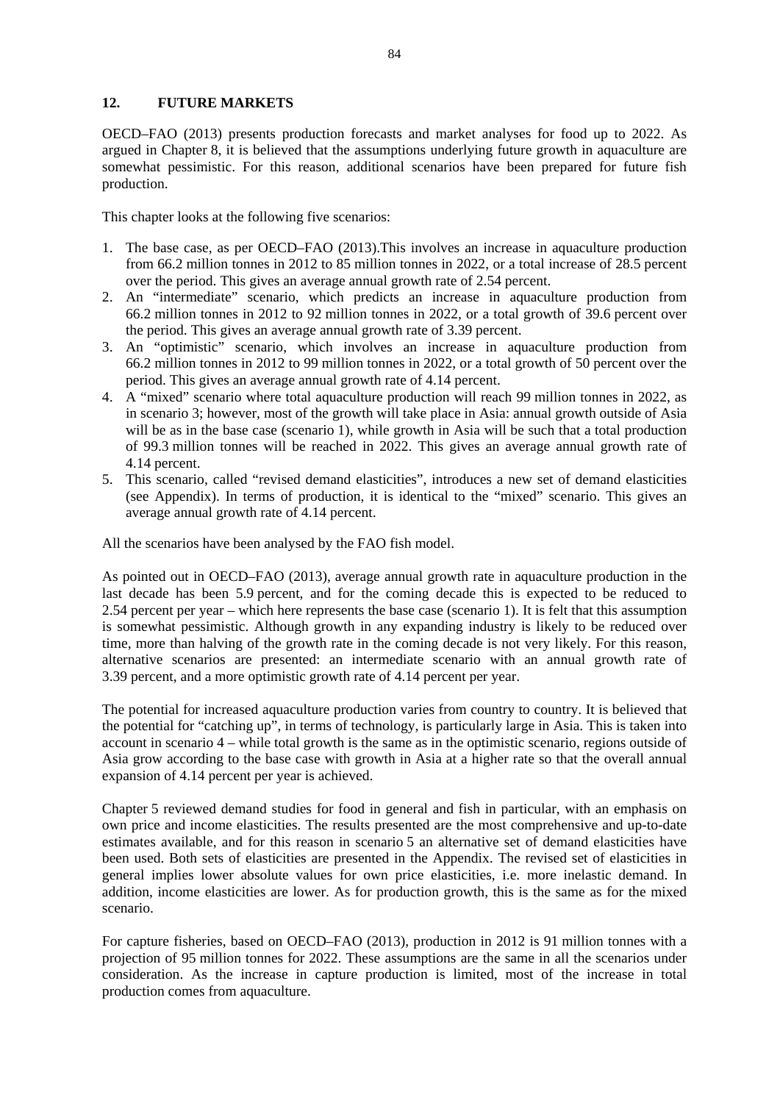### **12. FUTURE MARKETS**

OECD–FAO (2013) presents production forecasts and market analyses for food up to 2022. As argued in Chapter 8, it is believed that the assumptions underlying future growth in aquaculture are somewhat pessimistic. For this reason, additional scenarios have been prepared for future fish production.

This chapter looks at the following five scenarios:

- 1. The base case, as per OECD–FAO (2013).This involves an increase in aquaculture production from 66.2 million tonnes in 2012 to 85 million tonnes in 2022, or a total increase of 28.5 percent over the period. This gives an average annual growth rate of 2.54 percent.
- 2. An "intermediate" scenario, which predicts an increase in aquaculture production from 66.2 million tonnes in 2012 to 92 million tonnes in 2022, or a total growth of 39.6 percent over the period. This gives an average annual growth rate of 3.39 percent.
- 3. An "optimistic" scenario, which involves an increase in aquaculture production from 66.2 million tonnes in 2012 to 99 million tonnes in 2022, or a total growth of 50 percent over the period. This gives an average annual growth rate of 4.14 percent.
- 4. A "mixed" scenario where total aquaculture production will reach 99 million tonnes in 2022, as in scenario 3; however, most of the growth will take place in Asia: annual growth outside of Asia will be as in the base case (scenario 1), while growth in Asia will be such that a total production of 99.3 million tonnes will be reached in 2022. This gives an average annual growth rate of 4.14 percent.
- 5. This scenario, called "revised demand elasticities", introduces a new set of demand elasticities (see Appendix). In terms of production, it is identical to the "mixed" scenario. This gives an average annual growth rate of 4.14 percent.

All the scenarios have been analysed by the FAO fish model.

As pointed out in OECD–FAO (2013), average annual growth rate in aquaculture production in the last decade has been 5.9 percent, and for the coming decade this is expected to be reduced to 2.54 percent per year – which here represents the base case (scenario 1). It is felt that this assumption is somewhat pessimistic. Although growth in any expanding industry is likely to be reduced over time, more than halving of the growth rate in the coming decade is not very likely. For this reason, alternative scenarios are presented: an intermediate scenario with an annual growth rate of 3.39 percent, and a more optimistic growth rate of 4.14 percent per year.

The potential for increased aquaculture production varies from country to country. It is believed that the potential for "catching up", in terms of technology, is particularly large in Asia. This is taken into account in scenario 4 – while total growth is the same as in the optimistic scenario, regions outside of Asia grow according to the base case with growth in Asia at a higher rate so that the overall annual expansion of 4.14 percent per year is achieved.

Chapter 5 reviewed demand studies for food in general and fish in particular, with an emphasis on own price and income elasticities. The results presented are the most comprehensive and up-to-date estimates available, and for this reason in scenario 5 an alternative set of demand elasticities have been used. Both sets of elasticities are presented in the Appendix. The revised set of elasticities in general implies lower absolute values for own price elasticities, i.e. more inelastic demand. In addition, income elasticities are lower. As for production growth, this is the same as for the mixed scenario.

For capture fisheries, based on OECD–FAO (2013), production in 2012 is 91 million tonnes with a projection of 95 million tonnes for 2022. These assumptions are the same in all the scenarios under consideration. As the increase in capture production is limited, most of the increase in total production comes from aquaculture.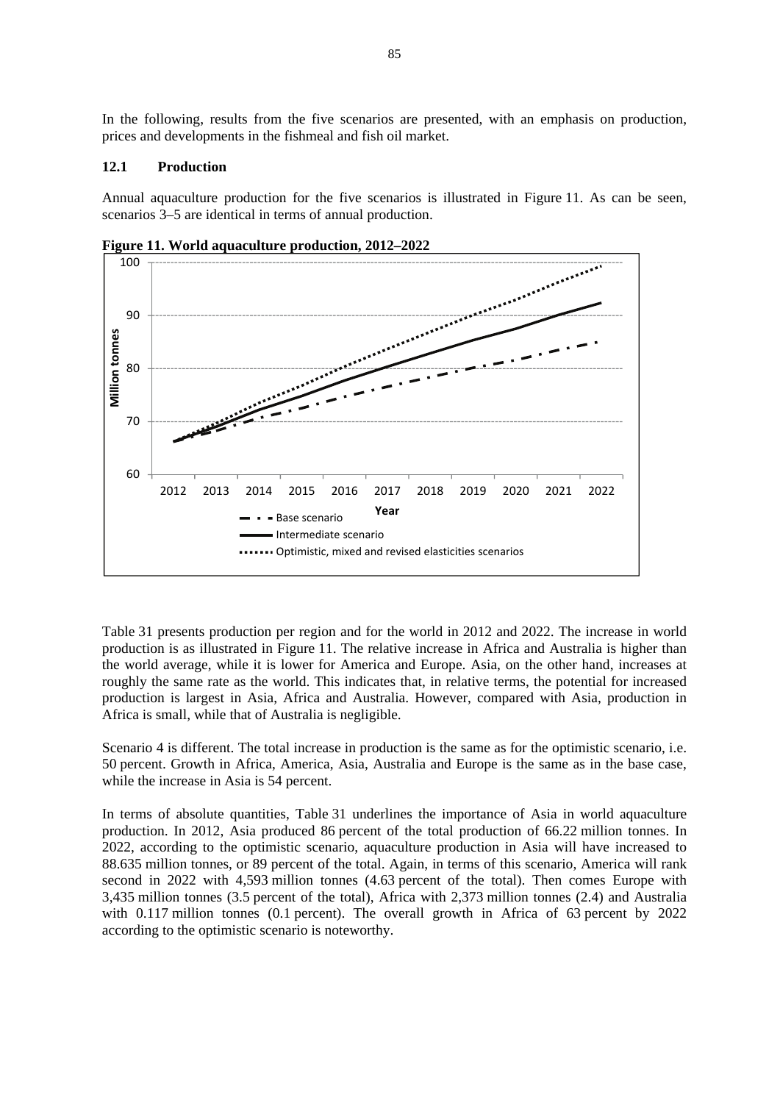In the following, results from the five scenarios are presented, with an emphasis on production, prices and developments in the fishmeal and fish oil market.

#### **12.1 Production**

Annual aquaculture production for the five scenarios is illustrated in Figure 11. As can be seen, scenarios 3–5 are identical in terms of annual production.



**Figure 11. World aquaculture production, 2012–2022** 

Table 31 presents production per region and for the world in 2012 and 2022. The increase in world production is as illustrated in Figure 11. The relative increase in Africa and Australia is higher than the world average, while it is lower for America and Europe. Asia, on the other hand, increases at roughly the same rate as the world. This indicates that, in relative terms, the potential for increased production is largest in Asia, Africa and Australia. However, compared with Asia, production in Africa is small, while that of Australia is negligible.

Scenario 4 is different. The total increase in production is the same as for the optimistic scenario, i.e. 50 percent. Growth in Africa, America, Asia, Australia and Europe is the same as in the base case, while the increase in Asia is 54 percent.

In terms of absolute quantities, Table 31 underlines the importance of Asia in world aquaculture production. In 2012, Asia produced 86 percent of the total production of 66.22 million tonnes. In 2022, according to the optimistic scenario, aquaculture production in Asia will have increased to 88.635 million tonnes, or 89 percent of the total. Again, in terms of this scenario, America will rank second in 2022 with 4,593 million tonnes (4.63 percent of the total). Then comes Europe with 3,435 million tonnes (3.5 percent of the total), Africa with 2,373 million tonnes (2.4) and Australia with 0.117 million tonnes (0.1 percent). The overall growth in Africa of 63 percent by 2022 according to the optimistic scenario is noteworthy.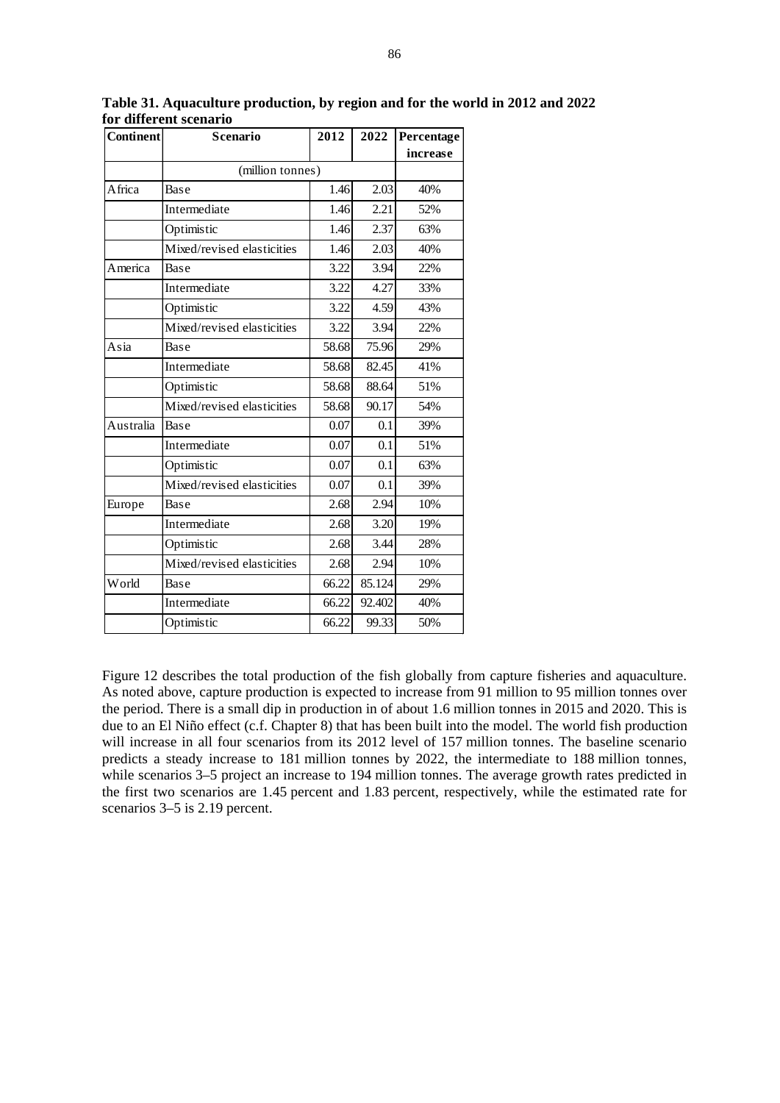| <b>Continent</b> | Scenario                   | 2012  | 2022   | Percentage |
|------------------|----------------------------|-------|--------|------------|
|                  |                            |       |        | increase   |
|                  | (million tonnes)           |       |        |            |
| Africa           | Base                       | 1.46  | 2.03   | 40%        |
|                  | Intermediate               | 1.46  | 2.21   | 52%        |
|                  | Optimistic                 | 1.46  | 2.37   | 63%        |
|                  | Mixed/revised elasticities | 1.46  | 2.03   | 40%        |
| America          | Base                       | 3.22  | 3.94   | 22%        |
|                  | Intermediate               | 3.22  | 4.27   | 33%        |
|                  | Optimistic                 | 3.22  | 4.59   | 43%        |
|                  | Mixed/revised elasticities | 3.22  | 3.94   | 22%        |
| Asia             | Base                       | 58.68 | 75.96  | 29%        |
|                  | Intermediate               | 58.68 | 82.45  | 41%        |
|                  | Optimistic                 | 58.68 | 88.64  | 51%        |
|                  | Mixed/revised elasticities | 58.68 | 90.17  | 54%        |
| Australia        | Base                       | 0.07  | 0.1    | 39%        |
|                  | Intermediate               | 0.07  | 0.1    | 51%        |
|                  | Optimistic                 | 0.07  | 0.1    | 63%        |
|                  | Mixed/revised elasticities | 0.07  | 0.1    | 39%        |
| Europe           | Base                       | 2.68  | 2.94   | 10%        |
|                  | Intermediate               | 2.68  | 3.20   | 19%        |
|                  | Optimistic                 | 2.68  | 3.44   | 28%        |
|                  | Mixed/revised elasticities | 2.68  | 2.94   | 10%        |
| World            | Base                       | 66.22 | 85.124 | 29%        |
|                  | Intermediate               | 66.22 | 92.402 | 40%        |
|                  | Optimistic                 | 66.22 | 99.33  | 50%        |

**Table 31. Aquaculture production, by region and for the world in 2012 and 2022 for different scenario** 

Figure 12 describes the total production of the fish globally from capture fisheries and aquaculture. As noted above, capture production is expected to increase from 91 million to 95 million tonnes over the period. There is a small dip in production in of about 1.6 million tonnes in 2015 and 2020. This is due to an El Niño effect (c.f. Chapter 8) that has been built into the model. The world fish production will increase in all four scenarios from its 2012 level of 157 million tonnes. The baseline scenario predicts a steady increase to 181 million tonnes by 2022, the intermediate to 188 million tonnes, while scenarios 3–5 project an increase to 194 million tonnes. The average growth rates predicted in the first two scenarios are 1.45 percent and 1.83 percent, respectively, while the estimated rate for scenarios 3–5 is 2.19 percent.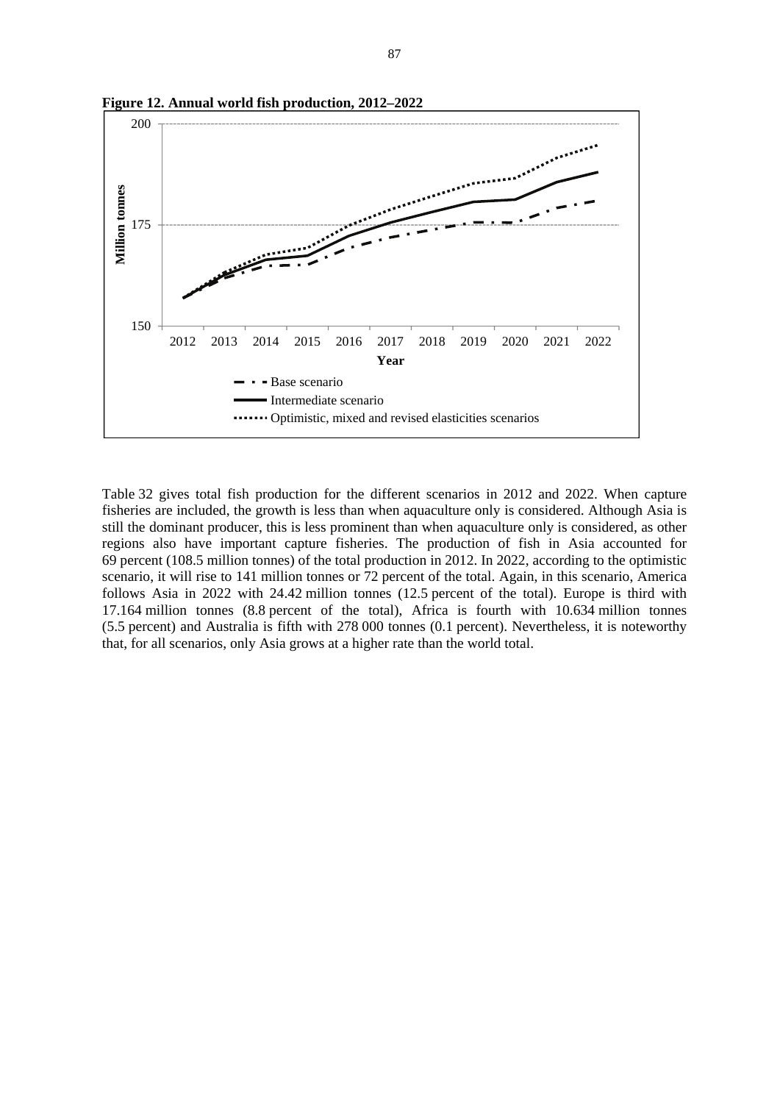

**Figure 12. Annual world fish production, 2012–2022**

Table 32 gives total fish production for the different scenarios in 2012 and 2022. When capture fisheries are included, the growth is less than when aquaculture only is considered. Although Asia is still the dominant producer, this is less prominent than when aquaculture only is considered, as other regions also have important capture fisheries. The production of fish in Asia accounted for 69 percent (108.5 million tonnes) of the total production in 2012. In 2022, according to the optimistic scenario, it will rise to 141 million tonnes or 72 percent of the total. Again, in this scenario, America follows Asia in 2022 with 24.42 million tonnes (12.5 percent of the total). Europe is third with 17.164 million tonnes (8.8 percent of the total), Africa is fourth with 10.634 million tonnes (5.5 percent) and Australia is fifth with 278 000 tonnes (0.1 percent). Nevertheless, it is noteworthy that, for all scenarios, only Asia grows at a higher rate than the world total.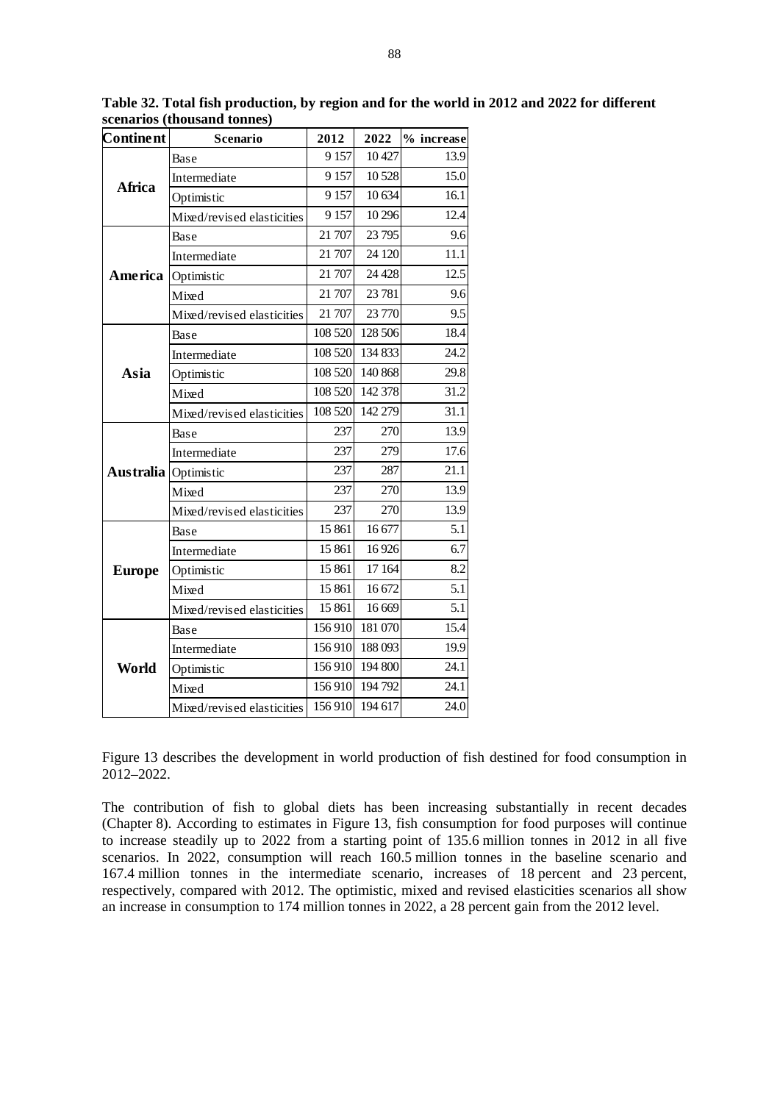| <b>Continent</b> | Scenario                   | 2012    | 2022    | % increase |
|------------------|----------------------------|---------|---------|------------|
|                  | Base                       | 9 1 5 7 | 10 427  | 13.9       |
|                  | Intermediate               | 9 1 5 7 | 10 5 28 | 15.0       |
| Africa           | Optimistic                 | 9 1 5 7 | 10 634  | 16.1       |
|                  | Mixed/revised elasticities | 9 1 5 7 | 10 29 6 | 12.4       |
|                  | Base                       | 21 707  | 23 795  | 9.6        |
|                  | Intermediate               | 21 707  | 24 120  | 11.1       |
| America          | Optimistic                 | 21 707  | 24 4 28 | 12.5       |
|                  | Mixed                      | 21 707  | 23 781  | 9.6        |
|                  | Mixed/revised elasticities | 21 707  | 23 770  | 9.5        |
|                  | Base                       | 108 520 | 128 506 | 18.4       |
|                  | Intermediate               | 108 520 | 134 833 | 24.2       |
| Asia             | Optimistic                 | 108 520 | 140 868 | 29.8       |
|                  | Mixed                      | 108 520 | 142 378 | 31.2       |
|                  | Mixed/revised elasticities | 108 520 | 142 279 | 31.1       |
|                  | Base                       | 237     | 270     | 13.9       |
|                  | Intermediate               | 237     | 279     | 17.6       |
| Australia        | Optimistic                 | 237     | 287     | 21.1       |
|                  | Mixed                      | 237     | 270     | 13.9       |
|                  | Mixed/revised elasticities | 237     | 270     | 13.9       |
| <b>Europe</b>    | Base                       | 15 861  | 16 677  | 5.1        |
|                  | Intermediate               | 15 861  | 16926   | 6.7        |
|                  | Optimistic                 | 15 861  | 17 164  | 8.2        |
|                  | Mixed                      | 15 861  | 16 672  | 5.1        |
|                  | Mixed/revised elasticities | 15 861  | 16 669  | 5.1        |
| World            | Base                       | 156910  | 181 070 | 15.4       |
|                  | Intermediate               | 156910  | 188 093 | 19.9       |
|                  | Optimistic                 | 156910  | 194 800 | 24.1       |
|                  | Mixed                      | 156910  | 194 792 | 24.1       |
|                  | Mixed/revised elasticities | 156910  | 194 617 | 24.0       |

**Table 32. Total fish production, by region and for the world in 2012 and 2022 for different scenarios (thousand tonnes)** 

Figure 13 describes the development in world production of fish destined for food consumption in 2012–2022.

The contribution of fish to global diets has been increasing substantially in recent decades (Chapter 8). According to estimates in Figure 13, fish consumption for food purposes will continue to increase steadily up to 2022 from a starting point of 135.6 million tonnes in 2012 in all five scenarios. In 2022, consumption will reach 160.5 million tonnes in the baseline scenario and 167.4 million tonnes in the intermediate scenario, increases of 18 percent and 23 percent, respectively, compared with 2012. The optimistic, mixed and revised elasticities scenarios all show an increase in consumption to 174 million tonnes in 2022, a 28 percent gain from the 2012 level.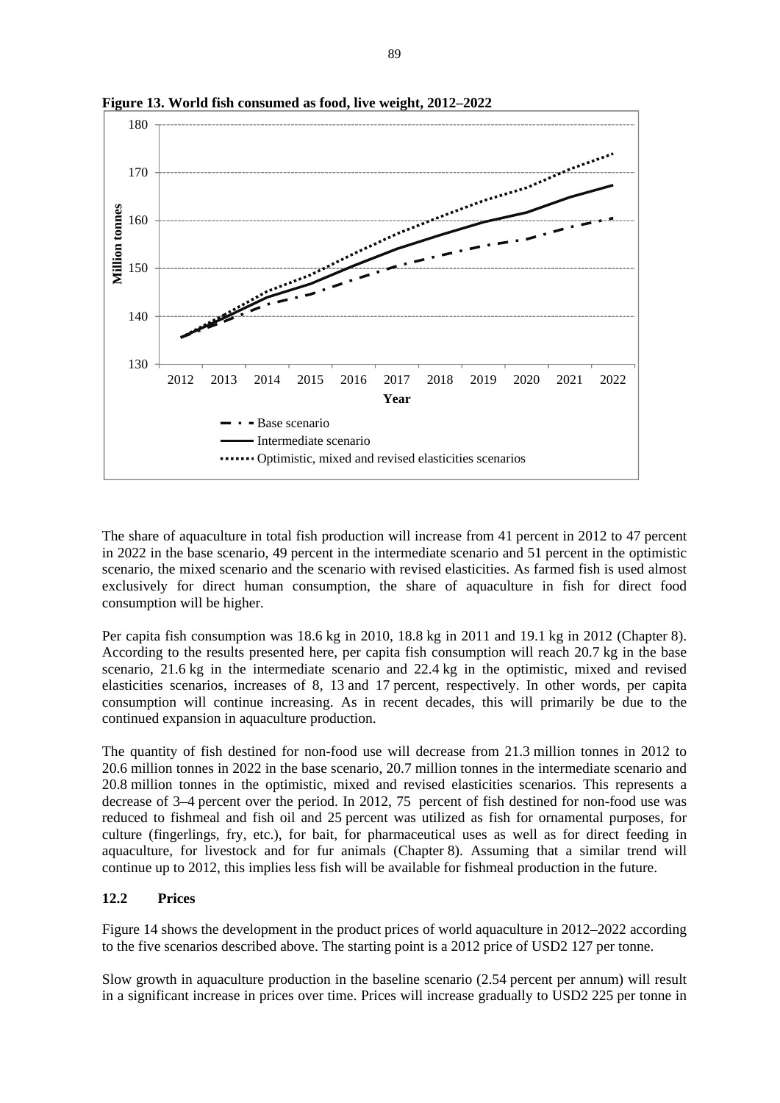

**Figure 13. World fish consumed as food, live weight, 2012–2022**

The share of aquaculture in total fish production will increase from 41 percent in 2012 to 47 percent in 2022 in the base scenario, 49 percent in the intermediate scenario and 51 percent in the optimistic scenario, the mixed scenario and the scenario with revised elasticities. As farmed fish is used almost exclusively for direct human consumption, the share of aquaculture in fish for direct food consumption will be higher.

Per capita fish consumption was 18.6 kg in 2010, 18.8 kg in 2011 and 19.1 kg in 2012 (Chapter 8). According to the results presented here, per capita fish consumption will reach 20.7 kg in the base scenario, 21.6 kg in the intermediate scenario and 22.4 kg in the optimistic, mixed and revised elasticities scenarios, increases of 8, 13 and 17 percent, respectively. In other words, per capita consumption will continue increasing. As in recent decades, this will primarily be due to the continued expansion in aquaculture production.

The quantity of fish destined for non-food use will decrease from 21.3 million tonnes in 2012 to 20.6 million tonnes in 2022 in the base scenario, 20.7 million tonnes in the intermediate scenario and 20.8 million tonnes in the optimistic, mixed and revised elasticities scenarios. This represents a decrease of 3–4 percent over the period. In 2012, 75 percent of fish destined for non-food use was reduced to fishmeal and fish oil and 25 percent was utilized as fish for ornamental purposes, for culture (fingerlings, fry, etc.), for bait, for pharmaceutical uses as well as for direct feeding in aquaculture, for livestock and for fur animals (Chapter 8). Assuming that a similar trend will continue up to 2012, this implies less fish will be available for fishmeal production in the future.

### **12.2 Prices**

Figure 14 shows the development in the product prices of world aquaculture in 2012–2022 according to the five scenarios described above. The starting point is a 2012 price of USD2 127 per tonne.

Slow growth in aquaculture production in the baseline scenario (2.54 percent per annum) will result in a significant increase in prices over time. Prices will increase gradually to USD2 225 per tonne in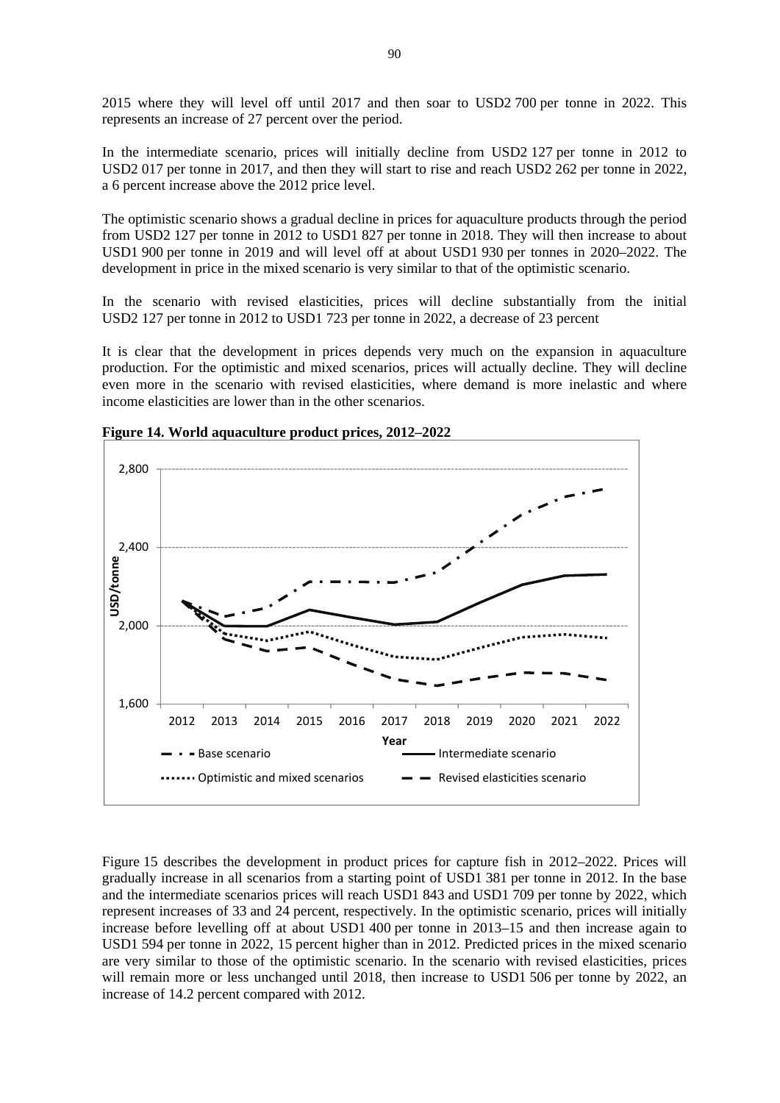2015 where they will level off until 2017 and then soar to USD2 700 per tonne in 2022. This represents an increase of 27 percent over the period.

In the intermediate scenario, prices will initially decline from USD2 127 per tonne in 2012 to USD2 017 per tonne in 2017, and then they will start to rise and reach USD2 262 per tonne in 2022, a 6 percent increase above the 2012 price level.

The optimistic scenario shows a gradual decline in prices for aquaculture products through the period from USD2 127 per tonne in 2012 to USD1 827 per tonne in 2018. They will then increase to about USD1 900 per tonne in 2019 and will level off at about USD1 930 per tonnes in 2020–2022. The development in price in the mixed scenario is very similar to that of the optimistic scenario.

In the scenario with revised elasticities, prices will decline substantially from the initial USD2 127 per tonne in 2012 to USD1 723 per tonne in 2022, a decrease of 23 percent

It is clear that the development in prices depends very much on the expansion in aquaculture production. For the optimistic and mixed scenarios, prices will actually decline. They will decline even more in the scenario with revised elasticities, where demand is more inelastic and where income elasticities are lower than in the other scenarios.



**Figure 14. World aquaculture product prices, 2012–2022** 

Figure 15 describes the development in product prices for capture fish in 2012–2022. Prices will gradually increase in all scenarios from a starting point of USD1 381 per tonne in 2012. In the base and the intermediate scenarios prices will reach USD1 843 and USD1 709 per tonne by 2022, which represent increases of 33 and 24 percent, respectively. In the optimistic scenario, prices will initially increase before levelling off at about USD1 400 per tonne in 2013–15 and then increase again to USD1 594 per tonne in 2022, 15 percent higher than in 2012. Predicted prices in the mixed scenario are very similar to those of the optimistic scenario. In the scenario with revised elasticities, prices will remain more or less unchanged until 2018, then increase to USD1 506 per tonne by 2022, an increase of 14.2 percent compared with 2012.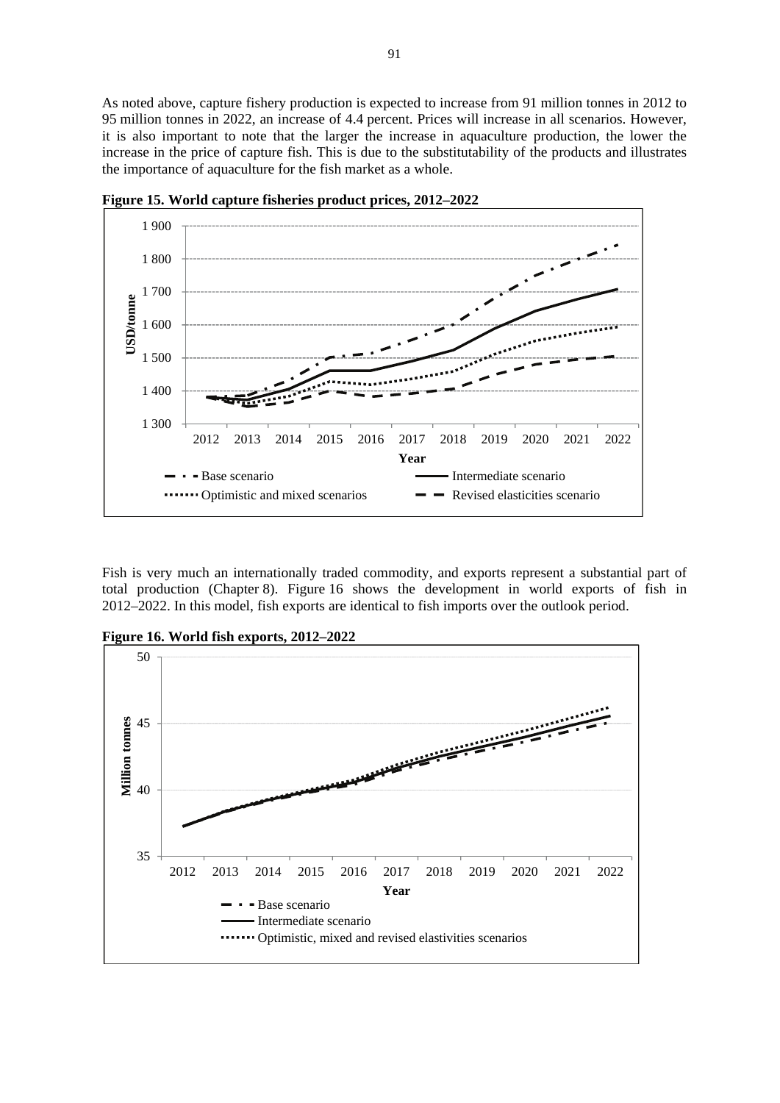As noted above, capture fishery production is expected to increase from 91 million tonnes in 2012 to 95 million tonnes in 2022, an increase of 4.4 percent. Prices will increase in all scenarios. However, it is also important to note that the larger the increase in aquaculture production, the lower the increase in the price of capture fish. This is due to the substitutability of the products and illustrates the importance of aquaculture for the fish market as a whole.



**Figure 15. World capture fisheries product prices, 2012–2022** 

Fish is very much an internationally traded commodity, and exports represent a substantial part of total production (Chapter 8). Figure 16 shows the development in world exports of fish in 2012–2022. In this model, fish exports are identical to fish imports over the outlook period.

**Figure 16. World fish exports, 2012–2022**

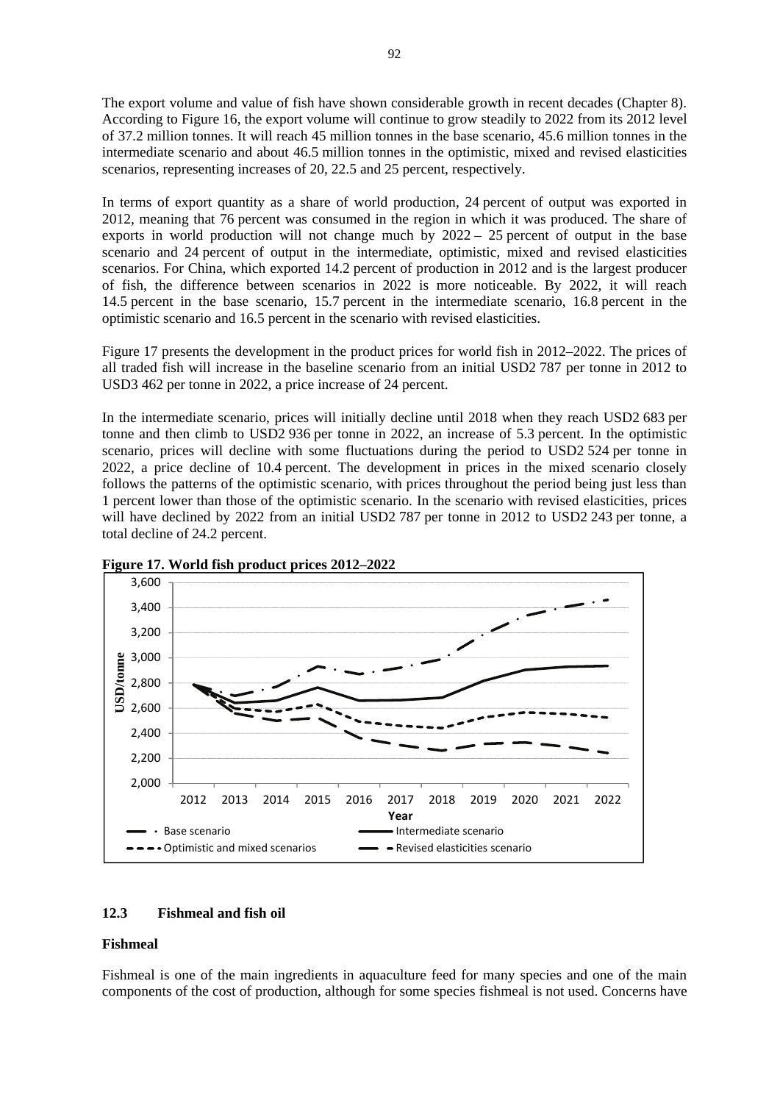The export volume and value of fish have shown considerable growth in recent decades (Chapter 8). According to Figure 16, the export volume will continue to grow steadily to 2022 from its 2012 level of 37.2 million tonnes. It will reach 45 million tonnes in the base scenario, 45.6 million tonnes in the intermediate scenario and about 46.5 million tonnes in the optimistic, mixed and revised elasticities scenarios, representing increases of 20, 22.5 and 25 percent, respectively.

In terms of export quantity as a share of world production, 24 percent of output was exported in 2012, meaning that 76 percent was consumed in the region in which it was produced. The share of exports in world production will not change much by 2022 – 25 percent of output in the base scenario and 24 percent of output in the intermediate, optimistic, mixed and revised elasticities scenarios. For China, which exported 14.2 percent of production in 2012 and is the largest producer of fish, the difference between scenarios in 2022 is more noticeable. By 2022, it will reach 14.5 percent in the base scenario, 15.7 percent in the intermediate scenario, 16.8 percent in the optimistic scenario and 16.5 percent in the scenario with revised elasticities.

Figure 17 presents the development in the product prices for world fish in 2012–2022. The prices of all traded fish will increase in the baseline scenario from an initial USD2 787 per tonne in 2012 to USD3 462 per tonne in 2022, a price increase of 24 percent.

In the intermediate scenario, prices will initially decline until 2018 when they reach USD2 683 per tonne and then climb to USD2 936 per tonne in 2022, an increase of 5.3 percent. In the optimistic scenario, prices will decline with some fluctuations during the period to USD2 524 per tonne in 2022, a price decline of 10.4 percent. The development in prices in the mixed scenario closely follows the patterns of the optimistic scenario, with prices throughout the period being just less than 1 percent lower than those of the optimistic scenario. In the scenario with revised elasticities, prices will have declined by 2022 from an initial USD2 787 per tonne in 2012 to USD2 243 per tonne, a total decline of 24.2 percent.



**Figure 17. World fish product prices 2012–2022**

# **12.3 Fishmeal and fish oil**

### **Fishmeal**

Fishmeal is one of the main ingredients in aquaculture feed for many species and one of the main components of the cost of production, although for some species fishmeal is not used. Concerns have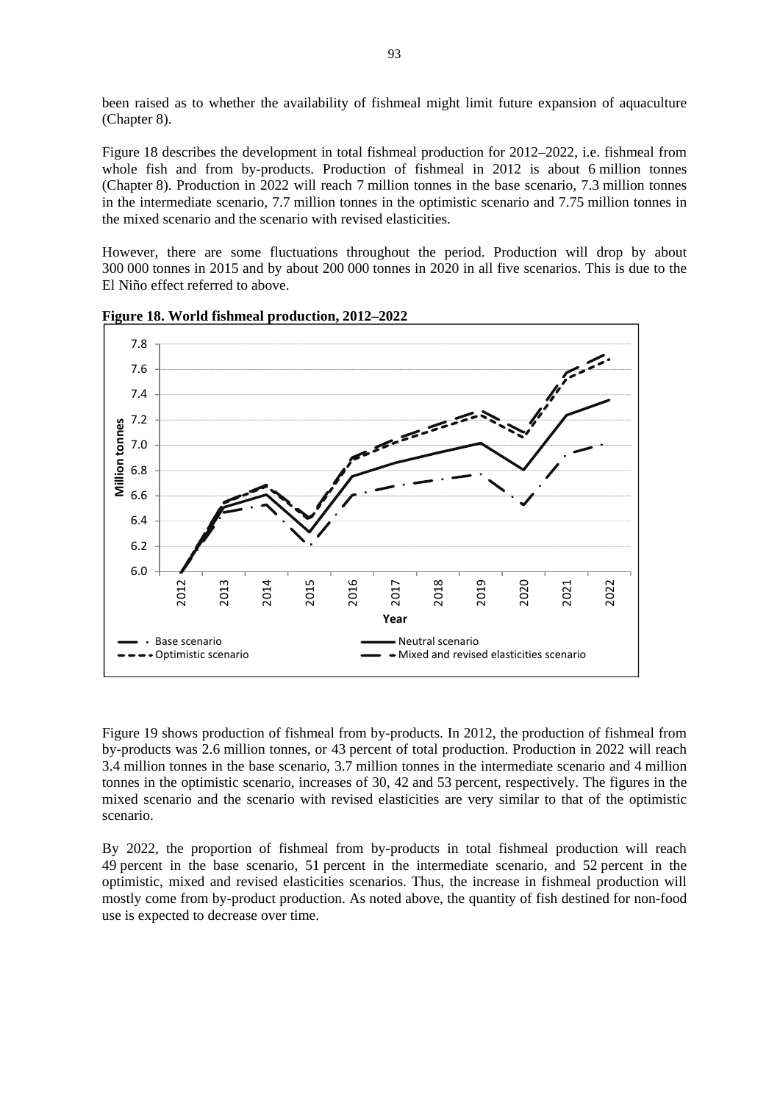been raised as to whether the availability of fishmeal might limit future expansion of aquaculture (Chapter 8).

Figure 18 describes the development in total fishmeal production for 2012–2022, i.e. fishmeal from whole fish and from by-products. Production of fishmeal in 2012 is about 6 million tonnes (Chapter 8). Production in 2022 will reach 7 million tonnes in the base scenario, 7.3 million tonnes in the intermediate scenario, 7.7 million tonnes in the optimistic scenario and 7.75 million tonnes in the mixed scenario and the scenario with revised elasticities.

However, there are some fluctuations throughout the period. Production will drop by about 300 000 tonnes in 2015 and by about 200 000 tonnes in 2020 in all five scenarios. This is due to the El Niño effect referred to above.



**Figure 18. World fishmeal production, 2012–2022**

Figure 19 shows production of fishmeal from by-products. In 2012, the production of fishmeal from by-products was 2.6 million tonnes, or 43 percent of total production. Production in 2022 will reach 3.4 million tonnes in the base scenario, 3.7 million tonnes in the intermediate scenario and 4 million tonnes in the optimistic scenario, increases of 30, 42 and 53 percent, respectively. The figures in the mixed scenario and the scenario with revised elasticities are very similar to that of the optimistic scenario.

By 2022, the proportion of fishmeal from by-products in total fishmeal production will reach 49 percent in the base scenario, 51 percent in the intermediate scenario, and 52 percent in the optimistic, mixed and revised elasticities scenarios. Thus, the increase in fishmeal production will mostly come from by-product production. As noted above, the quantity of fish destined for non-food use is expected to decrease over time.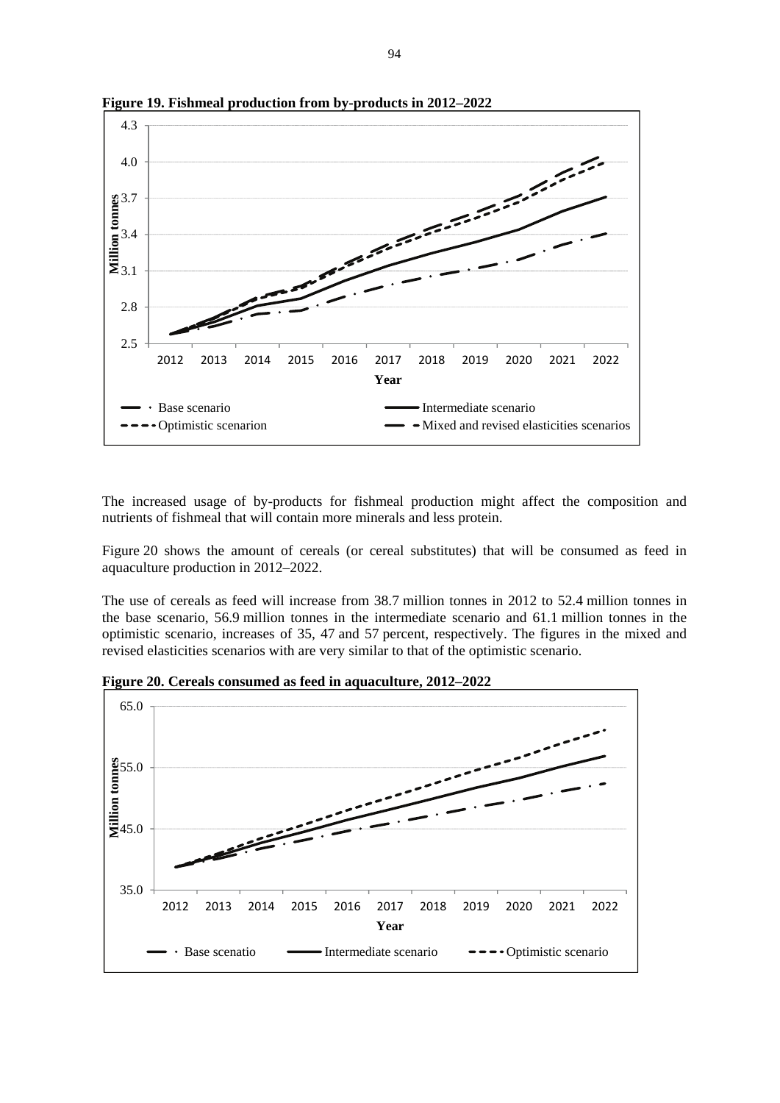

**Figure 19. Fishmeal production from by-products in 2012–2022**

The increased usage of by-products for fishmeal production might affect the composition and nutrients of fishmeal that will contain more minerals and less protein.

Figure 20 shows the amount of cereals (or cereal substitutes) that will be consumed as feed in aquaculture production in 2012–2022.

The use of cereals as feed will increase from 38.7 million tonnes in 2012 to 52.4 million tonnes in the base scenario, 56.9 million tonnes in the intermediate scenario and 61.1 million tonnes in the optimistic scenario, increases of 35, 47 and 57 percent, respectively. The figures in the mixed and revised elasticities scenarios with are very similar to that of the optimistic scenario.



**Figure 20. Cereals consumed as feed in aquaculture, 2012–2022**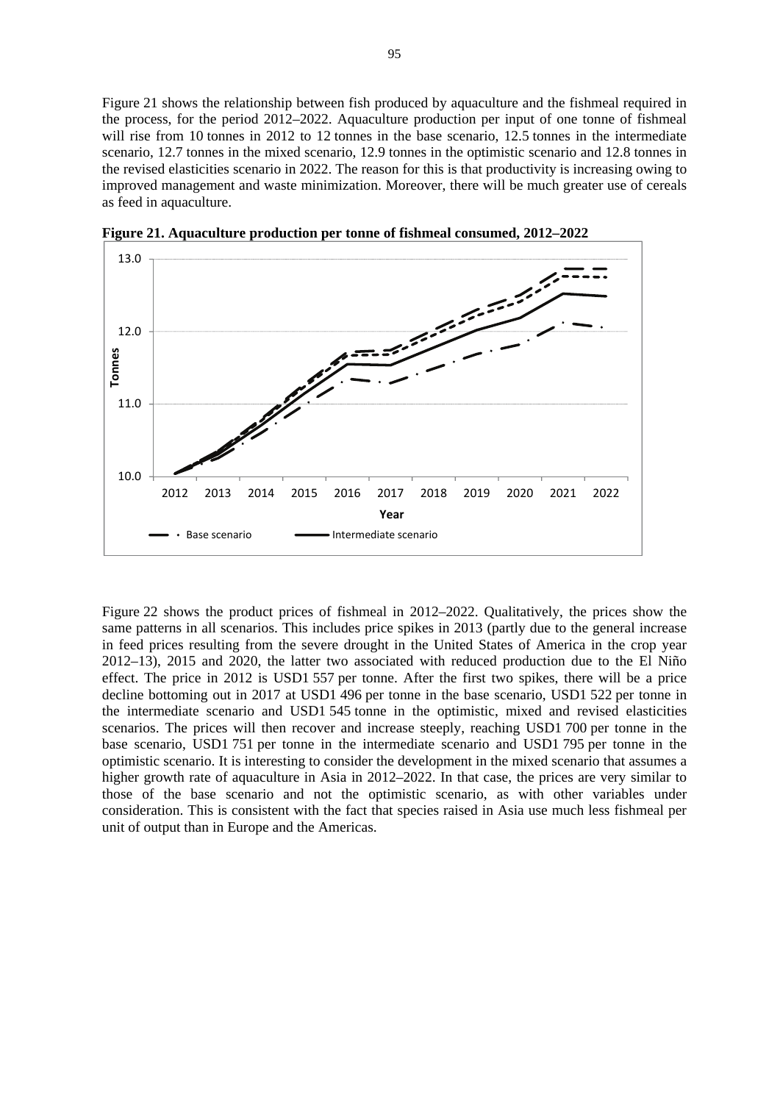Figure 21 shows the relationship between fish produced by aquaculture and the fishmeal required in the process, for the period 2012–2022. Aquaculture production per input of one tonne of fishmeal will rise from 10 tonnes in 2012 to 12 tonnes in the base scenario, 12.5 tonnes in the intermediate scenario, 12.7 tonnes in the mixed scenario, 12.9 tonnes in the optimistic scenario and 12.8 tonnes in the revised elasticities scenario in 2022. The reason for this is that productivity is increasing owing to improved management and waste minimization. Moreover, there will be much greater use of cereals as feed in aquaculture.



**Figure 21. Aquaculture production per tonne of fishmeal consumed, 2012–2022**

Figure 22 shows the product prices of fishmeal in 2012–2022. Qualitatively, the prices show the same patterns in all scenarios. This includes price spikes in 2013 (partly due to the general increase in feed prices resulting from the severe drought in the United States of America in the crop year 2012–13), 2015 and 2020, the latter two associated with reduced production due to the El Niño effect. The price in 2012 is USD1 557 per tonne. After the first two spikes, there will be a price decline bottoming out in 2017 at USD1 496 per tonne in the base scenario, USD1 522 per tonne in the intermediate scenario and USD1 545 tonne in the optimistic, mixed and revised elasticities scenarios. The prices will then recover and increase steeply, reaching USD1 700 per tonne in the base scenario, USD1 751 per tonne in the intermediate scenario and USD1 795 per tonne in the optimistic scenario. It is interesting to consider the development in the mixed scenario that assumes a higher growth rate of aquaculture in Asia in 2012–2022. In that case, the prices are very similar to those of the base scenario and not the optimistic scenario, as with other variables under consideration. This is consistent with the fact that species raised in Asia use much less fishmeal per unit of output than in Europe and the Americas.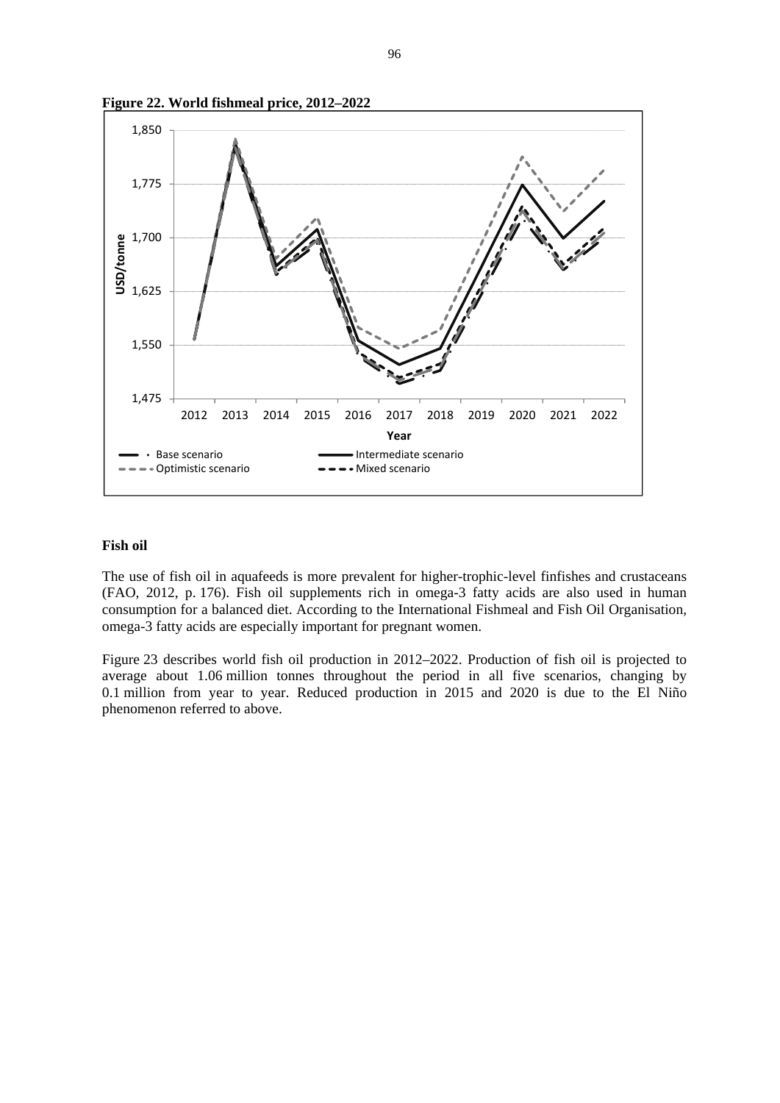



#### **Fish oil**

The use of fish oil in aquafeeds is more prevalent for higher-trophic-level finfishes and crustaceans (FAO, 2012, p. 176). Fish oil supplements rich in omega-3 fatty acids are also used in human consumption for a balanced diet. According to the International Fishmeal and Fish Oil Organisation, omega-3 fatty acids are especially important for pregnant women.

Figure 23 describes world fish oil production in 2012–2022. Production of fish oil is projected to average about 1.06 million tonnes throughout the period in all five scenarios, changing by 0.1 million from year to year. Reduced production in 2015 and 2020 is due to the El Niño phenomenon referred to above.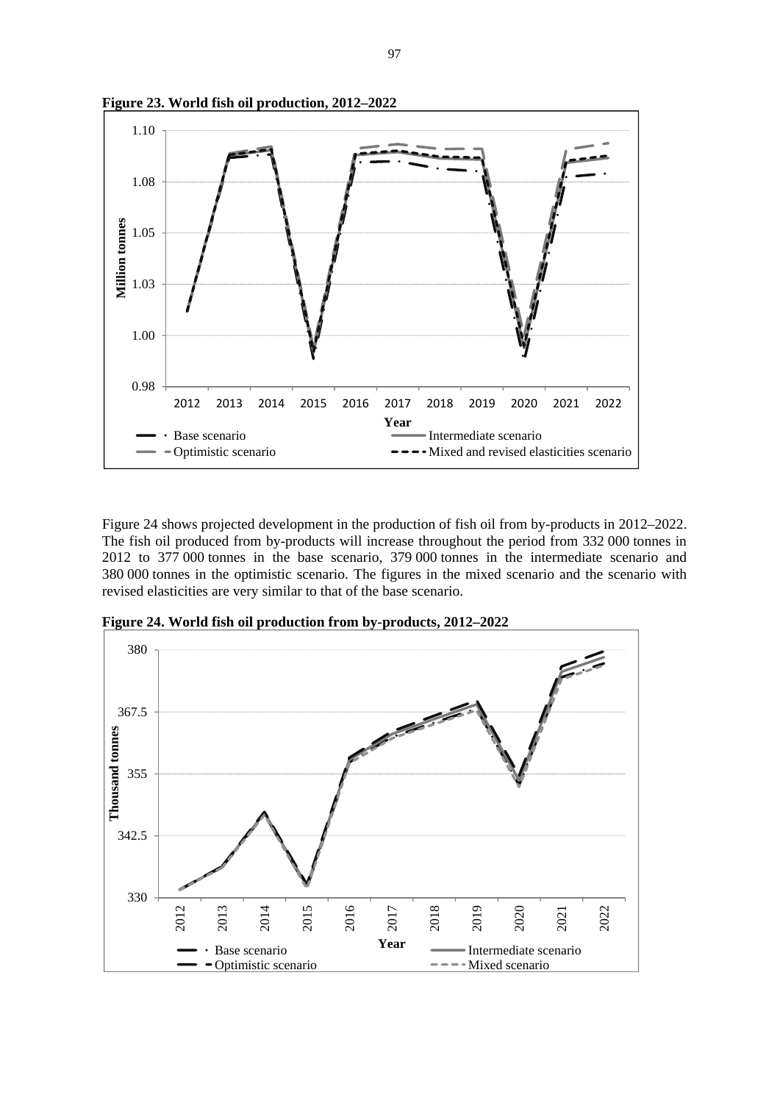

**Figure 23. World fish oil production, 2012–2022**

Figure 24 shows projected development in the production of fish oil from by-products in 2012–2022. The fish oil produced from by-products will increase throughout the period from 332 000 tonnes in 2012 to 377 000 tonnes in the base scenario, 379 000 tonnes in the intermediate scenario and 380 000 tonnes in the optimistic scenario. The figures in the mixed scenario and the scenario with revised elasticities are very similar to that of the base scenario.



**Figure 24. World fish oil production from by-products, 2012–2022**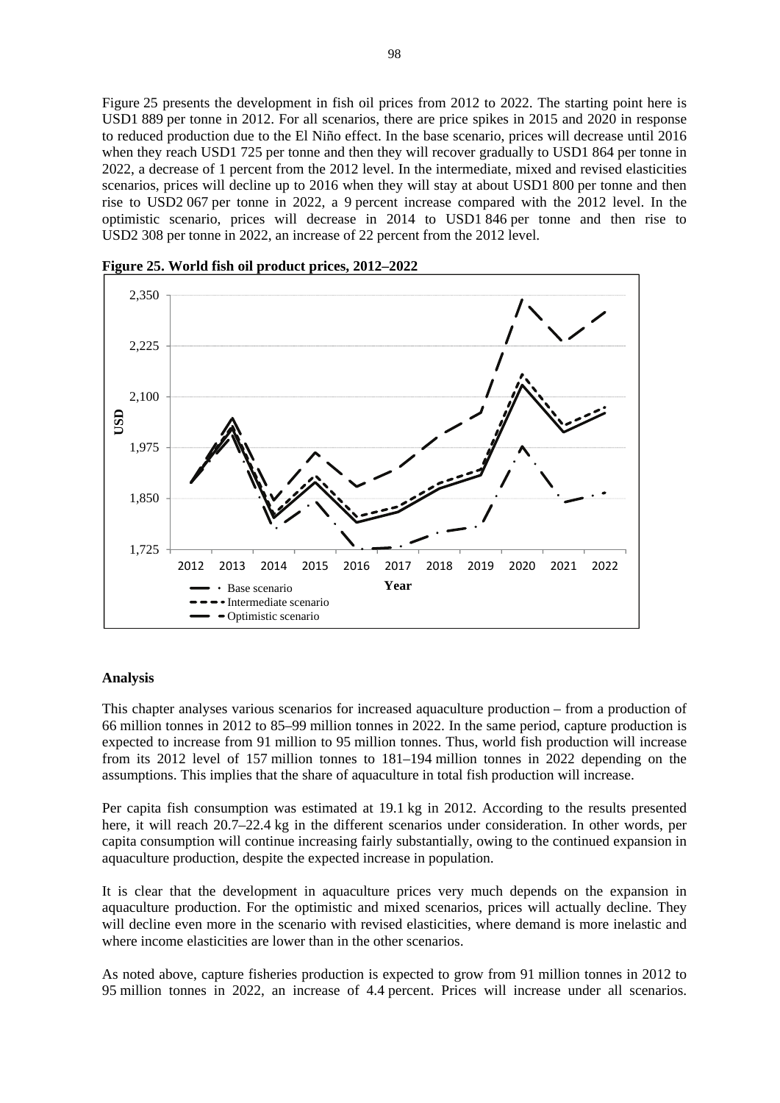Figure 25 presents the development in fish oil prices from 2012 to 2022. The starting point here is USD1 889 per tonne in 2012. For all scenarios, there are price spikes in 2015 and 2020 in response to reduced production due to the El Niño effect. In the base scenario, prices will decrease until 2016 when they reach USD1 725 per tonne and then they will recover gradually to USD1 864 per tonne in 2022, a decrease of 1 percent from the 2012 level. In the intermediate, mixed and revised elasticities scenarios, prices will decline up to 2016 when they will stay at about USD1 800 per tonne and then rise to USD2 067 per tonne in 2022, a 9 percent increase compared with the 2012 level. In the optimistic scenario, prices will decrease in 2014 to USD1 846 per tonne and then rise to USD2 308 per tonne in 2022, an increase of 22 percent from the 2012 level.



**Figure 25. World fish oil product prices, 2012–2022**

## **Analysis**

This chapter analyses various scenarios for increased aquaculture production – from a production of 66 million tonnes in 2012 to 85–99 million tonnes in 2022. In the same period, capture production is expected to increase from 91 million to 95 million tonnes. Thus, world fish production will increase from its 2012 level of 157 million tonnes to 181–194 million tonnes in 2022 depending on the assumptions. This implies that the share of aquaculture in total fish production will increase.

Per capita fish consumption was estimated at 19.1 kg in 2012. According to the results presented here, it will reach 20.7–22.4 kg in the different scenarios under consideration. In other words, per capita consumption will continue increasing fairly substantially, owing to the continued expansion in aquaculture production, despite the expected increase in population.

It is clear that the development in aquaculture prices very much depends on the expansion in aquaculture production. For the optimistic and mixed scenarios, prices will actually decline. They will decline even more in the scenario with revised elasticities, where demand is more inelastic and where income elasticities are lower than in the other scenarios.

As noted above, capture fisheries production is expected to grow from 91 million tonnes in 2012 to 95 million tonnes in 2022, an increase of 4.4 percent. Prices will increase under all scenarios.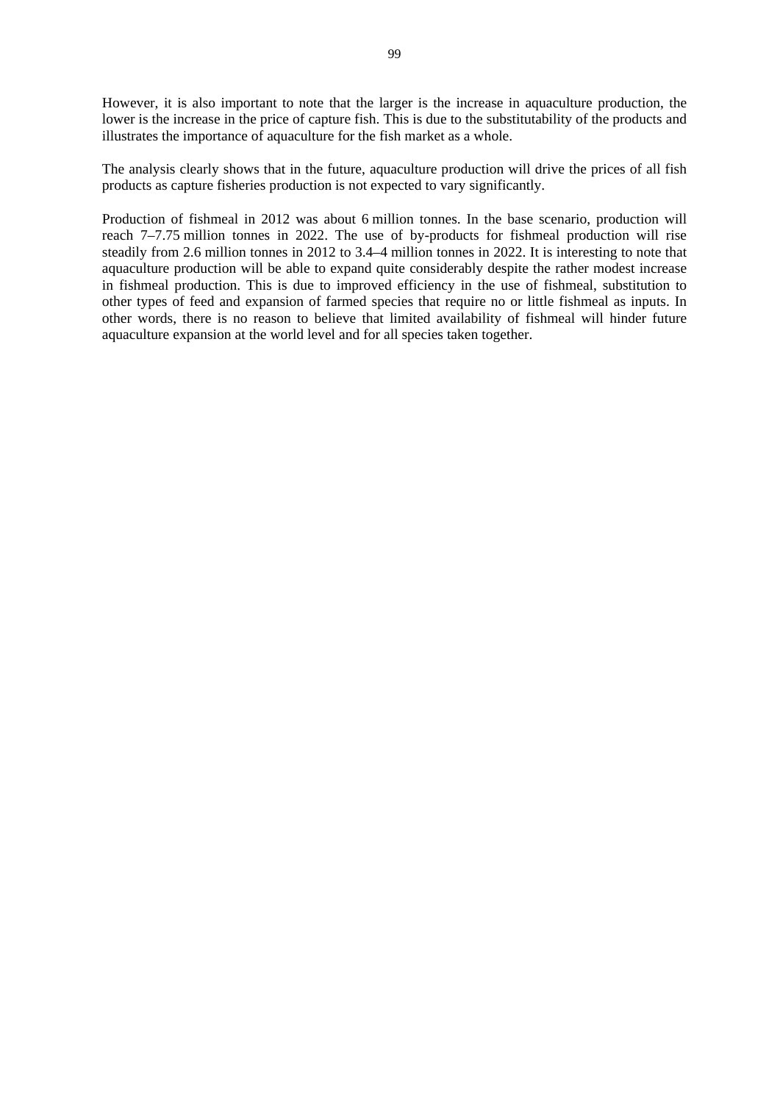However, it is also important to note that the larger is the increase in aquaculture production, the lower is the increase in the price of capture fish. This is due to the substitutability of the products and illustrates the importance of aquaculture for the fish market as a whole.

The analysis clearly shows that in the future, aquaculture production will drive the prices of all fish products as capture fisheries production is not expected to vary significantly.

Production of fishmeal in 2012 was about 6 million tonnes. In the base scenario, production will reach 7–7.75 million tonnes in 2022. The use of by-products for fishmeal production will rise steadily from 2.6 million tonnes in 2012 to 3.4–4 million tonnes in 2022. It is interesting to note that aquaculture production will be able to expand quite considerably despite the rather modest increase in fishmeal production. This is due to improved efficiency in the use of fishmeal, substitution to other types of feed and expansion of farmed species that require no or little fishmeal as inputs. In other words, there is no reason to believe that limited availability of fishmeal will hinder future aquaculture expansion at the world level and for all species taken together.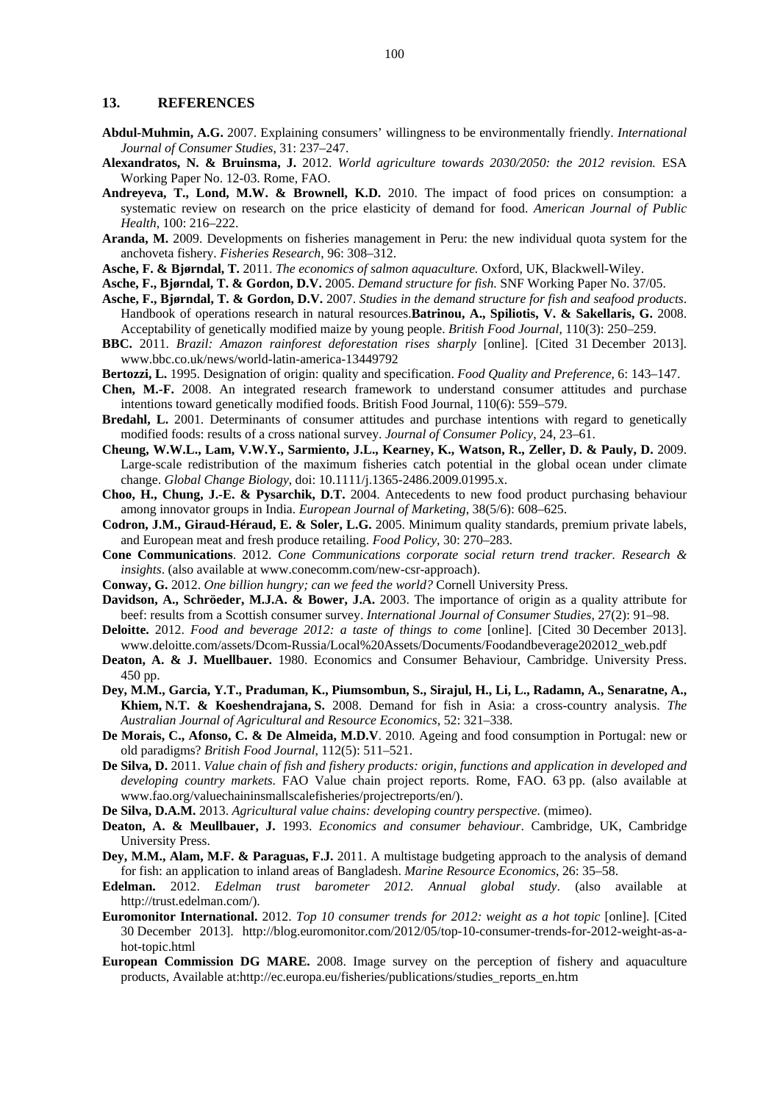## **13. REFERENCES**

- **Abdul-Muhmin, A.G.** 2007. Explaining consumers' willingness to be environmentally friendly. *International Journal of Consumer Studies*, 31: 237–247.
- **Alexandratos, N. & Bruinsma, J.** 2012. *World agriculture towards 2030/2050: the 2012 revision.* ESA Working Paper No. 12-03. Rome, FAO.
- **Andreyeva, T., Lond, M.W. & Brownell, K.D.** 2010. The impact of food prices on consumption: a systematic review on research on the price elasticity of demand for food. *American Journal of Public Health*, 100: 216–222.
- **Aranda, M.** 2009. Developments on fisheries management in Peru: the new individual quota system for the anchoveta fishery. *Fisheries Research*, 96: 308–312.
- **Asche, F. & Bjørndal, T.** 2011. *The economics of salmon aquaculture.* Oxford, UK, Blackwell-Wiley.
- **Asche, F., Bjørndal, T. & Gordon, D.V.** 2005. *Demand structure for fish*. SNF Working Paper No. 37/05.
- **Asche, F., Bjørndal, T. & Gordon, D.V.** 2007. *Studies in the demand structure for fish and seafood products*. Handbook of operations research in natural resources.**Batrinou, A., Spiliotis, V. & Sakellaris, G.** 2008. Acceptability of genetically modified maize by young people. *British Food Journal*, 110(3): 250–259.
- **BBC.** 2011. *Brazil: Amazon rainforest deforestation rises sharply* [online]. [Cited 31 December 2013]. www.bbc.co.uk/news/world-latin-america-13449792
- **Bertozzi, L.** 1995. Designation of origin: quality and specification. *Food Quality and Preference*, 6: 143–147.
- **Chen, M.-F.** 2008. An integrated research framework to understand consumer attitudes and purchase intentions toward genetically modified foods. British Food Journal, 110(6): 559–579.
- **Bredahl, L.** 2001. Determinants of consumer attitudes and purchase intentions with regard to genetically modified foods: results of a cross national survey. *Journal of Consumer Policy*, 24, 23–61.
- **Cheung, W.W.L., Lam, V.W.Y., Sarmiento, J.L., Kearney, K., Watson, R., Zeller, D. & Pauly, D.** 2009. Large-scale redistribution of the maximum fisheries catch potential in the global ocean under climate change. *Global Change Biology*, doi: 10.1111/j.1365-2486.2009.01995.x.
- **Choo, H., Chung, J.-E. & Pysarchik, D.T.** 2004. Antecedents to new food product purchasing behaviour among innovator groups in India. *European Journal of Marketing*, 38(5/6): 608–625.
- **Codron, J.M., Giraud-Héraud, E. & Soler, L.G.** 2005. Minimum quality standards, premium private labels, and European meat and fresh produce retailing. *Food Policy*, 30: 270–283.
- **Cone Communications**. 2012. *Cone Communications corporate social return trend tracker. Research & insights*. (also available at www.conecomm.com/new-csr-approach).
- **Conway, G.** 2012. *One billion hungry; can we feed the world?* Cornell University Press.
- **Davidson, A., Schröeder, M.J.A. & Bower, J.A.** 2003. The importance of origin as a quality attribute for beef: results from a Scottish consumer survey. *International Journal of Consumer Studies*, 27(2): 91–98.
- **Deloitte.** 2012. *Food and beverage 2012: a taste of things to come* [online]. [Cited 30 December 2013]. www.deloitte.com/assets/Dcom-Russia/Local%20Assets/Documents/Foodandbeverage202012\_web.pdf
- **Deaton, A. & J. Muellbauer.** 1980. Economics and Consumer Behaviour, Cambridge. University Press. 450 pp.
- **Dey, M.M., Garcia, Y.T., Praduman, K., Piumsombun, S., Sirajul, H., Li, L., Radamn, A., Senaratne, A., Khiem, N.T. & Koeshendrajana, S.** 2008. Demand for fish in Asia: a cross-country analysis. *The Australian Journal of Agricultural and Resource Economics*, 52: 321–338.
- **De Morais, C., Afonso, C. & De Almeida, M.D.V**. 2010. Ageing and food consumption in Portugal: new or old paradigms? *British Food Journal*, 112(5): 511–521.
- **De Silva, D.** 2011. *Value chain of fish and fishery products: origin, functions and application in developed and developing country markets*. FAO Value chain project reports. Rome, FAO. 63 pp. (also available at www.fao.org/valuechaininsmallscalefisheries/projectreports/en/).
- **De Silva, D.A.M.** 2013. *Agricultural value chains: developing country perspective.* (mimeo).
- **Deaton, A. & Meullbauer, J.** 1993. *Economics and consumer behaviour*. Cambridge, UK, Cambridge University Press.
- **Dey, M.M., Alam, M.F. & Paraguas, F.J.** 2011. A multistage budgeting approach to the analysis of demand for fish: an application to inland areas of Bangladesh. *Marine Resource Economics*, 26: 35–58.
- **Edelman.** 2012. *Edelman trust barometer 2012. Annual global study*. (also available at http://trust.edelman.com/).
- **Euromonitor International.** 2012. *Top 10 consumer trends for 2012: weight as a hot topic* [online]. [Cited 30 December 2013]. http://blog.euromonitor.com/2012/05/top-10-consumer-trends-for-2012-weight-as-ahot-topic.html
- **European Commission DG MARE.** 2008. Image survey on the perception of fishery and aquaculture products, Available at:http://ec.europa.eu/fisheries/publications/studies\_reports\_en.htm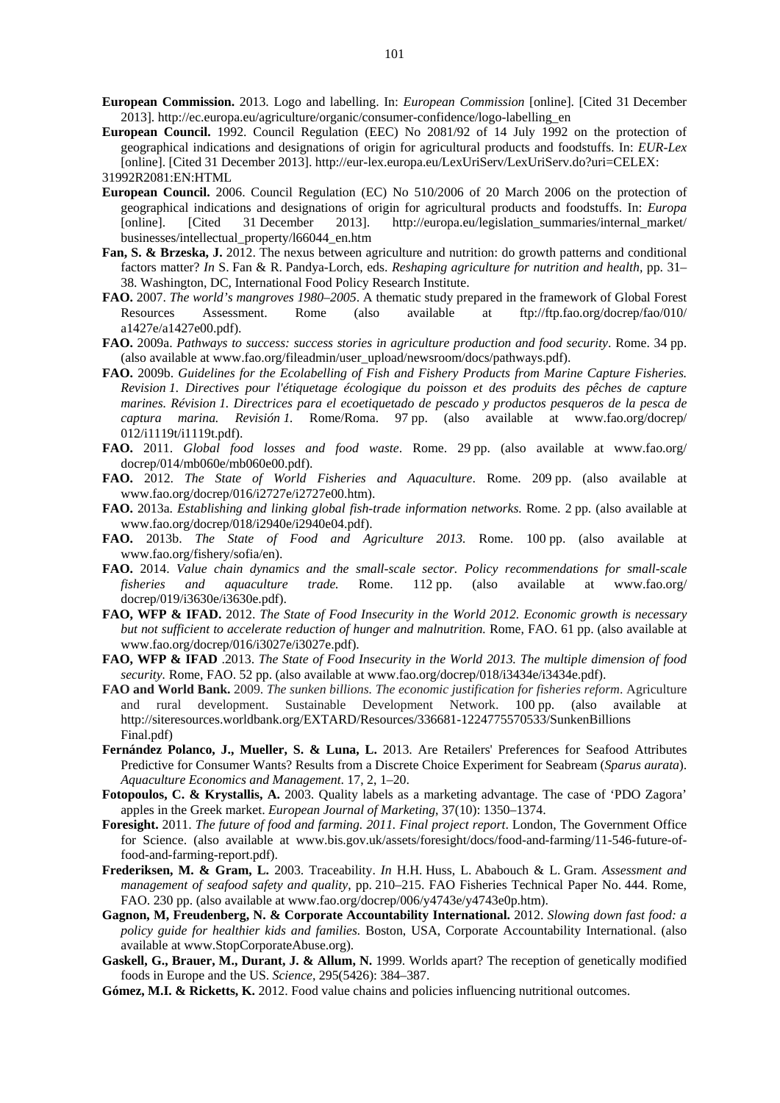**European Commission.** 2013. Logo and labelling. In: *European Commission* [online]. [Cited 31 December 2013]. http://ec.europa.eu/agriculture/organic/consumer-confidence/logo-labelling\_en

- **European Council.** 1992. Council Regulation (EEC) No 2081/92 of 14 July 1992 on the protection of geographical indications and designations of origin for agricultural products and foodstuffs. In: *EUR-Lex* [online]. [Cited 31 December 2013]. http://eur-lex.europa.eu/LexUriServ/LexUriServ.do?uri=CELEX: 31992R2081:EN:HTML
- **European Council.** 2006. Council Regulation (EC) No 510/2006 of 20 March 2006 on the protection of geographical indications and designations of origin for agricultural products and foodstuffs. In: *Europa* [online]. [Cited 31 December 2013]. http://europa.eu/legislation\_summaries/internal\_market/ businesses/intellectual\_property/l66044\_en.htm
- **Fan, S. & Brzeska, J.** 2012. The nexus between agriculture and nutrition: do growth patterns and conditional factors matter? *In* S. Fan & R. Pandya-Lorch, eds. *Reshaping agriculture for nutrition and health,* pp. 31– 38. Washington, DC, International Food Policy Research Institute.
- **FAO.** 2007. *The world's mangroves 1980–2005*. A thematic study prepared in the framework of Global Forest Resources Assessment. Rome (also available at ftp://ftp.fao.org/docrep/fao/010/ a1427e/a1427e00.pdf).
- **FAO.** 2009a. *Pathways to success: success stories in agriculture production and food security*. Rome. 34 pp. (also available at www.fao.org/fileadmin/user\_upload/newsroom/docs/pathways.pdf).
- **FAO.** 2009b. *Guidelines for the Ecolabelling of Fish and Fishery Products from Marine Capture Fisheries. Revision 1. Directives pour l'étiquetage écologique du poisson et des produits des pêches de capture marines. Révision 1. Directrices para el ecoetiquetado de pescado y productos pesqueros de la pesca de captura marina. Revisión 1.* Rome/Roma. 97 pp. (also available at www.fao.org/docrep/ 012/i1119t/i1119t.pdf).
- **FAO.** 2011. *Global food losses and food waste*. Rome. 29 pp. (also available at www.fao.org/ docrep/014/mb060e/mb060e00.pdf).
- **FAO.** 2012. *The State of World Fisheries and Aquaculture*. Rome. 209 pp. (also available at www.fao.org/docrep/016/i2727e/i2727e00.htm).
- **FAO.** 2013a. *Establishing and linking global fish-trade information networks.* Rome. 2 pp. (also available at www.fao.org/docrep/018/i2940e/i2940e04.pdf).
- **FAO.** 2013b. *The State of Food and Agriculture 2013.* Rome. 100 pp. (also available at www.fao.org/fishery/sofia/en).
- **FAO.** 2014. *Value chain dynamics and the small-scale sector. Policy recommendations for small-scale fisheries and aquaculture trade.* Rome. 112 pp. (also available at www.fao.org/ docrep/019/i3630e/i3630e.pdf).
- **FAO, WFP & IFAD.** 2012. *The State of Food Insecurity in the World 2012. Economic growth is necessary but not sufficient to accelerate reduction of hunger and malnutrition.* Rome, FAO. 61 pp. (also available at www.fao.org/docrep/016/i3027e/i3027e.pdf).
- **FAO, WFP & IFAD** .2013. *The State of Food Insecurity in the World 2013. The multiple dimension of food*  security. Rome, FAO. 52 pp. (also available at www.fao.org/docrep/018/i3434e/i3434e.pdf).
- **FAO and World Bank.** 2009. *The sunken billions. The economic justification for fisheries reform*. Agriculture and rural development. Sustainable Development Network. 100 pp. (also available http://siteresources.worldbank.org/EXTARD/Resources/336681-1224775570533/SunkenBillions Final.pdf)
- **Fernández Polanco, J., Mueller, S. & Luna, L.** 2013. Are Retailers' Preferences for Seafood Attributes Predictive for Consumer Wants? Results from a Discrete Choice Experiment for Seabream (*Sparus aurata*). *Aquaculture Economics and Management*. 17, 2, 1–20.
- **Fotopoulos, C. & Krystallis, A.** 2003. Quality labels as a marketing advantage. The case of 'PDO Zagora' apples in the Greek market. *European Journal of Marketing*, 37(10): 1350–1374.
- **Foresight.** 2011. *The future of food and farming. 2011. Final project report*. London, The Government Office for Science. (also available at www.bis.gov.uk/assets/foresight/docs/food-and-farming/11-546-future-offood-and-farming-report.pdf).
- **Frederiksen, M. & Gram, L.** 2003. Traceability. *In* H.H. Huss, L. Ababouch & L. Gram. *Assessment and management of seafood safety and quality*, pp. 210–215. FAO Fisheries Technical Paper No. 444. Rome, FAO. 230 pp. (also available at www.fao.org/docrep/006/y4743e/y4743e0p.htm).
- **Gagnon, M, Freudenberg, N. & Corporate Accountability International.** 2012. *Slowing down fast food: a policy guide for healthier kids and families.* Boston, USA, Corporate Accountability International. (also available at www.StopCorporateAbuse.org).
- **Gaskell, G., Brauer, M., Durant, J. & Allum, N.** 1999. Worlds apart? The reception of genetically modified foods in Europe and the US. *Science*, 295(5426): 384–387.
- **Gómez, M.I. & Ricketts, K.** 2012. Food value chains and policies influencing nutritional outcomes.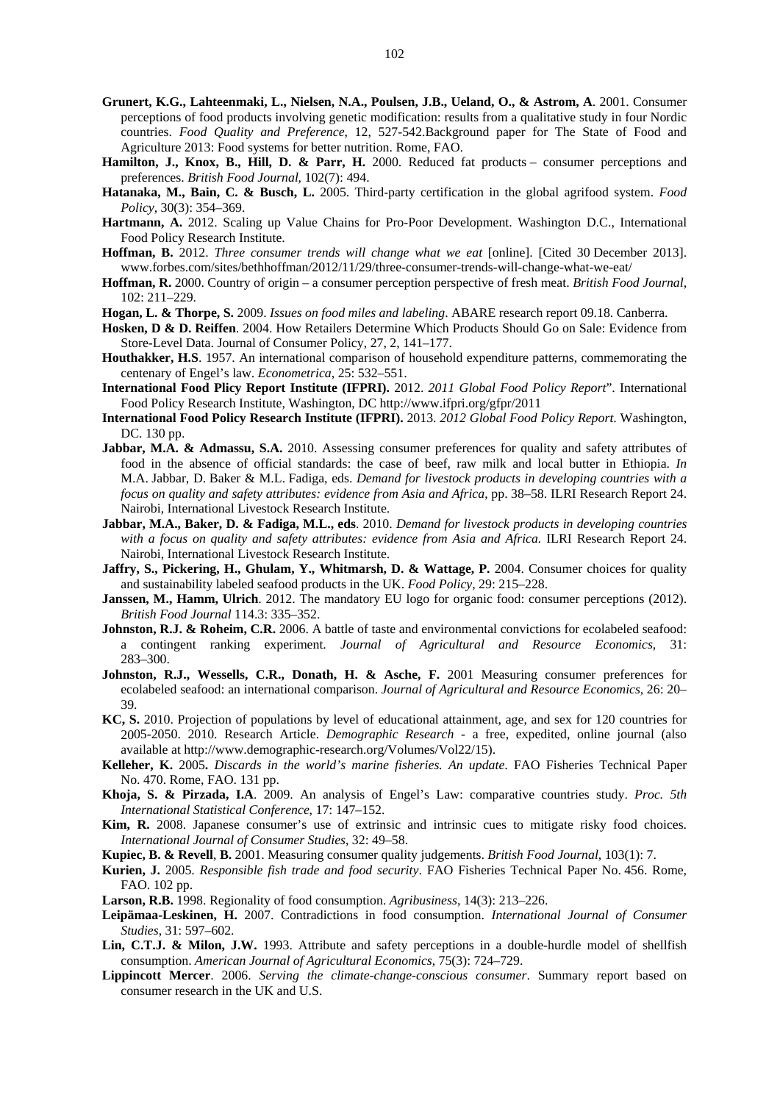- **Grunert, K.G., Lahteenmaki, L., Nielsen, N.A., Poulsen, J.B., Ueland, O., & Astrom, A**. 2001. Consumer perceptions of food products involving genetic modification: results from a qualitative study in four Nordic countries. *Food Quality and Preference*, 12, 527-542.Background paper for The State of Food and Agriculture 2013: Food systems for better nutrition. Rome, FAO.
- **Hamilton, J., Knox, B., Hill, D. & Parr, H.** 2000. Reduced fat products consumer perceptions and preferences. *British Food Journal*, 102(7): 494.
- **Hatanaka, M., Bain, C. & Busch, L.** 2005. Third-party certification in the global agrifood system. *Food Policy*, 30(3): 354–369.
- **Hartmann, A.** 2012. Scaling up Value Chains for Pro-Poor Development. Washington D.C., International Food Policy Research Institute.
- **Hoffman, B.** 2012. *Three consumer trends will change what we eat* [online]. [Cited 30 December 2013]. www.forbes.com/sites/bethhoffman/2012/11/29/three-consumer-trends-will-change-what-we-eat/
- **Hoffman, R.** 2000. Country of origin a consumer perception perspective of fresh meat. *British Food Journal*, 102: 211–229.
- **Hogan, L. & Thorpe, S.** 2009. *Issues on food miles and labeling*. ABARE research report 09.18. Canberra.
- **Hosken, D & D. Reiffen**. 2004. How Retailers Determine Which Products Should Go on Sale: Evidence from Store-Level Data. Journal of Consumer Policy, 27, 2, 141–177.
- **Houthakker, H.S**. 1957. An international comparison of household expenditure patterns, commemorating the centenary of Engel's law. *Econometrica*, 25: 532–551.
- **International Food Plicy Report Institute (IFPRI).** 2012. *2011 Global Food Policy Report*". International Food Policy Research Institute, Washington, DC http://www.ifpri.org/gfpr/2011
- **International Food Policy Research Institute (IFPRI).** 2013. *2012 Global Food Policy Report*. Washington, DC. 130 pp.
- Jabbar, M.A. & Admassu, S.A. 2010. Assessing consumer preferences for quality and safety attributes of food in the absence of official standards: the case of beef, raw milk and local butter in Ethiopia. *In* M.A. Jabbar, D. Baker & M.L. Fadiga, eds. *Demand for livestock products in developing countries with a focus on quality and safety attributes: evidence from Asia and Africa*, pp. 38–58. ILRI Research Report 24. Nairobi, International Livestock Research Institute.
- **Jabbar, M.A., Baker, D. & Fadiga, M.L., eds**. 2010. *Demand for livestock products in developing countries with a focus on quality and safety attributes: evidence from Asia and Africa.* ILRI Research Report 24. Nairobi, International Livestock Research Institute.
- **Jaffry, S., Pickering, H., Ghulam, Y., Whitmarsh, D. & Wattage, P.** 2004. Consumer choices for quality and sustainability labeled seafood products in the UK. *Food Policy*, 29: 215–228.
- **Janssen, M., Hamm, Ulrich**. 2012. The mandatory EU logo for organic food: consumer perceptions (2012). *British Food Journal* 114.3: 335–352.
- **Johnston, R.J. & Roheim, C.R.** 2006. A battle of taste and environmental convictions for ecolabeled seafood: a contingent ranking experiment. *Journal of Agricultural and Resource Economics*, 31: 283–300.
- **Johnston, R.J., Wessells, C.R., Donath, H. & Asche, F.** 2001 Measuring consumer preferences for ecolabeled seafood: an international comparison. *Journal of Agricultural and Resource Economics*, 26: 20– 39.
- **KC, S.** 2010. Projection of populations by level of educational attainment, age, and sex for 120 countries for 2005-2050. 2010. Research Article. *Demographic Research* - a free, expedited, online journal (also available at http://www.demographic-research.org/Volumes/Vol22/15).
- **Kelleher, K.** 2005**.** *Discards in the world's marine fisheries. An update*. FAO Fisheries Technical Paper No. 470. Rome, FAO. 131 pp.
- **Khoja, S. & Pirzada, I.A**. 2009. An analysis of Engel's Law: comparative countries study. *Proc. 5th International Statistical Conference*, 17: 147–152.
- **Kim, R.** 2008. Japanese consumer's use of extrinsic and intrinsic cues to mitigate risky food choices. *International Journal of Consumer Studies*, 32: 49–58.
- **Kupiec, B. & Revell**, **B.** 2001. Measuring consumer quality judgements. *British Food Journal*, 103(1): 7.
- **Kurien, J.** 2005. *Responsible fish trade and food security*. FAO Fisheries Technical Paper No. 456. Rome, FAO. 102 pp.
- **Larson, R.B.** 1998. Regionality of food consumption. *Agribusiness*, 14(3): 213–226.
- **Leipämaa-Leskinen, H.** 2007. Contradictions in food consumption. *International Journal of Consumer Studies*, 31: 597–602.
- **Lin, C.T.J. & Milon, J.W.** 1993. Attribute and safety perceptions in a double-hurdle model of shellfish consumption. *American Journal of Agricultural Economics*, 75(3): 724–729.
- **Lippincott Mercer**. 2006. *Serving the climate-change-conscious consumer*. Summary report based on consumer research in the UK and U.S.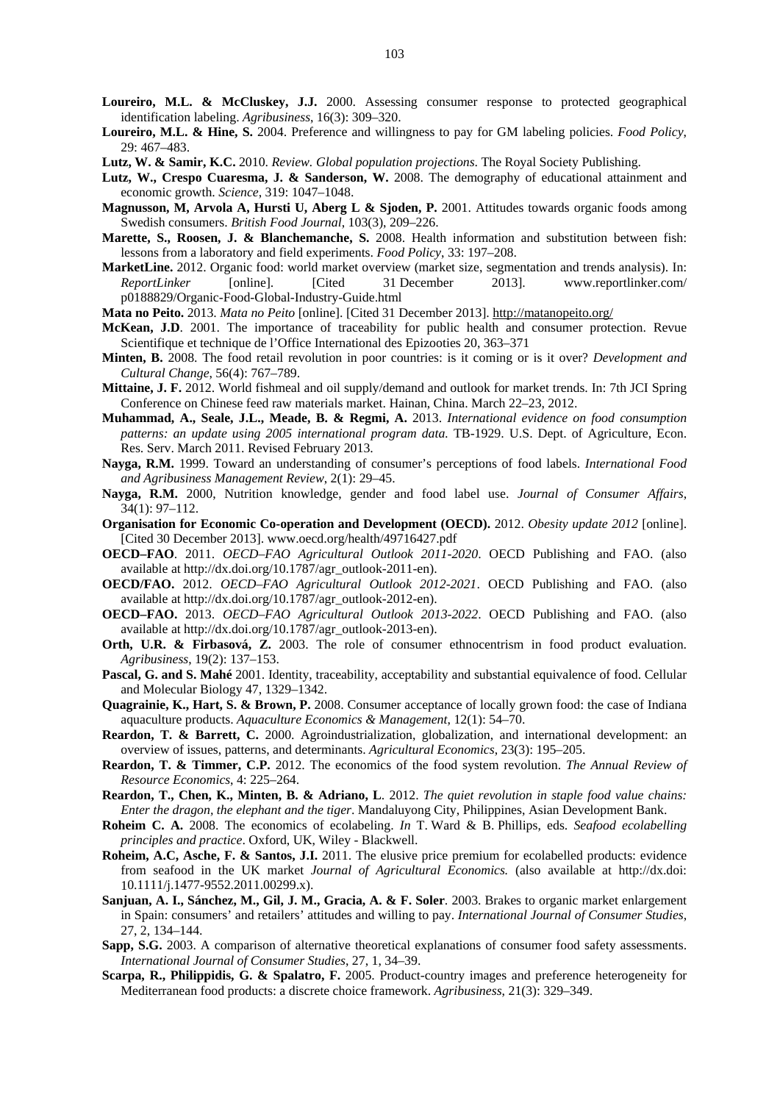- **Loureiro, M.L. & McCluskey, J.J.** 2000. Assessing consumer response to protected geographical identification labeling. *Agribusiness*, 16(3): 309–320.
- **Loureiro, M.L. & Hine, S.** 2004. Preference and willingness to pay for GM labeling policies. *Food Policy*, 29: 467–483.
- **Lutz, W. & Samir, K.C.** 2010. *Review. Global population projections*. The Royal Society Publishing.
- Lutz, W., Crespo Cuaresma, J. & Sanderson, W. 2008. The demography of educational attainment and economic growth. *Science*, 319: 1047–1048.
- **Magnusson, M, Arvola A, Hursti U, Aberg L & Sjoden, P.** 2001. Attitudes towards organic foods among Swedish consumers. *British Food Journal*, 103(3), 209–226.
- **Marette, S., Roosen, J. & Blanchemanche, S.** 2008. Health information and substitution between fish: lessons from a laboratory and field experiments. *Food Policy*, 33: 197–208.
- **MarketLine.** 2012. Organic food: world market overview (market size, segmentation and trends analysis). In: *ReportLinker* [online]. [Cited 31 December 2013]. www.reportlinker.com/ p0188829/Organic-Food-Global-Industry-Guide.html

**Mata no Peito.** 2013. *Mata no Peito* [online]. [Cited 31 December 2013]. http://matanopeito.org/

- **McKean, J.D**. 2001. The importance of traceability for public health and consumer protection. Revue Scientifique et technique de l'Office International des Epizooties 20, 363–371
- **Minten, B.** 2008. The food retail revolution in poor countries: is it coming or is it over? *Development and Cultural Change*, 56(4): 767–789.
- **Mittaine, J. F.** 2012. World fishmeal and oil supply/demand and outlook for market trends. In: 7th JCI Spring Conference on Chinese feed raw materials market. Hainan, China. March 22–23, 2012.
- **Muhammad, A., Seale, J.L., Meade, B. & Regmi, A.** 2013. *International evidence on food consumption*  patterns: an update using 2005 international program data. TB-1929. U.S. Dept. of Agriculture, Econ. Res. Serv. March 2011. Revised February 2013.
- **Nayga, R.M.** 1999. Toward an understanding of consumer's perceptions of food labels. *International Food and Agribusiness Management Review*, 2(1): 29–45.
- **Nayga, R.M.** 2000, Nutrition knowledge, gender and food label use. *Journal of Consumer Affairs*, 34(1): 97–112.
- **Organisation for Economic Co-operation and Development (OECD).** 2012. *Obesity update 2012* [online]. [Cited 30 December 2013]. www.oecd.org/health/49716427.pdf
- **OECD–FAO**. 2011. *OECD–FAO Agricultural Outlook 2011-2020*. OECD Publishing and FAO. (also available at http://dx.doi.org/10.1787/agr\_outlook-2011-en).
- **OECD/FAO.** 2012. *OECD–FAO Agricultural Outlook 2012-2021*. OECD Publishing and FAO. (also available at http://dx.doi.org/10.1787/agr\_outlook-2012-en).
- **OECD–FAO.** 2013. *OECD–FAO Agricultural Outlook 2013-2022*. OECD Publishing and FAO. (also available at http://dx.doi.org/10.1787/agr\_outlook-2013-en).
- **Orth, U.R. & Firbasová, Z.** 2003. The role of consumer ethnocentrism in food product evaluation. *Agribusiness*, 19(2): 137–153.
- **Pascal, G. and S. Mahé** 2001. Identity, traceability, acceptability and substantial equivalence of food. Cellular and Molecular Biology 47, 1329–1342.
- **Quagrainie, K., Hart, S. & Brown, P.** 2008. Consumer acceptance of locally grown food: the case of Indiana aquaculture products. *Aquaculture Economics & Management*, 12(1): 54–70.
- **Reardon, T. & Barrett, C.** 2000. Agroindustrialization, globalization, and international development: an overview of issues, patterns, and determinants. *Agricultural Economics*, 23(3): 195–205.
- **Reardon, T. & Timmer, C.P.** 2012. The economics of the food system revolution. *The Annual Review of Resource Economics*, 4: 225–264.
- **Reardon, T., Chen, K., Minten, B. & Adriano, L**. 2012. *The quiet revolution in staple food value chains: Enter the dragon, the elephant and the tiger*. Mandaluyong City, Philippines, Asian Development Bank.
- **Roheim C. A.** 2008. The economics of ecolabeling. *In* T. Ward & B. Phillips, eds. *Seafood ecolabelling principles and practice*. Oxford, UK, Wiley - Blackwell.
- **Roheim, A.C, Asche, F. & Santos, J.I.** 2011. The elusive price premium for ecolabelled products: evidence from seafood in the UK market *Journal of Agricultural Economics.* (also available at http://dx.doi: 10.1111/j.1477-9552.2011.00299.x).
- **Sanjuan, A. I., Sánchez, M., Gil, J. M., Gracia, A. & F. Soler**. 2003. Brakes to organic market enlargement in Spain: consumers' and retailers' attitudes and willing to pay. *International Journal of Consumer Studies*, 27, 2, 134–144.
- **Sapp, S.G.** 2003. A comparison of alternative theoretical explanations of consumer food safety assessments. *International Journal of Consumer Studies*, 27, 1, 34–39.
- **Scarpa, R., Philippidis, G. & Spalatro, F.** 2005. Product-country images and preference heterogeneity for Mediterranean food products: a discrete choice framework. *Agribusiness*, 21(3): 329–349.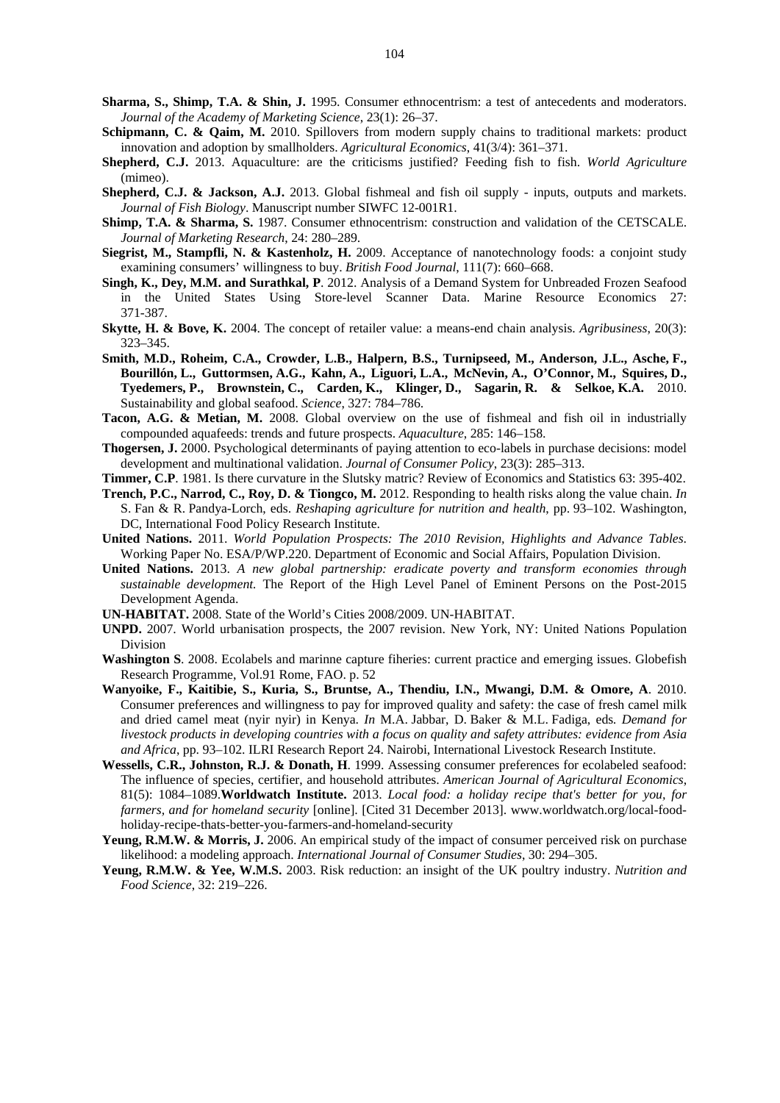- **Sharma, S., Shimp, T.A. & Shin, J.** 1995. Consumer ethnocentrism: a test of antecedents and moderators. *Journal of the Academy of Marketing Science*, 23(1): 26–37.
- **Schipmann, C. & Qaim, M.** 2010. Spillovers from modern supply chains to traditional markets: product innovation and adoption by smallholders. *Agricultural Economics*, 41(3/4): 361–371.
- **Shepherd, C.J.** 2013. Aquaculture: are the criticisms justified? Feeding fish to fish. *World Agriculture* (mimeo).
- **Shepherd, C.J. & Jackson, A.J.** 2013. Global fishmeal and fish oil supply inputs, outputs and markets. *Journal of Fish Biology*. Manuscript number SIWFC 12-001R1.
- **Shimp, T.A. & Sharma, S.** 1987. Consumer ethnocentrism: construction and validation of the CETSCALE. *Journal of Marketing Research*, 24: 280–289.
- **Siegrist, M., Stampfli, N. & Kastenholz, H.** 2009. Acceptance of nanotechnology foods: a conjoint study examining consumers' willingness to buy. *British Food Journal*, 111(7): 660–668.
- **Singh, K., Dey, M.M. and Surathkal, P**. 2012. Analysis of a Demand System for Unbreaded Frozen Seafood in the United States Using Store-level Scanner Data. Marine Resource Economics 27: 371-387.
- **Skytte, H. & Bove, K.** 2004. The concept of retailer value: a means-end chain analysis. *Agribusiness*, 20(3): 323–345.
- **Smith, M.D., Roheim, C.A., Crowder, L.B., Halpern, B.S., Turnipseed, M., Anderson, J.L., Asche, F., Bourillón, L., Guttormsen, A.G., Kahn, A., Liguori, L.A., McNevin, A., O'Connor, M., Squires, D., Tyedemers, P., Brownstein, C., Carden, K., Klinger, D., Sagarin, R. & Selkoe, K.A.** 2010. Sustainability and global seafood. *Science*, 327: 784–786.
- **Tacon, A.G. & Metian, M.** 2008. Global overview on the use of fishmeal and fish oil in industrially compounded aquafeeds: trends and future prospects. *Aquaculture*, 285: 146–158.
- **Thogersen, J.** 2000. Psychological determinants of paying attention to eco-labels in purchase decisions: model development and multinational validation. *Journal of Consumer Policy*, 23(3): 285–313.
- **Timmer, C.P**. 1981. Is there curvature in the Slutsky matric? Review of Economics and Statistics 63: 395-402.
- **Trench, P.C., Narrod, C., Roy, D. & Tiongco, M.** 2012. Responding to health risks along the value chain. *In*  S. Fan & R. Pandya-Lorch, eds. *Reshaping agriculture for nutrition and health*, pp. 93–102. Washington, DC, International Food Policy Research Institute.
- **United Nations.** 2011. *World Population Prospects: The 2010 Revision, Highlights and Advance Tables*. Working Paper No. ESA/P/WP.220. Department of Economic and Social Affairs, Population Division.
- **United Nations.** 2013. *A new global partnership: eradicate poverty and transform economies through sustainable development.* The Report of the High Level Panel of Eminent Persons on the Post-2015 Development Agenda.
- **UN-HABITAT.** 2008. State of the World's Cities 2008/2009. UN-HABITAT.
- **UNPD.** 2007. World urbanisation prospects, the 2007 revision. New York, NY: United Nations Population Division
- **Washington S**. 2008. Ecolabels and marinne capture fiheries: current practice and emerging issues. Globefish Research Programme, Vol.91 Rome, FAO. p. 52
- **Wanyoike, F., Kaitibie, S., Kuria, S., Bruntse, A., Thendiu, I.N., Mwangi, D.M. & Omore, A**. 2010. Consumer preferences and willingness to pay for improved quality and safety: the case of fresh camel milk and dried camel meat (nyir nyir) in Kenya. *In* M.A. Jabbar, D. Baker & M.L. Fadiga, eds*. Demand for livestock products in developing countries with a focus on quality and safety attributes: evidence from Asia and Africa*, pp. 93–102. ILRI Research Report 24. Nairobi, International Livestock Research Institute.
- **Wessells, C.R., Johnston, R.J. & Donath, H**. 1999. Assessing consumer preferences for ecolabeled seafood: The influence of species, certifier, and household attributes. *American Journal of Agricultural Economics*, 81(5): 1084–1089.**Worldwatch Institute.** 2013. *Local food: a holiday recipe that's better for you, for farmers, and for homeland security* [online]. [Cited 31 December 2013]. www.worldwatch.org/local-foodholiday-recipe-thats-better-you-farmers-and-homeland-security
- Yeung, R.M.W. & Morris, J. 2006. An empirical study of the impact of consumer perceived risk on purchase likelihood: a modeling approach. *International Journal of Consumer Studies*, 30: 294–305.
- **Yeung, R.M.W. & Yee, W.M.S.** 2003. Risk reduction: an insight of the UK poultry industry. *Nutrition and Food Science*, 32: 219–226.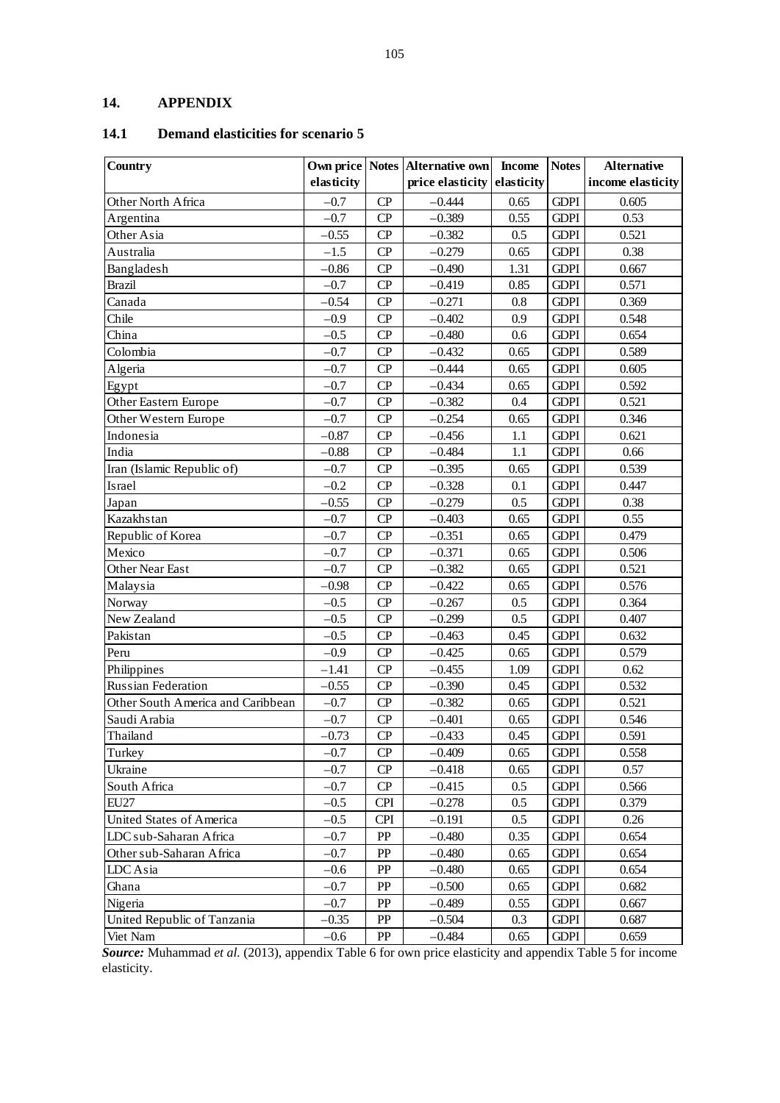## **14. APPENDIX**

## **14.1 Demand elasticities for scenario 5**

| Country                           |            |            | Own price   Notes   Alternative own | <b>Income</b> | <b>Notes</b> | <b>Alternative</b> |
|-----------------------------------|------------|------------|-------------------------------------|---------------|--------------|--------------------|
|                                   | elasticity |            | price elasticity                    | elasticity    |              | income elasticity  |
| Other North Africa                | $-0.7$     | CP         | $-0.444$                            | 0.65          | <b>GDPI</b>  | 0.605              |
| Argentina                         | $-0.7$     | CP         | $-0.389$                            | 0.55          | <b>GDPI</b>  | 0.53               |
| Other Asia                        | $-0.55$    | CP         | $-0.382$                            | 0.5           | <b>GDPI</b>  | 0.521              |
| Australia                         | $-1.5$     | CP         | $-0.279$                            | 0.65          | <b>GDPI</b>  | 0.38               |
| Bangladesh                        | $-0.86$    | CP         | $-0.490$                            | 1.31          | <b>GDPI</b>  | 0.667              |
| <b>Brazil</b>                     | $-0.7$     | CP         | $-0.419$                            | 0.85          | <b>GDPI</b>  | 0.571              |
| Canada                            | $-0.54$    | CP         | $-0.271$                            | 0.8           | <b>GDPI</b>  | 0.369              |
| Chile                             | $-0.9$     | CP         | $-0.402$                            | 0.9           | <b>GDPI</b>  | 0.548              |
| China                             | $-0.5$     | CP         | $-0.480$                            | 0.6           | <b>GDPI</b>  | 0.654              |
| Colombia                          | $-0.7$     | CP         | $-0.432$                            | 0.65          | <b>GDPI</b>  | 0.589              |
| Algeria                           | $-0.7$     | CP         | $-0.444$                            | 0.65          | <b>GDPI</b>  | 0.605              |
| Egypt                             | $-0.7$     | CP         | $-0.434$                            | 0.65          | <b>GDPI</b>  | 0.592              |
| Other Eastern Europe              | $-0.7$     | CP         | $-0.382$                            | 0.4           | <b>GDPI</b>  | 0.521              |
| Other Western Europe              | $-0.7$     | CP         | $-0.254$                            | 0.65          | <b>GDPI</b>  | 0.346              |
| Indonesia                         | $-0.87$    | CP         | $-0.456$                            | 1.1           | <b>GDPI</b>  | 0.621              |
| India                             | $-0.88$    | CP         | $-0.484$                            | 1.1           | <b>GDPI</b>  | 0.66               |
| Iran (Islamic Republic of)        | $-0.7$     | CP         | $-0.395$                            | 0.65          | <b>GDPI</b>  | 0.539              |
| Israel                            | $-0.2$     | CP         | $-0.328$                            | 0.1           | <b>GDPI</b>  | 0.447              |
| Japan                             | $-0.55$    | CP         | $-0.279$                            | 0.5           | <b>GDPI</b>  | 0.38               |
| Kazakhstan                        | $-0.7$     | CP         | $-0.403$                            | 0.65          | <b>GDPI</b>  | 0.55               |
| Republic of Korea                 | $-0.7$     | CP         | $-0.351$                            | 0.65          | <b>GDPI</b>  | 0.479              |
| Mexico                            | $-0.7$     | CP         | $-0.371$                            | 0.65          | <b>GDPI</b>  | 0.506              |
| Other Near East                   | $-0.7$     | CP         | $-0.382$                            | 0.65          | <b>GDPI</b>  | 0.521              |
| Malaysia                          | $-0.98$    | CP         | $-0.422$                            | 0.65          | <b>GDPI</b>  | 0.576              |
| Norway                            | $-0.5$     | CP         | $-0.267$                            | 0.5           | <b>GDPI</b>  | 0.364              |
| New Zealand                       | $-0.5$     | CP         | $-0.299$                            | 0.5           | <b>GDPI</b>  | 0.407              |
| Pakistan                          | $-0.5$     | CP         | $-0.463$                            | 0.45          | <b>GDPI</b>  | 0.632              |
| Peru                              | $-0.9$     | CP         | $-0.425$                            | 0.65          | <b>GDPI</b>  | 0.579              |
| Philippines                       | $-1.41$    | CP         | $-0.455$                            | 1.09          | <b>GDPI</b>  | 0.62               |
| Russian Federation                | $-0.55$    | CP         | $-0.390$                            | 0.45          | <b>GDPI</b>  | 0.532              |
| Other South America and Caribbean | $-0.7$     | CP         | $-0.382$                            | 0.65          | <b>GDPI</b>  | 0.521              |
| Saudi Arabia                      | $-0.7$     | CP         | $-0.401$                            | 0.65          | <b>GDPI</b>  | 0.546              |
| Thailand                          | $-0.73$    | CP         | $-0.433$                            | 0.45          | <b>GDPI</b>  | 0.591              |
| Turkey                            | $-0.7$     | CP         | $-0.409$                            | 0.65          | <b>GDPI</b>  | 0.558              |
| Ukraine                           | $-0.7$     | CP         | $-0.418$                            | 0.65          | <b>GDPI</b>  | 0.57               |
| South Africa                      | $-0.7$     | CP         | $-0.415$                            | 0.5           | <b>GDPI</b>  | 0.566              |
| <b>EU27</b>                       | $-0.5$     | <b>CPI</b> | $-0.278$                            | $0.5\,$       | <b>GDPI</b>  | 0.379              |
| United States of America          | $-0.5$     | <b>CPI</b> | $-0.191$                            | 0.5           | <b>GDPI</b>  | 0.26               |
| LDC sub-Saharan Africa            | $-0.7$     | PP         | $-0.480$                            | 0.35          | <b>GDPI</b>  | 0.654              |
| Other sub-Saharan Africa          | $-0.7$     | PP         | $-0.480$                            | 0.65          | <b>GDPI</b>  | 0.654              |
| LDC Asia                          | $-0.6$     | PP         | $-0.480$                            | 0.65          | <b>GDPI</b>  | 0.654              |
| Ghana                             | $-0.7$     | PP         | $-0.500$                            | 0.65          | <b>GDPI</b>  | 0.682              |
| Nigeria                           | $-0.7$     | ${\rm PP}$ | $-0.489$                            | 0.55          | <b>GDPI</b>  | 0.667              |
| United Republic of Tanzania       | $-0.35$    | PP         | $-0.504$                            | 0.3           | <b>GDPI</b>  | 0.687              |
| Viet Nam                          | $-0.6$     | PP         | $-0.484$                            | 0.65          | <b>GDPI</b>  | 0.659              |

*Source:* Muhammad *et al.* (2013), appendix Table 6 for own price elasticity and appendix Table 5 for income elasticity.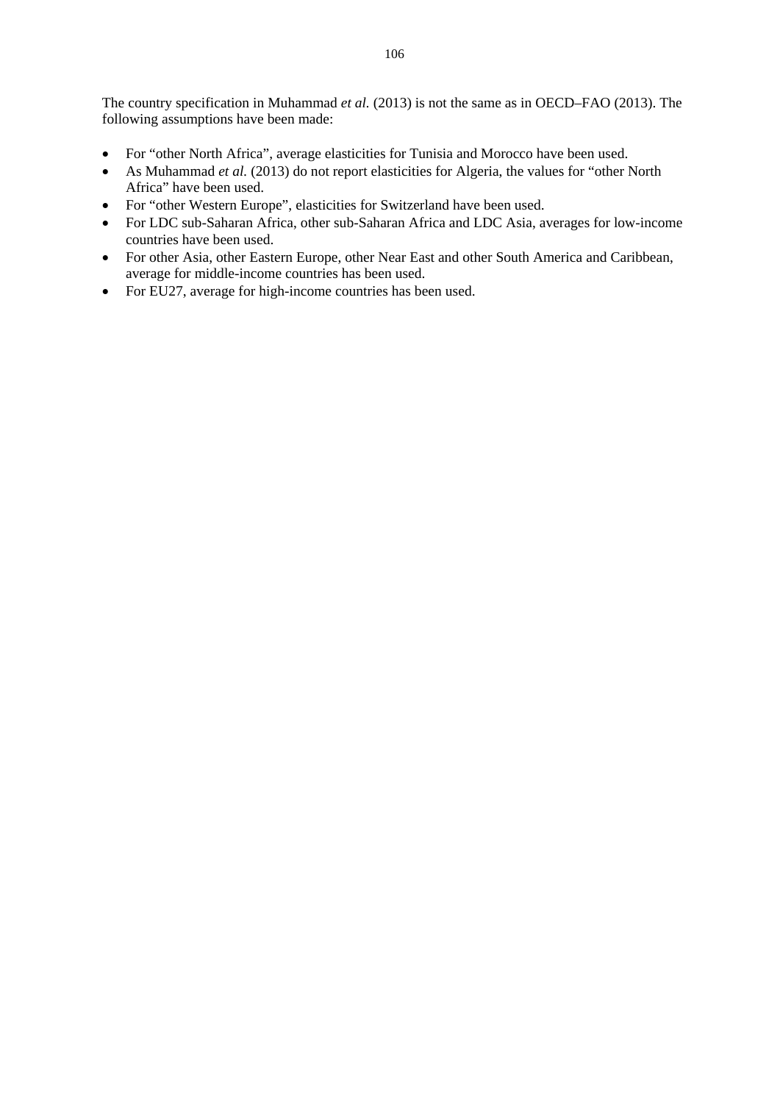The country specification in Muhammad *et al.* (2013) is not the same as in OECD–FAO (2013). The following assumptions have been made:

- For "other North Africa", average elasticities for Tunisia and Morocco have been used.
- As Muhammad *et al.* (2013) do not report elasticities for Algeria, the values for "other North Africa" have been used.
- For "other Western Europe", elasticities for Switzerland have been used.
- For LDC sub-Saharan Africa, other sub-Saharan Africa and LDC Asia, averages for low-income countries have been used.
- For other Asia, other Eastern Europe, other Near East and other South America and Caribbean, average for middle-income countries has been used.
- For EU27, average for high-income countries has been used.